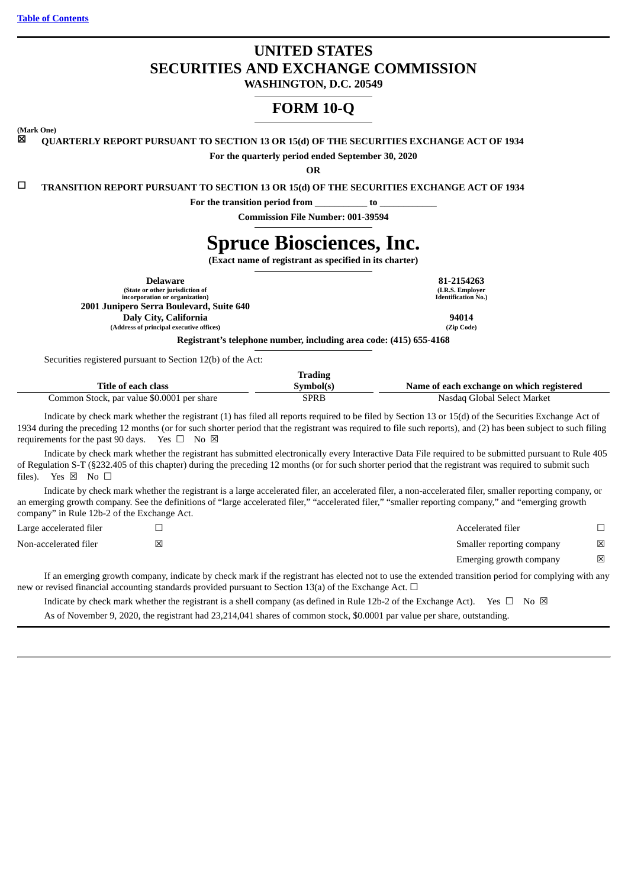# **UNITED STATES SECURITIES AND EXCHANGE COMMISSION**

**WASHINGTON, D.C. 20549**

# **FORM 10-Q**

**(Mark One)**

☒ **QUARTERLY REPORT PURSUANT TO SECTION 13 OR 15(d) OF THE SECURITIES EXCHANGE ACT OF 1934**

**For the quarterly period ended September 30, 2020**

**OR**

☐ **TRANSITION REPORT PURSUANT TO SECTION 13 OR 15(d) OF THE SECURITIES EXCHANGE ACT OF 1934**

**For the transition period from \_\_\_\_\_\_\_\_\_\_\_ to \_\_\_\_\_\_\_\_\_\_\_\_**

**Commission File Number: 001-39594**

# **Spruce Biosciences, Inc.**

**(Exact name of registrant as specified in its charter)**

| Delaware                                 | 81-2154263                 |
|------------------------------------------|----------------------------|
| (State or other jurisdiction of          | (I.R.S. Employer           |
| incorporation or organization)           | <b>Identification No.)</b> |
| 2001 Junipero Serra Boulevard, Suite 640 |                            |
| Daly City, California                    | 94014                      |
| (Address of principal executive offices) | (Zip Code)                 |
| .                                        |                            |

**Registrant's telephone number, including area code: (415) 655-4168**

Securities registered pursuant to Section 12(b) of the Act:

|                                            | Trading   |                                           |
|--------------------------------------------|-----------|-------------------------------------------|
| Title of each class                        | Svmbol(s) | Name of each exchange on which registered |
| Common Stock, par value \$0.0001 per share | SPRB      | Nasdag Global Select Market               |

Indicate by check mark whether the registrant (1) has filed all reports required to be filed by Section 13 or 15(d) of the Securities Exchange Act of 1934 during the preceding 12 months (or for such shorter period that the registrant was required to file such reports), and (2) has been subject to such filing requirements for the past 90 days. Yes  $\square$  No  $\boxtimes$ 

Indicate by check mark whether the registrant has submitted electronically every Interactive Data File required to be submitted pursuant to Rule 405 of Regulation S-T (§232.405 of this chapter) during the preceding 12 months (or for such shorter period that the registrant was required to submit such files). Yes  $\boxtimes$  No  $\square$ 

Indicate by check mark whether the registrant is a large accelerated filer, an accelerated filer, a non-accelerated filer, smaller reporting company, or an emerging growth company. See the definitions of "large accelerated filer," "accelerated filer," "smaller reporting company," and "emerging growth company" in Rule 12b-2 of the Exchange Act.

| Large accelerated filer |   | Accelerated filer         |   |
|-------------------------|---|---------------------------|---|
| Non-accelerated filer   | ⊠ | Smaller reporting company | ⊠ |
|                         |   | Emerging growth company   | ⊠ |

If an emerging growth company, indicate by check mark if the registrant has elected not to use the extended transition period for complying with any new or revised financial accounting standards provided pursuant to Section 13(a) of the Exchange Act.  $\Box$ 

Indicate by check mark whether the registrant is a shell company (as defined in Rule 12b-2 of the Exchange Act). Yes  $\Box$  No  $\boxtimes$ As of November 9, 2020, the registrant had 23,214,041 shares of common stock, \$0.0001 par value per share, outstanding.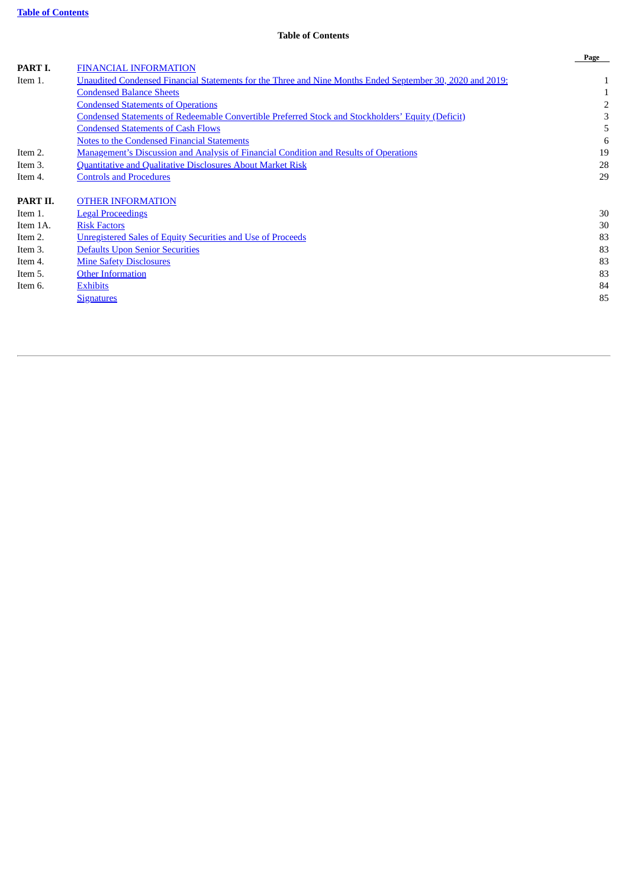# **Table of Contents**

<span id="page-1-0"></span>

|                                                                                                           | Page |
|-----------------------------------------------------------------------------------------------------------|------|
| <b>FINANCIAL INFORMATION</b>                                                                              |      |
| Unaudited Condensed Financial Statements for the Three and Nine Months Ended September 30, 2020 and 2019: |      |
| <b>Condensed Balance Sheets</b>                                                                           |      |
| <b>Condensed Statements of Operations</b>                                                                 |      |
| <b>Condensed Statements of Redeemable Convertible Preferred Stock and Stockholders' Equity (Deficit)</b>  | З    |
| <b>Condensed Statements of Cash Flows</b>                                                                 | 5    |
| Notes to the Condensed Financial Statements                                                               | 6    |
| Management's Discussion and Analysis of Financial Condition and Results of Operations                     | 19   |
| Quantitative and Qualitative Disclosures About Market Risk                                                | 28   |
| <b>Controls and Procedures</b>                                                                            | 29   |
| <b>OTHER INFORMATION</b>                                                                                  |      |
| <b>Legal Proceedings</b>                                                                                  | 30   |
| <b>Risk Factors</b>                                                                                       | 30   |
| Unregistered Sales of Equity Securities and Use of Proceeds                                               | 83   |
| <b>Defaults Upon Senior Securities</b>                                                                    | 83   |
| <b>Mine Safety Disclosures</b>                                                                            | 83   |
| <b>Other Information</b>                                                                                  | 83   |
| <b>Exhibits</b>                                                                                           | 84   |
| <b>Signatures</b>                                                                                         | 85   |
|                                                                                                           |      |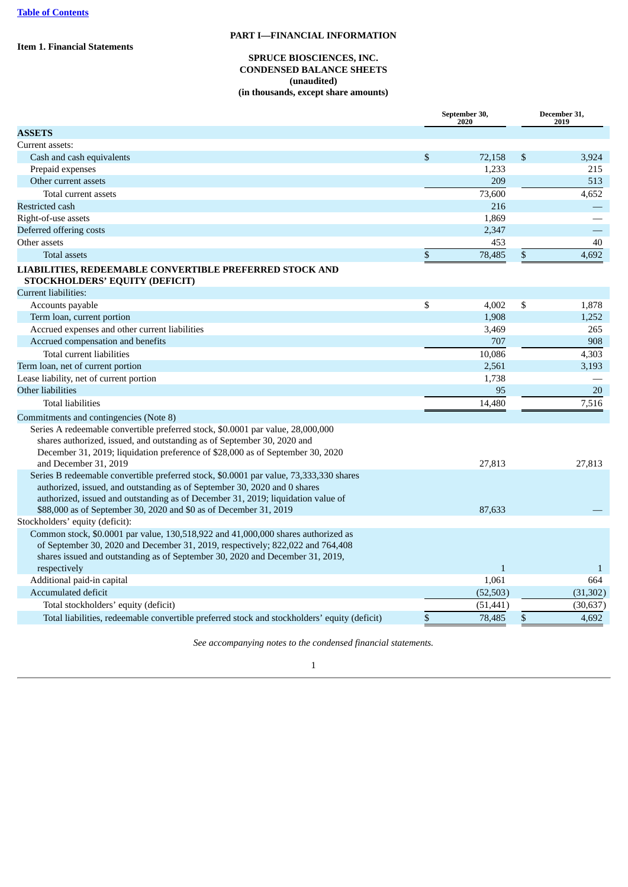<span id="page-2-2"></span><span id="page-2-1"></span><span id="page-2-0"></span>**Item 1. Financial Statements**

### **PART I—FINANCIAL INFORMATION**

### **SPRUCE BIOSCIENCES, INC. CONDENSED BALANCE SHEETS (unaudited) (in thousands, except share amounts)**

|                                                                                                                                                                                                                                                                                                                              |    | September 30,<br>2020 |    | December 31,<br>2019 |  |
|------------------------------------------------------------------------------------------------------------------------------------------------------------------------------------------------------------------------------------------------------------------------------------------------------------------------------|----|-----------------------|----|----------------------|--|
| <b>ASSETS</b>                                                                                                                                                                                                                                                                                                                |    |                       |    |                      |  |
| Current assets:                                                                                                                                                                                                                                                                                                              |    |                       |    |                      |  |
| Cash and cash equivalents                                                                                                                                                                                                                                                                                                    | \$ | 72,158                | \$ | 3,924                |  |
| Prepaid expenses                                                                                                                                                                                                                                                                                                             |    | 1,233                 |    | 215                  |  |
| Other current assets                                                                                                                                                                                                                                                                                                         |    | 209                   |    | 513                  |  |
| Total current assets                                                                                                                                                                                                                                                                                                         |    | 73,600                |    | 4,652                |  |
| Restricted cash                                                                                                                                                                                                                                                                                                              |    | 216                   |    |                      |  |
| Right-of-use assets                                                                                                                                                                                                                                                                                                          |    | 1,869                 |    |                      |  |
| Deferred offering costs                                                                                                                                                                                                                                                                                                      |    | 2,347                 |    |                      |  |
| Other assets                                                                                                                                                                                                                                                                                                                 |    | 453                   |    | $40\,$               |  |
| <b>Total assets</b>                                                                                                                                                                                                                                                                                                          | \$ | 78,485                | \$ | 4,692                |  |
| LIABILITIES, REDEEMABLE CONVERTIBLE PREFERRED STOCK AND<br>STOCKHOLDERS' EQUITY (DEFICIT)                                                                                                                                                                                                                                    |    |                       |    |                      |  |
| <b>Current liabilities:</b>                                                                                                                                                                                                                                                                                                  |    |                       |    |                      |  |
| Accounts payable                                                                                                                                                                                                                                                                                                             | \$ | 4,002                 | \$ | 1,878                |  |
| Term loan, current portion                                                                                                                                                                                                                                                                                                   |    | 1,908                 |    | 1,252                |  |
| Accrued expenses and other current liabilities                                                                                                                                                                                                                                                                               |    | 3,469                 |    | 265                  |  |
| Accrued compensation and benefits                                                                                                                                                                                                                                                                                            |    | 707                   |    | 908                  |  |
| Total current liabilities                                                                                                                                                                                                                                                                                                    |    | 10,086                |    | 4,303                |  |
| Term loan, net of current portion                                                                                                                                                                                                                                                                                            |    | 2,561                 |    | 3,193                |  |
| Lease liability, net of current portion                                                                                                                                                                                                                                                                                      |    | 1,738                 |    |                      |  |
| Other liabilities                                                                                                                                                                                                                                                                                                            |    | 95                    |    | 20                   |  |
| <b>Total liabilities</b>                                                                                                                                                                                                                                                                                                     |    | 14,480                |    | 7,516                |  |
| Commitments and contingencies (Note 8)                                                                                                                                                                                                                                                                                       |    |                       |    |                      |  |
| Series A redeemable convertible preferred stock, \$0.0001 par value, 28,000,000<br>shares authorized, issued, and outstanding as of September 30, 2020 and<br>December 31, 2019; liquidation preference of \$28,000 as of September 30, 2020<br>and December 31, 2019                                                        |    | 27,813                |    | 27,813               |  |
| Series B redeemable convertible preferred stock, \$0.0001 par value, 73,333,330 shares<br>authorized, issued, and outstanding as of September 30, 2020 and 0 shares<br>authorized, issued and outstanding as of December 31, 2019; liquidation value of<br>\$88,000 as of September 30, 2020 and \$0 as of December 31, 2019 |    | 87,633                |    |                      |  |
| Stockholders' equity (deficit):                                                                                                                                                                                                                                                                                              |    |                       |    |                      |  |
| Common stock, \$0.0001 par value, 130,518,922 and 41,000,000 shares authorized as<br>of September 30, 2020 and December 31, 2019, respectively; 822,022 and 764,408<br>shares issued and outstanding as of September 30, 2020 and December 31, 2019,                                                                         |    |                       |    |                      |  |
| respectively                                                                                                                                                                                                                                                                                                                 |    | $\mathbf{1}$          |    | 1                    |  |
| Additional paid-in capital<br>Accumulated deficit                                                                                                                                                                                                                                                                            |    | 1,061                 |    | 664                  |  |
|                                                                                                                                                                                                                                                                                                                              |    | (52, 503)             |    | (31, 302)            |  |
| Total stockholders' equity (deficit)                                                                                                                                                                                                                                                                                         |    | (51, 441)             |    | (30, 637)            |  |
| Total liabilities, redeemable convertible preferred stock and stockholders' equity (deficit)                                                                                                                                                                                                                                 | \$ | 78,485                | \$ | 4,692                |  |

*See accompanying notes to the condensed financial statements.*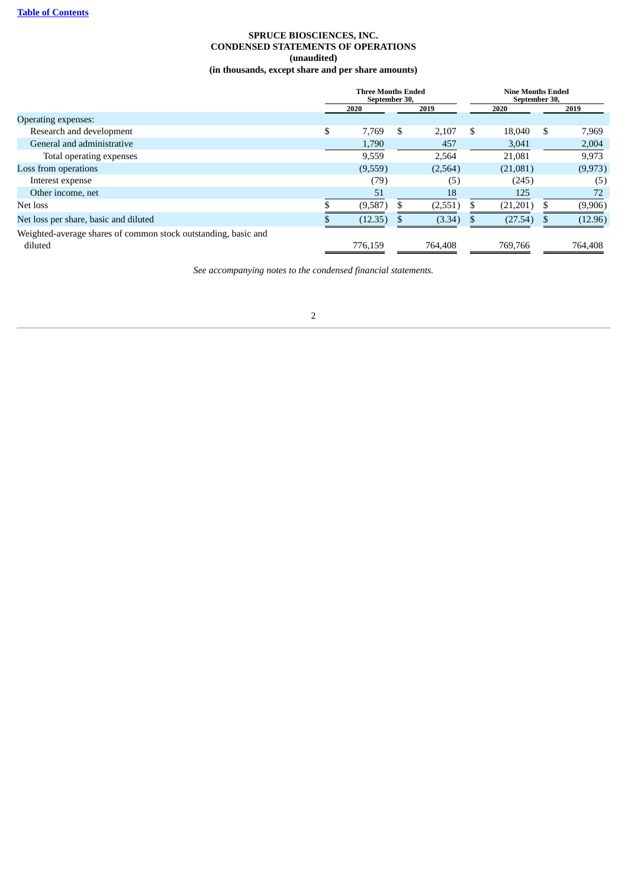### **SPRUCE BIOSCIENCES, INC. CONDENSED STATEMENTS OF OPERATIONS (unaudited) (in thousands, except share and per share amounts)**

<span id="page-3-0"></span>

|                                                                           |    | <b>Three Months Ended</b><br>September 30, |   |         | <b>Nine Months Ended</b><br>September 30, |          |   |          |  |  |  |  |  |  |  |  |  |  |  |  |  |  |  |  |  |  |  |  |  |  |  |  |  |  |  |  |  |  |  |  |  |  |  |  |  |  |  |  |  |  |  |  |  |  |  |  |  |  |  |  |  |  |  |  |  |  |  |  |  |  |  |  |  |  |  |  |  |  |  |  |  |  |  |  |  |  |  |  |  |  |      |  |  |  |      |      |
|---------------------------------------------------------------------------|----|--------------------------------------------|---|---------|-------------------------------------------|----------|---|----------|--|--|--|--|--|--|--|--|--|--|--|--|--|--|--|--|--|--|--|--|--|--|--|--|--|--|--|--|--|--|--|--|--|--|--|--|--|--|--|--|--|--|--|--|--|--|--|--|--|--|--|--|--|--|--|--|--|--|--|--|--|--|--|--|--|--|--|--|--|--|--|--|--|--|--|--|--|--|--|--|--|--|------|--|--|--|------|------|
|                                                                           |    | 2020                                       |   |         |                                           |          |   |          |  |  |  |  |  |  |  |  |  |  |  |  |  |  |  |  |  |  |  |  |  |  |  |  |  |  |  |  |  |  |  |  |  |  |  |  |  |  |  |  |  |  |  |  |  |  |  |  |  |  |  |  |  |  |  |  |  |  |  |  |  |  |  |  |  |  |  |  |  |  |  |  |  |  |  |  |  |  |  |  |  |  | 2019 |  |  |  | 2020 | 2019 |
| <b>Operating expenses:</b>                                                |    |                                            |   |         |                                           |          |   |          |  |  |  |  |  |  |  |  |  |  |  |  |  |  |  |  |  |  |  |  |  |  |  |  |  |  |  |  |  |  |  |  |  |  |  |  |  |  |  |  |  |  |  |  |  |  |  |  |  |  |  |  |  |  |  |  |  |  |  |  |  |  |  |  |  |  |  |  |  |  |  |  |  |  |  |  |  |  |  |  |  |  |      |  |  |  |      |      |
| Research and development                                                  | \$ | 7,769                                      | S | 2,107   | S                                         | 18,040   | S | 7,969    |  |  |  |  |  |  |  |  |  |  |  |  |  |  |  |  |  |  |  |  |  |  |  |  |  |  |  |  |  |  |  |  |  |  |  |  |  |  |  |  |  |  |  |  |  |  |  |  |  |  |  |  |  |  |  |  |  |  |  |  |  |  |  |  |  |  |  |  |  |  |  |  |  |  |  |  |  |  |  |  |  |  |      |  |  |  |      |      |
| General and administrative                                                |    | 1,790                                      |   | 457     |                                           | 3,041    |   | 2,004    |  |  |  |  |  |  |  |  |  |  |  |  |  |  |  |  |  |  |  |  |  |  |  |  |  |  |  |  |  |  |  |  |  |  |  |  |  |  |  |  |  |  |  |  |  |  |  |  |  |  |  |  |  |  |  |  |  |  |  |  |  |  |  |  |  |  |  |  |  |  |  |  |  |  |  |  |  |  |  |  |  |  |      |  |  |  |      |      |
| Total operating expenses                                                  |    | 9,559                                      |   | 2,564   |                                           | 21,081   |   | 9,973    |  |  |  |  |  |  |  |  |  |  |  |  |  |  |  |  |  |  |  |  |  |  |  |  |  |  |  |  |  |  |  |  |  |  |  |  |  |  |  |  |  |  |  |  |  |  |  |  |  |  |  |  |  |  |  |  |  |  |  |  |  |  |  |  |  |  |  |  |  |  |  |  |  |  |  |  |  |  |  |  |  |  |      |  |  |  |      |      |
| Loss from operations                                                      |    | (9,559)                                    |   | (2,564) |                                           | (21,081) |   | (9, 973) |  |  |  |  |  |  |  |  |  |  |  |  |  |  |  |  |  |  |  |  |  |  |  |  |  |  |  |  |  |  |  |  |  |  |  |  |  |  |  |  |  |  |  |  |  |  |  |  |  |  |  |  |  |  |  |  |  |  |  |  |  |  |  |  |  |  |  |  |  |  |  |  |  |  |  |  |  |  |  |  |  |  |      |  |  |  |      |      |
| Interest expense                                                          |    | (79)                                       |   | (5)     |                                           | (245)    |   | (5)      |  |  |  |  |  |  |  |  |  |  |  |  |  |  |  |  |  |  |  |  |  |  |  |  |  |  |  |  |  |  |  |  |  |  |  |  |  |  |  |  |  |  |  |  |  |  |  |  |  |  |  |  |  |  |  |  |  |  |  |  |  |  |  |  |  |  |  |  |  |  |  |  |  |  |  |  |  |  |  |  |  |  |      |  |  |  |      |      |
| Other income, net                                                         |    | 51                                         |   | 18      |                                           | 125      |   | 72       |  |  |  |  |  |  |  |  |  |  |  |  |  |  |  |  |  |  |  |  |  |  |  |  |  |  |  |  |  |  |  |  |  |  |  |  |  |  |  |  |  |  |  |  |  |  |  |  |  |  |  |  |  |  |  |  |  |  |  |  |  |  |  |  |  |  |  |  |  |  |  |  |  |  |  |  |  |  |  |  |  |  |      |  |  |  |      |      |
| Net loss                                                                  |    | (9,587)                                    | S | (2,551) |                                           | (21,201) |   | (9,906)  |  |  |  |  |  |  |  |  |  |  |  |  |  |  |  |  |  |  |  |  |  |  |  |  |  |  |  |  |  |  |  |  |  |  |  |  |  |  |  |  |  |  |  |  |  |  |  |  |  |  |  |  |  |  |  |  |  |  |  |  |  |  |  |  |  |  |  |  |  |  |  |  |  |  |  |  |  |  |  |  |  |  |      |  |  |  |      |      |
| Net loss per share, basic and diluted                                     |    | (12.35)                                    |   | (3.34)  |                                           | (27.54)  |   | (12.96)  |  |  |  |  |  |  |  |  |  |  |  |  |  |  |  |  |  |  |  |  |  |  |  |  |  |  |  |  |  |  |  |  |  |  |  |  |  |  |  |  |  |  |  |  |  |  |  |  |  |  |  |  |  |  |  |  |  |  |  |  |  |  |  |  |  |  |  |  |  |  |  |  |  |  |  |  |  |  |  |  |  |  |      |  |  |  |      |      |
| Weighted-average shares of common stock outstanding, basic and<br>diluted |    | 776,159                                    |   | 764,408 |                                           | 769.766  |   | 764,408  |  |  |  |  |  |  |  |  |  |  |  |  |  |  |  |  |  |  |  |  |  |  |  |  |  |  |  |  |  |  |  |  |  |  |  |  |  |  |  |  |  |  |  |  |  |  |  |  |  |  |  |  |  |  |  |  |  |  |  |  |  |  |  |  |  |  |  |  |  |  |  |  |  |  |  |  |  |  |  |  |  |  |      |  |  |  |      |      |

*See accompanying notes to the condensed financial statements.*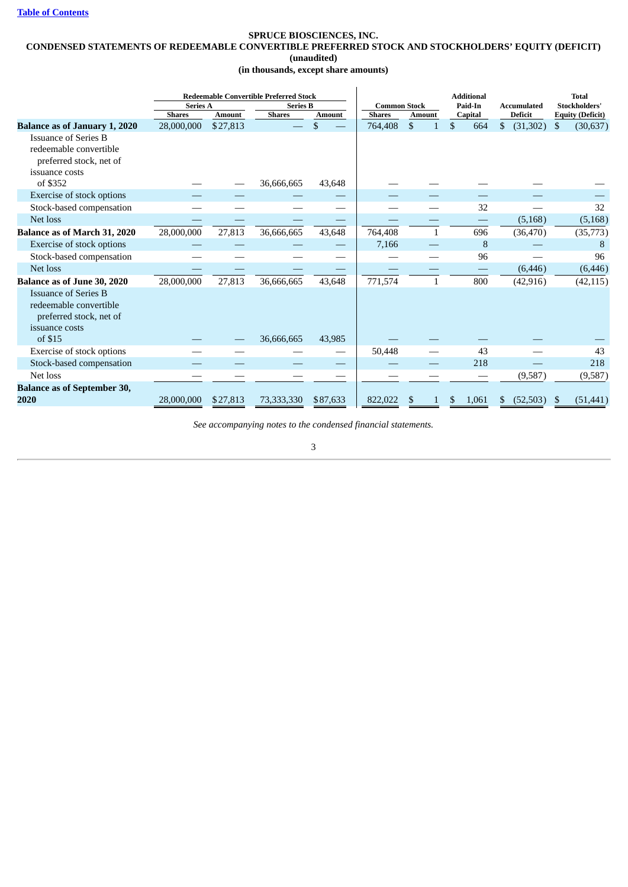### <span id="page-4-0"></span>**SPRUCE BIOSCIENCES, INC. CONDENSED STATEMENTS OF REDEEMABLE CONVERTIBLE PREFERRED STOCK AND STOCKHOLDERS' EQUITY (DEFICIT) (unaudited) (in thousands, except share amounts)**

|                                                                                                    | <b>Redeemable Convertible Preferred Stock</b> |               |                 |               | <b>Additional</b>   |               | <b>Total</b> |                    |                         |
|----------------------------------------------------------------------------------------------------|-----------------------------------------------|---------------|-----------------|---------------|---------------------|---------------|--------------|--------------------|-------------------------|
|                                                                                                    | <b>Series A</b>                               |               | <b>Series B</b> |               | <b>Common Stock</b> |               | Paid-In      | <b>Accumulated</b> | <b>Stockholders'</b>    |
|                                                                                                    | <b>Shares</b>                                 | <b>Amount</b> | <b>Shares</b>   | <b>Amount</b> | <b>Shares</b>       | <b>Amount</b> | Capital      | <b>Deficit</b>     | <b>Equity (Deficit)</b> |
| <b>Balance as of January 1, 2020</b>                                                               | 28,000,000                                    | \$27,813      |                 | \$            | 764,408             | \$            | \$<br>664    | \$<br>(31, 302)    | \$<br>(30, 637)         |
| <b>Issuance of Series B</b><br>redeemable convertible<br>preferred stock, net of<br>issuance costs |                                               |               |                 |               |                     |               |              |                    |                         |
| of \$352                                                                                           |                                               |               | 36,666,665      | 43,648        |                     |               |              |                    |                         |
| Exercise of stock options                                                                          |                                               |               |                 |               |                     |               |              |                    |                         |
| Stock-based compensation                                                                           |                                               |               |                 |               |                     |               | 32           |                    | 32                      |
| Net loss                                                                                           |                                               |               |                 |               |                     |               |              | (5, 168)           | (5, 168)                |
| Balance as of March 31, 2020                                                                       | 28,000,000                                    | 27,813        | 36,666,665      | 43,648        | 764,408             | $\mathbf{1}$  | 696          | (36, 470)          | (35,773)                |
| Exercise of stock options                                                                          |                                               |               |                 |               | 7,166               |               | 8            |                    | 8                       |
| Stock-based compensation                                                                           |                                               |               |                 |               |                     |               | 96           |                    | 96                      |
| Net loss                                                                                           |                                               |               |                 |               |                     |               |              | (6, 446)           | (6, 446)                |
| Balance as of June 30, 2020                                                                        | 28,000,000                                    | 27,813        | 36,666,665      | 43,648        | 771,574             |               | 800          | (42, 916)          | (42, 115)               |
| <b>Issuance of Series B</b><br>redeemable convertible<br>preferred stock, net of<br>issuance costs |                                               |               |                 |               |                     |               |              |                    |                         |
| of \$15                                                                                            |                                               |               | 36,666,665      | 43,985        |                     |               |              |                    |                         |
| Exercise of stock options                                                                          |                                               |               |                 |               | 50,448              |               | 43           |                    | 43                      |
| Stock-based compensation                                                                           |                                               |               |                 |               |                     |               | 218          |                    | 218                     |
| Net loss                                                                                           |                                               |               |                 |               |                     |               |              | (9,587)            | (9,587)                 |
| <b>Balance as of September 30,</b><br>2020                                                         | 28,000,000                                    | \$27,813      | 73,333,330      | \$87,633      | 822,022             |               | \$<br>1,061  | (52, 503)<br>S     | (51, 441)<br>\$         |

*See accompanying notes to the condensed financial statements.*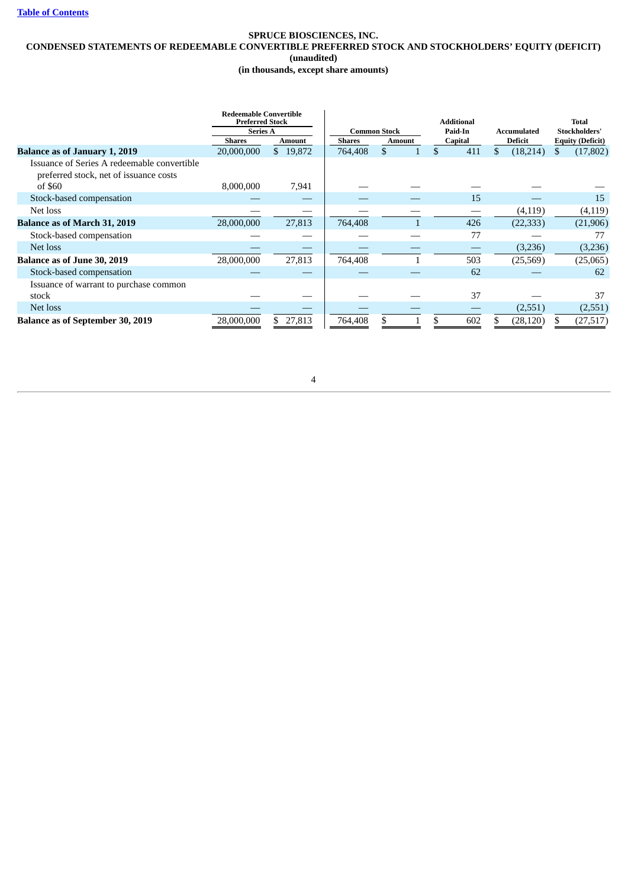### **SPRUCE BIOSCIENCES, INC. CONDENSED STATEMENTS OF REDEEMABLE CONVERTIBLE PREFERRED STOCK AND STOCKHOLDERS' EQUITY (DEFICIT) (unaudited) (in thousands, except share amounts)**

|                                                                                       | <b>Redeemable Convertible</b><br><b>Preferred Stock</b><br><b>Series A</b> |          |               | <b>Common Stock</b> | <b>Additional</b><br>Paid-In | Accumulated     | <b>Total</b><br><b>Stockholders'</b> |
|---------------------------------------------------------------------------------------|----------------------------------------------------------------------------|----------|---------------|---------------------|------------------------------|-----------------|--------------------------------------|
|                                                                                       | <b>Shares</b>                                                              | Amount   | <b>Shares</b> | <b>Amount</b>       | Capital                      | Deficit         | <b>Equity (Deficit)</b>              |
| <b>Balance as of January 1, 2019</b>                                                  | 20,000,000                                                                 | \$19,872 | 764,408       | \$                  | \$<br>411                    | \$<br>(18, 214) | (17, 802)                            |
| Issuance of Series A redeemable convertible<br>preferred stock, net of issuance costs |                                                                            |          |               |                     |                              |                 |                                      |
| of \$60                                                                               | 8,000,000                                                                  | 7,941    |               |                     |                              |                 |                                      |
| Stock-based compensation                                                              |                                                                            |          |               |                     | 15                           |                 | 15                                   |
| Net loss                                                                              |                                                                            |          |               |                     |                              | (4, 119)        | (4, 119)                             |
| <b>Balance as of March 31, 2019</b>                                                   | 28,000,000                                                                 | 27,813   | 764,408       |                     | 426                          | (22, 333)       | (21,906)                             |
| Stock-based compensation                                                              |                                                                            |          |               |                     | 77                           |                 | 77                                   |
| Net loss                                                                              |                                                                            |          |               |                     |                              | (3,236)         | (3,236)                              |
| <b>Balance as of June 30, 2019</b>                                                    | 28,000,000                                                                 | 27,813   | 764,408       |                     | 503                          | (25, 569)       | (25,065)                             |
| Stock-based compensation                                                              |                                                                            |          |               |                     | 62                           |                 | 62                                   |
| Issuance of warrant to purchase common                                                |                                                                            |          |               |                     |                              |                 |                                      |
| stock                                                                                 |                                                                            |          |               |                     | 37                           |                 | 37                                   |
| Net loss                                                                              |                                                                            |          |               |                     |                              | (2,551)         | (2,551)                              |
| <b>Balance as of September 30, 2019</b>                                               | 28,000,000                                                                 | \$27,813 | 764,408       |                     | 602                          | (28, 120)       | (27, 517)                            |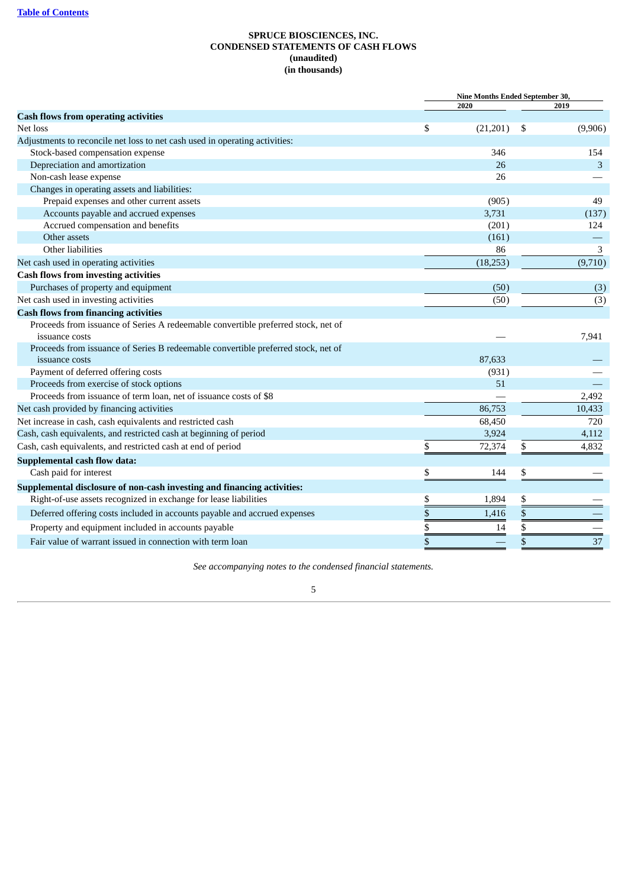# **SPRUCE BIOSCIENCES, INC. CONDENSED STATEMENTS OF CASH FLOWS (unaudited) (in thousands)**

<span id="page-6-0"></span>

|                                                                                   | <b>Nine Months Ended September 30,</b> |      |         |
|-----------------------------------------------------------------------------------|----------------------------------------|------|---------|
|                                                                                   | 2020                                   |      | 2019    |
| <b>Cash flows from operating activities</b>                                       |                                        |      |         |
| Net loss                                                                          | \$<br>(21,201)                         | \$   | (9,906) |
| Adjustments to reconcile net loss to net cash used in operating activities:       |                                        |      |         |
| Stock-based compensation expense                                                  | 346                                    |      | 154     |
| Depreciation and amortization                                                     | 26                                     |      | 3       |
| Non-cash lease expense                                                            | 26                                     |      |         |
| Changes in operating assets and liabilities:                                      |                                        |      |         |
| Prepaid expenses and other current assets                                         | (905)                                  |      | 49      |
| Accounts payable and accrued expenses                                             | 3,731                                  |      | (137)   |
| Accrued compensation and benefits                                                 | (201)                                  |      | 124     |
| Other assets                                                                      | (161)                                  |      |         |
| Other liabilities                                                                 | 86                                     |      | 3       |
| Net cash used in operating activities                                             | (18, 253)                              |      | (9,710) |
| <b>Cash flows from investing activities</b>                                       |                                        |      |         |
| Purchases of property and equipment                                               | (50)                                   |      | (3)     |
| Net cash used in investing activities                                             | (50)                                   |      | (3)     |
| <b>Cash flows from financing activities</b>                                       |                                        |      |         |
| Proceeds from issuance of Series A redeemable convertible preferred stock, net of |                                        |      |         |
| issuance costs                                                                    |                                        |      | 7,941   |
| Proceeds from issuance of Series B redeemable convertible preferred stock, net of |                                        |      |         |
| issuance costs                                                                    | 87,633                                 |      |         |
| Payment of deferred offering costs                                                | (931)                                  |      |         |
| Proceeds from exercise of stock options                                           | 51                                     |      |         |
| Proceeds from issuance of term loan, net of issuance costs of \$8                 |                                        |      | 2,492   |
| Net cash provided by financing activities                                         | 86,753                                 |      | 10,433  |
| Net increase in cash, cash equivalents and restricted cash                        | 68,450                                 |      | 720     |
| Cash, cash equivalents, and restricted cash at beginning of period                | 3,924                                  |      | 4,112   |
| Cash, cash equivalents, and restricted cash at end of period                      | \$<br>72,374                           | \$   | 4,832   |
| <b>Supplemental cash flow data:</b>                                               |                                        |      |         |
| Cash paid for interest                                                            | \$<br>144                              | \$   |         |
| Supplemental disclosure of non-cash investing and financing activities:           |                                        |      |         |
| Right-of-use assets recognized in exchange for lease liabilities                  | \$<br>1,894                            | \$   |         |
| Deferred offering costs included in accounts payable and accrued expenses         | \$<br>1,416                            | $\$$ |         |
| Property and equipment included in accounts payable                               | \$<br>14                               | \$   |         |
| Fair value of warrant issued in connection with term loan                         | \$                                     | \$   | 37      |
|                                                                                   |                                        |      |         |

*See accompanying notes to the condensed financial statements.*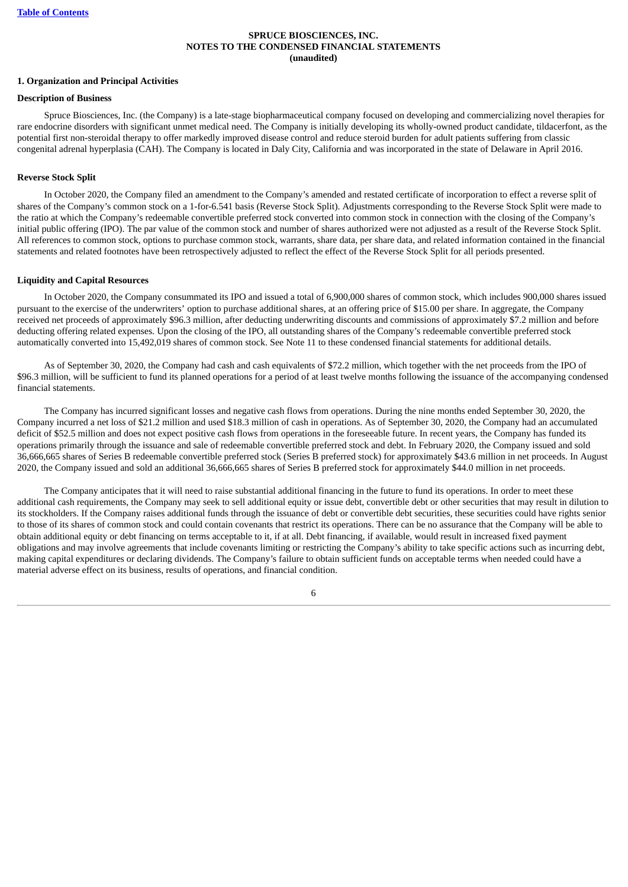### **SPRUCE BIOSCIENCES, INC. NOTES TO THE CONDENSED FINANCIAL STATEMENTS (unaudited)**

### <span id="page-7-0"></span>**1. Organization and Principal Activities**

### **Description of Business**

Spruce Biosciences, Inc. (the Company) is a late-stage biopharmaceutical company focused on developing and commercializing novel therapies for rare endocrine disorders with significant unmet medical need. The Company is initially developing its wholly-owned product candidate, tildacerfont, as the potential first non-steroidal therapy to offer markedly improved disease control and reduce steroid burden for adult patients suffering from classic congenital adrenal hyperplasia (CAH). The Company is located in Daly City, California and was incorporated in the state of Delaware in April 2016.

# **Reverse Stock Split**

In October 2020, the Company filed an amendment to the Company's amended and restated certificate of incorporation to effect a reverse split of shares of the Company's common stock on a 1-for-6.541 basis (Reverse Stock Split). Adjustments corresponding to the Reverse Stock Split were made to the ratio at which the Company's redeemable convertible preferred stock converted into common stock in connection with the closing of the Company's initial public offering (IPO). The par value of the common stock and number of shares authorized were not adjusted as a result of the Reverse Stock Split. All references to common stock, options to purchase common stock, warrants, share data, per share data, and related information contained in the financial statements and related footnotes have been retrospectively adjusted to reflect the effect of the Reverse Stock Split for all periods presented.

### **Liquidity and Capital Resources**

In October 2020, the Company consummated its IPO and issued a total of 6,900,000 shares of common stock, which includes 900,000 shares issued pursuant to the exercise of the underwriters' option to purchase additional shares, at an offering price of \$15.00 per share. In aggregate, the Company received net proceeds of approximately \$96.3 million, after deducting underwriting discounts and commissions of approximately \$7.2 million and before deducting offering related expenses. Upon the closing of the IPO, all outstanding shares of the Company's redeemable convertible preferred stock automatically converted into 15,492,019 shares of common stock. See Note 11 to these condensed financial statements for additional details.

As of September 30, 2020, the Company had cash and cash equivalents of \$72.2 million, which together with the net proceeds from the IPO of \$96.3 million, will be sufficient to fund its planned operations for a period of at least twelve months following the issuance of the accompanying condensed financial statements.

The Company has incurred significant losses and negative cash flows from operations. During the nine months ended September 30, 2020, the Company incurred a net loss of \$21.2 million and used \$18.3 million of cash in operations. As of September 30, 2020, the Company had an accumulated deficit of \$52.5 million and does not expect positive cash flows from operations in the foreseeable future. In recent years, the Company has funded its operations primarily through the issuance and sale of redeemable convertible preferred stock and debt. In February 2020, the Company issued and sold 36,666,665 shares of Series B redeemable convertible preferred stock (Series B preferred stock) for approximately \$43.6 million in net proceeds. In August 2020, the Company issued and sold an additional 36,666,665 shares of Series B preferred stock for approximately \$44.0 million in net proceeds.

The Company anticipates that it will need to raise substantial additional financing in the future to fund its operations. In order to meet these additional cash requirements, the Company may seek to sell additional equity or issue debt, convertible debt or other securities that may result in dilution to its stockholders. If the Company raises additional funds through the issuance of debt or convertible debt securities, these securities could have rights senior to those of its shares of common stock and could contain covenants that restrict its operations. There can be no assurance that the Company will be able to obtain additional equity or debt financing on terms acceptable to it, if at all. Debt financing, if available, would result in increased fixed payment obligations and may involve agreements that include covenants limiting or restricting the Company's ability to take specific actions such as incurring debt, making capital expenditures or declaring dividends. The Company's failure to obtain sufficient funds on acceptable terms when needed could have a material adverse effect on its business, results of operations, and financial condition.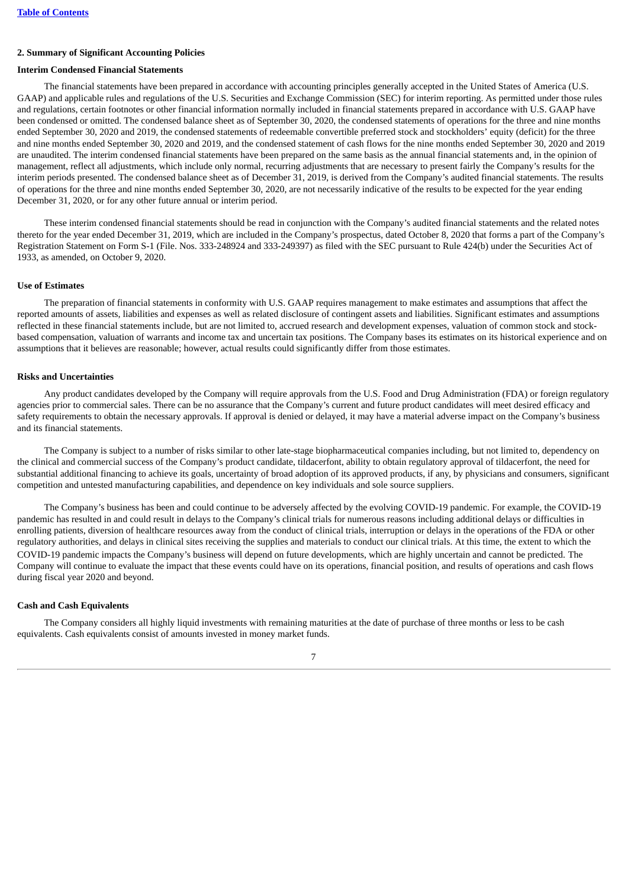### **2. Summary of Significant Accounting Policies**

### **Interim Condensed Financial Statements**

The financial statements have been prepared in accordance with accounting principles generally accepted in the United States of America (U.S. GAAP) and applicable rules and regulations of the U.S. Securities and Exchange Commission (SEC) for interim reporting. As permitted under those rules and regulations, certain footnotes or other financial information normally included in financial statements prepared in accordance with U.S. GAAP have been condensed or omitted. The condensed balance sheet as of September 30, 2020, the condensed statements of operations for the three and nine months ended September 30, 2020 and 2019, the condensed statements of redeemable convertible preferred stock and stockholders' equity (deficit) for the three and nine months ended September 30, 2020 and 2019, and the condensed statement of cash flows for the nine months ended September 30, 2020 and 2019 are unaudited. The interim condensed financial statements have been prepared on the same basis as the annual financial statements and, in the opinion of management, reflect all adjustments, which include only normal, recurring adjustments that are necessary to present fairly the Company's results for the interim periods presented. The condensed balance sheet as of December 31, 2019, is derived from the Company's audited financial statements. The results of operations for the three and nine months ended September 30, 2020, are not necessarily indicative of the results to be expected for the year ending December 31, 2020, or for any other future annual or interim period.

These interim condensed financial statements should be read in conjunction with the Company's audited financial statements and the related notes thereto for the year ended December 31, 2019, which are included in the Company's prospectus, dated October 8, 2020 that forms a part of the Company's Registration Statement on Form S-1 (File. Nos. 333-248924 and 333-249397) as filed with the SEC pursuant to Rule 424(b) under the Securities Act of 1933, as amended, on October 9, 2020.

#### **Use of Estimates**

The preparation of financial statements in conformity with U.S. GAAP requires management to make estimates and assumptions that affect the reported amounts of assets, liabilities and expenses as well as related disclosure of contingent assets and liabilities. Significant estimates and assumptions reflected in these financial statements include, but are not limited to, accrued research and development expenses, valuation of common stock and stockbased compensation, valuation of warrants and income tax and uncertain tax positions. The Company bases its estimates on its historical experience and on assumptions that it believes are reasonable; however, actual results could significantly differ from those estimates.

### **Risks and Uncertainties**

Any product candidates developed by the Company will require approvals from the U.S. Food and Drug Administration (FDA) or foreign regulatory agencies prior to commercial sales. There can be no assurance that the Company's current and future product candidates will meet desired efficacy and safety requirements to obtain the necessary approvals. If approval is denied or delayed, it may have a material adverse impact on the Company's business and its financial statements.

The Company is subject to a number of risks similar to other late-stage biopharmaceutical companies including, but not limited to, dependency on the clinical and commercial success of the Company's product candidate, tildacerfont, ability to obtain regulatory approval of tildacerfont, the need for substantial additional financing to achieve its goals, uncertainty of broad adoption of its approved products, if any, by physicians and consumers, significant competition and untested manufacturing capabilities, and dependence on key individuals and sole source suppliers.

The Company's business has been and could continue to be adversely affected by the evolving COVID-19 pandemic. For example, the COVID-19 pandemic has resulted in and could result in delays to the Company's clinical trials for numerous reasons including additional delays or difficulties in enrolling patients, diversion of healthcare resources away from the conduct of clinical trials, interruption or delays in the operations of the FDA or other regulatory authorities, and delays in clinical sites receiving the supplies and materials to conduct our clinical trials. At this time, the extent to which the COVID-19 pandemic impacts the Company's business will depend on future developments, which are highly uncertain and cannot be predicted. The Company will continue to evaluate the impact that these events could have on its operations, financial position, and results of operations and cash flows during fiscal year 2020 and beyond.

### **Cash and Cash Equivalents**

The Company considers all highly liquid investments with remaining maturities at the date of purchase of three months or less to be cash equivalents. Cash equivalents consist of amounts invested in money market funds.

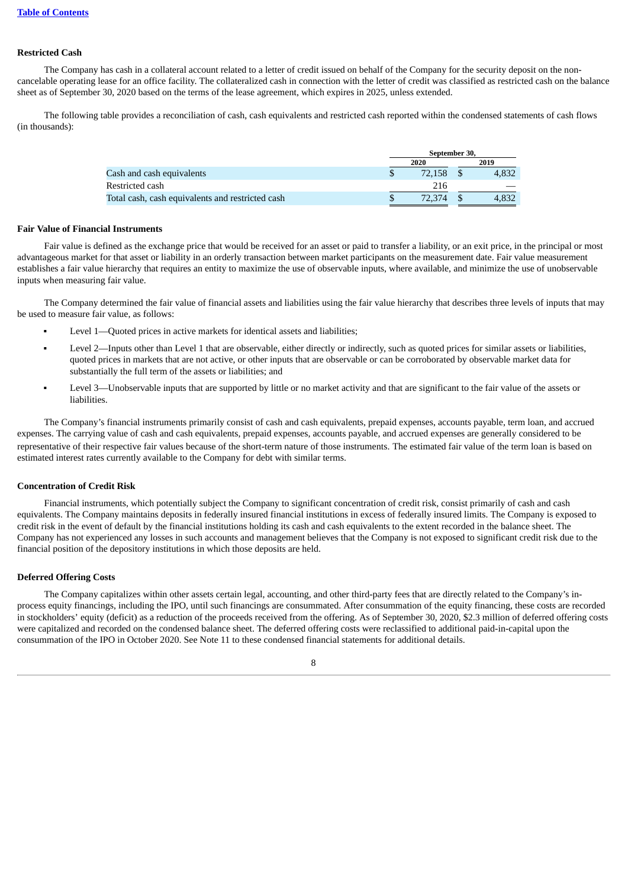# **Restricted Cash**

The Company has cash in a collateral account related to a letter of credit issued on behalf of the Company for the security deposit on the noncancelable operating lease for an office facility. The collateralized cash in connection with the letter of credit was classified as restricted cash on the balance sheet as of September 30, 2020 based on the terms of the lease agreement, which expires in 2025, unless extended.

The following table provides a reconciliation of cash, cash equivalents and restricted cash reported within the condensed statements of cash flows (in thousands):

|                                                  | September 30, |  |       |  |  |
|--------------------------------------------------|---------------|--|-------|--|--|
|                                                  | 2020          |  | 2019  |  |  |
| Cash and cash equivalents                        | 72.158        |  | 4.832 |  |  |
| Restricted cash                                  | 216           |  |       |  |  |
| Total cash, cash equivalents and restricted cash | 72.374        |  |       |  |  |

#### **Fair Value of Financial Instruments**

Fair value is defined as the exchange price that would be received for an asset or paid to transfer a liability, or an exit price, in the principal or most advantageous market for that asset or liability in an orderly transaction between market participants on the measurement date. Fair value measurement establishes a fair value hierarchy that requires an entity to maximize the use of observable inputs, where available, and minimize the use of unobservable inputs when measuring fair value.

The Company determined the fair value of financial assets and liabilities using the fair value hierarchy that describes three levels of inputs that may be used to measure fair value, as follows:

- Level 1—Ouoted prices in active markets for identical assets and liabilities:
- Level 2—Inputs other than Level 1 that are observable, either directly or indirectly, such as quoted prices for similar assets or liabilities, quoted prices in markets that are not active, or other inputs that are observable or can be corroborated by observable market data for substantially the full term of the assets or liabilities; and
- Level 3—Unobservable inputs that are supported by little or no market activity and that are significant to the fair value of the assets or liabilities.

The Company's financial instruments primarily consist of cash and cash equivalents, prepaid expenses, accounts payable, term loan, and accrued expenses. The carrying value of cash and cash equivalents, prepaid expenses, accounts payable, and accrued expenses are generally considered to be representative of their respective fair values because of the short-term nature of those instruments. The estimated fair value of the term loan is based on estimated interest rates currently available to the Company for debt with similar terms.

### **Concentration of Credit Risk**

Financial instruments, which potentially subject the Company to significant concentration of credit risk, consist primarily of cash and cash equivalents. The Company maintains deposits in federally insured financial institutions in excess of federally insured limits. The Company is exposed to credit risk in the event of default by the financial institutions holding its cash and cash equivalents to the extent recorded in the balance sheet. The Company has not experienced any losses in such accounts and management believes that the Company is not exposed to significant credit risk due to the financial position of the depository institutions in which those deposits are held.

### **Deferred Offering Costs**

The Company capitalizes within other assets certain legal, accounting, and other third-party fees that are directly related to the Company's inprocess equity financings, including the IPO, until such financings are consummated. After consummation of the equity financing, these costs are recorded in stockholders' equity (deficit) as a reduction of the proceeds received from the offering. As of September 30, 2020, \$2.3 million of deferred offering costs were capitalized and recorded on the condensed balance sheet. The deferred offering costs were reclassified to additional paid-in-capital upon the consummation of the IPO in October 2020. See Note 11 to these condensed financial statements for additional details.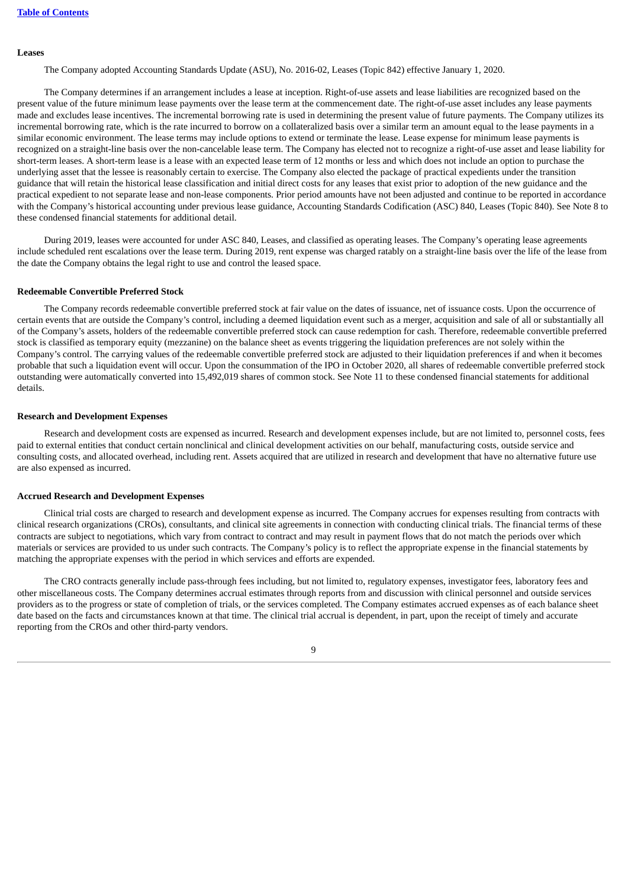# **Leases**

The Company adopted Accounting Standards Update (ASU), No. 2016-02, Leases (Topic 842) effective January 1, 2020.

The Company determines if an arrangement includes a lease at inception. Right-of-use assets and lease liabilities are recognized based on the present value of the future minimum lease payments over the lease term at the commencement date. The right-of-use asset includes any lease payments made and excludes lease incentives. The incremental borrowing rate is used in determining the present value of future payments. The Company utilizes its incremental borrowing rate, which is the rate incurred to borrow on a collateralized basis over a similar term an amount equal to the lease payments in a similar economic environment. The lease terms may include options to extend or terminate the lease. Lease expense for minimum lease payments is recognized on a straight-line basis over the non-cancelable lease term. The Company has elected not to recognize a right-of-use asset and lease liability for short-term leases. A short-term lease is a lease with an expected lease term of 12 months or less and which does not include an option to purchase the underlying asset that the lessee is reasonably certain to exercise. The Company also elected the package of practical expedients under the transition guidance that will retain the historical lease classification and initial direct costs for any leases that exist prior to adoption of the new guidance and the practical expedient to not separate lease and non-lease components. Prior period amounts have not been adjusted and continue to be reported in accordance with the Company's historical accounting under previous lease guidance, Accounting Standards Codification (ASC) 840, Leases (Topic 840). See Note 8 to these condensed financial statements for additional detail.

During 2019, leases were accounted for under ASC 840, Leases, and classified as operating leases. The Company's operating lease agreements include scheduled rent escalations over the lease term. During 2019, rent expense was charged ratably on a straight-line basis over the life of the lease from the date the Company obtains the legal right to use and control the leased space.

### **Redeemable Convertible Preferred Stock**

The Company records redeemable convertible preferred stock at fair value on the dates of issuance, net of issuance costs. Upon the occurrence of certain events that are outside the Company's control, including a deemed liquidation event such as a merger, acquisition and sale of all or substantially all of the Company's assets, holders of the redeemable convertible preferred stock can cause redemption for cash. Therefore, redeemable convertible preferred stock is classified as temporary equity (mezzanine) on the balance sheet as events triggering the liquidation preferences are not solely within the Company's control. The carrying values of the redeemable convertible preferred stock are adjusted to their liquidation preferences if and when it becomes probable that such a liquidation event will occur. Upon the consummation of the IPO in October 2020, all shares of redeemable convertible preferred stock outstanding were automatically converted into 15,492,019 shares of common stock. See Note 11 to these condensed financial statements for additional details.

### **Research and Development Expenses**

Research and development costs are expensed as incurred. Research and development expenses include, but are not limited to, personnel costs, fees paid to external entities that conduct certain nonclinical and clinical development activities on our behalf, manufacturing costs, outside service and consulting costs, and allocated overhead, including rent. Assets acquired that are utilized in research and development that have no alternative future use are also expensed as incurred.

#### **Accrued Research and Development Expenses**

Clinical trial costs are charged to research and development expense as incurred. The Company accrues for expenses resulting from contracts with clinical research organizations (CROs), consultants, and clinical site agreements in connection with conducting clinical trials. The financial terms of these contracts are subject to negotiations, which vary from contract to contract and may result in payment flows that do not match the periods over which materials or services are provided to us under such contracts. The Company's policy is to reflect the appropriate expense in the financial statements by matching the appropriate expenses with the period in which services and efforts are expended.

The CRO contracts generally include pass-through fees including, but not limited to, regulatory expenses, investigator fees, laboratory fees and other miscellaneous costs. The Company determines accrual estimates through reports from and discussion with clinical personnel and outside services providers as to the progress or state of completion of trials, or the services completed. The Company estimates accrued expenses as of each balance sheet date based on the facts and circumstances known at that time. The clinical trial accrual is dependent, in part, upon the receipt of timely and accurate reporting from the CROs and other third-party vendors.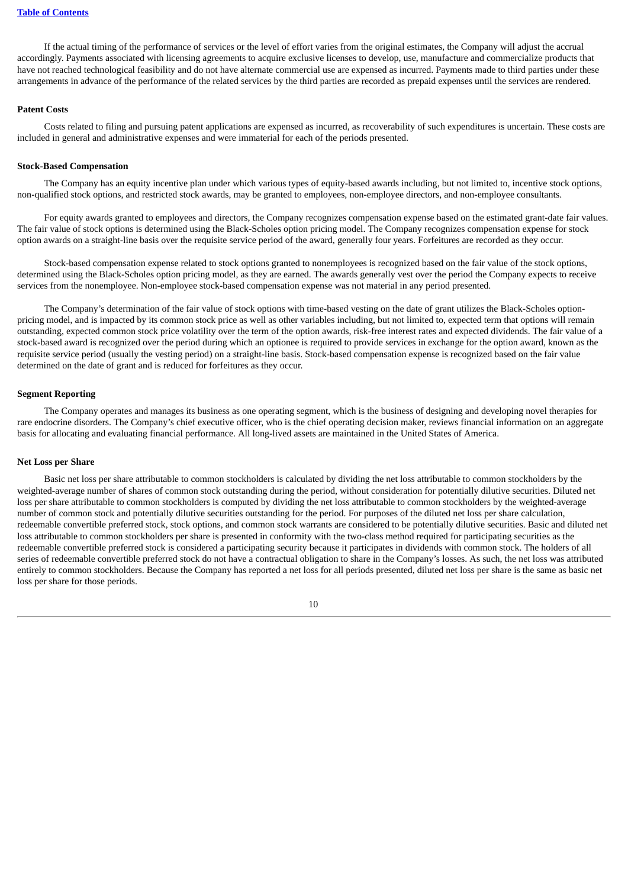If the actual timing of the performance of services or the level of effort varies from the original estimates, the Company will adjust the accrual accordingly. Payments associated with licensing agreements to acquire exclusive licenses to develop, use, manufacture and commercialize products that have not reached technological feasibility and do not have alternate commercial use are expensed as incurred. Payments made to third parties under these arrangements in advance of the performance of the related services by the third parties are recorded as prepaid expenses until the services are rendered.

# **Patent Costs**

Costs related to filing and pursuing patent applications are expensed as incurred, as recoverability of such expenditures is uncertain. These costs are included in general and administrative expenses and were immaterial for each of the periods presented.

### **Stock-Based Compensation**

The Company has an equity incentive plan under which various types of equity-based awards including, but not limited to, incentive stock options, non-qualified stock options, and restricted stock awards, may be granted to employees, non-employee directors, and non-employee consultants.

For equity awards granted to employees and directors, the Company recognizes compensation expense based on the estimated grant-date fair values. The fair value of stock options is determined using the Black-Scholes option pricing model. The Company recognizes compensation expense for stock option awards on a straight-line basis over the requisite service period of the award, generally four years. Forfeitures are recorded as they occur.

Stock-based compensation expense related to stock options granted to nonemployees is recognized based on the fair value of the stock options, determined using the Black-Scholes option pricing model, as they are earned. The awards generally vest over the period the Company expects to receive services from the nonemployee. Non-employee stock-based compensation expense was not material in any period presented.

The Company's determination of the fair value of stock options with time-based vesting on the date of grant utilizes the Black-Scholes optionpricing model, and is impacted by its common stock price as well as other variables including, but not limited to, expected term that options will remain outstanding, expected common stock price volatility over the term of the option awards, risk-free interest rates and expected dividends. The fair value of a stock-based award is recognized over the period during which an optionee is required to provide services in exchange for the option award, known as the requisite service period (usually the vesting period) on a straight-line basis. Stock-based compensation expense is recognized based on the fair value determined on the date of grant and is reduced for forfeitures as they occur.

### **Segment Reporting**

The Company operates and manages its business as one operating segment, which is the business of designing and developing novel therapies for rare endocrine disorders. The Company's chief executive officer, who is the chief operating decision maker, reviews financial information on an aggregate basis for allocating and evaluating financial performance. All long-lived assets are maintained in the United States of America.

### **Net Loss per Share**

Basic net loss per share attributable to common stockholders is calculated by dividing the net loss attributable to common stockholders by the weighted-average number of shares of common stock outstanding during the period, without consideration for potentially dilutive securities. Diluted net loss per share attributable to common stockholders is computed by dividing the net loss attributable to common stockholders by the weighted-average number of common stock and potentially dilutive securities outstanding for the period. For purposes of the diluted net loss per share calculation, redeemable convertible preferred stock, stock options, and common stock warrants are considered to be potentially dilutive securities. Basic and diluted net loss attributable to common stockholders per share is presented in conformity with the two-class method required for participating securities as the redeemable convertible preferred stock is considered a participating security because it participates in dividends with common stock. The holders of all series of redeemable convertible preferred stock do not have a contractual obligation to share in the Company's losses. As such, the net loss was attributed entirely to common stockholders. Because the Company has reported a net loss for all periods presented, diluted net loss per share is the same as basic net loss per share for those periods.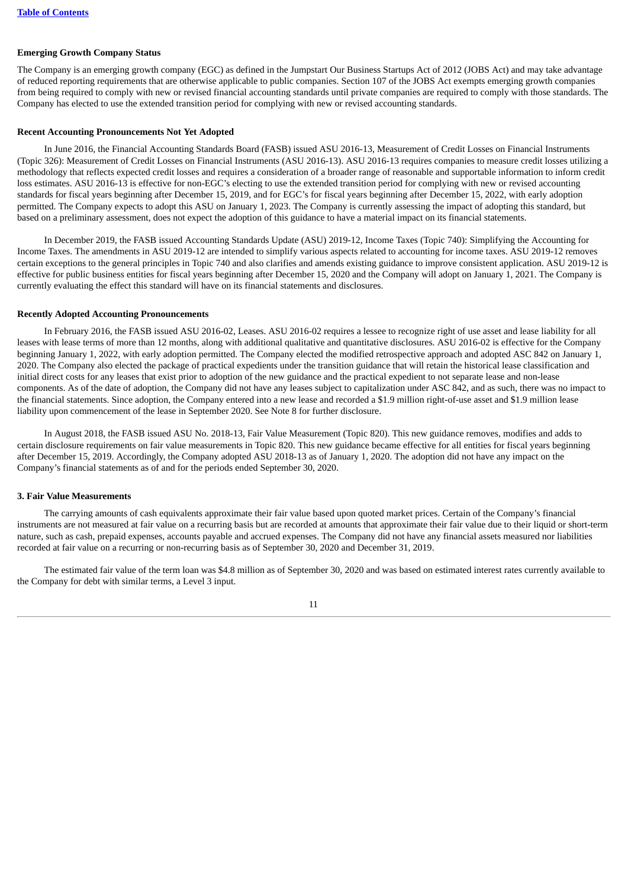### **Emerging Growth Company Status**

The Company is an emerging growth company (EGC) as defined in the Jumpstart Our Business Startups Act of 2012 (JOBS Act) and may take advantage of reduced reporting requirements that are otherwise applicable to public companies. Section 107 of the JOBS Act exempts emerging growth companies from being required to comply with new or revised financial accounting standards until private companies are required to comply with those standards. The Company has elected to use the extended transition period for complying with new or revised accounting standards.

#### **Recent Accounting Pronouncements Not Yet Adopted**

In June 2016, the Financial Accounting Standards Board (FASB) issued ASU 2016-13, Measurement of Credit Losses on Financial Instruments (Topic 326): Measurement of Credit Losses on Financial Instruments (ASU 2016-13). ASU 2016-13 requires companies to measure credit losses utilizing a methodology that reflects expected credit losses and requires a consideration of a broader range of reasonable and supportable information to inform credit loss estimates. ASU 2016-13 is effective for non-EGC's electing to use the extended transition period for complying with new or revised accounting standards for fiscal years beginning after December 15, 2019, and for EGC's for fiscal years beginning after December 15, 2022, with early adoption permitted. The Company expects to adopt this ASU on January 1, 2023. The Company is currently assessing the impact of adopting this standard, but based on a preliminary assessment, does not expect the adoption of this guidance to have a material impact on its financial statements.

In December 2019, the FASB issued Accounting Standards Update (ASU) 2019-12, Income Taxes (Topic 740): Simplifying the Accounting for Income Taxes. The amendments in ASU 2019-12 are intended to simplify various aspects related to accounting for income taxes. ASU 2019-12 removes certain exceptions to the general principles in Topic 740 and also clarifies and amends existing guidance to improve consistent application. ASU 2019-12 is effective for public business entities for fiscal years beginning after December 15, 2020 and the Company will adopt on January 1, 2021. The Company is currently evaluating the effect this standard will have on its financial statements and disclosures.

#### **Recently Adopted Accounting Pronouncements**

In February 2016, the FASB issued ASU 2016-02, Leases. ASU 2016-02 requires a lessee to recognize right of use asset and lease liability for all leases with lease terms of more than 12 months, along with additional qualitative and quantitative disclosures. ASU 2016-02 is effective for the Company beginning January 1, 2022, with early adoption permitted. The Company elected the modified retrospective approach and adopted ASC 842 on January 1, 2020. The Company also elected the package of practical expedients under the transition guidance that will retain the historical lease classification and initial direct costs for any leases that exist prior to adoption of the new guidance and the practical expedient to not separate lease and non-lease components. As of the date of adoption, the Company did not have any leases subject to capitalization under ASC 842, and as such, there was no impact to the financial statements. Since adoption, the Company entered into a new lease and recorded a \$1.9 million right-of-use asset and \$1.9 million lease liability upon commencement of the lease in September 2020. See Note 8 for further disclosure.

In August 2018, the FASB issued ASU No. 2018-13, Fair Value Measurement (Topic 820). This new guidance removes, modifies and adds to certain disclosure requirements on fair value measurements in Topic 820. This new guidance became effective for all entities for fiscal years beginning after December 15, 2019. Accordingly, the Company adopted ASU 2018-13 as of January 1, 2020. The adoption did not have any impact on the Company's financial statements as of and for the periods ended September 30, 2020.

#### **3. Fair Value Measurements**

The carrying amounts of cash equivalents approximate their fair value based upon quoted market prices. Certain of the Company's financial instruments are not measured at fair value on a recurring basis but are recorded at amounts that approximate their fair value due to their liquid or short-term nature, such as cash, prepaid expenses, accounts payable and accrued expenses. The Company did not have any financial assets measured nor liabilities recorded at fair value on a recurring or non-recurring basis as of September 30, 2020 and December 31, 2019.

The estimated fair value of the term loan was \$4.8 million as of September 30, 2020 and was based on estimated interest rates currently available to the Company for debt with similar terms, a Level 3 input.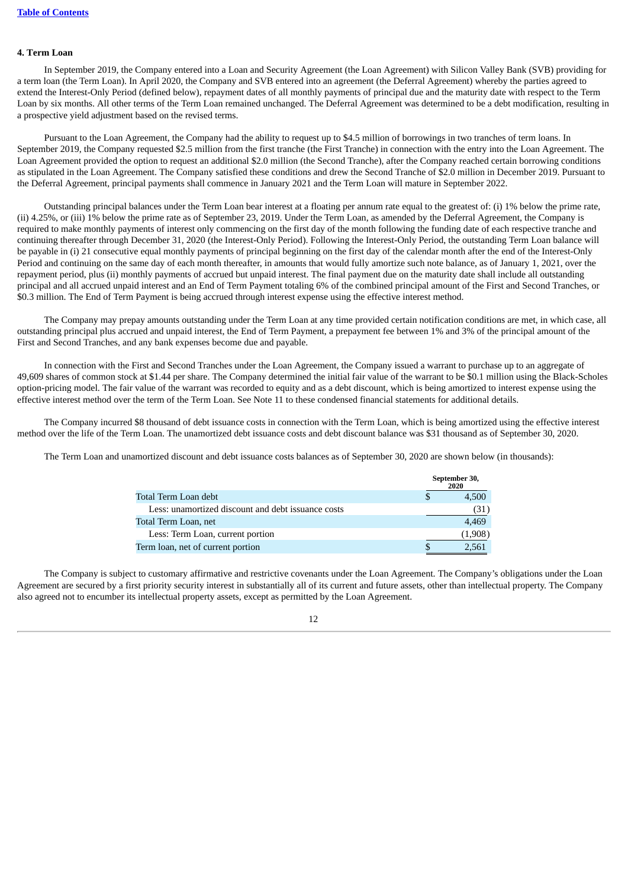### **4. Term Loan**

In September 2019, the Company entered into a Loan and Security Agreement (the Loan Agreement) with Silicon Valley Bank (SVB) providing for a term loan (the Term Loan). In April 2020, the Company and SVB entered into an agreement (the Deferral Agreement) whereby the parties agreed to extend the Interest-Only Period (defined below), repayment dates of all monthly payments of principal due and the maturity date with respect to the Term Loan by six months. All other terms of the Term Loan remained unchanged. The Deferral Agreement was determined to be a debt modification, resulting in a prospective yield adjustment based on the revised terms.

Pursuant to the Loan Agreement, the Company had the ability to request up to \$4.5 million of borrowings in two tranches of term loans. In September 2019, the Company requested \$2.5 million from the first tranche (the First Tranche) in connection with the entry into the Loan Agreement. The Loan Agreement provided the option to request an additional \$2.0 million (the Second Tranche), after the Company reached certain borrowing conditions as stipulated in the Loan Agreement. The Company satisfied these conditions and drew the Second Tranche of \$2.0 million in December 2019. Pursuant to the Deferral Agreement, principal payments shall commence in January 2021 and the Term Loan will mature in September 2022.

Outstanding principal balances under the Term Loan bear interest at a floating per annum rate equal to the greatest of: (i) 1% below the prime rate, (ii) 4.25%, or (iii) 1% below the prime rate as of September 23, 2019. Under the Term Loan, as amended by the Deferral Agreement, the Company is required to make monthly payments of interest only commencing on the first day of the month following the funding date of each respective tranche and continuing thereafter through December 31, 2020 (the Interest-Only Period). Following the Interest-Only Period, the outstanding Term Loan balance will be payable in (i) 21 consecutive equal monthly payments of principal beginning on the first day of the calendar month after the end of the Interest-Only Period and continuing on the same day of each month thereafter, in amounts that would fully amortize such note balance, as of January 1, 2021, over the repayment period, plus (ii) monthly payments of accrued but unpaid interest. The final payment due on the maturity date shall include all outstanding principal and all accrued unpaid interest and an End of Term Payment totaling 6% of the combined principal amount of the First and Second Tranches, or \$0.3 million. The End of Term Payment is being accrued through interest expense using the effective interest method.

The Company may prepay amounts outstanding under the Term Loan at any time provided certain notification conditions are met, in which case, all outstanding principal plus accrued and unpaid interest, the End of Term Payment, a prepayment fee between 1% and 3% of the principal amount of the First and Second Tranches, and any bank expenses become due and payable.

In connection with the First and Second Tranches under the Loan Agreement, the Company issued a warrant to purchase up to an aggregate of 49,609 shares of common stock at \$1.44 per share. The Company determined the initial fair value of the warrant to be \$0.1 million using the Black-Scholes option-pricing model. The fair value of the warrant was recorded to equity and as a debt discount, which is being amortized to interest expense using the effective interest method over the term of the Term Loan. See Note 11 to these condensed financial statements for additional details.

The Company incurred \$8 thousand of debt issuance costs in connection with the Term Loan, which is being amortized using the effective interest method over the life of the Term Loan. The unamortized debt issuance costs and debt discount balance was \$31 thousand as of September 30, 2020.

The Term Loan and unamortized discount and debt issuance costs balances as of September 30, 2020 are shown below (in thousands):

|                                                    | September 30,<br>2020 |
|----------------------------------------------------|-----------------------|
| Total Term Loan debt                               | 4,500                 |
| Less: unamortized discount and debt issuance costs | (31                   |
| Total Term Loan, net                               | 4,469                 |
| Less: Term Loan, current portion                   | (1,908)               |
| Term loan, net of current portion                  | 2,561                 |

The Company is subject to customary affirmative and restrictive covenants under the Loan Agreement. The Company's obligations under the Loan Agreement are secured by a first priority security interest in substantially all of its current and future assets, other than intellectual property. The Company also agreed not to encumber its intellectual property assets, except as permitted by the Loan Agreement.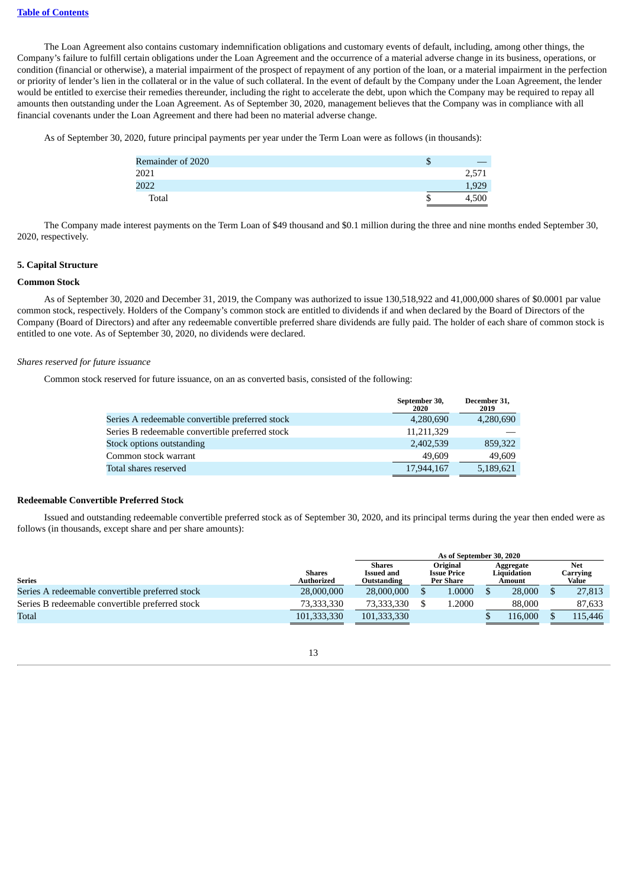The Loan Agreement also contains customary indemnification obligations and customary events of default, including, among other things, the Company's failure to fulfill certain obligations under the Loan Agreement and the occurrence of a material adverse change in its business, operations, or condition (financial or otherwise), a material impairment of the prospect of repayment of any portion of the loan, or a material impairment in the perfection or priority of lender's lien in the collateral or in the value of such collateral. In the event of default by the Company under the Loan Agreement, the lender would be entitled to exercise their remedies thereunder, including the right to accelerate the debt, upon which the Company may be required to repay all amounts then outstanding under the Loan Agreement. As of September 30, 2020, management believes that the Company was in compliance with all financial covenants under the Loan Agreement and there had been no material adverse change.

As of September 30, 2020, future principal payments per year under the Term Loan were as follows (in thousands):

| Remainder of 2020 | J |       |
|-------------------|---|-------|
| 2021              |   | 2,571 |
| 2022              |   | 1,929 |
| Total             |   | ' 500 |

The Company made interest payments on the Term Loan of \$49 thousand and \$0.1 million during the three and nine months ended September 30, 2020, respectively.

### **5. Capital Structure**

### **Common Stock**

As of September 30, 2020 and December 31, 2019, the Company was authorized to issue 130,518,922 and 41,000,000 shares of \$0.0001 par value common stock, respectively. Holders of the Company's common stock are entitled to dividends if and when declared by the Board of Directors of the Company (Board of Directors) and after any redeemable convertible preferred share dividends are fully paid. The holder of each share of common stock is entitled to one vote. As of September 30, 2020, no dividends were declared.

### *Shares reserved for future issuance*

Common stock reserved for future issuance, on an as converted basis, consisted of the following:

|                                                 | September 30,<br>2020 | December 31,<br>2019 |
|-------------------------------------------------|-----------------------|----------------------|
| Series A redeemable convertible preferred stock | 4,280,690             | 4,280,690            |
| Series B redeemable convertible preferred stock | 11,211,329            |                      |
| Stock options outstanding                       | 2,402,539             | 859,322              |
| Common stock warrant                            | 49,609                | 49,609               |
| Total shares reserved                           | 17,944,167            | 5,189,621            |

### **Redeemable Convertible Preferred Stock**

Issued and outstanding redeemable convertible preferred stock as of September 30, 2020, and its principal terms during the year then ended were as follows (in thousands, except share and per share amounts):

|                                                 |                             | As of September 30, 2020                                                                                |  |        |  |                                    |  |                                 |  |  |
|-------------------------------------------------|-----------------------------|---------------------------------------------------------------------------------------------------------|--|--------|--|------------------------------------|--|---------------------------------|--|--|
| <b>Series</b>                                   | <b>Shares</b><br>Authorized | Original<br><b>Shares</b><br><b>Issued and</b><br><b>Issue Price</b><br><b>Per Share</b><br>Outstanding |  |        |  | Aggregate<br>Liauidation<br>Amount |  | <b>Net</b><br>Carrving<br>Value |  |  |
| Series A redeemable convertible preferred stock | 28,000,000                  | 28,000,000                                                                                              |  | 1.0000 |  | 28,000                             |  | 27,813                          |  |  |
| Series B redeemable convertible preferred stock | 73,333,330                  | 73.333.330                                                                                              |  | 1.2000 |  | 88,000                             |  | 87,633                          |  |  |
| Total                                           | 101,333,330                 | 101,333,330                                                                                             |  |        |  | 116.000                            |  | 115,446                         |  |  |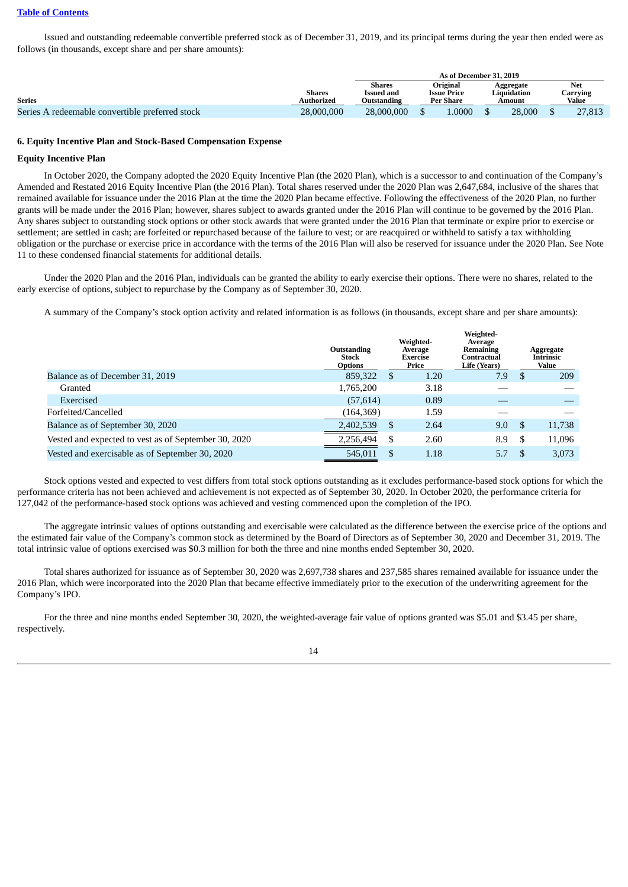### **Table of [Contents](#page-1-0)**

Issued and outstanding redeemable convertible preferred stock as of December 31, 2019, and its principal terms during the year then ended were as follows (in thousands, except share and per share amounts):

|                                                 |               | As of December 31, 2019 |                  |                    |             |        |     |        |  |          |
|-------------------------------------------------|---------------|-------------------------|------------------|--------------------|-------------|--------|-----|--------|--|----------|
|                                                 |               | <b>Shares</b>           | Original         |                    | Aggregate   |        | Net |        |  |          |
|                                                 | <b>Shares</b> | Issued and              |                  | <b>Issue Price</b> | Liquidation |        |     |        |  | Carrving |
| <b>Series</b>                                   | Authorized    | Outstanding             | <b>Per Share</b> |                    |             | Amount |     | Value  |  |          |
| Series A redeemable convertible preferred stock | 28,000,000    | 28,000,000              |                  | 0000.              |             | 28,000 |     | 27,813 |  |          |

#### **6. Equity Incentive Plan and Stock-Based Compensation Expense**

#### **Equity Incentive Plan**

In October 2020, the Company adopted the 2020 Equity Incentive Plan (the 2020 Plan), which is a successor to and continuation of the Company's Amended and Restated 2016 Equity Incentive Plan (the 2016 Plan). Total shares reserved under the 2020 Plan was 2,647,684, inclusive of the shares that remained available for issuance under the 2016 Plan at the time the 2020 Plan became effective. Following the effectiveness of the 2020 Plan, no further grants will be made under the 2016 Plan; however, shares subject to awards granted under the 2016 Plan will continue to be governed by the 2016 Plan. Any shares subject to outstanding stock options or other stock awards that were granted under the 2016 Plan that terminate or expire prior to exercise or settlement; are settled in cash; are forfeited or repurchased because of the failure to vest; or are reacquired or withheld to satisfy a tax withholding obligation or the purchase or exercise price in accordance with the terms of the 2016 Plan will also be reserved for issuance under the 2020 Plan. See Note 11 to these condensed financial statements for additional details.

Under the 2020 Plan and the 2016 Plan, individuals can be granted the ability to early exercise their options. There were no shares, related to the early exercise of options, subject to repurchase by the Company as of September 30, 2020.

A summary of the Company's stock option activity and related information is as follows (in thousands, except share and per share amounts):

|                                                      | Outstanding<br><b>Stock</b><br><b>Options</b> | Weighted-<br>Average<br><b>Exercise</b><br>Price | Weighted-<br>Average<br><b>Remaining</b><br>Contractual<br>Life (Years) |    | Aggregate<br>Intrinsic<br><b>Value</b> |
|------------------------------------------------------|-----------------------------------------------|--------------------------------------------------|-------------------------------------------------------------------------|----|----------------------------------------|
| Balance as of December 31, 2019                      | 859,322                                       | \$<br>1.20                                       | 7.9                                                                     | ß. | 209                                    |
| Granted                                              | 1,765,200                                     | 3.18                                             |                                                                         |    |                                        |
| Exercised                                            | (57, 614)                                     | 0.89                                             |                                                                         |    |                                        |
| Forfeited/Cancelled                                  | (164, 369)                                    | 1.59                                             |                                                                         |    |                                        |
| Balance as of September 30, 2020                     | 2,402,539                                     | \$<br>2.64                                       | 9.0                                                                     | -S | 11,738                                 |
| Vested and expected to vest as of September 30, 2020 | 2,256,494                                     | \$<br>2.60                                       | 8.9                                                                     | -5 | 11,096                                 |
| Vested and exercisable as of September 30, 2020      | 545.011                                       | 1.18                                             | 5.7                                                                     |    | 3.073                                  |

Stock options vested and expected to vest differs from total stock options outstanding as it excludes performance-based stock options for which the performance criteria has not been achieved and achievement is not expected as of September 30, 2020. In October 2020, the performance criteria for 127,042 of the performance-based stock options was achieved and vesting commenced upon the completion of the IPO.

The aggregate intrinsic values of options outstanding and exercisable were calculated as the difference between the exercise price of the options and the estimated fair value of the Company's common stock as determined by the Board of Directors as of September 30, 2020 and December 31, 2019. The total intrinsic value of options exercised was \$0.3 million for both the three and nine months ended September 30, 2020.

Total shares authorized for issuance as of September 30, 2020 was 2,697,738 shares and 237,585 shares remained available for issuance under the 2016 Plan, which were incorporated into the 2020 Plan that became effective immediately prior to the execution of the underwriting agreement for the Company's IPO.

For the three and nine months ended September 30, 2020, the weighted-average fair value of options granted was \$5.01 and \$3.45 per share, respectively.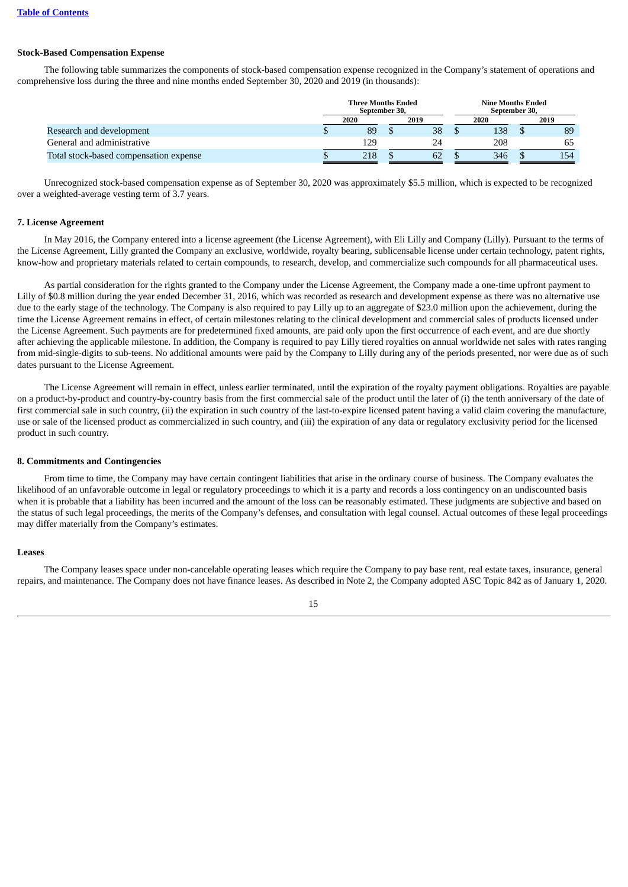### **Stock-Based Compensation Expense**

The following table summarizes the components of stock-based compensation expense recognized in the Company's statement of operations and comprehensive loss during the three and nine months ended September 30, 2020 and 2019 (in thousands):

|                                        | <b>Three Months Ended</b><br>September 30, |      |  | Nine Months Ended<br>September 30, |  |      |  |      |
|----------------------------------------|--------------------------------------------|------|--|------------------------------------|--|------|--|------|
|                                        |                                            | 2020 |  | 2019                               |  | 2020 |  | 2019 |
| Research and development               |                                            | 89   |  | 38                                 |  | 138  |  | 89   |
| General and administrative             |                                            | 129  |  | 24                                 |  | 208  |  | 65   |
| Total stock-based compensation expense |                                            | 218  |  | 62                                 |  | 346  |  | 154  |

Unrecognized stock-based compensation expense as of September 30, 2020 was approximately \$5.5 million, which is expected to be recognized over a weighted-average vesting term of 3.7 years.

#### **7. License Agreement**

In May 2016, the Company entered into a license agreement (the License Agreement), with Eli Lilly and Company (Lilly). Pursuant to the terms of the License Agreement, Lilly granted the Company an exclusive, worldwide, royalty bearing, sublicensable license under certain technology, patent rights, know-how and proprietary materials related to certain compounds, to research, develop, and commercialize such compounds for all pharmaceutical uses.

As partial consideration for the rights granted to the Company under the License Agreement, the Company made a one-time upfront payment to Lilly of \$0.8 million during the year ended December 31, 2016, which was recorded as research and development expense as there was no alternative use due to the early stage of the technology. The Company is also required to pay Lilly up to an aggregate of \$23.0 million upon the achievement, during the time the License Agreement remains in effect, of certain milestones relating to the clinical development and commercial sales of products licensed under the License Agreement. Such payments are for predetermined fixed amounts, are paid only upon the first occurrence of each event, and are due shortly after achieving the applicable milestone. In addition, the Company is required to pay Lilly tiered royalties on annual worldwide net sales with rates ranging from mid-single-digits to sub-teens. No additional amounts were paid by the Company to Lilly during any of the periods presented, nor were due as of such dates pursuant to the License Agreement.

The License Agreement will remain in effect, unless earlier terminated, until the expiration of the royalty payment obligations. Royalties are payable on a product-by-product and country-by-country basis from the first commercial sale of the product until the later of (i) the tenth anniversary of the date of first commercial sale in such country, (ii) the expiration in such country of the last-to-expire licensed patent having a valid claim covering the manufacture, use or sale of the licensed product as commercialized in such country, and (iii) the expiration of any data or regulatory exclusivity period for the licensed product in such country.

#### **8. Commitments and Contingencies**

From time to time, the Company may have certain contingent liabilities that arise in the ordinary course of business. The Company evaluates the likelihood of an unfavorable outcome in legal or regulatory proceedings to which it is a party and records a loss contingency on an undiscounted basis when it is probable that a liability has been incurred and the amount of the loss can be reasonably estimated. These judgments are subjective and based on the status of such legal proceedings, the merits of the Company's defenses, and consultation with legal counsel. Actual outcomes of these legal proceedings may differ materially from the Company's estimates.

### **Leases**

The Company leases space under non-cancelable operating leases which require the Company to pay base rent, real estate taxes, insurance, general repairs, and maintenance. The Company does not have finance leases. As described in Note 2, the Company adopted ASC Topic 842 as of January 1, 2020.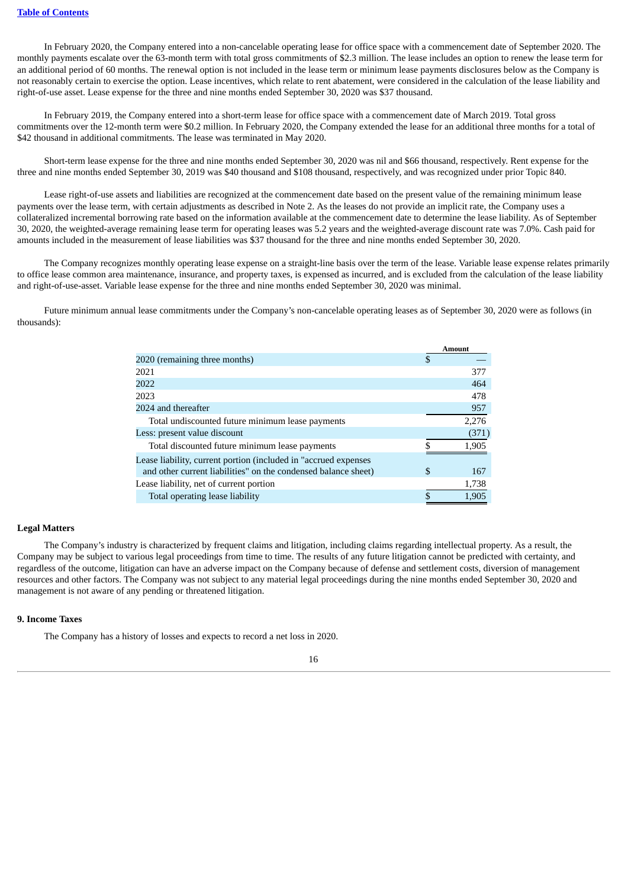In February 2020, the Company entered into a non-cancelable operating lease for office space with a commencement date of September 2020. The monthly payments escalate over the 63-month term with total gross commitments of \$2.3 million. The lease includes an option to renew the lease term for an additional period of 60 months. The renewal option is not included in the lease term or minimum lease payments disclosures below as the Company is not reasonably certain to exercise the option. Lease incentives, which relate to rent abatement, were considered in the calculation of the lease liability and right-of-use asset. Lease expense for the three and nine months ended September 30, 2020 was \$37 thousand.

In February 2019, the Company entered into a short-term lease for office space with a commencement date of March 2019. Total gross commitments over the 12-month term were \$0.2 million. In February 2020, the Company extended the lease for an additional three months for a total of \$42 thousand in additional commitments. The lease was terminated in May 2020.

Short-term lease expense for the three and nine months ended September 30, 2020 was nil and \$66 thousand, respectively. Rent expense for the three and nine months ended September 30, 2019 was \$40 thousand and \$108 thousand, respectively, and was recognized under prior Topic 840.

Lease right-of-use assets and liabilities are recognized at the commencement date based on the present value of the remaining minimum lease payments over the lease term, with certain adjustments as described in Note 2. As the leases do not provide an implicit rate, the Company uses a collateralized incremental borrowing rate based on the information available at the commencement date to determine the lease liability. As of September 30, 2020, the weighted-average remaining lease term for operating leases was 5.2 years and the weighted-average discount rate was 7.0%. Cash paid for amounts included in the measurement of lease liabilities was \$37 thousand for the three and nine months ended September 30, 2020.

The Company recognizes monthly operating lease expense on a straight-line basis over the term of the lease. Variable lease expense relates primarily to office lease common area maintenance, insurance, and property taxes, is expensed as incurred, and is excluded from the calculation of the lease liability and right-of-use-asset. Variable lease expense for the three and nine months ended September 30, 2020 was minimal.

Future minimum annual lease commitments under the Company's non-cancelable operating leases as of September 30, 2020 were as follows (in thousands):

|                                                                 | Amount    |
|-----------------------------------------------------------------|-----------|
| 2020 (remaining three months)                                   | \$        |
| 2021                                                            | 377       |
| 2022                                                            | 464       |
| 2023                                                            | 478       |
| 2024 and thereafter                                             | 957       |
| Total undiscounted future minimum lease payments                | 2.276     |
| Less: present value discount                                    | (371)     |
| Total discounted future minimum lease payments                  | 1,905     |
| Lease liability, current portion (included in "accrued expenses |           |
| and other current liabilities" on the condensed balance sheet)  | \$<br>167 |
| Lease liability, net of current portion                         | 1,738     |
| Total operating lease liability                                 | 1.905     |

#### **Legal Matters**

The Company's industry is characterized by frequent claims and litigation, including claims regarding intellectual property. As a result, the Company may be subject to various legal proceedings from time to time. The results of any future litigation cannot be predicted with certainty, and regardless of the outcome, litigation can have an adverse impact on the Company because of defense and settlement costs, diversion of management resources and other factors. The Company was not subject to any material legal proceedings during the nine months ended September 30, 2020 and management is not aware of any pending or threatened litigation.

### **9. Income Taxes**

The Company has a history of losses and expects to record a net loss in 2020.

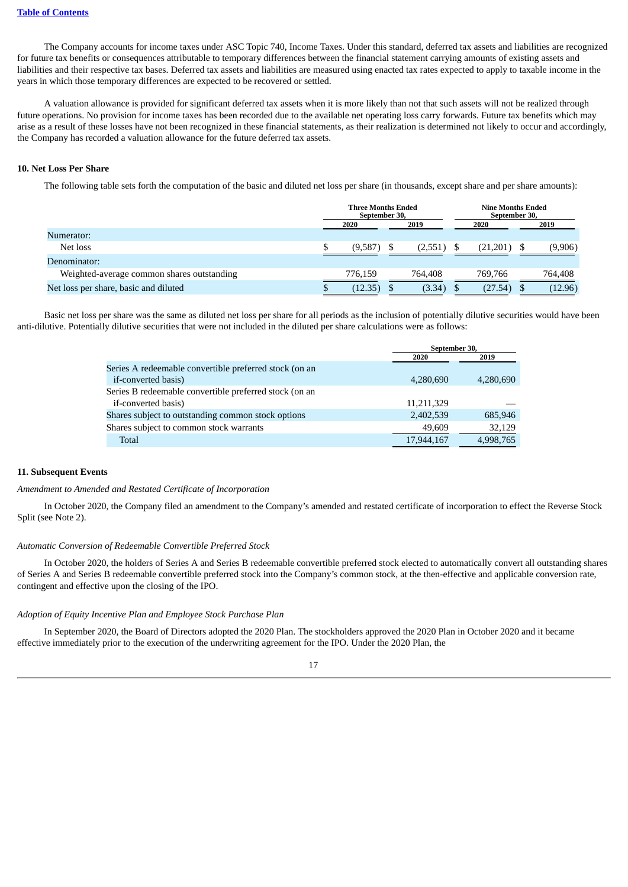The Company accounts for income taxes under ASC Topic 740, Income Taxes. Under this standard, deferred tax assets and liabilities are recognized for future tax benefits or consequences attributable to temporary differences between the financial statement carrying amounts of existing assets and liabilities and their respective tax bases. Deferred tax assets and liabilities are measured using enacted tax rates expected to apply to taxable income in the years in which those temporary differences are expected to be recovered or settled.

A valuation allowance is provided for significant deferred tax assets when it is more likely than not that such assets will not be realized through future operations. No provision for income taxes has been recorded due to the available net operating loss carry forwards. Future tax benefits which may arise as a result of these losses have not been recognized in these financial statements, as their realization is determined not likely to occur and accordingly, the Company has recorded a valuation allowance for the future deferred tax assets.

### **10. Net Loss Per Share**

The following table sets forth the computation of the basic and diluted net loss per share (in thousands, except share and per share amounts):

|                                            | Three Months Ended<br>September 30. |  |         | <b>Nine Months Ended</b><br>September 30. |         |  |
|--------------------------------------------|-------------------------------------|--|---------|-------------------------------------------|---------|--|
|                                            | 2020                                |  | 2019    | 2020                                      | 2019    |  |
| Numerator:                                 |                                     |  |         |                                           |         |  |
| Net loss                                   | (9,587)                             |  | (2,551) | (21,201)                                  | (9,906) |  |
| Denominator:                               |                                     |  |         |                                           |         |  |
| Weighted-average common shares outstanding | 776.159                             |  | 764.408 | 769.766                                   | 764,408 |  |
| Net loss per share, basic and diluted      | 12.35                               |  | (3.34)  | (27.54)                                   | (12.96) |  |

Basic net loss per share was the same as diluted net loss per share for all periods as the inclusion of potentially dilutive securities would have been anti-dilutive. Potentially dilutive securities that were not included in the diluted per share calculations were as follows:

|                                                        | September 30, |           |  |  |  |
|--------------------------------------------------------|---------------|-----------|--|--|--|
|                                                        | 2020          | 2019      |  |  |  |
| Series A redeemable convertible preferred stock (on an |               |           |  |  |  |
| if-converted basis)                                    | 4,280,690     | 4,280,690 |  |  |  |
| Series B redeemable convertible preferred stock (on an |               |           |  |  |  |
| if-converted basis)                                    | 11,211,329    |           |  |  |  |
| Shares subject to outstanding common stock options     | 2,402,539     | 685,946   |  |  |  |
| Shares subject to common stock warrants                | 49,609        | 32,129    |  |  |  |
| Total                                                  | 17,944,167    | 4,998,765 |  |  |  |

### **11. Subsequent Events**

#### *Amendment to Amended and Restated Certificate of Incorporation*

In October 2020, the Company filed an amendment to the Company's amended and restated certificate of incorporation to effect the Reverse Stock Split (see Note 2).

### *Automatic Conversion of Redeemable Convertible Preferred Stock*

In October 2020, the holders of Series A and Series B redeemable convertible preferred stock elected to automatically convert all outstanding shares of Series A and Series B redeemable convertible preferred stock into the Company's common stock, at the then-effective and applicable conversion rate, contingent and effective upon the closing of the IPO.

### *Adoption of Equity Incentive Plan and Employee Stock Purchase Plan*

In September 2020, the Board of Directors adopted the 2020 Plan. The stockholders approved the 2020 Plan in October 2020 and it became effective immediately prior to the execution of the underwriting agreement for the IPO. Under the 2020 Plan, the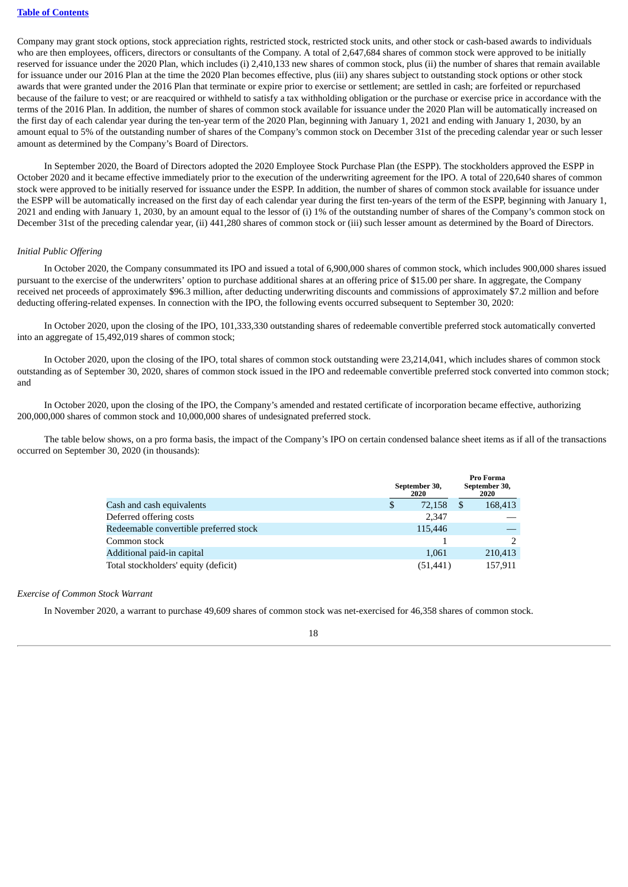Company may grant stock options, stock appreciation rights, restricted stock, restricted stock units, and other stock or cash-based awards to individuals who are then employees, officers, directors or consultants of the Company. A total of 2,647,684 shares of common stock were approved to be initially reserved for issuance under the 2020 Plan, which includes (i) 2,410,133 new shares of common stock, plus (ii) the number of shares that remain available for issuance under our 2016 Plan at the time the 2020 Plan becomes effective, plus (iii) any shares subject to outstanding stock options or other stock awards that were granted under the 2016 Plan that terminate or expire prior to exercise or settlement; are settled in cash; are forfeited or repurchased because of the failure to vest; or are reacquired or withheld to satisfy a tax withholding obligation or the purchase or exercise price in accordance with the terms of the 2016 Plan. In addition, the number of shares of common stock available for issuance under the 2020 Plan will be automatically increased on the first day of each calendar year during the ten-year term of the 2020 Plan, beginning with January 1, 2021 and ending with January 1, 2030, by an amount equal to 5% of the outstanding number of shares of the Company's common stock on December 31st of the preceding calendar year or such lesser amount as determined by the Company's Board of Directors.

In September 2020, the Board of Directors adopted the 2020 Employee Stock Purchase Plan (the ESPP). The stockholders approved the ESPP in October 2020 and it became effective immediately prior to the execution of the underwriting agreement for the IPO. A total of 220,640 shares of common stock were approved to be initially reserved for issuance under the ESPP. In addition, the number of shares of common stock available for issuance under the ESPP will be automatically increased on the first day of each calendar year during the first ten-years of the term of the ESPP, beginning with January 1, 2021 and ending with January 1, 2030, by an amount equal to the lessor of (i) 1% of the outstanding number of shares of the Company's common stock on December 31st of the preceding calendar year, (ii) 441,280 shares of common stock or (iii) such lesser amount as determined by the Board of Directors.

### *Initial Public Offering*

In October 2020, the Company consummated its IPO and issued a total of 6,900,000 shares of common stock, which includes 900,000 shares issued pursuant to the exercise of the underwriters' option to purchase additional shares at an offering price of \$15.00 per share. In aggregate, the Company received net proceeds of approximately \$96.3 million, after deducting underwriting discounts and commissions of approximately \$7.2 million and before deducting offering-related expenses. In connection with the IPO, the following events occurred subsequent to September 30, 2020:

In October 2020, upon the closing of the IPO, 101,333,330 outstanding shares of redeemable convertible preferred stock automatically converted into an aggregate of 15,492,019 shares of common stock;

In October 2020, upon the closing of the IPO, total shares of common stock outstanding were 23,214,041, which includes shares of common stock outstanding as of September 30, 2020, shares of common stock issued in the IPO and redeemable convertible preferred stock converted into common stock; and

In October 2020, upon the closing of the IPO, the Company's amended and restated certificate of incorporation became effective, authorizing 200,000,000 shares of common stock and 10,000,000 shares of undesignated preferred stock.

The table below shows, on a pro forma basis, the impact of the Company's IPO on certain condensed balance sheet items as if all of the transactions occurred on September 30, 2020 (in thousands):

|                                        | September 30,<br>2020 | Pro Forma<br>September 30,<br>2020 |
|----------------------------------------|-----------------------|------------------------------------|
| Cash and cash equivalents              | \$<br>72,158          | \$<br>168,413                      |
| Deferred offering costs                | 2.347                 |                                    |
| Redeemable convertible preferred stock | 115,446               |                                    |
| Common stock                           |                       |                                    |
| Additional paid-in capital             | 1,061                 | 210,413                            |
| Total stockholders' equity (deficit)   | (51, 441)             | 157,911                            |

### *Exercise of Common Stock Warrant*

In November 2020, a warrant to purchase 49,609 shares of common stock was net-exercised for 46,358 shares of common stock.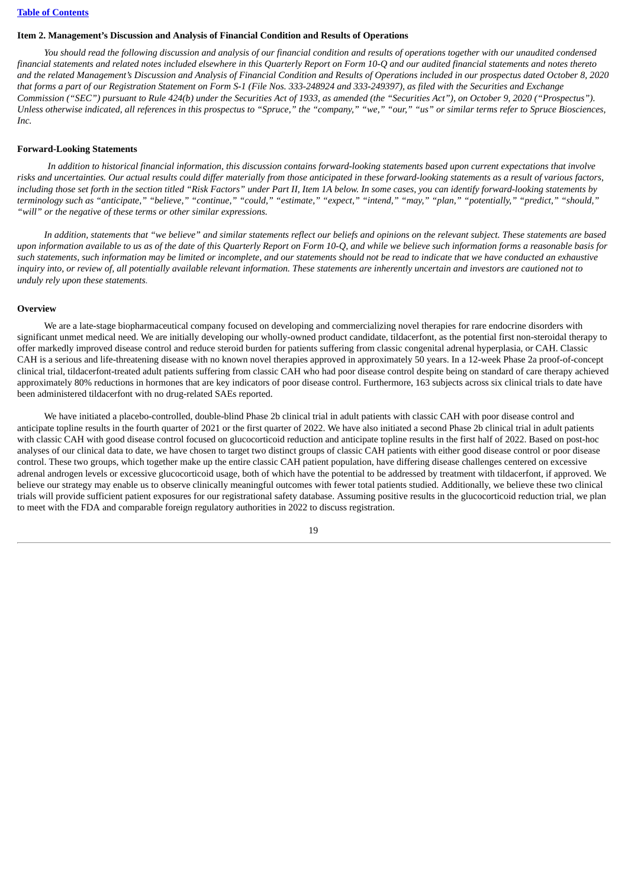# **Table of [Contents](#page-1-0)**

#### <span id="page-20-0"></span>**Item 2. Management's Discussion and Analysis of Financial Condition and Results of Operations**

You should read the following discussion and analysis of our financial condition and results of operations together with our unaudited condensed financial statements and related notes included elsewhere in this Quarterly Report on Form 10-Q and our audited financial statements and notes thereto and the related Management's Discussion and Analysis of Financial Condition and Results of Operations included in our prospectus dated October 8, 2020 that forms a part of our Registration Statement on Form S-1 (File Nos. 333-248924 and 333-249397), as filed with the Securities and Exchange Commission ("SEC") pursuant to Rule 424(b) under the Securities Act of 1933, as amended (the "Securities Act"), on October 9, 2020 ("Prospectus"). Unless otherwise indicated, all references in this prospectus to "Spruce," the "company," "we," "our," "us" or similar terms refer to Spruce Biosciences, *Inc.*

#### **Forward-Looking Statements**

In addition to historical financial information, this discussion contains forward-looking statements based upon current expectations that involve risks and uncertainties. Our actual results could differ materially from those anticipated in these forward-looking statements as a result of various factors, including those set forth in the section titled "Risk Factors" under Part II, Item 1A below. In some cases, you can identify forward-looking statements by terminology such as "anticipate," "believe," "continue," "could," "estimate," "expect," "intend," "may," "plan," "potentially," "predict," "should," *"will" or the negative of these terms or other similar expressions.*

In addition, statements that "we believe" and similar statements reflect our beliefs and opinions on the relevant subject. These statements are based upon information available to us as of the date of this Quarterly Report on Form 10-Q, and while we believe such information forms a reasonable basis for such statements, such information may be limited or incomplete, and our statements should not be read to indicate that we have conducted an exhaustive inquiry into, or review of, all potentially available relevant information. These statements are inherently uncertain and investors are cautioned not to *unduly rely upon these statements.*

#### **Overview**

We are a late-stage biopharmaceutical company focused on developing and commercializing novel therapies for rare endocrine disorders with significant unmet medical need. We are initially developing our wholly-owned product candidate, tildacerfont, as the potential first non-steroidal therapy to offer markedly improved disease control and reduce steroid burden for patients suffering from classic congenital adrenal hyperplasia, or CAH. Classic CAH is a serious and life-threatening disease with no known novel therapies approved in approximately 50 years. In a 12-week Phase 2a proof-of-concept clinical trial, tildacerfont-treated adult patients suffering from classic CAH who had poor disease control despite being on standard of care therapy achieved approximately 80% reductions in hormones that are key indicators of poor disease control. Furthermore, 163 subjects across six clinical trials to date have been administered tildacerfont with no drug-related SAEs reported.

We have initiated a placebo-controlled, double-blind Phase 2b clinical trial in adult patients with classic CAH with poor disease control and anticipate topline results in the fourth quarter of 2021 or the first quarter of 2022. We have also initiated a second Phase 2b clinical trial in adult patients with classic CAH with good disease control focused on glucocorticoid reduction and anticipate topline results in the first half of 2022. Based on post-hoc analyses of our clinical data to date, we have chosen to target two distinct groups of classic CAH patients with either good disease control or poor disease control. These two groups, which together make up the entire classic CAH patient population, have differing disease challenges centered on excessive adrenal androgen levels or excessive glucocorticoid usage, both of which have the potential to be addressed by treatment with tildacerfont, if approved. We believe our strategy may enable us to observe clinically meaningful outcomes with fewer total patients studied. Additionally, we believe these two clinical trials will provide sufficient patient exposures for our registrational safety database. Assuming positive results in the glucocorticoid reduction trial, we plan to meet with the FDA and comparable foreign regulatory authorities in 2022 to discuss registration.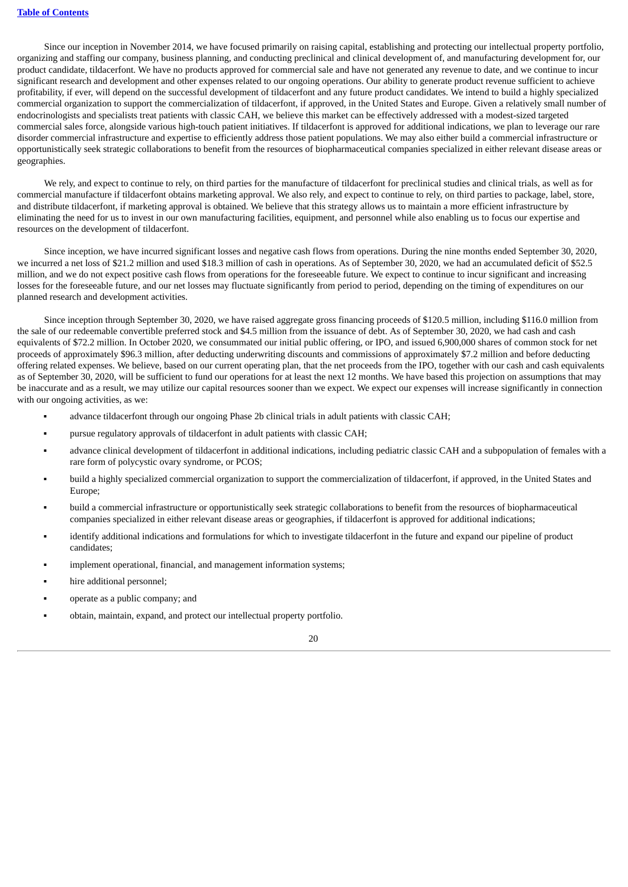Since our inception in November 2014, we have focused primarily on raising capital, establishing and protecting our intellectual property portfolio, organizing and staffing our company, business planning, and conducting preclinical and clinical development of, and manufacturing development for, our product candidate, tildacerfont. We have no products approved for commercial sale and have not generated any revenue to date, and we continue to incur significant research and development and other expenses related to our ongoing operations. Our ability to generate product revenue sufficient to achieve profitability, if ever, will depend on the successful development of tildacerfont and any future product candidates. We intend to build a highly specialized commercial organization to support the commercialization of tildacerfont, if approved, in the United States and Europe. Given a relatively small number of endocrinologists and specialists treat patients with classic CAH, we believe this market can be effectively addressed with a modest-sized targeted commercial sales force, alongside various high-touch patient initiatives. If tildacerfont is approved for additional indications, we plan to leverage our rare disorder commercial infrastructure and expertise to efficiently address those patient populations. We may also either build a commercial infrastructure or opportunistically seek strategic collaborations to benefit from the resources of biopharmaceutical companies specialized in either relevant disease areas or geographies.

We rely, and expect to continue to rely, on third parties for the manufacture of tildacerfont for preclinical studies and clinical trials, as well as for commercial manufacture if tildacerfont obtains marketing approval. We also rely, and expect to continue to rely, on third parties to package, label, store, and distribute tildacerfont, if marketing approval is obtained. We believe that this strategy allows us to maintain a more efficient infrastructure by eliminating the need for us to invest in our own manufacturing facilities, equipment, and personnel while also enabling us to focus our expertise and resources on the development of tildacerfont.

Since inception, we have incurred significant losses and negative cash flows from operations. During the nine months ended September 30, 2020, we incurred a net loss of \$21.2 million and used \$18.3 million of cash in operations. As of September 30, 2020, we had an accumulated deficit of \$52.5 million, and we do not expect positive cash flows from operations for the foreseeable future. We expect to continue to incur significant and increasing losses for the foreseeable future, and our net losses may fluctuate significantly from period to period, depending on the timing of expenditures on our planned research and development activities.

Since inception through September 30, 2020, we have raised aggregate gross financing proceeds of \$120.5 million, including \$116.0 million from the sale of our redeemable convertible preferred stock and \$4.5 million from the issuance of debt. As of September 30, 2020, we had cash and cash equivalents of \$72.2 million. In October 2020, we consummated our initial public offering, or IPO, and issued 6,900,000 shares of common stock for net proceeds of approximately \$96.3 million, after deducting underwriting discounts and commissions of approximately \$7.2 million and before deducting offering related expenses. We believe, based on our current operating plan, that the net proceeds from the IPO, together with our cash and cash equivalents as of September 30, 2020, will be sufficient to fund our operations for at least the next 12 months. We have based this projection on assumptions that may be inaccurate and as a result, we may utilize our capital resources sooner than we expect. We expect our expenses will increase significantly in connection with our ongoing activities, as we:

- advance tildacerfont through our ongoing Phase 2b clinical trials in adult patients with classic CAH;
- pursue regulatory approvals of tildacerfont in adult patients with classic CAH;
- advance clinical development of tildacerfont in additional indications, including pediatric classic CAH and a subpopulation of females with a rare form of polycystic ovary syndrome, or PCOS;
- build a highly specialized commercial organization to support the commercialization of tildacerfont, if approved, in the United States and Europe;
- build a commercial infrastructure or opportunistically seek strategic collaborations to benefit from the resources of biopharmaceutical companies specialized in either relevant disease areas or geographies, if tildacerfont is approved for additional indications;
- identify additional indications and formulations for which to investigate tildacerfont in the future and expand our pipeline of product candidates;
- implement operational, financial, and management information systems;
- hire additional personnel;
- operate as a public company; and
- obtain, maintain, expand, and protect our intellectual property portfolio.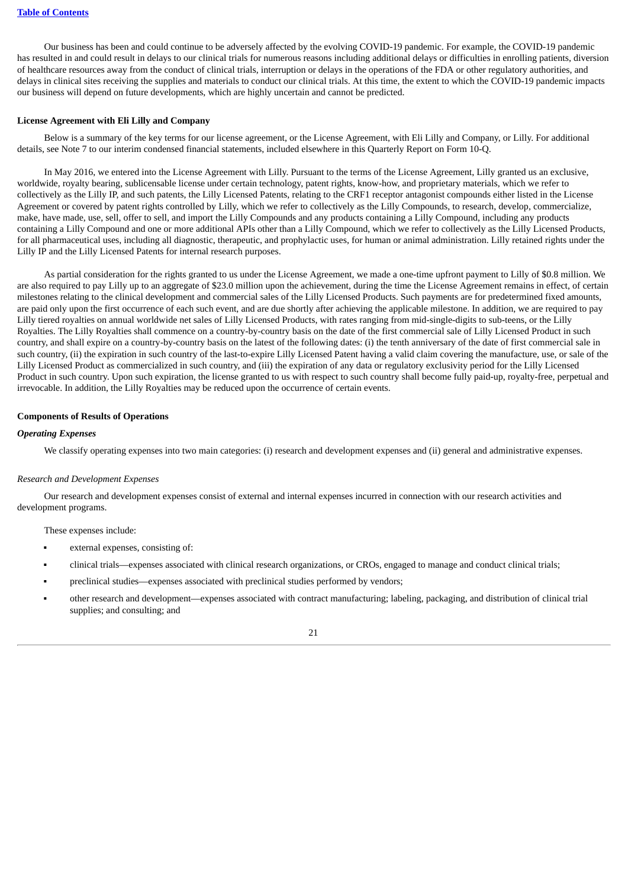Our business has been and could continue to be adversely affected by the evolving COVID-19 pandemic. For example, the COVID-19 pandemic has resulted in and could result in delays to our clinical trials for numerous reasons including additional delays or difficulties in enrolling patients, diversion of healthcare resources away from the conduct of clinical trials, interruption or delays in the operations of the FDA or other regulatory authorities, and delays in clinical sites receiving the supplies and materials to conduct our clinical trials. At this time, the extent to which the COVID-19 pandemic impacts our business will depend on future developments, which are highly uncertain and cannot be predicted.

### **License Agreement with Eli Lilly and Company**

Below is a summary of the key terms for our license agreement, or the License Agreement, with Eli Lilly and Company, or Lilly. For additional details, see Note 7 to our interim condensed financial statements, included elsewhere in this Quarterly Report on Form 10-Q.

In May 2016, we entered into the License Agreement with Lilly. Pursuant to the terms of the License Agreement, Lilly granted us an exclusive, worldwide, royalty bearing, sublicensable license under certain technology, patent rights, know-how, and proprietary materials, which we refer to collectively as the Lilly IP, and such patents, the Lilly Licensed Patents, relating to the CRF1 receptor antagonist compounds either listed in the License Agreement or covered by patent rights controlled by Lilly, which we refer to collectively as the Lilly Compounds, to research, develop, commercialize, make, have made, use, sell, offer to sell, and import the Lilly Compounds and any products containing a Lilly Compound, including any products containing a Lilly Compound and one or more additional APIs other than a Lilly Compound, which we refer to collectively as the Lilly Licensed Products, for all pharmaceutical uses, including all diagnostic, therapeutic, and prophylactic uses, for human or animal administration. Lilly retained rights under the Lilly IP and the Lilly Licensed Patents for internal research purposes.

As partial consideration for the rights granted to us under the License Agreement, we made a one-time upfront payment to Lilly of \$0.8 million. We are also required to pay Lilly up to an aggregate of \$23.0 million upon the achievement, during the time the License Agreement remains in effect, of certain milestones relating to the clinical development and commercial sales of the Lilly Licensed Products. Such payments are for predetermined fixed amounts, are paid only upon the first occurrence of each such event, and are due shortly after achieving the applicable milestone. In addition, we are required to pay Lilly tiered royalties on annual worldwide net sales of Lilly Licensed Products, with rates ranging from mid-single-digits to sub-teens, or the Lilly Royalties. The Lilly Royalties shall commence on a country-by-country basis on the date of the first commercial sale of Lilly Licensed Product in such country, and shall expire on a country-by-country basis on the latest of the following dates: (i) the tenth anniversary of the date of first commercial sale in such country, (ii) the expiration in such country of the last-to-expire Lilly Licensed Patent having a valid claim covering the manufacture, use, or sale of the Lilly Licensed Product as commercialized in such country, and (iii) the expiration of any data or regulatory exclusivity period for the Lilly Licensed Product in such country. Upon such expiration, the license granted to us with respect to such country shall become fully paid-up, royalty-free, perpetual and irrevocable. In addition, the Lilly Royalties may be reduced upon the occurrence of certain events.

### **Components of Results of Operations**

#### *Operating Expenses*

We classify operating expenses into two main categories: (i) research and development expenses and (ii) general and administrative expenses.

### *Research and Development Expenses*

Our research and development expenses consist of external and internal expenses incurred in connection with our research activities and development programs.

These expenses include:

- external expenses, consisting of:
- clinical trials—expenses associated with clinical research organizations, or CROs, engaged to manage and conduct clinical trials;
- preclinical studies—expenses associated with preclinical studies performed by vendors;
- other research and development—expenses associated with contract manufacturing; labeling, packaging, and distribution of clinical trial supplies; and consulting; and

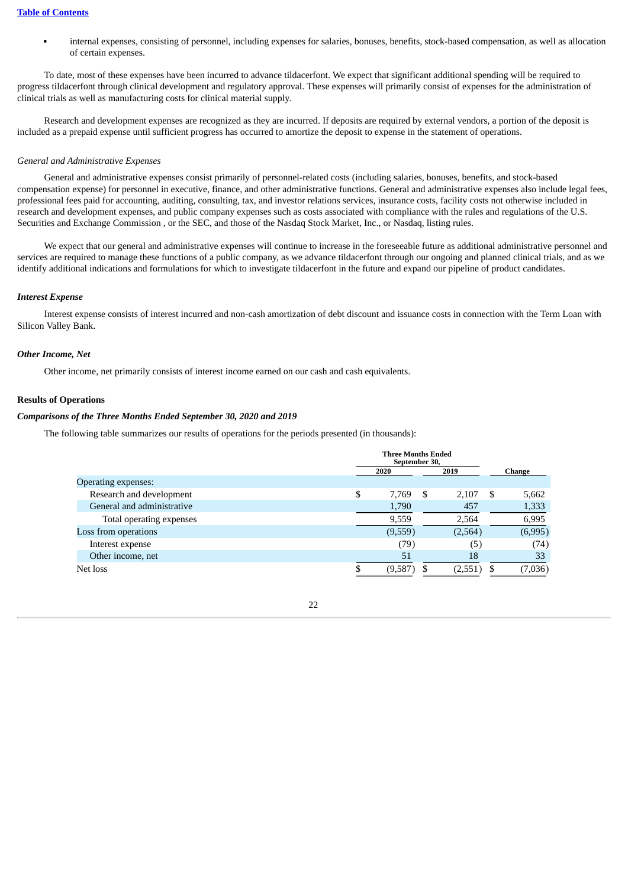internal expenses, consisting of personnel, including expenses for salaries, bonuses, benefits, stock-based compensation, as well as allocation of certain expenses.

To date, most of these expenses have been incurred to advance tildacerfont. We expect that significant additional spending will be required to progress tildacerfont through clinical development and regulatory approval. These expenses will primarily consist of expenses for the administration of clinical trials as well as manufacturing costs for clinical material supply.

Research and development expenses are recognized as they are incurred. If deposits are required by external vendors, a portion of the deposit is included as a prepaid expense until sufficient progress has occurred to amortize the deposit to expense in the statement of operations.

#### *General and Administrative Expenses*

General and administrative expenses consist primarily of personnel-related costs (including salaries, bonuses, benefits, and stock-based compensation expense) for personnel in executive, finance, and other administrative functions. General and administrative expenses also include legal fees, professional fees paid for accounting, auditing, consulting, tax, and investor relations services, insurance costs, facility costs not otherwise included in research and development expenses, and public company expenses such as costs associated with compliance with the rules and regulations of the U.S. Securities and Exchange Commission , or the SEC, and those of the Nasdaq Stock Market, Inc., or Nasdaq, listing rules.

We expect that our general and administrative expenses will continue to increase in the foreseeable future as additional administrative personnel and services are required to manage these functions of a public company, as we advance tildacerfont through our ongoing and planned clinical trials, and as we identify additional indications and formulations for which to investigate tildacerfont in the future and expand our pipeline of product candidates.

# *Interest Expense*

Interest expense consists of interest incurred and non-cash amortization of debt discount and issuance costs in connection with the Term Loan with Silicon Valley Bank.

#### *Other Income, Net*

Other income, net primarily consists of interest income earned on our cash and cash equivalents.

### **Results of Operations**

#### *Comparisons of the Three Months Ended September 30, 2020 and 2019*

The following table summarizes our results of operations for the periods presented (in thousands):

|                            | <b>Three Months Ended</b><br>September 30, |   |         |        |         |  |
|----------------------------|--------------------------------------------|---|---------|--------|---------|--|
|                            | 2020                                       |   | 2019    | Change |         |  |
| Operating expenses:        |                                            |   |         |        |         |  |
| Research and development   | \$<br>7,769                                | S | 2,107   | \$     | 5,662   |  |
| General and administrative | 1,790                                      |   | 457     |        | 1,333   |  |
| Total operating expenses   | 9,559                                      |   | 2,564   |        | 6,995   |  |
| Loss from operations       | (9,559)                                    |   | (2,564) |        | (6,995) |  |
| Interest expense           | (79)                                       |   | (5)     |        | (74)    |  |
| Other income, net          | 51                                         |   | 18      |        | 33      |  |
| Net loss                   | (9,587)                                    |   | (2,551) |        | (7,036) |  |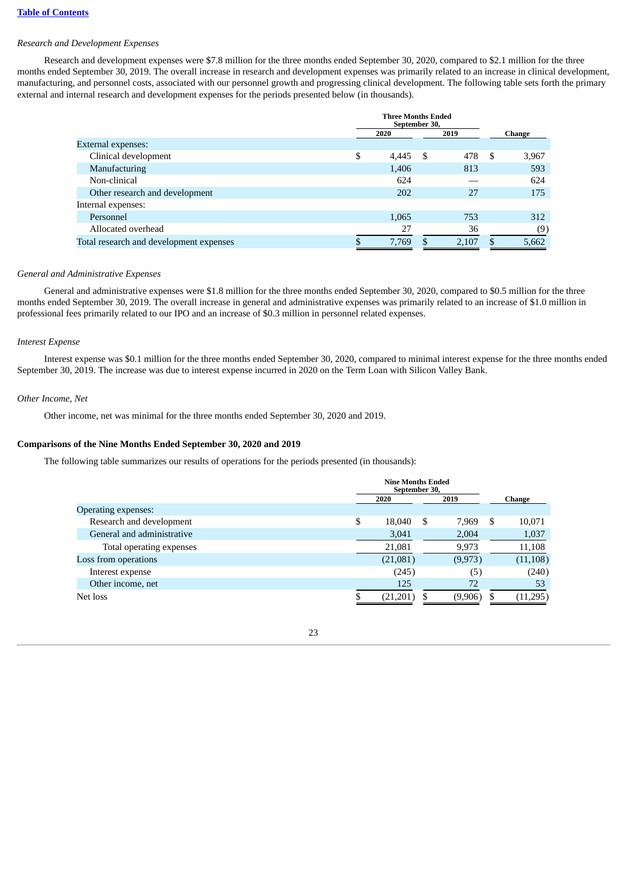### *Research and Development Expenses*

Research and development expenses were \$7.8 million for the three months ended September 30, 2020, compared to \$2.1 million for the three months ended September 30, 2019. The overall increase in research and development expenses was primarily related to an increase in clinical development, manufacturing, and personnel costs, associated with our personnel growth and progressing clinical development. The following table sets forth the primary external and internal research and development expenses for the periods presented below (in thousands).

|                                         | <b>Three Months Ended</b><br>September 30, |     |       |        |       |  |
|-----------------------------------------|--------------------------------------------|-----|-------|--------|-------|--|
|                                         | 2020<br>2019                               |     |       | Change |       |  |
| External expenses:                      |                                            |     |       |        |       |  |
| Clinical development                    | \$<br>4,445                                | - S | 478   | - \$   | 3,967 |  |
| Manufacturing                           | 1,406                                      |     | 813   |        | 593   |  |
| Non-clinical                            | 624                                        |     |       |        | 624   |  |
| Other research and development          | 202                                        |     | 27    |        | 175   |  |
| Internal expenses:                      |                                            |     |       |        |       |  |
| Personnel                               | 1,065                                      |     | 753   |        | 312   |  |
| Allocated overhead                      | 27                                         |     | 36    |        | (9)   |  |
| Total research and development expenses | 7,769                                      |     | 2,107 |        | 5,662 |  |

### *General and Administrative Expenses*

General and administrative expenses were \$1.8 million for the three months ended September 30, 2020, compared to \$0.5 million for the three months ended September 30, 2019. The overall increase in general and administrative expenses was primarily related to an increase of \$1.0 million in professional fees primarily related to our IPO and an increase of \$0.3 million in personnel related expenses.

### *Interest Expense*

Interest expense was \$0.1 million for the three months ended September 30, 2020, compared to minimal interest expense for the three months ended September 30, 2019. The increase was due to interest expense incurred in 2020 on the Term Loan with Silicon Valley Bank.

### *Other Income, Net*

Other income, net was minimal for the three months ended September 30, 2020 and 2019.

### **Comparisons of the Nine Months Ended September 30, 2020 and 2019**

The following table summarizes our results of operations for the periods presented (in thousands):

|                            | <b>Nine Months Ended</b><br>September 30, |      |          |    |           |
|----------------------------|-------------------------------------------|------|----------|----|-----------|
|                            | 2020                                      | 2019 |          |    | Change    |
| Operating expenses:        |                                           |      |          |    |           |
| Research and development   | \$<br>18,040                              | S    | 7.969    | S  | 10,071    |
| General and administrative | 3,041                                     |      | 2,004    |    | 1,037     |
| Total operating expenses   | 21,081                                    |      | 9,973    |    | 11,108    |
| Loss from operations       | (21,081)                                  |      | (9, 973) |    | (11, 108) |
| Interest expense           | (245)                                     |      | (5)      |    | (240)     |
| Other income, net          | 125                                       |      | 72       |    | 53        |
| Net loss                   | (21, 201)                                 |      | (9,906)  | S. | (11, 295) |

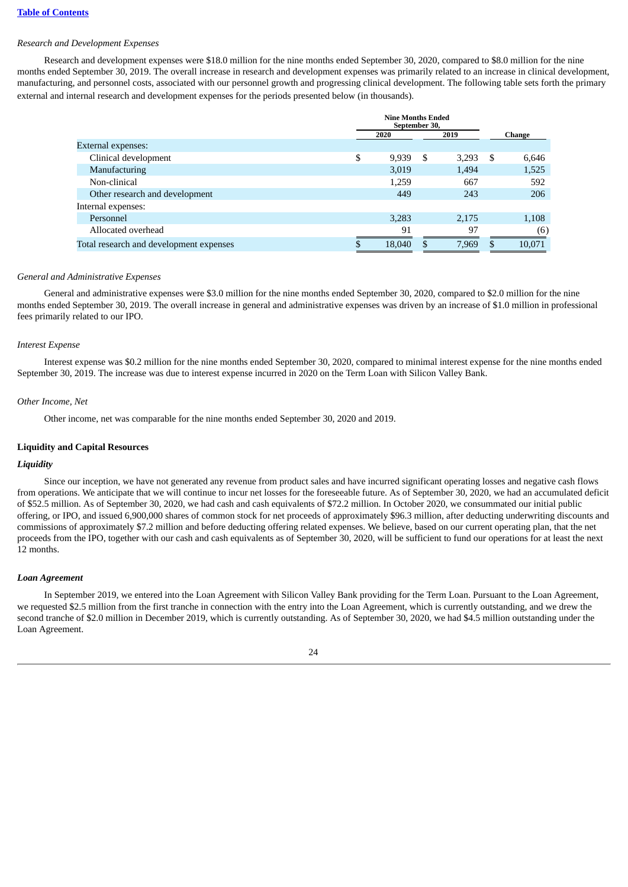#### *Research and Development Expenses*

Research and development expenses were \$18.0 million for the nine months ended September 30, 2020, compared to \$8.0 million for the nine months ended September 30, 2019. The overall increase in research and development expenses was primarily related to an increase in clinical development, manufacturing, and personnel costs, associated with our personnel growth and progressing clinical development. The following table sets forth the primary external and internal research and development expenses for the periods presented below (in thousands).

|                                         | <b>Nine Months Ended</b><br>September 30. |        |   |       |    |        |
|-----------------------------------------|-------------------------------------------|--------|---|-------|----|--------|
|                                         |                                           | 2020   |   | 2019  |    | Change |
| External expenses:                      |                                           |        |   |       |    |        |
| Clinical development                    | \$                                        | 9,939  | S | 3,293 | -S | 6,646  |
| Manufacturing                           |                                           | 3,019  |   | 1,494 |    | 1,525  |
| Non-clinical                            |                                           | 1,259  |   | 667   |    | 592    |
| Other research and development          |                                           | 449    |   | 243   |    | 206    |
| Internal expenses:                      |                                           |        |   |       |    |        |
| Personnel                               |                                           | 3,283  |   | 2,175 |    | 1,108  |
| Allocated overhead                      |                                           | 91     |   | 97    |    | (6)    |
| Total research and development expenses |                                           | 18,040 |   | 7,969 | .S | 10,071 |

#### *General and Administrative Expenses*

General and administrative expenses were \$3.0 million for the nine months ended September 30, 2020, compared to \$2.0 million for the nine months ended September 30, 2019. The overall increase in general and administrative expenses was driven by an increase of \$1.0 million in professional fees primarily related to our IPO.

#### *Interest Expense*

Interest expense was \$0.2 million for the nine months ended September 30, 2020, compared to minimal interest expense for the nine months ended September 30, 2019. The increase was due to interest expense incurred in 2020 on the Term Loan with Silicon Valley Bank.

#### *Other Income, Net*

Other income, net was comparable for the nine months ended September 30, 2020 and 2019.

### **Liquidity and Capital Resources**

#### *Liquidity*

Since our inception, we have not generated any revenue from product sales and have incurred significant operating losses and negative cash flows from operations. We anticipate that we will continue to incur net losses for the foreseeable future. As of September 30, 2020, we had an accumulated deficit of \$52.5 million. As of September 30, 2020, we had cash and cash equivalents of \$72.2 million. In October 2020, we consummated our initial public offering, or IPO, and issued 6,900,000 shares of common stock for net proceeds of approximately \$96.3 million, after deducting underwriting discounts and commissions of approximately \$7.2 million and before deducting offering related expenses. We believe, based on our current operating plan, that the net proceeds from the IPO, together with our cash and cash equivalents as of September 30, 2020, will be sufficient to fund our operations for at least the next 12 months.

#### *Loan Agreement*

In September 2019, we entered into the Loan Agreement with Silicon Valley Bank providing for the Term Loan. Pursuant to the Loan Agreement, we requested \$2.5 million from the first tranche in connection with the entry into the Loan Agreement, which is currently outstanding, and we drew the second tranche of \$2.0 million in December 2019, which is currently outstanding. As of September 30, 2020, we had \$4.5 million outstanding under the Loan Agreement.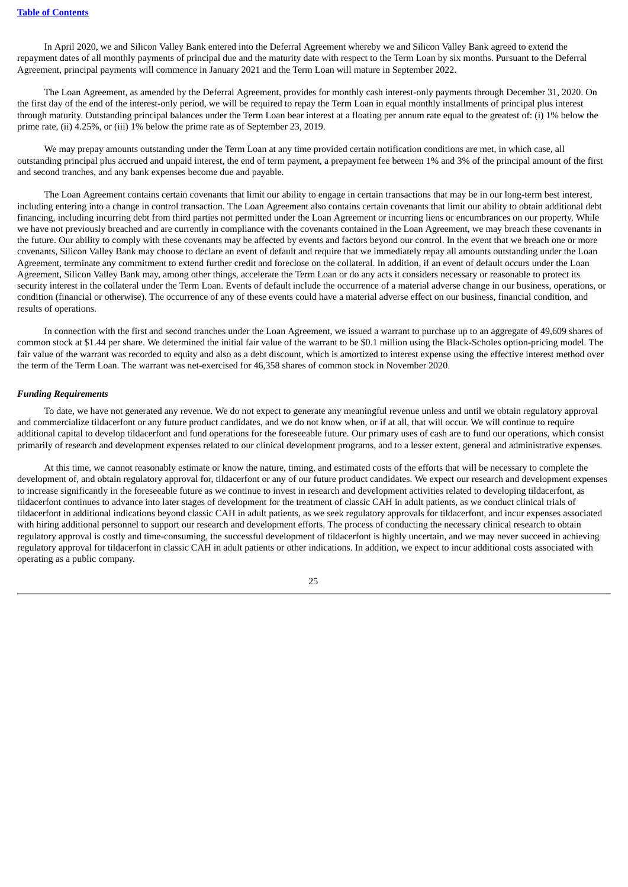In April 2020, we and Silicon Valley Bank entered into the Deferral Agreement whereby we and Silicon Valley Bank agreed to extend the repayment dates of all monthly payments of principal due and the maturity date with respect to the Term Loan by six months. Pursuant to the Deferral Agreement, principal payments will commence in January 2021 and the Term Loan will mature in September 2022.

The Loan Agreement, as amended by the Deferral Agreement, provides for monthly cash interest-only payments through December 31, 2020. On the first day of the end of the interest-only period, we will be required to repay the Term Loan in equal monthly installments of principal plus interest through maturity. Outstanding principal balances under the Term Loan bear interest at a floating per annum rate equal to the greatest of: (i) 1% below the prime rate, (ii) 4.25%, or (iii) 1% below the prime rate as of September 23, 2019.

We may prepay amounts outstanding under the Term Loan at any time provided certain notification conditions are met, in which case, all outstanding principal plus accrued and unpaid interest, the end of term payment, a prepayment fee between 1% and 3% of the principal amount of the first and second tranches, and any bank expenses become due and payable.

The Loan Agreement contains certain covenants that limit our ability to engage in certain transactions that may be in our long-term best interest, including entering into a change in control transaction. The Loan Agreement also contains certain covenants that limit our ability to obtain additional debt financing, including incurring debt from third parties not permitted under the Loan Agreement or incurring liens or encumbrances on our property. While we have not previously breached and are currently in compliance with the covenants contained in the Loan Agreement, we may breach these covenants in the future. Our ability to comply with these covenants may be affected by events and factors beyond our control. In the event that we breach one or more covenants, Silicon Valley Bank may choose to declare an event of default and require that we immediately repay all amounts outstanding under the Loan Agreement, terminate any commitment to extend further credit and foreclose on the collateral. In addition, if an event of default occurs under the Loan Agreement, Silicon Valley Bank may, among other things, accelerate the Term Loan or do any acts it considers necessary or reasonable to protect its security interest in the collateral under the Term Loan. Events of default include the occurrence of a material adverse change in our business, operations, or condition (financial or otherwise). The occurrence of any of these events could have a material adverse effect on our business, financial condition, and results of operations.

In connection with the first and second tranches under the Loan Agreement, we issued a warrant to purchase up to an aggregate of 49,609 shares of common stock at \$1.44 per share. We determined the initial fair value of the warrant to be \$0.1 million using the Black-Scholes option-pricing model. The fair value of the warrant was recorded to equity and also as a debt discount, which is amortized to interest expense using the effective interest method over the term of the Term Loan. The warrant was net-exercised for 46,358 shares of common stock in November 2020.

### *Funding Requirements*

To date, we have not generated any revenue. We do not expect to generate any meaningful revenue unless and until we obtain regulatory approval and commercialize tildacerfont or any future product candidates, and we do not know when, or if at all, that will occur. We will continue to require additional capital to develop tildacerfont and fund operations for the foreseeable future. Our primary uses of cash are to fund our operations, which consist primarily of research and development expenses related to our clinical development programs, and to a lesser extent, general and administrative expenses.

At this time, we cannot reasonably estimate or know the nature, timing, and estimated costs of the efforts that will be necessary to complete the development of, and obtain regulatory approval for, tildacerfont or any of our future product candidates. We expect our research and development expenses to increase significantly in the foreseeable future as we continue to invest in research and development activities related to developing tildacerfont, as tildacerfont continues to advance into later stages of development for the treatment of classic CAH in adult patients, as we conduct clinical trials of tildacerfont in additional indications beyond classic CAH in adult patients, as we seek regulatory approvals for tildacerfont, and incur expenses associated with hiring additional personnel to support our research and development efforts. The process of conducting the necessary clinical research to obtain regulatory approval is costly and time-consuming, the successful development of tildacerfont is highly uncertain, and we may never succeed in achieving regulatory approval for tildacerfont in classic CAH in adult patients or other indications. In addition, we expect to incur additional costs associated with operating as a public company.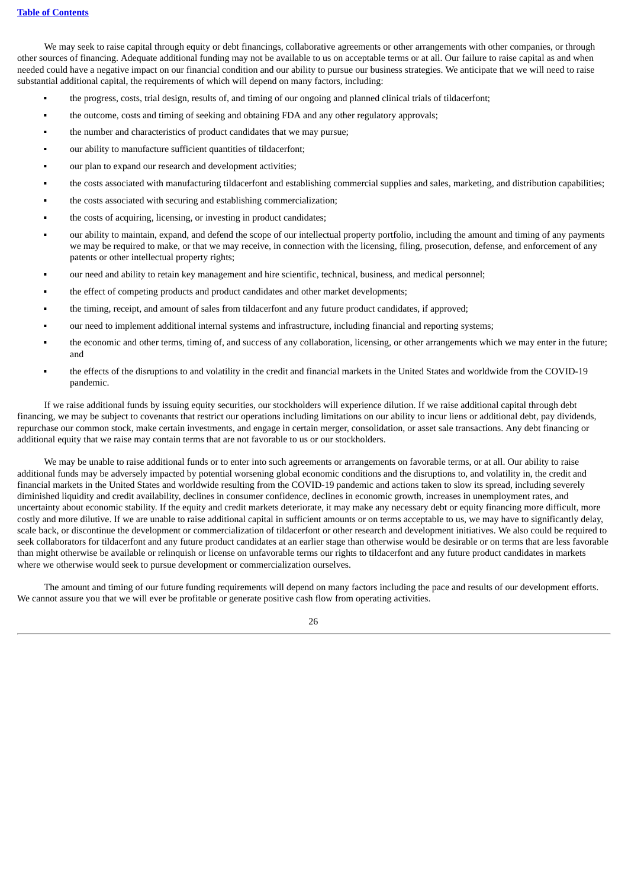We may seek to raise capital through equity or debt financings, collaborative agreements or other arrangements with other companies, or through other sources of financing. Adequate additional funding may not be available to us on acceptable terms or at all. Our failure to raise capital as and when needed could have a negative impact on our financial condition and our ability to pursue our business strategies. We anticipate that we will need to raise substantial additional capital, the requirements of which will depend on many factors, including:

- the progress, costs, trial design, results of, and timing of our ongoing and planned clinical trials of tildacerfont;
- the outcome, costs and timing of seeking and obtaining FDA and any other regulatory approvals;
- the number and characteristics of product candidates that we may pursue;
- our ability to manufacture sufficient quantities of tildacerfont;
- our plan to expand our research and development activities;
- the costs associated with manufacturing tildacerfont and establishing commercial supplies and sales, marketing, and distribution capabilities;
- the costs associated with securing and establishing commercialization;
- the costs of acquiring, licensing, or investing in product candidates;
- our ability to maintain, expand, and defend the scope of our intellectual property portfolio, including the amount and timing of any payments we may be required to make, or that we may receive, in connection with the licensing, filing, prosecution, defense, and enforcement of any patents or other intellectual property rights;
- our need and ability to retain key management and hire scientific, technical, business, and medical personnel;
- the effect of competing products and product candidates and other market developments;
- the timing, receipt, and amount of sales from tildacerfont and any future product candidates, if approved;
- our need to implement additional internal systems and infrastructure, including financial and reporting systems;
- the economic and other terms, timing of, and success of any collaboration, licensing, or other arrangements which we may enter in the future; and
- the effects of the disruptions to and volatility in the credit and financial markets in the United States and worldwide from the COVID-19 pandemic.

If we raise additional funds by issuing equity securities, our stockholders will experience dilution. If we raise additional capital through debt financing, we may be subject to covenants that restrict our operations including limitations on our ability to incur liens or additional debt, pay dividends, repurchase our common stock, make certain investments, and engage in certain merger, consolidation, or asset sale transactions. Any debt financing or additional equity that we raise may contain terms that are not favorable to us or our stockholders.

We may be unable to raise additional funds or to enter into such agreements or arrangements on favorable terms, or at all. Our ability to raise additional funds may be adversely impacted by potential worsening global economic conditions and the disruptions to, and volatility in, the credit and financial markets in the United States and worldwide resulting from the COVID-19 pandemic and actions taken to slow its spread, including severely diminished liquidity and credit availability, declines in consumer confidence, declines in economic growth, increases in unemployment rates, and uncertainty about economic stability. If the equity and credit markets deteriorate, it may make any necessary debt or equity financing more difficult, more costly and more dilutive. If we are unable to raise additional capital in sufficient amounts or on terms acceptable to us, we may have to significantly delay, scale back, or discontinue the development or commercialization of tildacerfont or other research and development initiatives. We also could be required to seek collaborators for tildacerfont and any future product candidates at an earlier stage than otherwise would be desirable or on terms that are less favorable than might otherwise be available or relinquish or license on unfavorable terms our rights to tildacerfont and any future product candidates in markets where we otherwise would seek to pursue development or commercialization ourselves.

The amount and timing of our future funding requirements will depend on many factors including the pace and results of our development efforts. We cannot assure you that we will ever be profitable or generate positive cash flow from operating activities.

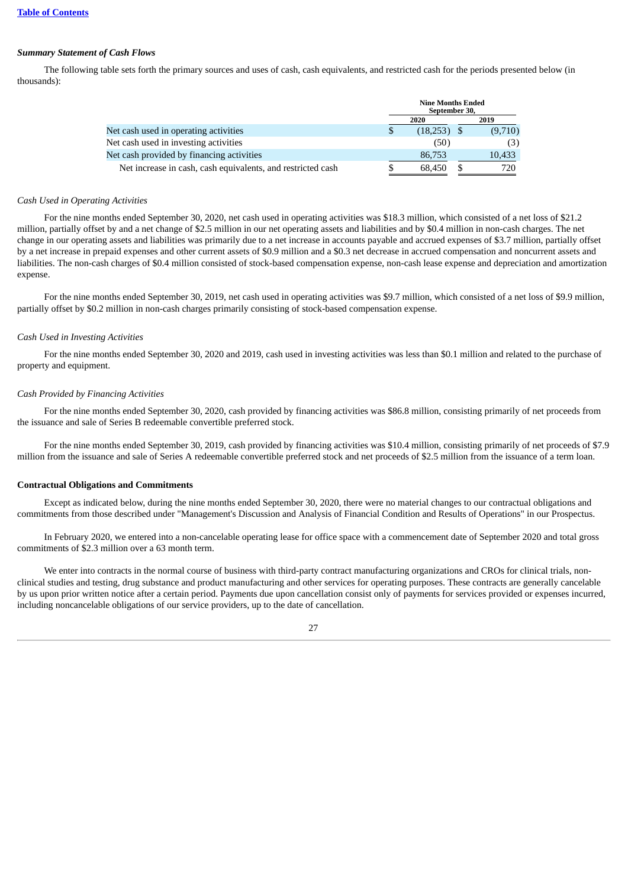# *Summary Statement of Cash Flows*

The following table sets forth the primary sources and uses of cash, cash equivalents, and restricted cash for the periods presented below (in thousands):

|                                                             | <b>Nine Months Ended</b><br>September 30, |               |      |         |  |
|-------------------------------------------------------------|-------------------------------------------|---------------|------|---------|--|
|                                                             |                                           | 2020          | 2019 |         |  |
| Net cash used in operating activities                       | \$                                        | $(18,253)$ \$ |      | (9,710) |  |
| Net cash used in investing activities                       |                                           | (50)          |      | (3)     |  |
| Net cash provided by financing activities                   |                                           | 86,753        |      | 10,433  |  |
| Net increase in cash, cash equivalents, and restricted cash |                                           | 68.450        |      | 720     |  |

# *Cash Used in Operating Activities*

For the nine months ended September 30, 2020, net cash used in operating activities was \$18.3 million, which consisted of a net loss of \$21.2 million, partially offset by and a net change of \$2.5 million in our net operating assets and liabilities and by \$0.4 million in non-cash charges. The net change in our operating assets and liabilities was primarily due to a net increase in accounts payable and accrued expenses of \$3.7 million, partially offset by a net increase in prepaid expenses and other current assets of \$0.9 million and a \$0.3 net decrease in accrued compensation and noncurrent assets and liabilities. The non-cash charges of \$0.4 million consisted of stock-based compensation expense, non-cash lease expense and depreciation and amortization expense.

For the nine months ended September 30, 2019, net cash used in operating activities was \$9.7 million, which consisted of a net loss of \$9.9 million, partially offset by \$0.2 million in non-cash charges primarily consisting of stock-based compensation expense.

### *Cash Used in Investing Activities*

For the nine months ended September 30, 2020 and 2019, cash used in investing activities was less than \$0.1 million and related to the purchase of property and equipment.

### *Cash Provided by Financing Activities*

For the nine months ended September 30, 2020, cash provided by financing activities was \$86.8 million, consisting primarily of net proceeds from the issuance and sale of Series B redeemable convertible preferred stock.

For the nine months ended September 30, 2019, cash provided by financing activities was \$10.4 million, consisting primarily of net proceeds of \$7.9 million from the issuance and sale of Series A redeemable convertible preferred stock and net proceeds of \$2.5 million from the issuance of a term loan.

### **Contractual Obligations and Commitments**

Except as indicated below, during the nine months ended September 30, 2020, there were no material changes to our contractual obligations and commitments from those described under "Management's Discussion and Analysis of Financial Condition and Results of Operations" in our Prospectus.

In February 2020, we entered into a non-cancelable operating lease for office space with a commencement date of September 2020 and total gross commitments of \$2.3 million over a 63 month term.

We enter into contracts in the normal course of business with third-party contract manufacturing organizations and CROs for clinical trials, nonclinical studies and testing, drug substance and product manufacturing and other services for operating purposes. These contracts are generally cancelable by us upon prior written notice after a certain period. Payments due upon cancellation consist only of payments for services provided or expenses incurred, including noncancelable obligations of our service providers, up to the date of cancellation.

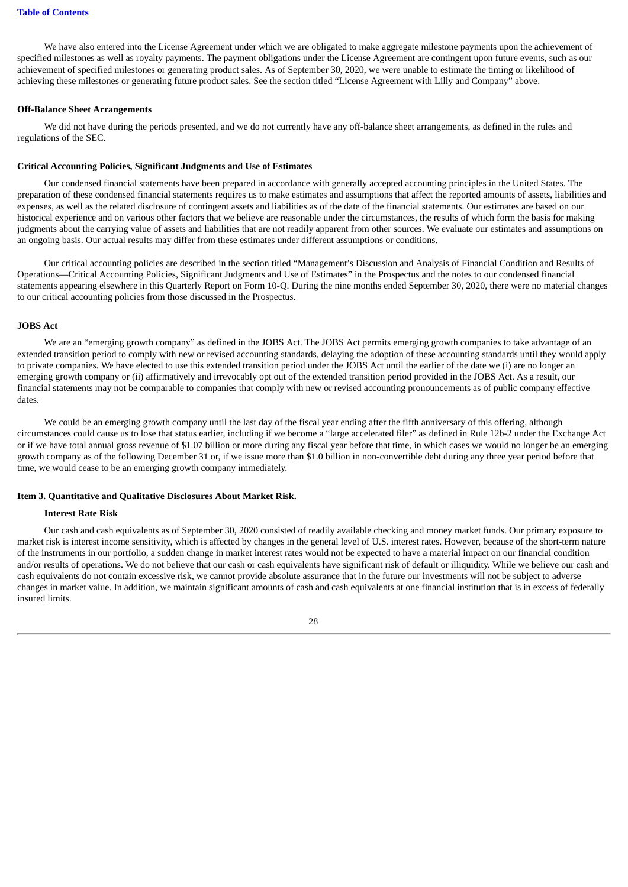We have also entered into the License Agreement under which we are obligated to make aggregate milestone payments upon the achievement of specified milestones as well as royalty payments. The payment obligations under the License Agreement are contingent upon future events, such as our achievement of specified milestones or generating product sales. As of September 30, 2020, we were unable to estimate the timing or likelihood of achieving these milestones or generating future product sales. See the section titled "License Agreement with Lilly and Company" above.

### **Off-Balance Sheet Arrangements**

We did not have during the periods presented, and we do not currently have any off-balance sheet arrangements, as defined in the rules and regulations of the SEC.

### **Critical Accounting Policies, Significant Judgments and Use of Estimates**

Our condensed financial statements have been prepared in accordance with generally accepted accounting principles in the United States. The preparation of these condensed financial statements requires us to make estimates and assumptions that affect the reported amounts of assets, liabilities and expenses, as well as the related disclosure of contingent assets and liabilities as of the date of the financial statements. Our estimates are based on our historical experience and on various other factors that we believe are reasonable under the circumstances, the results of which form the basis for making judgments about the carrying value of assets and liabilities that are not readily apparent from other sources. We evaluate our estimates and assumptions on an ongoing basis. Our actual results may differ from these estimates under different assumptions or conditions.

Our critical accounting policies are described in the section titled "Management's Discussion and Analysis of Financial Condition and Results of Operations—Critical Accounting Policies, Significant Judgments and Use of Estimates" in the Prospectus and the notes to our condensed financial statements appearing elsewhere in this Quarterly Report on Form 10-Q. During the nine months ended September 30, 2020, there were no material changes to our critical accounting policies from those discussed in the Prospectus.

#### **JOBS Act**

We are an "emerging growth company" as defined in the JOBS Act. The JOBS Act permits emerging growth companies to take advantage of an extended transition period to comply with new or revised accounting standards, delaying the adoption of these accounting standards until they would apply to private companies. We have elected to use this extended transition period under the JOBS Act until the earlier of the date we (i) are no longer an emerging growth company or (ii) affirmatively and irrevocably opt out of the extended transition period provided in the JOBS Act. As a result, our financial statements may not be comparable to companies that comply with new or revised accounting pronouncements as of public company effective dates.

We could be an emerging growth company until the last day of the fiscal year ending after the fifth anniversary of this offering, although circumstances could cause us to lose that status earlier, including if we become a "large accelerated filer" as defined in Rule 12b-2 under the Exchange Act or if we have total annual gross revenue of \$1.07 billion or more during any fiscal year before that time, in which cases we would no longer be an emerging growth company as of the following December 31 or, if we issue more than \$1.0 billion in non-convertible debt during any three year period before that time, we would cease to be an emerging growth company immediately.

#### <span id="page-29-0"></span>**Item 3. Quantitative and Qualitative Disclosures About Market Risk.**

#### **Interest Rate Risk**

Our cash and cash equivalents as of September 30, 2020 consisted of readily available checking and money market funds. Our primary exposure to market risk is interest income sensitivity, which is affected by changes in the general level of U.S. interest rates. However, because of the short-term nature of the instruments in our portfolio, a sudden change in market interest rates would not be expected to have a material impact on our financial condition and/or results of operations. We do not believe that our cash or cash equivalents have significant risk of default or illiquidity. While we believe our cash and cash equivalents do not contain excessive risk, we cannot provide absolute assurance that in the future our investments will not be subject to adverse changes in market value. In addition, we maintain significant amounts of cash and cash equivalents at one financial institution that is in excess of federally insured limits.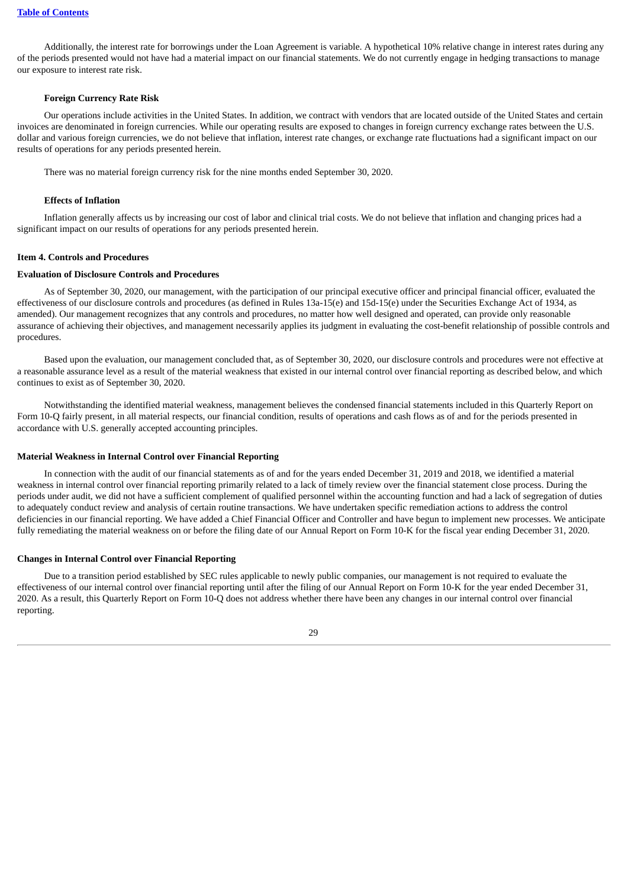Additionally, the interest rate for borrowings under the Loan Agreement is variable. A hypothetical 10% relative change in interest rates during any of the periods presented would not have had a material impact on our financial statements. We do not currently engage in hedging transactions to manage our exposure to interest rate risk.

### **Foreign Currency Rate Risk**

Our operations include activities in the United States. In addition, we contract with vendors that are located outside of the United States and certain invoices are denominated in foreign currencies. While our operating results are exposed to changes in foreign currency exchange rates between the U.S. dollar and various foreign currencies, we do not believe that inflation, interest rate changes, or exchange rate fluctuations had a significant impact on our results of operations for any periods presented herein.

There was no material foreign currency risk for the nine months ended September 30, 2020.

### **Effects of Inflation**

Inflation generally affects us by increasing our cost of labor and clinical trial costs. We do not believe that inflation and changing prices had a significant impact on our results of operations for any periods presented herein.

### <span id="page-30-0"></span>**Item 4. Controls and Procedures**

#### **Evaluation of Disclosure Controls and Procedures**

As of September 30, 2020, our management, with the participation of our principal executive officer and principal financial officer, evaluated the effectiveness of our disclosure controls and procedures (as defined in Rules 13a-15(e) and 15d-15(e) under the Securities Exchange Act of 1934, as amended). Our management recognizes that any controls and procedures, no matter how well designed and operated, can provide only reasonable assurance of achieving their objectives, and management necessarily applies its judgment in evaluating the cost-benefit relationship of possible controls and procedures.

Based upon the evaluation, our management concluded that, as of September 30, 2020, our disclosure controls and procedures were not effective at a reasonable assurance level as a result of the material weakness that existed in our internal control over financial reporting as described below, and which continues to exist as of September 30, 2020.

Notwithstanding the identified material weakness, management believes the condensed financial statements included in this Quarterly Report on Form 10-Q fairly present, in all material respects, our financial condition, results of operations and cash flows as of and for the periods presented in accordance with U.S. generally accepted accounting principles.

### **Material Weakness in Internal Control over Financial Reporting**

In connection with the audit of our financial statements as of and for the years ended December 31, 2019 and 2018, we identified a material weakness in internal control over financial reporting primarily related to a lack of timely review over the financial statement close process. During the periods under audit, we did not have a sufficient complement of qualified personnel within the accounting function and had a lack of segregation of duties to adequately conduct review and analysis of certain routine transactions. We have undertaken specific remediation actions to address the control deficiencies in our financial reporting. We have added a Chief Financial Officer and Controller and have begun to implement new processes. We anticipate fully remediating the material weakness on or before the filing date of our Annual Report on Form 10-K for the fiscal year ending December 31, 2020.

### **Changes in Internal Control over Financial Reporting**

Due to a transition period established by SEC rules applicable to newly public companies, our management is not required to evaluate the effectiveness of our internal control over financial reporting until after the filing of our Annual Report on Form 10-K for the year ended December 31, 2020. As a result, this Quarterly Report on Form 10-Q does not address whether there have been any changes in our internal control over financial reporting.

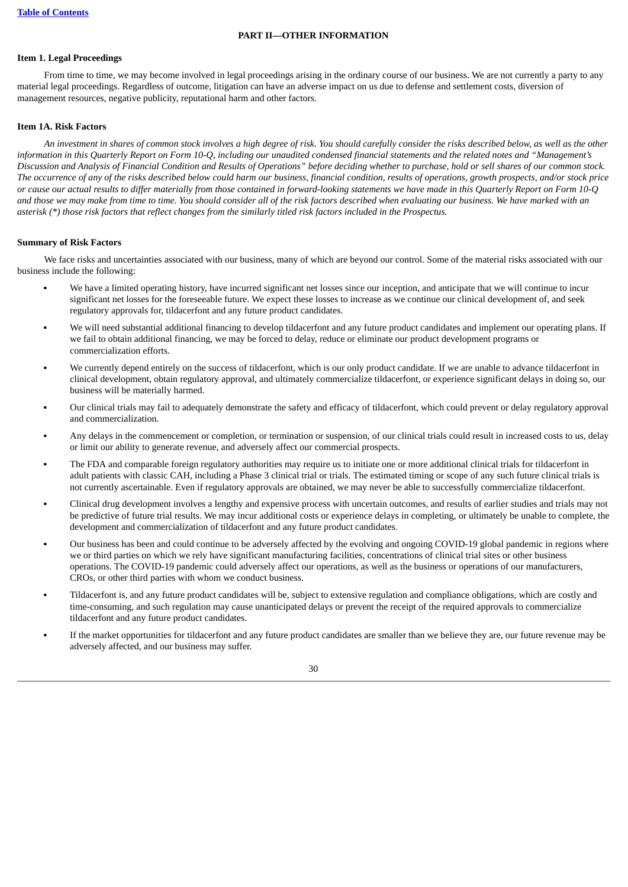### **PART II—OTHER INFORMATION**

#### <span id="page-31-1"></span><span id="page-31-0"></span>**Item 1. Legal Proceedings**

From time to time, we may become involved in legal proceedings arising in the ordinary course of our business. We are not currently a party to any material legal proceedings. Regardless of outcome, litigation can have an adverse impact on us due to defense and settlement costs, diversion of management resources, negative publicity, reputational harm and other factors.

#### <span id="page-31-2"></span>**Item 1A. Risk Factors**

An investment in shares of common stock involves a high degree of risk. You should carefully consider the risks described below, as well as the other information in this Quarterly Report on Form 10-Q, including our unaudited condensed financial statements and the related notes and "Management's Discussion and Analysis of Financial Condition and Results of Operations" before deciding whether to purchase, hold or sell shares of our common stock. The occurrence of any of the risks described below could harm our business, financial condition, results of operations, arowth prospects, and/or stock price or cause our actual results to differ materially from those contained in forward-looking statements we have made in this Quarterly Report on Form 10-Q and those we may make from time to time. You should consider all of the risk factors described when evaluating our business. We have marked with an asterisk (\*) those risk factors that reflect changes from the similarly titled risk factors included in the Prospectus.

### **Summary of Risk Factors**

We face risks and uncertainties associated with our business, many of which are beyond our control. Some of the material risks associated with our business include the following:

- We have a limited operating history, have incurred significant net losses since our inception, and anticipate that we will continue to incur significant net losses for the foreseeable future. We expect these losses to increase as we continue our clinical development of, and seek regulatory approvals for, tildacerfont and any future product candidates.
- We will need substantial additional financing to develop tildacerfont and any future product candidates and implement our operating plans. If we fail to obtain additional financing, we may be forced to delay, reduce or eliminate our product development programs or commercialization efforts.
- We currently depend entirely on the success of tildacerfont, which is our only product candidate. If we are unable to advance tildacerfont in clinical development, obtain regulatory approval, and ultimately commercialize tildacerfont, or experience significant delays in doing so, our business will be materially harmed.
- Our clinical trials may fail to adequately demonstrate the safety and efficacy of tildacerfont, which could prevent or delay regulatory approval and commercialization.
- Any delays in the commencement or completion, or termination or suspension, of our clinical trials could result in increased costs to us, delay or limit our ability to generate revenue, and adversely affect our commercial prospects.
- The FDA and comparable foreign regulatory authorities may require us to initiate one or more additional clinical trials for tildacerfont in adult patients with classic CAH, including a Phase 3 clinical trial or trials. The estimated timing or scope of any such future clinical trials is not currently ascertainable. Even if regulatory approvals are obtained, we may never be able to successfully commercialize tildacerfont.
- Clinical drug development involves a lengthy and expensive process with uncertain outcomes, and results of earlier studies and trials may not be predictive of future trial results. We may incur additional costs or experience delays in completing, or ultimately be unable to complete, the development and commercialization of tildacerfont and any future product candidates.
- Our business has been and could continue to be adversely affected by the evolving and ongoing COVID-19 global pandemic in regions where we or third parties on which we rely have significant manufacturing facilities, concentrations of clinical trial sites or other business operations. The COVID-19 pandemic could adversely affect our operations, as well as the business or operations of our manufacturers, CROs, or other third parties with whom we conduct business.
- Tildacerfont is, and any future product candidates will be, subject to extensive regulation and compliance obligations, which are costly and time-consuming, and such regulation may cause unanticipated delays or prevent the receipt of the required approvals to commercialize tildacerfont and any future product candidates.
- If the market opportunities for tildacerfont and any future product candidates are smaller than we believe they are, our future revenue may be adversely affected, and our business may suffer.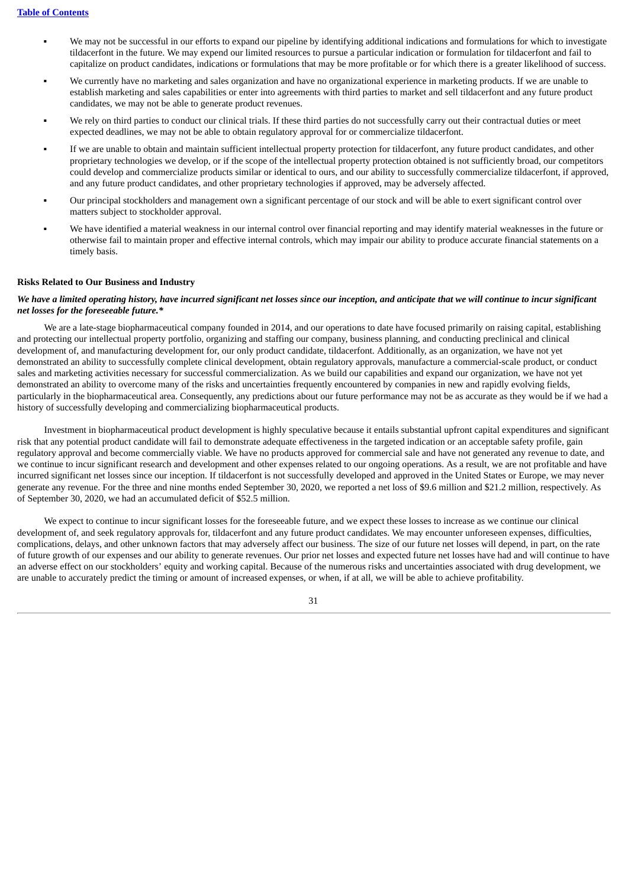- We may not be successful in our efforts to expand our pipeline by identifying additional indications and formulations for which to investigate tildacerfont in the future. We may expend our limited resources to pursue a particular indication or formulation for tildacerfont and fail to capitalize on product candidates, indications or formulations that may be more profitable or for which there is a greater likelihood of success.
- We currently have no marketing and sales organization and have no organizational experience in marketing products. If we are unable to establish marketing and sales capabilities or enter into agreements with third parties to market and sell tildacerfont and any future product candidates, we may not be able to generate product revenues.
- We rely on third parties to conduct our clinical trials. If these third parties do not successfully carry out their contractual duties or meet expected deadlines, we may not be able to obtain regulatory approval for or commercialize tildacerfont.
- If we are unable to obtain and maintain sufficient intellectual property protection for tildacerfont, any future product candidates, and other proprietary technologies we develop, or if the scope of the intellectual property protection obtained is not sufficiently broad, our competitors could develop and commercialize products similar or identical to ours, and our ability to successfully commercialize tildacerfont, if approved, and any future product candidates, and other proprietary technologies if approved, may be adversely affected.
- Our principal stockholders and management own a significant percentage of our stock and will be able to exert significant control over matters subject to stockholder approval.
- We have identified a material weakness in our internal control over financial reporting and may identify material weaknesses in the future or otherwise fail to maintain proper and effective internal controls, which may impair our ability to produce accurate financial statements on a timely basis.

### **Risks Related to Our Business and Industry**

### We have a limited operating history, have incurred significant net losses since our inception, and anticipate that we will continue to incur significant *net losses for the foreseeable future.\**

We are a late-stage biopharmaceutical company founded in 2014, and our operations to date have focused primarily on raising capital, establishing and protecting our intellectual property portfolio, organizing and staffing our company, business planning, and conducting preclinical and clinical development of, and manufacturing development for, our only product candidate, tildacerfont. Additionally, as an organization, we have not yet demonstrated an ability to successfully complete clinical development, obtain regulatory approvals, manufacture a commercial-scale product, or conduct sales and marketing activities necessary for successful commercialization. As we build our capabilities and expand our organization, we have not yet demonstrated an ability to overcome many of the risks and uncertainties frequently encountered by companies in new and rapidly evolving fields, particularly in the biopharmaceutical area. Consequently, any predictions about our future performance may not be as accurate as they would be if we had a history of successfully developing and commercializing biopharmaceutical products.

Investment in biopharmaceutical product development is highly speculative because it entails substantial upfront capital expenditures and significant risk that any potential product candidate will fail to demonstrate adequate effectiveness in the targeted indication or an acceptable safety profile, gain regulatory approval and become commercially viable. We have no products approved for commercial sale and have not generated any revenue to date, and we continue to incur significant research and development and other expenses related to our ongoing operations. As a result, we are not profitable and have incurred significant net losses since our inception. If tildacerfont is not successfully developed and approved in the United States or Europe, we may never generate any revenue. For the three and nine months ended September 30, 2020, we reported a net loss of \$9.6 million and \$21.2 million, respectively. As of September 30, 2020, we had an accumulated deficit of \$52.5 million.

We expect to continue to incur significant losses for the foreseeable future, and we expect these losses to increase as we continue our clinical development of, and seek regulatory approvals for, tildacerfont and any future product candidates. We may encounter unforeseen expenses, difficulties, complications, delays, and other unknown factors that may adversely affect our business. The size of our future net losses will depend, in part, on the rate of future growth of our expenses and our ability to generate revenues. Our prior net losses and expected future net losses have had and will continue to have an adverse effect on our stockholders' equity and working capital. Because of the numerous risks and uncertainties associated with drug development, we are unable to accurately predict the timing or amount of increased expenses, or when, if at all, we will be able to achieve profitability.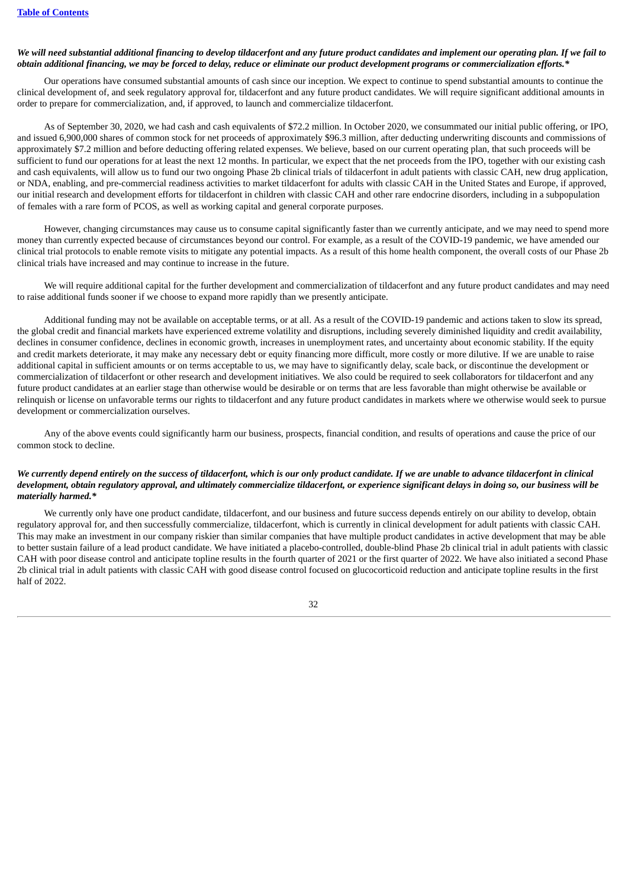### We will need substantial additional financing to develop tildacerfont and any future product candidates and implement our operating plan. If we fail to obtain additional financing, we may be forced to delay, reduce or eliminate our product development programs or commercialization efforts.\*

Our operations have consumed substantial amounts of cash since our inception. We expect to continue to spend substantial amounts to continue the clinical development of, and seek regulatory approval for, tildacerfont and any future product candidates. We will require significant additional amounts in order to prepare for commercialization, and, if approved, to launch and commercialize tildacerfont.

As of September 30, 2020, we had cash and cash equivalents of \$72.2 million. In October 2020, we consummated our initial public offering, or IPO, and issued 6,900,000 shares of common stock for net proceeds of approximately \$96.3 million, after deducting underwriting discounts and commissions of approximately \$7.2 million and before deducting offering related expenses. We believe, based on our current operating plan, that such proceeds will be sufficient to fund our operations for at least the next 12 months. In particular, we expect that the net proceeds from the IPO, together with our existing cash and cash equivalents, will allow us to fund our two ongoing Phase 2b clinical trials of tildacerfont in adult patients with classic CAH, new drug application, or NDA, enabling, and pre-commercial readiness activities to market tildacerfont for adults with classic CAH in the United States and Europe, if approved, our initial research and development efforts for tildacerfont in children with classic CAH and other rare endocrine disorders, including in a subpopulation of females with a rare form of PCOS, as well as working capital and general corporate purposes.

However, changing circumstances may cause us to consume capital significantly faster than we currently anticipate, and we may need to spend more money than currently expected because of circumstances beyond our control. For example, as a result of the COVID-19 pandemic, we have amended our clinical trial protocols to enable remote visits to mitigate any potential impacts. As a result of this home health component, the overall costs of our Phase 2b clinical trials have increased and may continue to increase in the future.

We will require additional capital for the further development and commercialization of tildacerfont and any future product candidates and may need to raise additional funds sooner if we choose to expand more rapidly than we presently anticipate.

Additional funding may not be available on acceptable terms, or at all. As a result of the COVID-19 pandemic and actions taken to slow its spread, the global credit and financial markets have experienced extreme volatility and disruptions, including severely diminished liquidity and credit availability, declines in consumer confidence, declines in economic growth, increases in unemployment rates, and uncertainty about economic stability. If the equity and credit markets deteriorate, it may make any necessary debt or equity financing more difficult, more costly or more dilutive. If we are unable to raise additional capital in sufficient amounts or on terms acceptable to us, we may have to significantly delay, scale back, or discontinue the development or commercialization of tildacerfont or other research and development initiatives. We also could be required to seek collaborators for tildacerfont and any future product candidates at an earlier stage than otherwise would be desirable or on terms that are less favorable than might otherwise be available or relinquish or license on unfavorable terms our rights to tildacerfont and any future product candidates in markets where we otherwise would seek to pursue development or commercialization ourselves.

Any of the above events could significantly harm our business, prospects, financial condition, and results of operations and cause the price of our common stock to decline.

### We currently depend entirely on the success of tildacerfont, which is our only product candidate. If we are unable to advance tildacerfont in clinical development, obtain regulatory approval, and ultimately commercialize tildacerfont, or experience significant delays in doing so, our business will be *materially harmed.\**

We currently only have one product candidate, tildacerfont, and our business and future success depends entirely on our ability to develop, obtain regulatory approval for, and then successfully commercialize, tildacerfont, which is currently in clinical development for adult patients with classic CAH. This may make an investment in our company riskier than similar companies that have multiple product candidates in active development that may be able to better sustain failure of a lead product candidate. We have initiated a placebo-controlled, double-blind Phase 2b clinical trial in adult patients with classic CAH with poor disease control and anticipate topline results in the fourth quarter of 2021 or the first quarter of 2022. We have also initiated a second Phase 2b clinical trial in adult patients with classic CAH with good disease control focused on glucocorticoid reduction and anticipate topline results in the first half of 2022.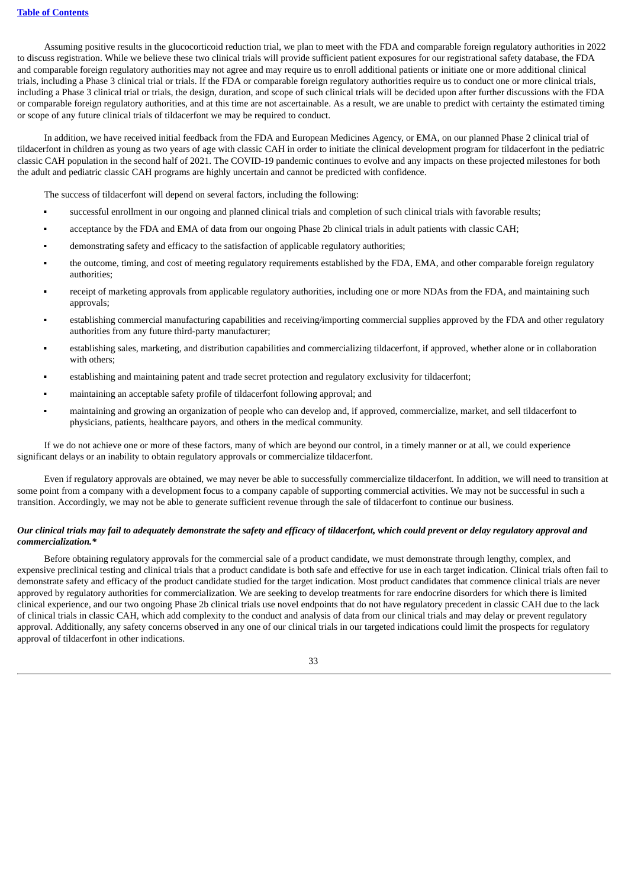Assuming positive results in the glucocorticoid reduction trial, we plan to meet with the FDA and comparable foreign regulatory authorities in 2022 to discuss registration. While we believe these two clinical trials will provide sufficient patient exposures for our registrational safety database, the FDA and comparable foreign regulatory authorities may not agree and may require us to enroll additional patients or initiate one or more additional clinical trials, including a Phase 3 clinical trial or trials. If the FDA or comparable foreign regulatory authorities require us to conduct one or more clinical trials, including a Phase 3 clinical trial or trials, the design, duration, and scope of such clinical trials will be decided upon after further discussions with the FDA or comparable foreign regulatory authorities, and at this time are not ascertainable. As a result, we are unable to predict with certainty the estimated timing or scope of any future clinical trials of tildacerfont we may be required to conduct.

In addition, we have received initial feedback from the FDA and European Medicines Agency, or EMA, on our planned Phase 2 clinical trial of tildacerfont in children as young as two years of age with classic CAH in order to initiate the clinical development program for tildacerfont in the pediatric classic CAH population in the second half of 2021. The COVID-19 pandemic continues to evolve and any impacts on these projected milestones for both the adult and pediatric classic CAH programs are highly uncertain and cannot be predicted with confidence.

The success of tildacerfont will depend on several factors, including the following:

- successful enrollment in our ongoing and planned clinical trials and completion of such clinical trials with favorable results;
- acceptance by the FDA and EMA of data from our ongoing Phase 2b clinical trials in adult patients with classic CAH;
- demonstrating safety and efficacy to the satisfaction of applicable regulatory authorities;
- the outcome, timing, and cost of meeting regulatory requirements established by the FDA, EMA, and other comparable foreign regulatory authorities;
- receipt of marketing approvals from applicable regulatory authorities, including one or more NDAs from the FDA, and maintaining such approvals;
- establishing commercial manufacturing capabilities and receiving/importing commercial supplies approved by the FDA and other regulatory authorities from any future third-party manufacturer;
- establishing sales, marketing, and distribution capabilities and commercializing tildacerfont, if approved, whether alone or in collaboration with others;
- establishing and maintaining patent and trade secret protection and regulatory exclusivity for tildacerfont;
- maintaining an acceptable safety profile of tildacerfont following approval; and
- maintaining and growing an organization of people who can develop and, if approved, commercialize, market, and sell tildacerfont to physicians, patients, healthcare payors, and others in the medical community.

If we do not achieve one or more of these factors, many of which are beyond our control, in a timely manner or at all, we could experience significant delays or an inability to obtain regulatory approvals or commercialize tildacerfont.

Even if regulatory approvals are obtained, we may never be able to successfully commercialize tildacerfont. In addition, we will need to transition at some point from a company with a development focus to a company capable of supporting commercial activities. We may not be successful in such a transition. Accordingly, we may not be able to generate sufficient revenue through the sale of tildacerfont to continue our business.

### Our clinical trials may fail to adequately demonstrate the safety and efficacy of tildacerfont, which could prevent or delay regulatory approval and *commercialization.\**

Before obtaining regulatory approvals for the commercial sale of a product candidate, we must demonstrate through lengthy, complex, and expensive preclinical testing and clinical trials that a product candidate is both safe and effective for use in each target indication. Clinical trials often fail to demonstrate safety and efficacy of the product candidate studied for the target indication. Most product candidates that commence clinical trials are never approved by regulatory authorities for commercialization. We are seeking to develop treatments for rare endocrine disorders for which there is limited clinical experience, and our two ongoing Phase 2b clinical trials use novel endpoints that do not have regulatory precedent in classic CAH due to the lack of clinical trials in classic CAH, which add complexity to the conduct and analysis of data from our clinical trials and may delay or prevent regulatory approval. Additionally, any safety concerns observed in any one of our clinical trials in our targeted indications could limit the prospects for regulatory approval of tildacerfont in other indications.

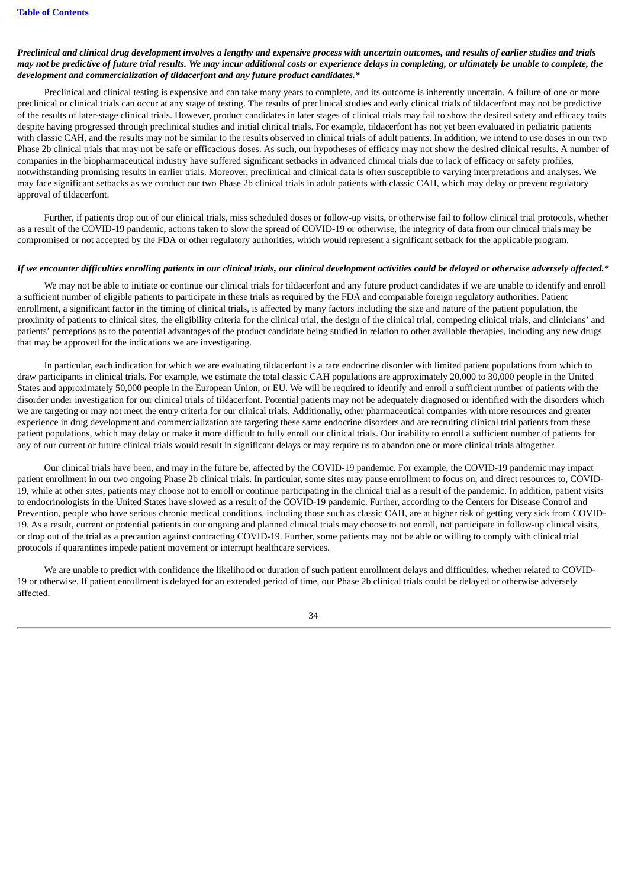### Preclinical and clinical drug development involves a lengthy and expensive process with uncertain outcomes, and results of earlier studies and trials may not be predictive of future trial results. We may incur additional costs or experience delays in completing, or ultimately be unable to complete, the *development and commercialization of tildacerfont and any future product candidates.\**

Preclinical and clinical testing is expensive and can take many years to complete, and its outcome is inherently uncertain. A failure of one or more preclinical or clinical trials can occur at any stage of testing. The results of preclinical studies and early clinical trials of tildacerfont may not be predictive of the results of later-stage clinical trials. However, product candidates in later stages of clinical trials may fail to show the desired safety and efficacy traits despite having progressed through preclinical studies and initial clinical trials. For example, tildacerfont has not yet been evaluated in pediatric patients with classic CAH, and the results may not be similar to the results observed in clinical trials of adult patients. In addition, we intend to use doses in our two Phase 2b clinical trials that may not be safe or efficacious doses. As such, our hypotheses of efficacy may not show the desired clinical results. A number of companies in the biopharmaceutical industry have suffered significant setbacks in advanced clinical trials due to lack of efficacy or safety profiles, notwithstanding promising results in earlier trials. Moreover, preclinical and clinical data is often susceptible to varying interpretations and analyses. We may face significant setbacks as we conduct our two Phase 2b clinical trials in adult patients with classic CAH, which may delay or prevent regulatory approval of tildacerfont.

Further, if patients drop out of our clinical trials, miss scheduled doses or follow-up visits, or otherwise fail to follow clinical trial protocols, whether as a result of the COVID-19 pandemic, actions taken to slow the spread of COVID-19 or otherwise, the integrity of data from our clinical trials may be compromised or not accepted by the FDA or other regulatory authorities, which would represent a significant setback for the applicable program.

#### If we encounter difficulties enrolling patients in our clinical trials, our clinical development activities could be delayed or otherwise adversely affected.\*

We may not be able to initiate or continue our clinical trials for tildacerfont and any future product candidates if we are unable to identify and enroll a sufficient number of eligible patients to participate in these trials as required by the FDA and comparable foreign regulatory authorities. Patient enrollment, a significant factor in the timing of clinical trials, is affected by many factors including the size and nature of the patient population, the proximity of patients to clinical sites, the eligibility criteria for the clinical trial, the design of the clinical trial, competing clinical trials, and clinicians' and patients' perceptions as to the potential advantages of the product candidate being studied in relation to other available therapies, including any new drugs that may be approved for the indications we are investigating.

In particular, each indication for which we are evaluating tildacerfont is a rare endocrine disorder with limited patient populations from which to draw participants in clinical trials. For example, we estimate the total classic CAH populations are approximately 20,000 to 30,000 people in the United States and approximately 50,000 people in the European Union, or EU. We will be required to identify and enroll a sufficient number of patients with the disorder under investigation for our clinical trials of tildacerfont. Potential patients may not be adequately diagnosed or identified with the disorders which we are targeting or may not meet the entry criteria for our clinical trials. Additionally, other pharmaceutical companies with more resources and greater experience in drug development and commercialization are targeting these same endocrine disorders and are recruiting clinical trial patients from these patient populations, which may delay or make it more difficult to fully enroll our clinical trials. Our inability to enroll a sufficient number of patients for any of our current or future clinical trials would result in significant delays or may require us to abandon one or more clinical trials altogether.

Our clinical trials have been, and may in the future be, affected by the COVID-19 pandemic. For example, the COVID-19 pandemic may impact patient enrollment in our two ongoing Phase 2b clinical trials. In particular, some sites may pause enrollment to focus on, and direct resources to, COVID-19, while at other sites, patients may choose not to enroll or continue participating in the clinical trial as a result of the pandemic. In addition, patient visits to endocrinologists in the United States have slowed as a result of the COVID-19 pandemic. Further, according to the Centers for Disease Control and Prevention, people who have serious chronic medical conditions, including those such as classic CAH, are at higher risk of getting very sick from COVID-19. As a result, current or potential patients in our ongoing and planned clinical trials may choose to not enroll, not participate in follow-up clinical visits, or drop out of the trial as a precaution against contracting COVID-19. Further, some patients may not be able or willing to comply with clinical trial protocols if quarantines impede patient movement or interrupt healthcare services.

We are unable to predict with confidence the likelihood or duration of such patient enrollment delays and difficulties, whether related to COVID-19 or otherwise. If patient enrollment is delayed for an extended period of time, our Phase 2b clinical trials could be delayed or otherwise adversely affected.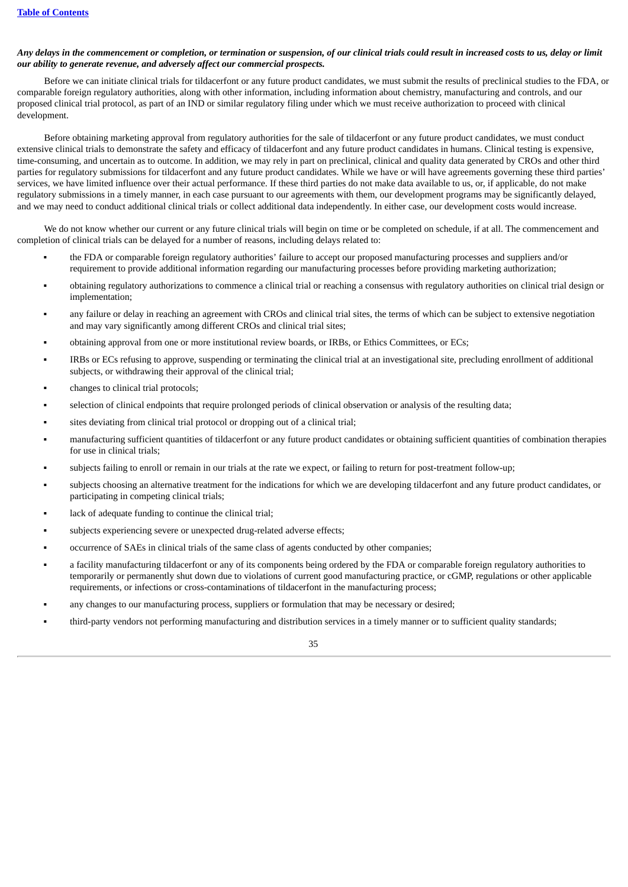# Any delays in the commencement or completion, or termination or suspension, of our clinical trials could result in increased costs to us, delay or limit *our ability to generate revenue, and adversely affect our commercial prospects.*

Before we can initiate clinical trials for tildacerfont or any future product candidates, we must submit the results of preclinical studies to the FDA, or comparable foreign regulatory authorities, along with other information, including information about chemistry, manufacturing and controls, and our proposed clinical trial protocol, as part of an IND or similar regulatory filing under which we must receive authorization to proceed with clinical development.

Before obtaining marketing approval from regulatory authorities for the sale of tildacerfont or any future product candidates, we must conduct extensive clinical trials to demonstrate the safety and efficacy of tildacerfont and any future product candidates in humans. Clinical testing is expensive, time-consuming, and uncertain as to outcome. In addition, we may rely in part on preclinical, clinical and quality data generated by CROs and other third parties for regulatory submissions for tildacerfont and any future product candidates. While we have or will have agreements governing these third parties' services, we have limited influence over their actual performance. If these third parties do not make data available to us, or, if applicable, do not make regulatory submissions in a timely manner, in each case pursuant to our agreements with them, our development programs may be significantly delayed, and we may need to conduct additional clinical trials or collect additional data independently. In either case, our development costs would increase.

We do not know whether our current or any future clinical trials will begin on time or be completed on schedule, if at all. The commencement and completion of clinical trials can be delayed for a number of reasons, including delays related to:

- the FDA or comparable foreign regulatory authorities' failure to accept our proposed manufacturing processes and suppliers and/or requirement to provide additional information regarding our manufacturing processes before providing marketing authorization;
- obtaining regulatory authorizations to commence a clinical trial or reaching a consensus with regulatory authorities on clinical trial design or implementation;
- any failure or delay in reaching an agreement with CROs and clinical trial sites, the terms of which can be subject to extensive negotiation and may vary significantly among different CROs and clinical trial sites;
- obtaining approval from one or more institutional review boards, or IRBs, or Ethics Committees, or ECs;
- IRBs or ECs refusing to approve, suspending or terminating the clinical trial at an investigational site, precluding enrollment of additional subjects, or withdrawing their approval of the clinical trial;
- changes to clinical trial protocols;
- selection of clinical endpoints that require prolonged periods of clinical observation or analysis of the resulting data;
- sites deviating from clinical trial protocol or dropping out of a clinical trial;
- manufacturing sufficient quantities of tildacerfont or any future product candidates or obtaining sufficient quantities of combination therapies for use in clinical trials;
- subjects failing to enroll or remain in our trials at the rate we expect, or failing to return for post-treatment follow-up;
- subjects choosing an alternative treatment for the indications for which we are developing tildacerfont and any future product candidates, or participating in competing clinical trials;
- lack of adequate funding to continue the clinical trial;
- subjects experiencing severe or unexpected drug-related adverse effects;
- occurrence of SAEs in clinical trials of the same class of agents conducted by other companies;
- a facility manufacturing tildacerfont or any of its components being ordered by the FDA or comparable foreign regulatory authorities to temporarily or permanently shut down due to violations of current good manufacturing practice, or cGMP, regulations or other applicable requirements, or infections or cross-contaminations of tildacerfont in the manufacturing process;
- any changes to our manufacturing process, suppliers or formulation that may be necessary or desired;
- third-party vendors not performing manufacturing and distribution services in a timely manner or to sufficient quality standards;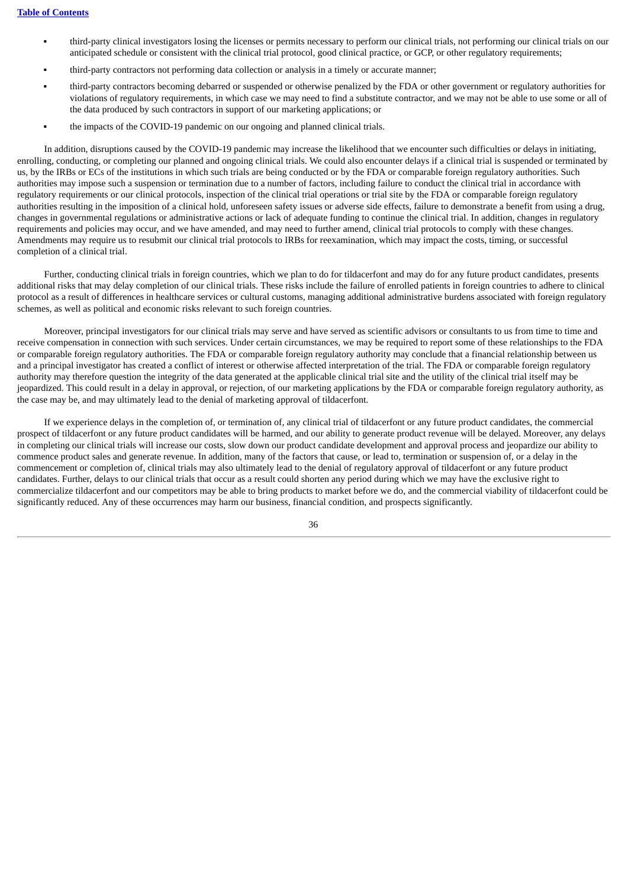- third-party clinical investigators losing the licenses or permits necessary to perform our clinical trials, not performing our clinical trials on our anticipated schedule or consistent with the clinical trial protocol, good clinical practice, or GCP, or other regulatory requirements;
- third-party contractors not performing data collection or analysis in a timely or accurate manner;
- third-party contractors becoming debarred or suspended or otherwise penalized by the FDA or other government or regulatory authorities for violations of regulatory requirements, in which case we may need to find a substitute contractor, and we may not be able to use some or all of the data produced by such contractors in support of our marketing applications; or
- the impacts of the COVID-19 pandemic on our ongoing and planned clinical trials.

In addition, disruptions caused by the COVID-19 pandemic may increase the likelihood that we encounter such difficulties or delays in initiating, enrolling, conducting, or completing our planned and ongoing clinical trials. We could also encounter delays if a clinical trial is suspended or terminated by us, by the IRBs or ECs of the institutions in which such trials are being conducted or by the FDA or comparable foreign regulatory authorities. Such authorities may impose such a suspension or termination due to a number of factors, including failure to conduct the clinical trial in accordance with regulatory requirements or our clinical protocols, inspection of the clinical trial operations or trial site by the FDA or comparable foreign regulatory authorities resulting in the imposition of a clinical hold, unforeseen safety issues or adverse side effects, failure to demonstrate a benefit from using a drug, changes in governmental regulations or administrative actions or lack of adequate funding to continue the clinical trial. In addition, changes in regulatory requirements and policies may occur, and we have amended, and may need to further amend, clinical trial protocols to comply with these changes. Amendments may require us to resubmit our clinical trial protocols to IRBs for reexamination, which may impact the costs, timing, or successful completion of a clinical trial.

Further, conducting clinical trials in foreign countries, which we plan to do for tildacerfont and may do for any future product candidates, presents additional risks that may delay completion of our clinical trials. These risks include the failure of enrolled patients in foreign countries to adhere to clinical protocol as a result of differences in healthcare services or cultural customs, managing additional administrative burdens associated with foreign regulatory schemes, as well as political and economic risks relevant to such foreign countries.

Moreover, principal investigators for our clinical trials may serve and have served as scientific advisors or consultants to us from time to time and receive compensation in connection with such services. Under certain circumstances, we may be required to report some of these relationships to the FDA or comparable foreign regulatory authorities. The FDA or comparable foreign regulatory authority may conclude that a financial relationship between us and a principal investigator has created a conflict of interest or otherwise affected interpretation of the trial. The FDA or comparable foreign regulatory authority may therefore question the integrity of the data generated at the applicable clinical trial site and the utility of the clinical trial itself may be jeopardized. This could result in a delay in approval, or rejection, of our marketing applications by the FDA or comparable foreign regulatory authority, as the case may be, and may ultimately lead to the denial of marketing approval of tildacerfont.

If we experience delays in the completion of, or termination of, any clinical trial of tildacerfont or any future product candidates, the commercial prospect of tildacerfont or any future product candidates will be harmed, and our ability to generate product revenue will be delayed. Moreover, any delays in completing our clinical trials will increase our costs, slow down our product candidate development and approval process and jeopardize our ability to commence product sales and generate revenue. In addition, many of the factors that cause, or lead to, termination or suspension of, or a delay in the commencement or completion of, clinical trials may also ultimately lead to the denial of regulatory approval of tildacerfont or any future product candidates. Further, delays to our clinical trials that occur as a result could shorten any period during which we may have the exclusive right to commercialize tildacerfont and our competitors may be able to bring products to market before we do, and the commercial viability of tildacerfont could be significantly reduced. Any of these occurrences may harm our business, financial condition, and prospects significantly.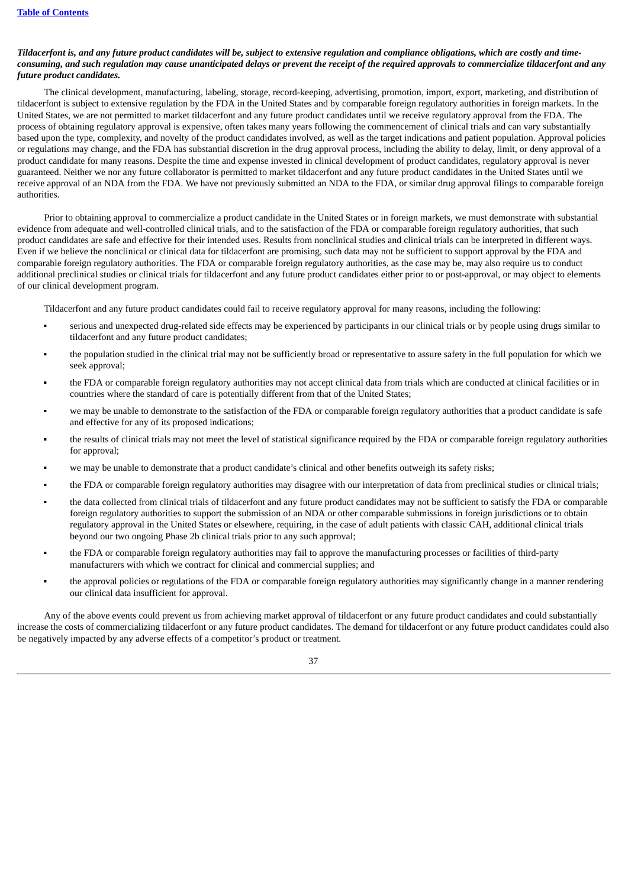## Tildacerfont is, and any future product candidates will be, subject to extensive regulation and compliance obligations, which are costly and timeconsuming, and such regulation may cause unanticipated delays or prevent the receipt of the required approvals to commercialize tildacerfont and any *future product candidates.*

The clinical development, manufacturing, labeling, storage, record-keeping, advertising, promotion, import, export, marketing, and distribution of tildacerfont is subject to extensive regulation by the FDA in the United States and by comparable foreign regulatory authorities in foreign markets. In the United States, we are not permitted to market tildacerfont and any future product candidates until we receive regulatory approval from the FDA. The process of obtaining regulatory approval is expensive, often takes many years following the commencement of clinical trials and can vary substantially based upon the type, complexity, and novelty of the product candidates involved, as well as the target indications and patient population. Approval policies or regulations may change, and the FDA has substantial discretion in the drug approval process, including the ability to delay, limit, or deny approval of a product candidate for many reasons. Despite the time and expense invested in clinical development of product candidates, regulatory approval is never guaranteed. Neither we nor any future collaborator is permitted to market tildacerfont and any future product candidates in the United States until we receive approval of an NDA from the FDA. We have not previously submitted an NDA to the FDA, or similar drug approval filings to comparable foreign authorities.

Prior to obtaining approval to commercialize a product candidate in the United States or in foreign markets, we must demonstrate with substantial evidence from adequate and well-controlled clinical trials, and to the satisfaction of the FDA or comparable foreign regulatory authorities, that such product candidates are safe and effective for their intended uses. Results from nonclinical studies and clinical trials can be interpreted in different ways. Even if we believe the nonclinical or clinical data for tildacerfont are promising, such data may not be sufficient to support approval by the FDA and comparable foreign regulatory authorities. The FDA or comparable foreign regulatory authorities, as the case may be, may also require us to conduct additional preclinical studies or clinical trials for tildacerfont and any future product candidates either prior to or post-approval, or may object to elements of our clinical development program.

Tildacerfont and any future product candidates could fail to receive regulatory approval for many reasons, including the following:

- serious and unexpected drug-related side effects may be experienced by participants in our clinical trials or by people using drugs similar to tildacerfont and any future product candidates;
- the population studied in the clinical trial may not be sufficiently broad or representative to assure safety in the full population for which we seek approval;
- the FDA or comparable foreign regulatory authorities may not accept clinical data from trials which are conducted at clinical facilities or in countries where the standard of care is potentially different from that of the United States;
- we may be unable to demonstrate to the satisfaction of the FDA or comparable foreign regulatory authorities that a product candidate is safe and effective for any of its proposed indications;
- the results of clinical trials may not meet the level of statistical significance required by the FDA or comparable foreign regulatory authorities for approval;
- we may be unable to demonstrate that a product candidate's clinical and other benefits outweigh its safety risks;
- the FDA or comparable foreign regulatory authorities may disagree with our interpretation of data from preclinical studies or clinical trials;
- the data collected from clinical trials of tildacerfont and any future product candidates may not be sufficient to satisfy the FDA or comparable foreign regulatory authorities to support the submission of an NDA or other comparable submissions in foreign jurisdictions or to obtain regulatory approval in the United States or elsewhere, requiring, in the case of adult patients with classic CAH, additional clinical trials beyond our two ongoing Phase 2b clinical trials prior to any such approval;
- the FDA or comparable foreign regulatory authorities may fail to approve the manufacturing processes or facilities of third-party manufacturers with which we contract for clinical and commercial supplies; and
- the approval policies or regulations of the FDA or comparable foreign regulatory authorities may significantly change in a manner rendering our clinical data insufficient for approval.

Any of the above events could prevent us from achieving market approval of tildacerfont or any future product candidates and could substantially increase the costs of commercializing tildacerfont or any future product candidates. The demand for tildacerfont or any future product candidates could also be negatively impacted by any adverse effects of a competitor's product or treatment.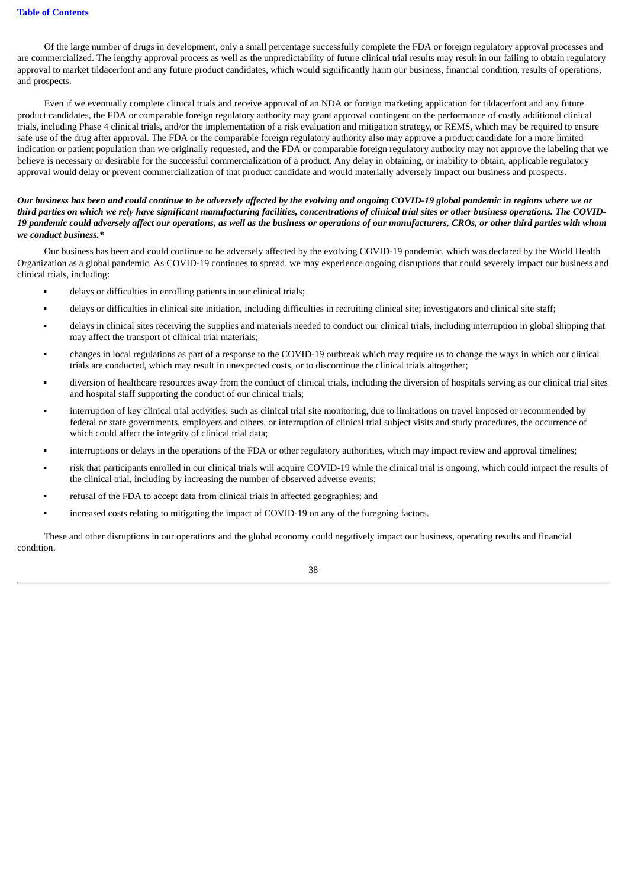Of the large number of drugs in development, only a small percentage successfully complete the FDA or foreign regulatory approval processes and are commercialized. The lengthy approval process as well as the unpredictability of future clinical trial results may result in our failing to obtain regulatory approval to market tildacerfont and any future product candidates, which would significantly harm our business, financial condition, results of operations, and prospects.

Even if we eventually complete clinical trials and receive approval of an NDA or foreign marketing application for tildacerfont and any future product candidates, the FDA or comparable foreign regulatory authority may grant approval contingent on the performance of costly additional clinical trials, including Phase 4 clinical trials, and/or the implementation of a risk evaluation and mitigation strategy, or REMS, which may be required to ensure safe use of the drug after approval. The FDA or the comparable foreign regulatory authority also may approve a product candidate for a more limited indication or patient population than we originally requested, and the FDA or comparable foreign regulatory authority may not approve the labeling that we believe is necessary or desirable for the successful commercialization of a product. Any delay in obtaining, or inability to obtain, applicable regulatory approval would delay or prevent commercialization of that product candidate and would materially adversely impact our business and prospects.

# Our business has been and could continue to be adversely affected by the evolving and ongoing COVID-19 global pandemic in regions where we or third parties on which we rely have significant manufacturing facilities, concentrations of clinical trial sites or other business operations. The COVID-19 pandemic could adversely affect our operations, as well as the business or operations of our manufacturers, CROs, or other third parties with whom *we conduct business.\**

Our business has been and could continue to be adversely affected by the evolving COVID-19 pandemic, which was declared by the World Health Organization as a global pandemic. As COVID-19 continues to spread, we may experience ongoing disruptions that could severely impact our business and clinical trials, including:

- delays or difficulties in enrolling patients in our clinical trials;
- delays or difficulties in clinical site initiation, including difficulties in recruiting clinical site; investigators and clinical site staff;
- delays in clinical sites receiving the supplies and materials needed to conduct our clinical trials, including interruption in global shipping that may affect the transport of clinical trial materials;
- changes in local regulations as part of a response to the COVID-19 outbreak which may require us to change the ways in which our clinical trials are conducted, which may result in unexpected costs, or to discontinue the clinical trials altogether;
- diversion of healthcare resources away from the conduct of clinical trials, including the diversion of hospitals serving as our clinical trial sites and hospital staff supporting the conduct of our clinical trials;
- interruption of key clinical trial activities, such as clinical trial site monitoring, due to limitations on travel imposed or recommended by federal or state governments, employers and others, or interruption of clinical trial subject visits and study procedures, the occurrence of which could affect the integrity of clinical trial data;
- interruptions or delays in the operations of the FDA or other regulatory authorities, which may impact review and approval timelines;
- risk that participants enrolled in our clinical trials will acquire COVID-19 while the clinical trial is ongoing, which could impact the results of the clinical trial, including by increasing the number of observed adverse events;
- refusal of the FDA to accept data from clinical trials in affected geographies; and
- **•** increased costs relating to mitigating the impact of COVID-19 on any of the foregoing factors.

These and other disruptions in our operations and the global economy could negatively impact our business, operating results and financial condition.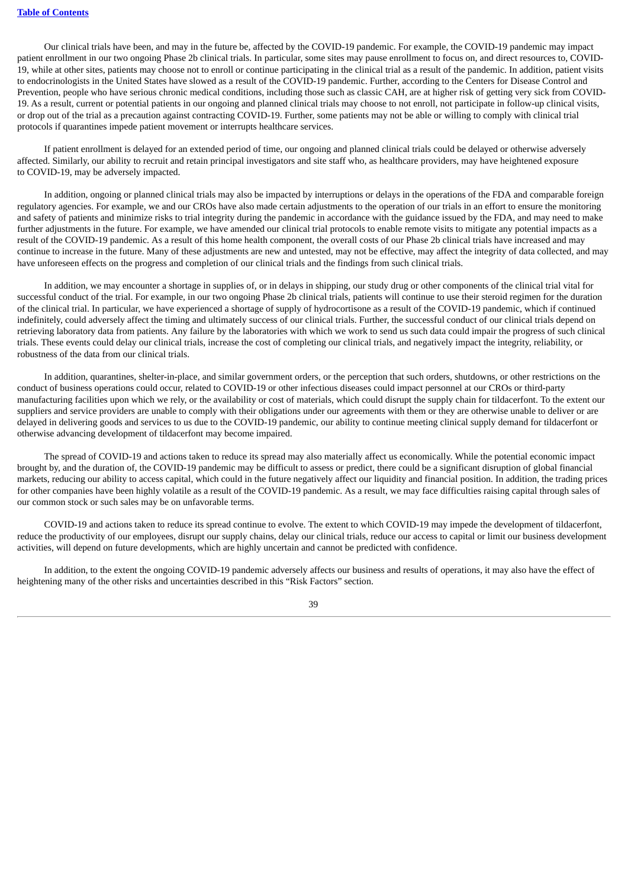Our clinical trials have been, and may in the future be, affected by the COVID-19 pandemic. For example, the COVID-19 pandemic may impact patient enrollment in our two ongoing Phase 2b clinical trials. In particular, some sites may pause enrollment to focus on, and direct resources to, COVID-19, while at other sites, patients may choose not to enroll or continue participating in the clinical trial as a result of the pandemic. In addition, patient visits to endocrinologists in the United States have slowed as a result of the COVID-19 pandemic. Further, according to the Centers for Disease Control and Prevention, people who have serious chronic medical conditions, including those such as classic CAH, are at higher risk of getting very sick from COVID-19. As a result, current or potential patients in our ongoing and planned clinical trials may choose to not enroll, not participate in follow-up clinical visits, or drop out of the trial as a precaution against contracting COVID-19. Further, some patients may not be able or willing to comply with clinical trial protocols if quarantines impede patient movement or interrupts healthcare services.

If patient enrollment is delayed for an extended period of time, our ongoing and planned clinical trials could be delayed or otherwise adversely affected. Similarly, our ability to recruit and retain principal investigators and site staff who, as healthcare providers, may have heightened exposure to COVID-19, may be adversely impacted.

In addition, ongoing or planned clinical trials may also be impacted by interruptions or delays in the operations of the FDA and comparable foreign regulatory agencies. For example, we and our CROs have also made certain adjustments to the operation of our trials in an effort to ensure the monitoring and safety of patients and minimize risks to trial integrity during the pandemic in accordance with the guidance issued by the FDA, and may need to make further adjustments in the future. For example, we have amended our clinical trial protocols to enable remote visits to mitigate any potential impacts as a result of the COVID-19 pandemic. As a result of this home health component, the overall costs of our Phase 2b clinical trials have increased and may continue to increase in the future. Many of these adjustments are new and untested, may not be effective, may affect the integrity of data collected, and may have unforeseen effects on the progress and completion of our clinical trials and the findings from such clinical trials.

In addition, we may encounter a shortage in supplies of, or in delays in shipping, our study drug or other components of the clinical trial vital for successful conduct of the trial. For example, in our two ongoing Phase 2b clinical trials, patients will continue to use their steroid regimen for the duration of the clinical trial. In particular, we have experienced a shortage of supply of hydrocortisone as a result of the COVID-19 pandemic, which if continued indefinitely, could adversely affect the timing and ultimately success of our clinical trials. Further, the successful conduct of our clinical trials depend on retrieving laboratory data from patients. Any failure by the laboratories with which we work to send us such data could impair the progress of such clinical trials. These events could delay our clinical trials, increase the cost of completing our clinical trials, and negatively impact the integrity, reliability, or robustness of the data from our clinical trials.

In addition, quarantines, shelter-in-place, and similar government orders, or the perception that such orders, shutdowns, or other restrictions on the conduct of business operations could occur, related to COVID-19 or other infectious diseases could impact personnel at our CROs or third-party manufacturing facilities upon which we rely, or the availability or cost of materials, which could disrupt the supply chain for tildacerfont. To the extent our suppliers and service providers are unable to comply with their obligations under our agreements with them or they are otherwise unable to deliver or are delayed in delivering goods and services to us due to the COVID-19 pandemic, our ability to continue meeting clinical supply demand for tildacerfont or otherwise advancing development of tildacerfont may become impaired.

The spread of COVID-19 and actions taken to reduce its spread may also materially affect us economically. While the potential economic impact brought by, and the duration of, the COVID-19 pandemic may be difficult to assess or predict, there could be a significant disruption of global financial markets, reducing our ability to access capital, which could in the future negatively affect our liquidity and financial position. In addition, the trading prices for other companies have been highly volatile as a result of the COVID-19 pandemic. As a result, we may face difficulties raising capital through sales of our common stock or such sales may be on unfavorable terms.

COVID-19 and actions taken to reduce its spread continue to evolve. The extent to which COVID-19 may impede the development of tildacerfont, reduce the productivity of our employees, disrupt our supply chains, delay our clinical trials, reduce our access to capital or limit our business development activities, will depend on future developments, which are highly uncertain and cannot be predicted with confidence.

In addition, to the extent the ongoing COVID-19 pandemic adversely affects our business and results of operations, it may also have the effect of heightening many of the other risks and uncertainties described in this "Risk Factors" section.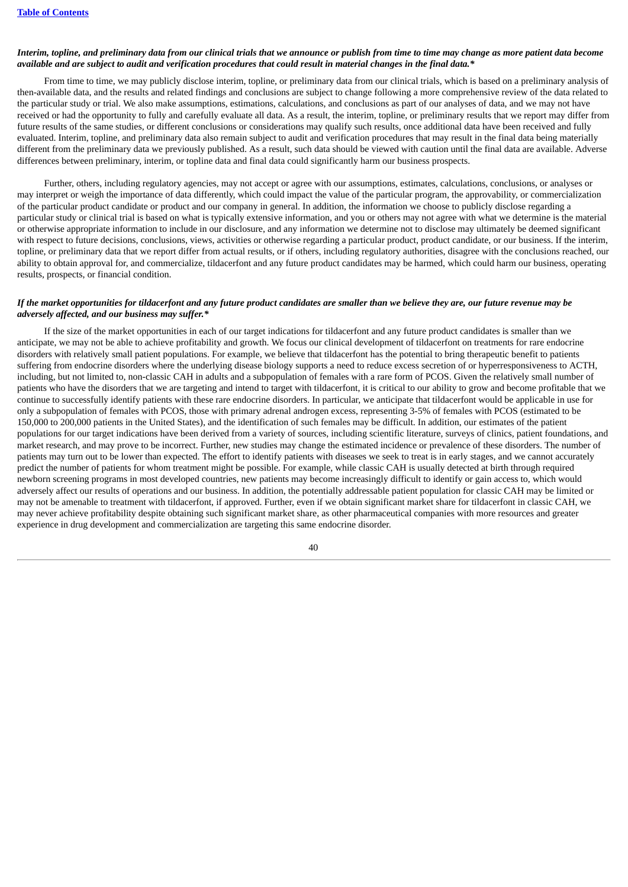#### Interim, topline, and preliminary data from our clinical trials that we announce or publish from time to time may change as more patient data become available and are subject to audit and verification procedures that could result in material changes in the final data.\*

From time to time, we may publicly disclose interim, topline, or preliminary data from our clinical trials, which is based on a preliminary analysis of then-available data, and the results and related findings and conclusions are subject to change following a more comprehensive review of the data related to the particular study or trial. We also make assumptions, estimations, calculations, and conclusions as part of our analyses of data, and we may not have received or had the opportunity to fully and carefully evaluate all data. As a result, the interim, topline, or preliminary results that we report may differ from future results of the same studies, or different conclusions or considerations may qualify such results, once additional data have been received and fully evaluated. Interim, topline, and preliminary data also remain subject to audit and verification procedures that may result in the final data being materially different from the preliminary data we previously published. As a result, such data should be viewed with caution until the final data are available. Adverse differences between preliminary, interim, or topline data and final data could significantly harm our business prospects.

Further, others, including regulatory agencies, may not accept or agree with our assumptions, estimates, calculations, conclusions, or analyses or may interpret or weigh the importance of data differently, which could impact the value of the particular program, the approvability, or commercialization of the particular product candidate or product and our company in general. In addition, the information we choose to publicly disclose regarding a particular study or clinical trial is based on what is typically extensive information, and you or others may not agree with what we determine is the material or otherwise appropriate information to include in our disclosure, and any information we determine not to disclose may ultimately be deemed significant with respect to future decisions, conclusions, views, activities or otherwise regarding a particular product, product candidate, or our business. If the interim, topline, or preliminary data that we report differ from actual results, or if others, including regulatory authorities, disagree with the conclusions reached, our ability to obtain approval for, and commercialize, tildacerfont and any future product candidates may be harmed, which could harm our business, operating results, prospects, or financial condition.

## If the market opportunities for tildacerfont and any future product candidates are smaller than we believe they are, our future revenue may be *adversely affected, and our business may suffer.\**

If the size of the market opportunities in each of our target indications for tildacerfont and any future product candidates is smaller than we anticipate, we may not be able to achieve profitability and growth. We focus our clinical development of tildacerfont on treatments for rare endocrine disorders with relatively small patient populations. For example, we believe that tildacerfont has the potential to bring therapeutic benefit to patients suffering from endocrine disorders where the underlying disease biology supports a need to reduce excess secretion of or hyperresponsiveness to ACTH, including, but not limited to, non-classic CAH in adults and a subpopulation of females with a rare form of PCOS. Given the relatively small number of patients who have the disorders that we are targeting and intend to target with tildacerfont, it is critical to our ability to grow and become profitable that we continue to successfully identify patients with these rare endocrine disorders. In particular, we anticipate that tildacerfont would be applicable in use for only a subpopulation of females with PCOS, those with primary adrenal androgen excess, representing 3-5% of females with PCOS (estimated to be 150,000 to 200,000 patients in the United States), and the identification of such females may be difficult. In addition, our estimates of the patient populations for our target indications have been derived from a variety of sources, including scientific literature, surveys of clinics, patient foundations, and market research, and may prove to be incorrect. Further, new studies may change the estimated incidence or prevalence of these disorders. The number of patients may turn out to be lower than expected. The effort to identify patients with diseases we seek to treat is in early stages, and we cannot accurately predict the number of patients for whom treatment might be possible. For example, while classic CAH is usually detected at birth through required newborn screening programs in most developed countries, new patients may become increasingly difficult to identify or gain access to, which would adversely affect our results of operations and our business. In addition, the potentially addressable patient population for classic CAH may be limited or may not be amenable to treatment with tildacerfont, if approved. Further, even if we obtain significant market share for tildacerfont in classic CAH, we may never achieve profitability despite obtaining such significant market share, as other pharmaceutical companies with more resources and greater experience in drug development and commercialization are targeting this same endocrine disorder.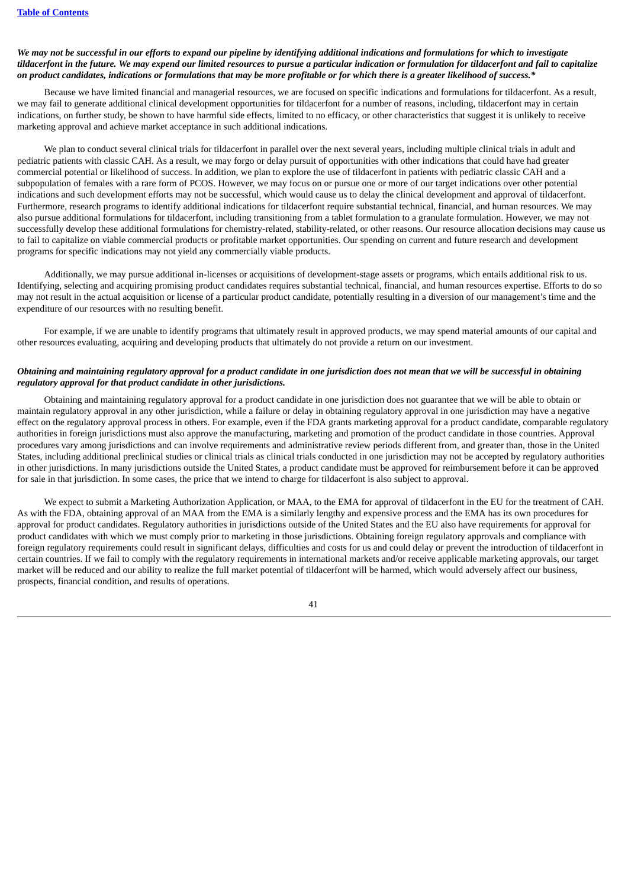## We may not be successful in our efforts to expand our pipeline by identifying additional indications and formulations for which to investigate tildacerfont in the future. We may expend our limited resources to pursue a particular indication or formulation for tildacerfont and fail to capitalize on product candidates, indications or formulations that may be more profitable or for which there is a greater likelihood of success.\*

Because we have limited financial and managerial resources, we are focused on specific indications and formulations for tildacerfont. As a result, we may fail to generate additional clinical development opportunities for tildacerfont for a number of reasons, including, tildacerfont may in certain indications, on further study, be shown to have harmful side effects, limited to no efficacy, or other characteristics that suggest it is unlikely to receive marketing approval and achieve market acceptance in such additional indications.

We plan to conduct several clinical trials for tildacerfont in parallel over the next several years, including multiple clinical trials in adult and pediatric patients with classic CAH. As a result, we may forgo or delay pursuit of opportunities with other indications that could have had greater commercial potential or likelihood of success. In addition, we plan to explore the use of tildacerfont in patients with pediatric classic CAH and a subpopulation of females with a rare form of PCOS. However, we may focus on or pursue one or more of our target indications over other potential indications and such development efforts may not be successful, which would cause us to delay the clinical development and approval of tildacerfont. Furthermore, research programs to identify additional indications for tildacerfont require substantial technical, financial, and human resources. We may also pursue additional formulations for tildacerfont, including transitioning from a tablet formulation to a granulate formulation. However, we may not successfully develop these additional formulations for chemistry-related, stability-related, or other reasons. Our resource allocation decisions may cause us to fail to capitalize on viable commercial products or profitable market opportunities. Our spending on current and future research and development programs for specific indications may not yield any commercially viable products.

Additionally, we may pursue additional in-licenses or acquisitions of development-stage assets or programs, which entails additional risk to us. Identifying, selecting and acquiring promising product candidates requires substantial technical, financial, and human resources expertise. Efforts to do so may not result in the actual acquisition or license of a particular product candidate, potentially resulting in a diversion of our management's time and the expenditure of our resources with no resulting benefit.

For example, if we are unable to identify programs that ultimately result in approved products, we may spend material amounts of our capital and other resources evaluating, acquiring and developing products that ultimately do not provide a return on our investment.

## Obtaining and maintaining regulatory approval for a product candidate in one jurisdiction does not mean that we will be successful in obtaining *regulatory approval for that product candidate in other jurisdictions.*

Obtaining and maintaining regulatory approval for a product candidate in one jurisdiction does not guarantee that we will be able to obtain or maintain regulatory approval in any other jurisdiction, while a failure or delay in obtaining regulatory approval in one jurisdiction may have a negative effect on the regulatory approval process in others. For example, even if the FDA grants marketing approval for a product candidate, comparable regulatory authorities in foreign jurisdictions must also approve the manufacturing, marketing and promotion of the product candidate in those countries. Approval procedures vary among jurisdictions and can involve requirements and administrative review periods different from, and greater than, those in the United States, including additional preclinical studies or clinical trials as clinical trials conducted in one jurisdiction may not be accepted by regulatory authorities in other jurisdictions. In many jurisdictions outside the United States, a product candidate must be approved for reimbursement before it can be approved for sale in that jurisdiction. In some cases, the price that we intend to charge for tildacerfont is also subject to approval.

We expect to submit a Marketing Authorization Application, or MAA, to the EMA for approval of tildacerfont in the EU for the treatment of CAH. As with the FDA, obtaining approval of an MAA from the EMA is a similarly lengthy and expensive process and the EMA has its own procedures for approval for product candidates. Regulatory authorities in jurisdictions outside of the United States and the EU also have requirements for approval for product candidates with which we must comply prior to marketing in those jurisdictions. Obtaining foreign regulatory approvals and compliance with foreign regulatory requirements could result in significant delays, difficulties and costs for us and could delay or prevent the introduction of tildacerfont in certain countries. If we fail to comply with the regulatory requirements in international markets and/or receive applicable marketing approvals, our target market will be reduced and our ability to realize the full market potential of tildacerfont will be harmed, which would adversely affect our business, prospects, financial condition, and results of operations.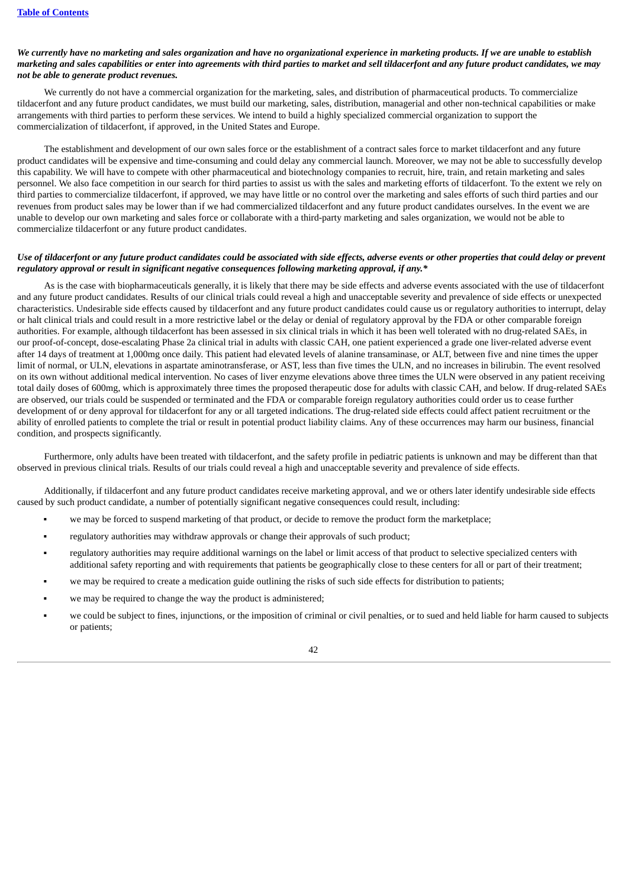# We currently have no marketing and sales organization and have no organizational experience in marketing products. If we are unable to establish marketing and sales capabilities or enter into agreements with third parties to market and sell tildacerfont and any future product candidates, we may *not be able to generate product revenues.*

We currently do not have a commercial organization for the marketing, sales, and distribution of pharmaceutical products. To commercialize tildacerfont and any future product candidates, we must build our marketing, sales, distribution, managerial and other non-technical capabilities or make arrangements with third parties to perform these services. We intend to build a highly specialized commercial organization to support the commercialization of tildacerfont, if approved, in the United States and Europe.

The establishment and development of our own sales force or the establishment of a contract sales force to market tildacerfont and any future product candidates will be expensive and time-consuming and could delay any commercial launch. Moreover, we may not be able to successfully develop this capability. We will have to compete with other pharmaceutical and biotechnology companies to recruit, hire, train, and retain marketing and sales personnel. We also face competition in our search for third parties to assist us with the sales and marketing efforts of tildacerfont. To the extent we rely on third parties to commercialize tildacerfont, if approved, we may have little or no control over the marketing and sales efforts of such third parties and our revenues from product sales may be lower than if we had commercialized tildacerfont and any future product candidates ourselves. In the event we are unable to develop our own marketing and sales force or collaborate with a third-party marketing and sales organization, we would not be able to commercialize tildacerfont or any future product candidates.

#### Use of tildacerfont or any future product candidates could be associated with side effects, adverse events or other properties that could delay or prevent *regulatory approval or result in significant negative consequences following marketing approval, if any.\**

As is the case with biopharmaceuticals generally, it is likely that there may be side effects and adverse events associated with the use of tildacerfont and any future product candidates. Results of our clinical trials could reveal a high and unacceptable severity and prevalence of side effects or unexpected characteristics. Undesirable side effects caused by tildacerfont and any future product candidates could cause us or regulatory authorities to interrupt, delay or halt clinical trials and could result in a more restrictive label or the delay or denial of regulatory approval by the FDA or other comparable foreign authorities. For example, although tildacerfont has been assessed in six clinical trials in which it has been well tolerated with no drug-related SAEs, in our proof-of-concept, dose-escalating Phase 2a clinical trial in adults with classic CAH, one patient experienced a grade one liver-related adverse event after 14 days of treatment at 1,000mg once daily. This patient had elevated levels of alanine transaminase, or ALT, between five and nine times the upper limit of normal, or ULN, elevations in aspartate aminotransferase, or AST, less than five times the ULN, and no increases in bilirubin. The event resolved on its own without additional medical intervention. No cases of liver enzyme elevations above three times the ULN were observed in any patient receiving total daily doses of 600mg, which is approximately three times the proposed therapeutic dose for adults with classic CAH, and below. If drug-related SAEs are observed, our trials could be suspended or terminated and the FDA or comparable foreign regulatory authorities could order us to cease further development of or deny approval for tildacerfont for any or all targeted indications. The drug-related side effects could affect patient recruitment or the ability of enrolled patients to complete the trial or result in potential product liability claims. Any of these occurrences may harm our business, financial condition, and prospects significantly.

Furthermore, only adults have been treated with tildacerfont, and the safety profile in pediatric patients is unknown and may be different than that observed in previous clinical trials. Results of our trials could reveal a high and unacceptable severity and prevalence of side effects.

Additionally, if tildacerfont and any future product candidates receive marketing approval, and we or others later identify undesirable side effects caused by such product candidate, a number of potentially significant negative consequences could result, including:

- we may be forced to suspend marketing of that product, or decide to remove the product form the marketplace;
- regulatory authorities may withdraw approvals or change their approvals of such product;
- regulatory authorities may require additional warnings on the label or limit access of that product to selective specialized centers with additional safety reporting and with requirements that patients be geographically close to these centers for all or part of their treatment;
- we may be required to create a medication guide outlining the risks of such side effects for distribution to patients;
- we may be required to change the way the product is administered;
- we could be subject to fines, injunctions, or the imposition of criminal or civil penalties, or to sued and held liable for harm caused to subjects or patients;

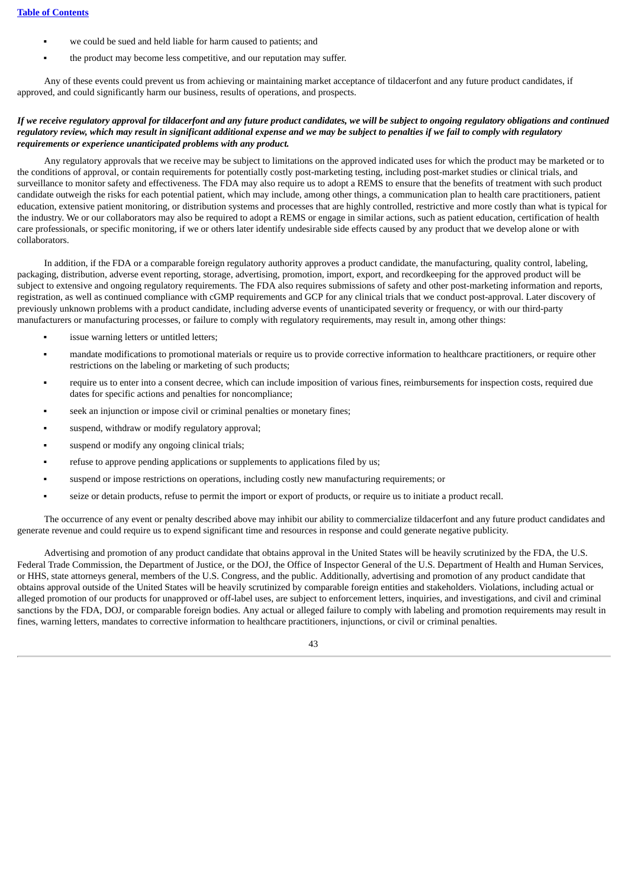- we could be sued and held liable for harm caused to patients; and
- the product may become less competitive, and our reputation may suffer.

Any of these events could prevent us from achieving or maintaining market acceptance of tildacerfont and any future product candidates, if approved, and could significantly harm our business, results of operations, and prospects.

# If we receive regulatory approval for tildacerfont and any future product candidates, we will be subject to ongoing regulatory obligations and continued regulatory review, which may result in significant additional expense and we may be subject to penalties if we fail to comply with regulatory *requirements or experience unanticipated problems with any product.*

Any regulatory approvals that we receive may be subject to limitations on the approved indicated uses for which the product may be marketed or to the conditions of approval, or contain requirements for potentially costly post-marketing testing, including post-market studies or clinical trials, and surveillance to monitor safety and effectiveness. The FDA may also require us to adopt a REMS to ensure that the benefits of treatment with such product candidate outweigh the risks for each potential patient, which may include, among other things, a communication plan to health care practitioners, patient education, extensive patient monitoring, or distribution systems and processes that are highly controlled, restrictive and more costly than what is typical for the industry. We or our collaborators may also be required to adopt a REMS or engage in similar actions, such as patient education, certification of health care professionals, or specific monitoring, if we or others later identify undesirable side effects caused by any product that we develop alone or with collaborators.

In addition, if the FDA or a comparable foreign regulatory authority approves a product candidate, the manufacturing, quality control, labeling, packaging, distribution, adverse event reporting, storage, advertising, promotion, import, export, and recordkeeping for the approved product will be subject to extensive and ongoing regulatory requirements. The FDA also requires submissions of safety and other post-marketing information and reports, registration, as well as continued compliance with cGMP requirements and GCP for any clinical trials that we conduct post-approval. Later discovery of previously unknown problems with a product candidate, including adverse events of unanticipated severity or frequency, or with our third-party manufacturers or manufacturing processes, or failure to comply with regulatory requirements, may result in, among other things:

- issue warning letters or untitled letters;
- mandate modifications to promotional materials or require us to provide corrective information to healthcare practitioners, or require other restrictions on the labeling or marketing of such products;
- require us to enter into a consent decree, which can include imposition of various fines, reimbursements for inspection costs, required due dates for specific actions and penalties for noncompliance;
- seek an injunction or impose civil or criminal penalties or monetary fines;
- suspend, withdraw or modify regulatory approval;
- suspend or modify any ongoing clinical trials;
- refuse to approve pending applications or supplements to applications filed by us;
- suspend or impose restrictions on operations, including costly new manufacturing requirements; or
- seize or detain products, refuse to permit the import or export of products, or require us to initiate a product recall.

The occurrence of any event or penalty described above may inhibit our ability to commercialize tildacerfont and any future product candidates and generate revenue and could require us to expend significant time and resources in response and could generate negative publicity.

Advertising and promotion of any product candidate that obtains approval in the United States will be heavily scrutinized by the FDA, the U.S. Federal Trade Commission, the Department of Justice, or the DOJ, the Office of Inspector General of the U.S. Department of Health and Human Services, or HHS, state attorneys general, members of the U.S. Congress, and the public. Additionally, advertising and promotion of any product candidate that obtains approval outside of the United States will be heavily scrutinized by comparable foreign entities and stakeholders. Violations, including actual or alleged promotion of our products for unapproved or off-label uses, are subject to enforcement letters, inquiries, and investigations, and civil and criminal sanctions by the FDA, DOJ, or comparable foreign bodies. Any actual or alleged failure to comply with labeling and promotion requirements may result in fines, warning letters, mandates to corrective information to healthcare practitioners, injunctions, or civil or criminal penalties.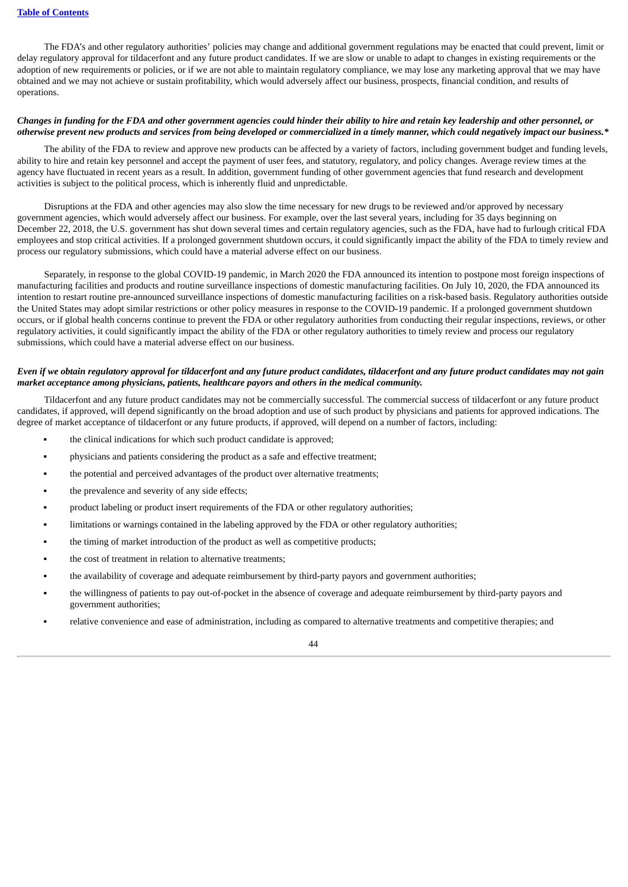The FDA's and other regulatory authorities' policies may change and additional government regulations may be enacted that could prevent, limit or delay regulatory approval for tildacerfont and any future product candidates. If we are slow or unable to adapt to changes in existing requirements or the adoption of new requirements or policies, or if we are not able to maintain regulatory compliance, we may lose any marketing approval that we may have obtained and we may not achieve or sustain profitability, which would adversely affect our business, prospects, financial condition, and results of operations.

#### Changes in funding for the FDA and other government agencies could hinder their ability to hire and retain key leadership and other personnel, or otherwise prevent new products and services from being developed or commercialized in a timely manner, which could negatively impact our business.\*

The ability of the FDA to review and approve new products can be affected by a variety of factors, including government budget and funding levels, ability to hire and retain key personnel and accept the payment of user fees, and statutory, regulatory, and policy changes. Average review times at the agency have fluctuated in recent years as a result. In addition, government funding of other government agencies that fund research and development activities is subject to the political process, which is inherently fluid and unpredictable.

Disruptions at the FDA and other agencies may also slow the time necessary for new drugs to be reviewed and/or approved by necessary government agencies, which would adversely affect our business. For example, over the last several years, including for 35 days beginning on December 22, 2018, the U.S. government has shut down several times and certain regulatory agencies, such as the FDA, have had to furlough critical FDA employees and stop critical activities. If a prolonged government shutdown occurs, it could significantly impact the ability of the FDA to timely review and process our regulatory submissions, which could have a material adverse effect on our business.

Separately, in response to the global COVID-19 pandemic, in March 2020 the FDA announced its intention to postpone most foreign inspections of manufacturing facilities and products and routine surveillance inspections of domestic manufacturing facilities. On July 10, 2020, the FDA announced its intention to restart routine pre-announced surveillance inspections of domestic manufacturing facilities on a risk-based basis. Regulatory authorities outside the United States may adopt similar restrictions or other policy measures in response to the COVID-19 pandemic. If a prolonged government shutdown occurs, or if global health concerns continue to prevent the FDA or other regulatory authorities from conducting their regular inspections, reviews, or other regulatory activities, it could significantly impact the ability of the FDA or other regulatory authorities to timely review and process our regulatory submissions, which could have a material adverse effect on our business.

## Even if we obtain regulatory approval for tildacerfont and any future product candidates, tildacerfont and any future product candidates may not gain *market acceptance among physicians, patients, healthcare payors and others in the medical community.*

Tildacerfont and any future product candidates may not be commercially successful. The commercial success of tildacerfont or any future product candidates, if approved, will depend significantly on the broad adoption and use of such product by physicians and patients for approved indications. The degree of market acceptance of tildacerfont or any future products, if approved, will depend on a number of factors, including:

- the clinical indications for which such product candidate is approved;
- physicians and patients considering the product as a safe and effective treatment;
- the potential and perceived advantages of the product over alternative treatments;
- the prevalence and severity of any side effects;
- product labeling or product insert requirements of the FDA or other regulatory authorities;
- **•** limitations or warnings contained in the labeling approved by the FDA or other regulatory authorities;
- the timing of market introduction of the product as well as competitive products;
- **•** the cost of treatment in relation to alternative treatments;
- the availability of coverage and adequate reimbursement by third-party payors and government authorities;
- the willingness of patients to pay out-of-pocket in the absence of coverage and adequate reimbursement by third-party payors and government authorities;
- relative convenience and ease of administration, including as compared to alternative treatments and competitive therapies; and

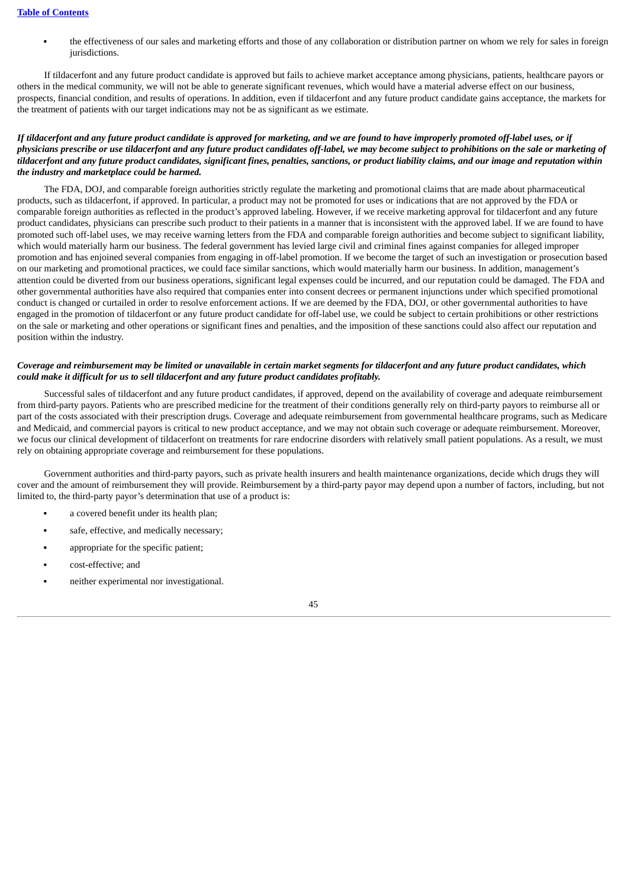the effectiveness of our sales and marketing efforts and those of any collaboration or distribution partner on whom we rely for sales in foreign jurisdictions.

If tildacerfont and any future product candidate is approved but fails to achieve market acceptance among physicians, patients, healthcare payors or others in the medical community, we will not be able to generate significant revenues, which would have a material adverse effect on our business, prospects, financial condition, and results of operations. In addition, even if tildacerfont and any future product candidate gains acceptance, the markets for the treatment of patients with our target indications may not be as significant as we estimate.

# If tildacerfont and any future product candidate is approved for marketing, and we are found to have improperly promoted off-label uses, or if physicians prescribe or use tildacerfont and any future product candidates off-label, we may become subject to prohibitions on the sale or marketing of tildacerfont and any future product candidates, significant fines, penalties, sanctions, or product liability claims, and our image and reputation within *the industry and marketplace could be harmed.*

The FDA, DOJ, and comparable foreign authorities strictly regulate the marketing and promotional claims that are made about pharmaceutical products, such as tildacerfont, if approved. In particular, a product may not be promoted for uses or indications that are not approved by the FDA or comparable foreign authorities as reflected in the product's approved labeling. However, if we receive marketing approval for tildacerfont and any future product candidates, physicians can prescribe such product to their patients in a manner that is inconsistent with the approved label. If we are found to have promoted such off-label uses, we may receive warning letters from the FDA and comparable foreign authorities and become subject to significant liability, which would materially harm our business. The federal government has levied large civil and criminal fines against companies for alleged improper promotion and has enjoined several companies from engaging in off-label promotion. If we become the target of such an investigation or prosecution based on our marketing and promotional practices, we could face similar sanctions, which would materially harm our business. In addition, management's attention could be diverted from our business operations, significant legal expenses could be incurred, and our reputation could be damaged. The FDA and other governmental authorities have also required that companies enter into consent decrees or permanent injunctions under which specified promotional conduct is changed or curtailed in order to resolve enforcement actions. If we are deemed by the FDA, DOJ, or other governmental authorities to have engaged in the promotion of tildacerfont or any future product candidate for off-label use, we could be subject to certain prohibitions or other restrictions on the sale or marketing and other operations or significant fines and penalties, and the imposition of these sanctions could also affect our reputation and position within the industry.

## Coverage and reimbursement may be limited or unavailable in certain market segments for tildacerfont and any future product candidates, which *could make it difficult for us to sell tildacerfont and any future product candidates profitably.*

Successful sales of tildacerfont and any future product candidates, if approved, depend on the availability of coverage and adequate reimbursement from third-party payors. Patients who are prescribed medicine for the treatment of their conditions generally rely on third-party payors to reimburse all or part of the costs associated with their prescription drugs. Coverage and adequate reimbursement from governmental healthcare programs, such as Medicare and Medicaid, and commercial payors is critical to new product acceptance, and we may not obtain such coverage or adequate reimbursement. Moreover, we focus our clinical development of tildacerfont on treatments for rare endocrine disorders with relatively small patient populations. As a result, we must rely on obtaining appropriate coverage and reimbursement for these populations.

Government authorities and third-party payors, such as private health insurers and health maintenance organizations, decide which drugs they will cover and the amount of reimbursement they will provide. Reimbursement by a third-party payor may depend upon a number of factors, including, but not limited to, the third-party payor's determination that use of a product is:

- a covered benefit under its health plan;
- safe, effective, and medically necessary;
- appropriate for the specific patient;
- cost-effective; and
- neither experimental nor investigational.

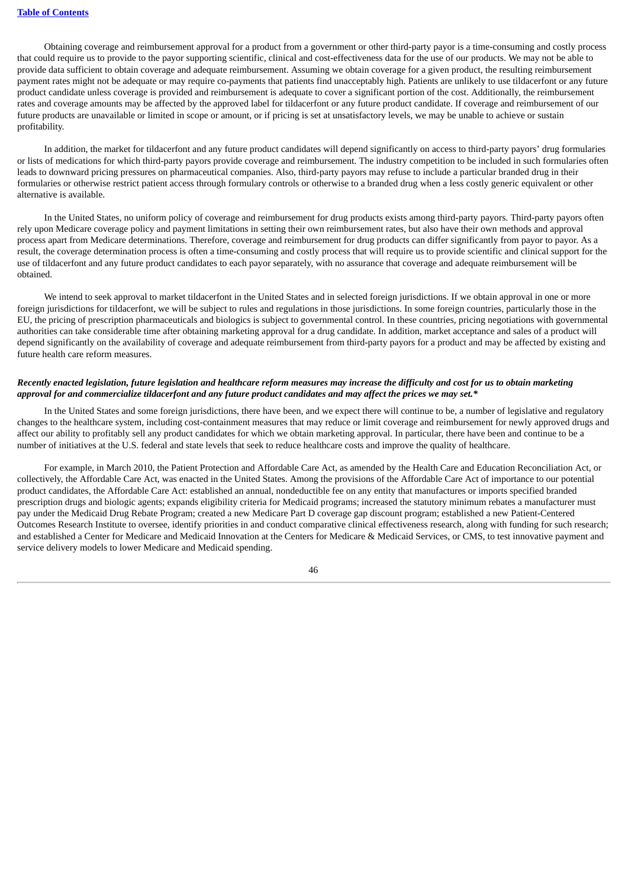Obtaining coverage and reimbursement approval for a product from a government or other third-party payor is a time-consuming and costly process that could require us to provide to the payor supporting scientific, clinical and cost-effectiveness data for the use of our products. We may not be able to provide data sufficient to obtain coverage and adequate reimbursement. Assuming we obtain coverage for a given product, the resulting reimbursement payment rates might not be adequate or may require co-payments that patients find unacceptably high. Patients are unlikely to use tildacerfont or any future product candidate unless coverage is provided and reimbursement is adequate to cover a significant portion of the cost. Additionally, the reimbursement rates and coverage amounts may be affected by the approved label for tildacerfont or any future product candidate. If coverage and reimbursement of our future products are unavailable or limited in scope or amount, or if pricing is set at unsatisfactory levels, we may be unable to achieve or sustain profitability.

In addition, the market for tildacerfont and any future product candidates will depend significantly on access to third-party payors' drug formularies or lists of medications for which third-party payors provide coverage and reimbursement. The industry competition to be included in such formularies often leads to downward pricing pressures on pharmaceutical companies. Also, third-party payors may refuse to include a particular branded drug in their formularies or otherwise restrict patient access through formulary controls or otherwise to a branded drug when a less costly generic equivalent or other alternative is available.

In the United States, no uniform policy of coverage and reimbursement for drug products exists among third-party payors. Third-party payors often rely upon Medicare coverage policy and payment limitations in setting their own reimbursement rates, but also have their own methods and approval process apart from Medicare determinations. Therefore, coverage and reimbursement for drug products can differ significantly from payor to payor. As a result, the coverage determination process is often a time-consuming and costly process that will require us to provide scientific and clinical support for the use of tildacerfont and any future product candidates to each payor separately, with no assurance that coverage and adequate reimbursement will be obtained.

We intend to seek approval to market tildacerfont in the United States and in selected foreign jurisdictions. If we obtain approval in one or more foreign jurisdictions for tildacerfont, we will be subject to rules and regulations in those jurisdictions. In some foreign countries, particularly those in the EU, the pricing of prescription pharmaceuticals and biologics is subject to governmental control. In these countries, pricing negotiations with governmental authorities can take considerable time after obtaining marketing approval for a drug candidate. In addition, market acceptance and sales of a product will depend significantly on the availability of coverage and adequate reimbursement from third-party payors for a product and may be affected by existing and future health care reform measures.

# Recently enacted legislation, future legislation and healthcare reform measures may increase the difficulty and cost for us to obtain marketing approval for and commercialize tildacerfont and any future product candidates and may affect the prices we may set.\*

In the United States and some foreign jurisdictions, there have been, and we expect there will continue to be, a number of legislative and regulatory changes to the healthcare system, including cost-containment measures that may reduce or limit coverage and reimbursement for newly approved drugs and affect our ability to profitably sell any product candidates for which we obtain marketing approval. In particular, there have been and continue to be a number of initiatives at the U.S. federal and state levels that seek to reduce healthcare costs and improve the quality of healthcare.

For example, in March 2010, the Patient Protection and Affordable Care Act, as amended by the Health Care and Education Reconciliation Act, or collectively, the Affordable Care Act, was enacted in the United States. Among the provisions of the Affordable Care Act of importance to our potential product candidates, the Affordable Care Act: established an annual, nondeductible fee on any entity that manufactures or imports specified branded prescription drugs and biologic agents; expands eligibility criteria for Medicaid programs; increased the statutory minimum rebates a manufacturer must pay under the Medicaid Drug Rebate Program; created a new Medicare Part D coverage gap discount program; established a new Patient-Centered Outcomes Research Institute to oversee, identify priorities in and conduct comparative clinical effectiveness research, along with funding for such research; and established a Center for Medicare and Medicaid Innovation at the Centers for Medicare & Medicaid Services, or CMS, to test innovative payment and service delivery models to lower Medicare and Medicaid spending.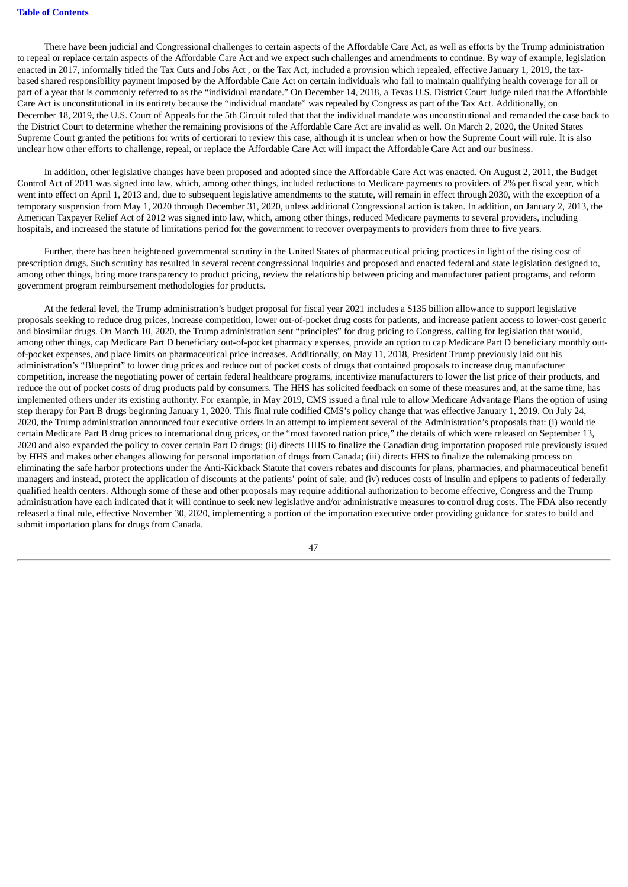There have been judicial and Congressional challenges to certain aspects of the Affordable Care Act, as well as efforts by the Trump administration to repeal or replace certain aspects of the Affordable Care Act and we expect such challenges and amendments to continue. By way of example, legislation enacted in 2017, informally titled the Tax Cuts and Jobs Act , or the Tax Act, included a provision which repealed, effective January 1, 2019, the taxbased shared responsibility payment imposed by the Affordable Care Act on certain individuals who fail to maintain qualifying health coverage for all or part of a year that is commonly referred to as the "individual mandate." On December 14, 2018, a Texas U.S. District Court Judge ruled that the Affordable Care Act is unconstitutional in its entirety because the "individual mandate" was repealed by Congress as part of the Tax Act. Additionally, on December 18, 2019, the U.S. Court of Appeals for the 5th Circuit ruled that that the individual mandate was unconstitutional and remanded the case back to the District Court to determine whether the remaining provisions of the Affordable Care Act are invalid as well. On March 2, 2020, the United States Supreme Court granted the petitions for writs of certiorari to review this case, although it is unclear when or how the Supreme Court will rule. It is also unclear how other efforts to challenge, repeal, or replace the Affordable Care Act will impact the Affordable Care Act and our business.

In addition, other legislative changes have been proposed and adopted since the Affordable Care Act was enacted. On August 2, 2011, the Budget Control Act of 2011 was signed into law, which, among other things, included reductions to Medicare payments to providers of 2% per fiscal year, which went into effect on April 1, 2013 and, due to subsequent legislative amendments to the statute, will remain in effect through 2030, with the exception of a temporary suspension from May 1, 2020 through December 31, 2020, unless additional Congressional action is taken. In addition, on January 2, 2013, the American Taxpayer Relief Act of 2012 was signed into law, which, among other things, reduced Medicare payments to several providers, including hospitals, and increased the statute of limitations period for the government to recover overpayments to providers from three to five years.

Further, there has been heightened governmental scrutiny in the United States of pharmaceutical pricing practices in light of the rising cost of prescription drugs. Such scrutiny has resulted in several recent congressional inquiries and proposed and enacted federal and state legislation designed to, among other things, bring more transparency to product pricing, review the relationship between pricing and manufacturer patient programs, and reform government program reimbursement methodologies for products.

At the federal level, the Trump administration's budget proposal for fiscal year 2021 includes a \$135 billion allowance to support legislative proposals seeking to reduce drug prices, increase competition, lower out-of-pocket drug costs for patients, and increase patient access to lower-cost generic and biosimilar drugs. On March 10, 2020, the Trump administration sent "principles" for drug pricing to Congress, calling for legislation that would, among other things, cap Medicare Part D beneficiary out-of-pocket pharmacy expenses, provide an option to cap Medicare Part D beneficiary monthly outof-pocket expenses, and place limits on pharmaceutical price increases. Additionally, on May 11, 2018, President Trump previously laid out his administration's "Blueprint" to lower drug prices and reduce out of pocket costs of drugs that contained proposals to increase drug manufacturer competition, increase the negotiating power of certain federal healthcare programs, incentivize manufacturers to lower the list price of their products, and reduce the out of pocket costs of drug products paid by consumers. The HHS has solicited feedback on some of these measures and, at the same time, has implemented others under its existing authority. For example, in May 2019, CMS issued a final rule to allow Medicare Advantage Plans the option of using step therapy for Part B drugs beginning January 1, 2020. This final rule codified CMS's policy change that was effective January 1, 2019. On July 24, 2020, the Trump administration announced four executive orders in an attempt to implement several of the Administration's proposals that: (i) would tie certain Medicare Part B drug prices to international drug prices, or the "most favored nation price," the details of which were released on September 13, 2020 and also expanded the policy to cover certain Part D drugs; (ii) directs HHS to finalize the Canadian drug importation proposed rule previously issued by HHS and makes other changes allowing for personal importation of drugs from Canada; (iii) directs HHS to finalize the rulemaking process on eliminating the safe harbor protections under the Anti-Kickback Statute that covers rebates and discounts for plans, pharmacies, and pharmaceutical benefit managers and instead, protect the application of discounts at the patients' point of sale; and (iv) reduces costs of insulin and epipens to patients of federally qualified health centers. Although some of these and other proposals may require additional authorization to become effective, Congress and the Trump administration have each indicated that it will continue to seek new legislative and/or administrative measures to control drug costs. The FDA also recently released a final rule, effective November 30, 2020, implementing a portion of the importation executive order providing guidance for states to build and submit importation plans for drugs from Canada.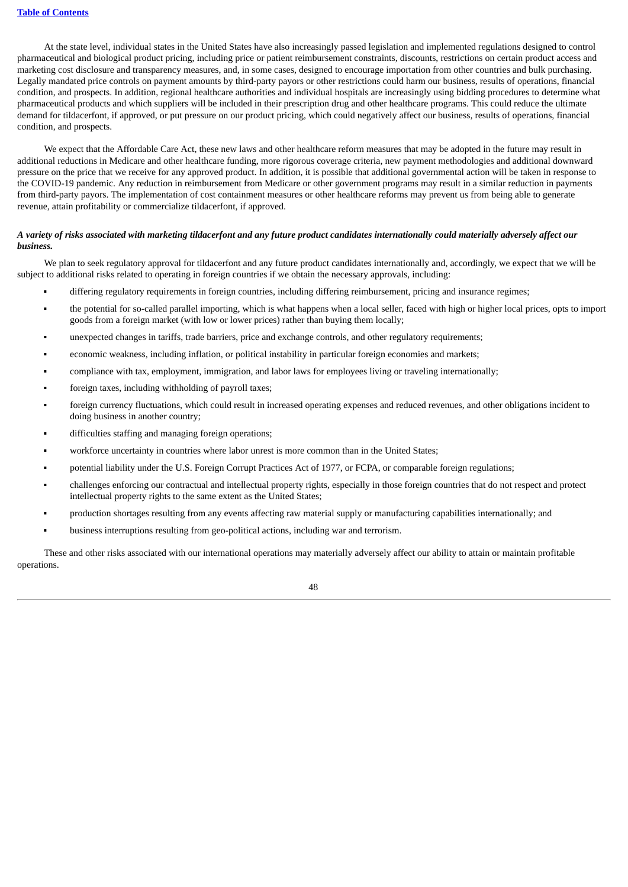At the state level, individual states in the United States have also increasingly passed legislation and implemented regulations designed to control pharmaceutical and biological product pricing, including price or patient reimbursement constraints, discounts, restrictions on certain product access and marketing cost disclosure and transparency measures, and, in some cases, designed to encourage importation from other countries and bulk purchasing. Legally mandated price controls on payment amounts by third-party payors or other restrictions could harm our business, results of operations, financial condition, and prospects. In addition, regional healthcare authorities and individual hospitals are increasingly using bidding procedures to determine what pharmaceutical products and which suppliers will be included in their prescription drug and other healthcare programs. This could reduce the ultimate demand for tildacerfont, if approved, or put pressure on our product pricing, which could negatively affect our business, results of operations, financial condition, and prospects.

We expect that the Affordable Care Act, these new laws and other healthcare reform measures that may be adopted in the future may result in additional reductions in Medicare and other healthcare funding, more rigorous coverage criteria, new payment methodologies and additional downward pressure on the price that we receive for any approved product. In addition, it is possible that additional governmental action will be taken in response to the COVID-19 pandemic. Any reduction in reimbursement from Medicare or other government programs may result in a similar reduction in payments from third-party payors. The implementation of cost containment measures or other healthcare reforms may prevent us from being able to generate revenue, attain profitability or commercialize tildacerfont, if approved.

## A variety of risks associated with marketing tildacerfont and any future product candidates internationally could materially adversely affect our *business.*

We plan to seek regulatory approval for tildacerfont and any future product candidates internationally and, accordingly, we expect that we will be subject to additional risks related to operating in foreign countries if we obtain the necessary approvals, including:

- differing regulatory requirements in foreign countries, including differing reimbursement, pricing and insurance regimes;
- the potential for so-called parallel importing, which is what happens when a local seller, faced with high or higher local prices, opts to import goods from a foreign market (with low or lower prices) rather than buying them locally;
- unexpected changes in tariffs, trade barriers, price and exchange controls, and other regulatory requirements;
- economic weakness, including inflation, or political instability in particular foreign economies and markets;
- compliance with tax, employment, immigration, and labor laws for employees living or traveling internationally;
- foreign taxes, including withholding of payroll taxes;
- foreign currency fluctuations, which could result in increased operating expenses and reduced revenues, and other obligations incident to doing business in another country;
- difficulties staffing and managing foreign operations;
- workforce uncertainty in countries where labor unrest is more common than in the United States;
- potential liability under the U.S. Foreign Corrupt Practices Act of 1977, or FCPA, or comparable foreign regulations;
- challenges enforcing our contractual and intellectual property rights, especially in those foreign countries that do not respect and protect intellectual property rights to the same extent as the United States;
- production shortages resulting from any events affecting raw material supply or manufacturing capabilities internationally; and
- business interruptions resulting from geo-political actions, including war and terrorism.

These and other risks associated with our international operations may materially adversely affect our ability to attain or maintain profitable operations.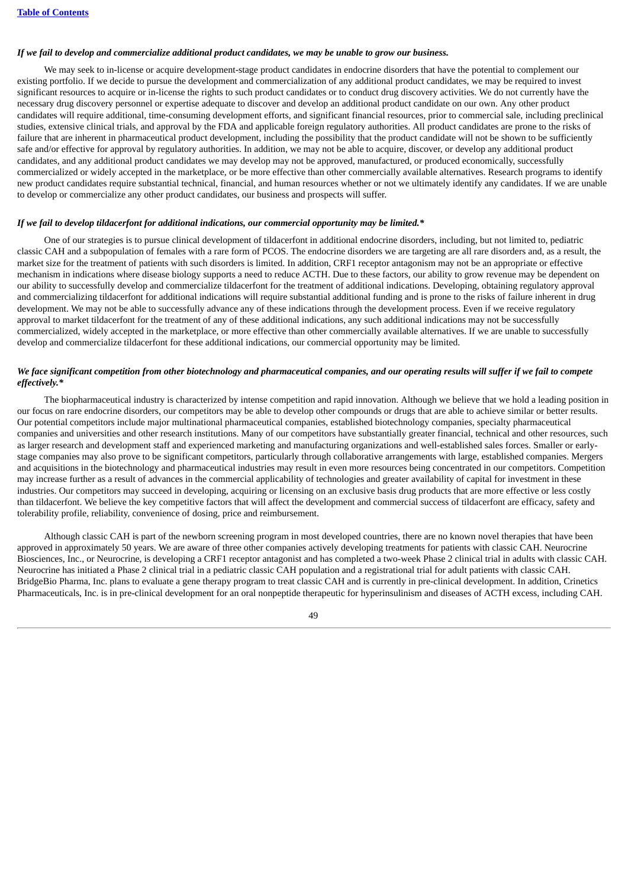#### If we fail to develop and commercialize additional product candidates, we may be unable to grow our business.

We may seek to in-license or acquire development-stage product candidates in endocrine disorders that have the potential to complement our existing portfolio. If we decide to pursue the development and commercialization of any additional product candidates, we may be required to invest significant resources to acquire or in-license the rights to such product candidates or to conduct drug discovery activities. We do not currently have the necessary drug discovery personnel or expertise adequate to discover and develop an additional product candidate on our own. Any other product candidates will require additional, time-consuming development efforts, and significant financial resources, prior to commercial sale, including preclinical studies, extensive clinical trials, and approval by the FDA and applicable foreign regulatory authorities. All product candidates are prone to the risks of failure that are inherent in pharmaceutical product development, including the possibility that the product candidate will not be shown to be sufficiently safe and/or effective for approval by regulatory authorities. In addition, we may not be able to acquire, discover, or develop any additional product candidates, and any additional product candidates we may develop may not be approved, manufactured, or produced economically, successfully commercialized or widely accepted in the marketplace, or be more effective than other commercially available alternatives. Research programs to identify new product candidates require substantial technical, financial, and human resources whether or not we ultimately identify any candidates. If we are unable to develop or commercialize any other product candidates, our business and prospects will suffer.

#### *If we fail to develop tildacerfont for additional indications, our commercial opportunity may be limited.\**

One of our strategies is to pursue clinical development of tildacerfont in additional endocrine disorders, including, but not limited to, pediatric classic CAH and a subpopulation of females with a rare form of PCOS. The endocrine disorders we are targeting are all rare disorders and, as a result, the market size for the treatment of patients with such disorders is limited. In addition, CRF1 receptor antagonism may not be an appropriate or effective mechanism in indications where disease biology supports a need to reduce ACTH. Due to these factors, our ability to grow revenue may be dependent on our ability to successfully develop and commercialize tildacerfont for the treatment of additional indications. Developing, obtaining regulatory approval and commercializing tildacerfont for additional indications will require substantial additional funding and is prone to the risks of failure inherent in drug development. We may not be able to successfully advance any of these indications through the development process. Even if we receive regulatory approval to market tildacerfont for the treatment of any of these additional indications, any such additional indications may not be successfully commercialized, widely accepted in the marketplace, or more effective than other commercially available alternatives. If we are unable to successfully develop and commercialize tildacerfont for these additional indications, our commercial opportunity may be limited.

#### We face significant competition from other biotechnology and pharmaceutical companies, and our operating results will suffer if we fail to compete *effectively.\**

The biopharmaceutical industry is characterized by intense competition and rapid innovation. Although we believe that we hold a leading position in our focus on rare endocrine disorders, our competitors may be able to develop other compounds or drugs that are able to achieve similar or better results. Our potential competitors include major multinational pharmaceutical companies, established biotechnology companies, specialty pharmaceutical companies and universities and other research institutions. Many of our competitors have substantially greater financial, technical and other resources, such as larger research and development staff and experienced marketing and manufacturing organizations and well-established sales forces. Smaller or earlystage companies may also prove to be significant competitors, particularly through collaborative arrangements with large, established companies. Mergers and acquisitions in the biotechnology and pharmaceutical industries may result in even more resources being concentrated in our competitors. Competition may increase further as a result of advances in the commercial applicability of technologies and greater availability of capital for investment in these industries. Our competitors may succeed in developing, acquiring or licensing on an exclusive basis drug products that are more effective or less costly than tildacerfont. We believe the key competitive factors that will affect the development and commercial success of tildacerfont are efficacy, safety and tolerability profile, reliability, convenience of dosing, price and reimbursement.

Although classic CAH is part of the newborn screening program in most developed countries, there are no known novel therapies that have been approved in approximately 50 years. We are aware of three other companies actively developing treatments for patients with classic CAH. Neurocrine Biosciences, Inc., or Neurocrine, is developing a CRF1 receptor antagonist and has completed a two-week Phase 2 clinical trial in adults with classic CAH. Neurocrine has initiated a Phase 2 clinical trial in a pediatric classic CAH population and a registrational trial for adult patients with classic CAH. BridgeBio Pharma, Inc. plans to evaluate a gene therapy program to treat classic CAH and is currently in pre-clinical development. In addition, Crinetics Pharmaceuticals, Inc. is in pre-clinical development for an oral nonpeptide therapeutic for hyperinsulinism and diseases of ACTH excess, including CAH.

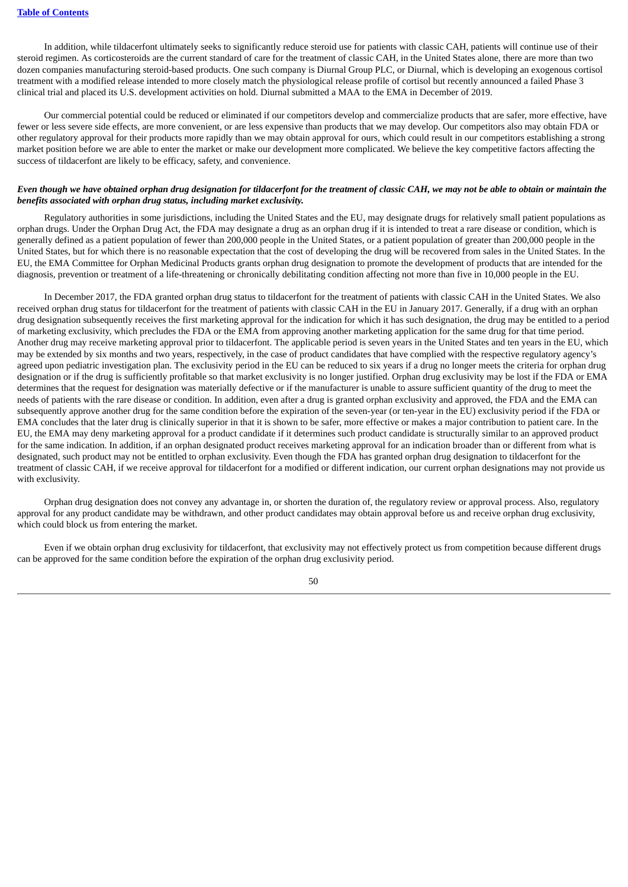In addition, while tildacerfont ultimately seeks to significantly reduce steroid use for patients with classic CAH, patients will continue use of their steroid regimen. As corticosteroids are the current standard of care for the treatment of classic CAH, in the United States alone, there are more than two dozen companies manufacturing steroid-based products. One such company is Diurnal Group PLC, or Diurnal, which is developing an exogenous cortisol treatment with a modified release intended to more closely match the physiological release profile of cortisol but recently announced a failed Phase 3 clinical trial and placed its U.S. development activities on hold. Diurnal submitted a MAA to the EMA in December of 2019.

Our commercial potential could be reduced or eliminated if our competitors develop and commercialize products that are safer, more effective, have fewer or less severe side effects, are more convenient, or are less expensive than products that we may develop. Our competitors also may obtain FDA or other regulatory approval for their products more rapidly than we may obtain approval for ours, which could result in our competitors establishing a strong market position before we are able to enter the market or make our development more complicated. We believe the key competitive factors affecting the success of tildacerfont are likely to be efficacy, safety, and convenience.

## Even though we have obtained orphan drug designation for tildacerfont for the treatment of classic CAH, we may not be able to obtain or maintain the *benefits associated with orphan drug status, including market exclusivity.*

Regulatory authorities in some jurisdictions, including the United States and the EU, may designate drugs for relatively small patient populations as orphan drugs. Under the Orphan Drug Act, the FDA may designate a drug as an orphan drug if it is intended to treat a rare disease or condition, which is generally defined as a patient population of fewer than 200,000 people in the United States, or a patient population of greater than 200,000 people in the United States, but for which there is no reasonable expectation that the cost of developing the drug will be recovered from sales in the United States. In the EU, the EMA Committee for Orphan Medicinal Products grants orphan drug designation to promote the development of products that are intended for the diagnosis, prevention or treatment of a life-threatening or chronically debilitating condition affecting not more than five in 10,000 people in the EU.

In December 2017, the FDA granted orphan drug status to tildacerfont for the treatment of patients with classic CAH in the United States. We also received orphan drug status for tildacerfont for the treatment of patients with classic CAH in the EU in January 2017. Generally, if a drug with an orphan drug designation subsequently receives the first marketing approval for the indication for which it has such designation, the drug may be entitled to a period of marketing exclusivity, which precludes the FDA or the EMA from approving another marketing application for the same drug for that time period. Another drug may receive marketing approval prior to tildacerfont. The applicable period is seven years in the United States and ten years in the EU, which may be extended by six months and two years, respectively, in the case of product candidates that have complied with the respective regulatory agency's agreed upon pediatric investigation plan. The exclusivity period in the EU can be reduced to six years if a drug no longer meets the criteria for orphan drug designation or if the drug is sufficiently profitable so that market exclusivity is no longer justified. Orphan drug exclusivity may be lost if the FDA or EMA determines that the request for designation was materially defective or if the manufacturer is unable to assure sufficient quantity of the drug to meet the needs of patients with the rare disease or condition. In addition, even after a drug is granted orphan exclusivity and approved, the FDA and the EMA can subsequently approve another drug for the same condition before the expiration of the seven-year (or ten-year in the EU) exclusivity period if the FDA or EMA concludes that the later drug is clinically superior in that it is shown to be safer, more effective or makes a major contribution to patient care. In the EU, the EMA may deny marketing approval for a product candidate if it determines such product candidate is structurally similar to an approved product for the same indication. In addition, if an orphan designated product receives marketing approval for an indication broader than or different from what is designated, such product may not be entitled to orphan exclusivity. Even though the FDA has granted orphan drug designation to tildacerfont for the treatment of classic CAH, if we receive approval for tildacerfont for a modified or different indication, our current orphan designations may not provide us with exclusivity.

Orphan drug designation does not convey any advantage in, or shorten the duration of, the regulatory review or approval process. Also, regulatory approval for any product candidate may be withdrawn, and other product candidates may obtain approval before us and receive orphan drug exclusivity, which could block us from entering the market.

Even if we obtain orphan drug exclusivity for tildacerfont, that exclusivity may not effectively protect us from competition because different drugs can be approved for the same condition before the expiration of the orphan drug exclusivity period.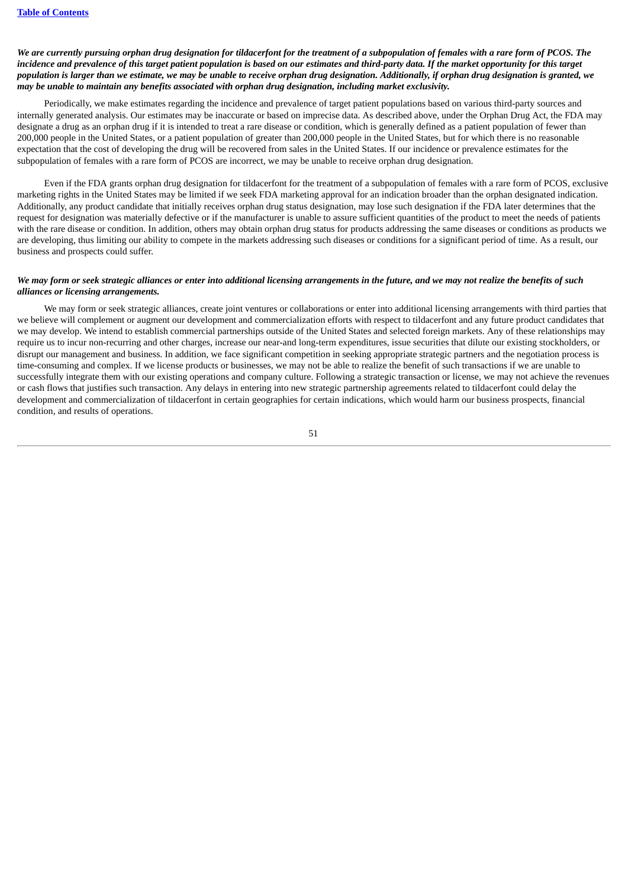We are currently pursuing orphan drug designation for tildacerfont for the treatment of a subpopulation of females with a rare form of PCOS. The incidence and prevalence of this target patient population is based on our estimates and third-party data. If the market opportunity for this target population is larger than we estimate, we may be unable to receive orphan drug designation. Additionally, if orphan drug designation is granted, we *may be unable to maintain any benefits associated with orphan drug designation, including market exclusivity.*

Periodically, we make estimates regarding the incidence and prevalence of target patient populations based on various third-party sources and internally generated analysis. Our estimates may be inaccurate or based on imprecise data. As described above, under the Orphan Drug Act, the FDA may designate a drug as an orphan drug if it is intended to treat a rare disease or condition, which is generally defined as a patient population of fewer than 200,000 people in the United States, or a patient population of greater than 200,000 people in the United States, but for which there is no reasonable expectation that the cost of developing the drug will be recovered from sales in the United States. If our incidence or prevalence estimates for the subpopulation of females with a rare form of PCOS are incorrect, we may be unable to receive orphan drug designation.

Even if the FDA grants orphan drug designation for tildacerfont for the treatment of a subpopulation of females with a rare form of PCOS, exclusive marketing rights in the United States may be limited if we seek FDA marketing approval for an indication broader than the orphan designated indication. Additionally, any product candidate that initially receives orphan drug status designation, may lose such designation if the FDA later determines that the request for designation was materially defective or if the manufacturer is unable to assure sufficient quantities of the product to meet the needs of patients with the rare disease or condition. In addition, others may obtain orphan drug status for products addressing the same diseases or conditions as products we are developing, thus limiting our ability to compete in the markets addressing such diseases or conditions for a significant period of time. As a result, our business and prospects could suffer.

#### We may form or seek strategic alliances or enter into additional licensing arrangements in the future, and we may not realize the benefits of such *alliances or licensing arrangements.*

We may form or seek strategic alliances, create joint ventures or collaborations or enter into additional licensing arrangements with third parties that we believe will complement or augment our development and commercialization efforts with respect to tildacerfont and any future product candidates that we may develop. We intend to establish commercial partnerships outside of the United States and selected foreign markets. Any of these relationships may require us to incur non-recurring and other charges, increase our near-and long-term expenditures, issue securities that dilute our existing stockholders, or disrupt our management and business. In addition, we face significant competition in seeking appropriate strategic partners and the negotiation process is time-consuming and complex. If we license products or businesses, we may not be able to realize the benefit of such transactions if we are unable to successfully integrate them with our existing operations and company culture. Following a strategic transaction or license, we may not achieve the revenues or cash flows that justifies such transaction. Any delays in entering into new strategic partnership agreements related to tildacerfont could delay the development and commercialization of tildacerfont in certain geographies for certain indications, which would harm our business prospects, financial condition, and results of operations.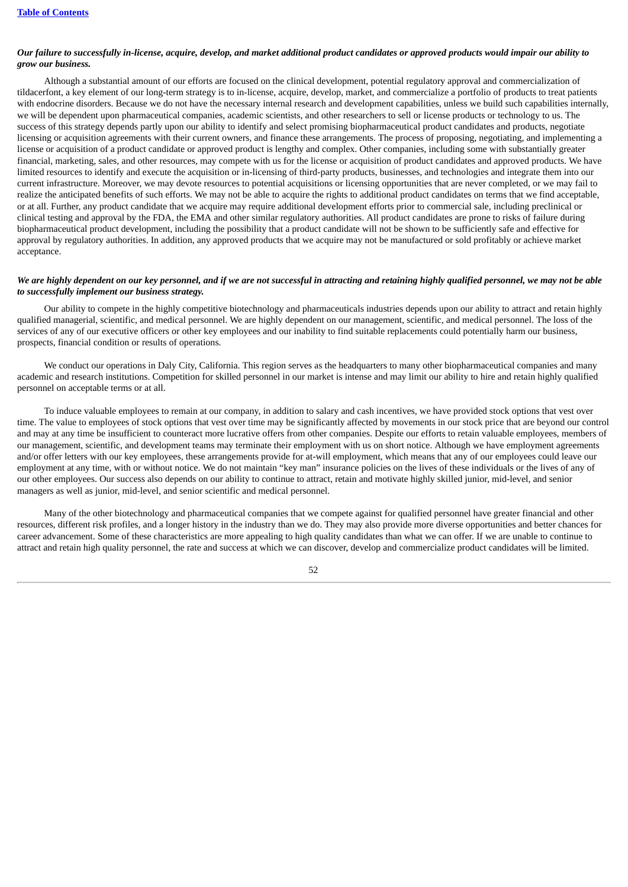# Our failure to successfully in-license, acquire, develop, and market additional product candidates or approved products would impair our ability to *grow our business.*

Although a substantial amount of our efforts are focused on the clinical development, potential regulatory approval and commercialization of tildacerfont, a key element of our long-term strategy is to in-license, acquire, develop, market, and commercialize a portfolio of products to treat patients with endocrine disorders. Because we do not have the necessary internal research and development capabilities, unless we build such capabilities internally, we will be dependent upon pharmaceutical companies, academic scientists, and other researchers to sell or license products or technology to us. The success of this strategy depends partly upon our ability to identify and select promising biopharmaceutical product candidates and products, negotiate licensing or acquisition agreements with their current owners, and finance these arrangements. The process of proposing, negotiating, and implementing a license or acquisition of a product candidate or approved product is lengthy and complex. Other companies, including some with substantially greater financial, marketing, sales, and other resources, may compete with us for the license or acquisition of product candidates and approved products. We have limited resources to identify and execute the acquisition or in-licensing of third-party products, businesses, and technologies and integrate them into our current infrastructure. Moreover, we may devote resources to potential acquisitions or licensing opportunities that are never completed, or we may fail to realize the anticipated benefits of such efforts. We may not be able to acquire the rights to additional product candidates on terms that we find acceptable, or at all. Further, any product candidate that we acquire may require additional development efforts prior to commercial sale, including preclinical or clinical testing and approval by the FDA, the EMA and other similar regulatory authorities. All product candidates are prone to risks of failure during biopharmaceutical product development, including the possibility that a product candidate will not be shown to be sufficiently safe and effective for approval by regulatory authorities. In addition, any approved products that we acquire may not be manufactured or sold profitably or achieve market acceptance.

#### We are highly dependent on our key personnel, and if we are not successful in attracting and retaining highly qualified personnel, we may not be able *to successfully implement our business strategy.*

Our ability to compete in the highly competitive biotechnology and pharmaceuticals industries depends upon our ability to attract and retain highly qualified managerial, scientific, and medical personnel. We are highly dependent on our management, scientific, and medical personnel. The loss of the services of any of our executive officers or other key employees and our inability to find suitable replacements could potentially harm our business, prospects, financial condition or results of operations.

We conduct our operations in Daly City, California. This region serves as the headquarters to many other biopharmaceutical companies and many academic and research institutions. Competition for skilled personnel in our market is intense and may limit our ability to hire and retain highly qualified personnel on acceptable terms or at all.

To induce valuable employees to remain at our company, in addition to salary and cash incentives, we have provided stock options that vest over time. The value to employees of stock options that vest over time may be significantly affected by movements in our stock price that are beyond our control and may at any time be insufficient to counteract more lucrative offers from other companies. Despite our efforts to retain valuable employees, members of our management, scientific, and development teams may terminate their employment with us on short notice. Although we have employment agreements and/or offer letters with our key employees, these arrangements provide for at-will employment, which means that any of our employees could leave our employment at any time, with or without notice. We do not maintain "key man" insurance policies on the lives of these individuals or the lives of any of our other employees. Our success also depends on our ability to continue to attract, retain and motivate highly skilled junior, mid-level, and senior managers as well as junior, mid-level, and senior scientific and medical personnel.

Many of the other biotechnology and pharmaceutical companies that we compete against for qualified personnel have greater financial and other resources, different risk profiles, and a longer history in the industry than we do. They may also provide more diverse opportunities and better chances for career advancement. Some of these characteristics are more appealing to high quality candidates than what we can offer. If we are unable to continue to attract and retain high quality personnel, the rate and success at which we can discover, develop and commercialize product candidates will be limited.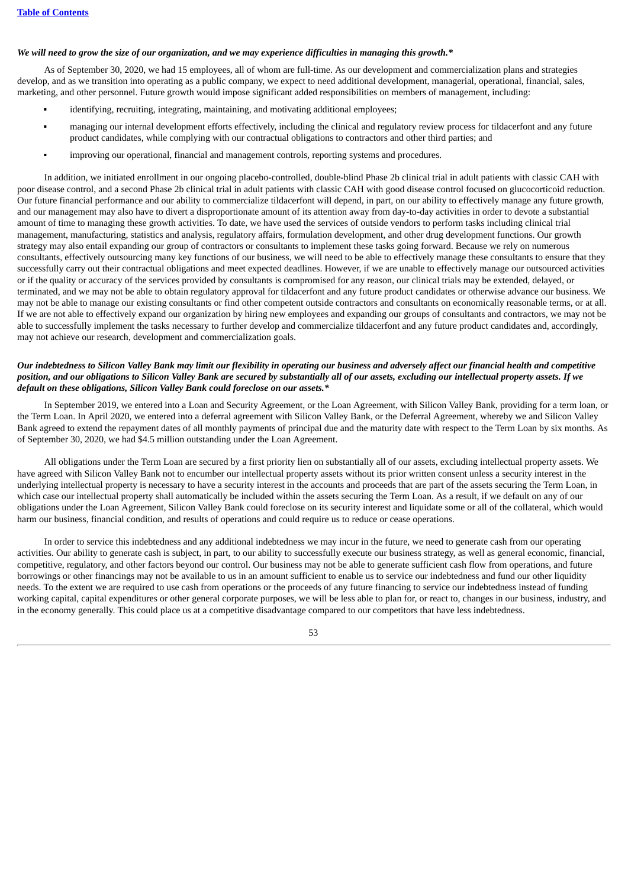## We will need to grow the size of our organization, and we may experience difficulties in managing this growth.\*

As of September 30, 2020, we had 15 employees, all of whom are full-time. As our development and commercialization plans and strategies develop, and as we transition into operating as a public company, we expect to need additional development, managerial, operational, financial, sales, marketing, and other personnel. Future growth would impose significant added responsibilities on members of management, including:

- identifying, recruiting, integrating, maintaining, and motivating additional employees;
- managing our internal development efforts effectively, including the clinical and regulatory review process for tildacerfont and any future product candidates, while complying with our contractual obligations to contractors and other third parties; and
- improving our operational, financial and management controls, reporting systems and procedures.

In addition, we initiated enrollment in our ongoing placebo-controlled, double-blind Phase 2b clinical trial in adult patients with classic CAH with poor disease control, and a second Phase 2b clinical trial in adult patients with classic CAH with good disease control focused on glucocorticoid reduction. Our future financial performance and our ability to commercialize tildacerfont will depend, in part, on our ability to effectively manage any future growth, and our management may also have to divert a disproportionate amount of its attention away from day-to-day activities in order to devote a substantial amount of time to managing these growth activities. To date, we have used the services of outside vendors to perform tasks including clinical trial management, manufacturing, statistics and analysis, regulatory affairs, formulation development, and other drug development functions. Our growth strategy may also entail expanding our group of contractors or consultants to implement these tasks going forward. Because we rely on numerous consultants, effectively outsourcing many key functions of our business, we will need to be able to effectively manage these consultants to ensure that they successfully carry out their contractual obligations and meet expected deadlines. However, if we are unable to effectively manage our outsourced activities or if the quality or accuracy of the services provided by consultants is compromised for any reason, our clinical trials may be extended, delayed, or terminated, and we may not be able to obtain regulatory approval for tildacerfont and any future product candidates or otherwise advance our business. We may not be able to manage our existing consultants or find other competent outside contractors and consultants on economically reasonable terms, or at all. If we are not able to effectively expand our organization by hiring new employees and expanding our groups of consultants and contractors, we may not be able to successfully implement the tasks necessary to further develop and commercialize tildacerfont and any future product candidates and, accordingly, may not achieve our research, development and commercialization goals.

# Our indebtedness to Silicon Valley Bank may limit our flexibility in operating our business and adversely affect our financial health and competitive position, and our obligations to Silicon Valley Bank are secured by substantially all of our assets, excluding our intellectual property assets. If we *default on these obligations, Silicon Valley Bank could foreclose on our assets.\**

In September 2019, we entered into a Loan and Security Agreement, or the Loan Agreement, with Silicon Valley Bank, providing for a term loan, or the Term Loan. In April 2020, we entered into a deferral agreement with Silicon Valley Bank, or the Deferral Agreement, whereby we and Silicon Valley Bank agreed to extend the repayment dates of all monthly payments of principal due and the maturity date with respect to the Term Loan by six months. As of September 30, 2020, we had \$4.5 million outstanding under the Loan Agreement.

All obligations under the Term Loan are secured by a first priority lien on substantially all of our assets, excluding intellectual property assets. We have agreed with Silicon Valley Bank not to encumber our intellectual property assets without its prior written consent unless a security interest in the underlying intellectual property is necessary to have a security interest in the accounts and proceeds that are part of the assets securing the Term Loan, in which case our intellectual property shall automatically be included within the assets securing the Term Loan. As a result, if we default on any of our obligations under the Loan Agreement, Silicon Valley Bank could foreclose on its security interest and liquidate some or all of the collateral, which would harm our business, financial condition, and results of operations and could require us to reduce or cease operations.

In order to service this indebtedness and any additional indebtedness we may incur in the future, we need to generate cash from our operating activities. Our ability to generate cash is subject, in part, to our ability to successfully execute our business strategy, as well as general economic, financial, competitive, regulatory, and other factors beyond our control. Our business may not be able to generate sufficient cash flow from operations, and future borrowings or other financings may not be available to us in an amount sufficient to enable us to service our indebtedness and fund our other liquidity needs. To the extent we are required to use cash from operations or the proceeds of any future financing to service our indebtedness instead of funding working capital, capital expenditures or other general corporate purposes, we will be less able to plan for, or react to, changes in our business, industry, and in the economy generally. This could place us at a competitive disadvantage compared to our competitors that have less indebtedness.

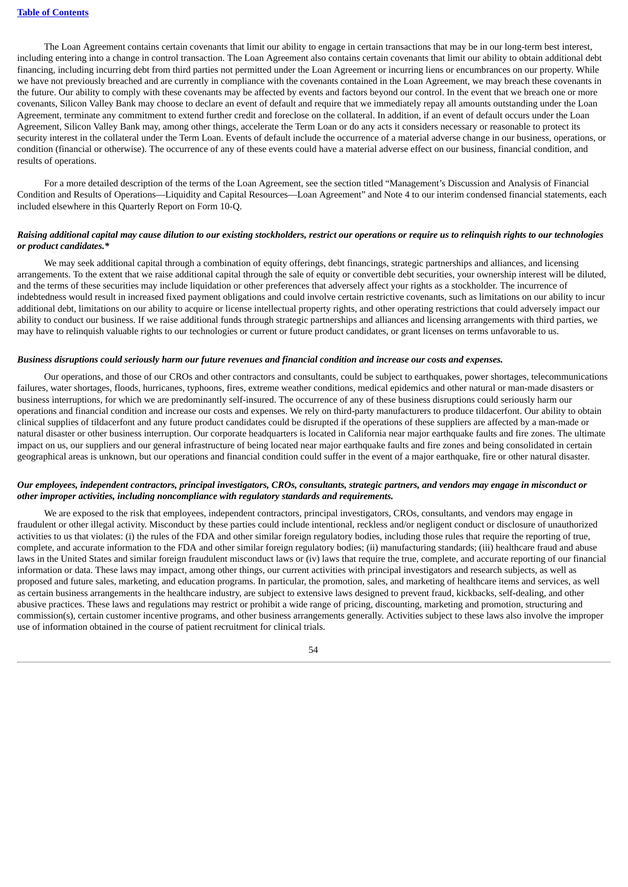The Loan Agreement contains certain covenants that limit our ability to engage in certain transactions that may be in our long-term best interest, including entering into a change in control transaction. The Loan Agreement also contains certain covenants that limit our ability to obtain additional debt financing, including incurring debt from third parties not permitted under the Loan Agreement or incurring liens or encumbrances on our property. While we have not previously breached and are currently in compliance with the covenants contained in the Loan Agreement, we may breach these covenants in the future. Our ability to comply with these covenants may be affected by events and factors beyond our control. In the event that we breach one or more covenants, Silicon Valley Bank may choose to declare an event of default and require that we immediately repay all amounts outstanding under the Loan Agreement, terminate any commitment to extend further credit and foreclose on the collateral. In addition, if an event of default occurs under the Loan Agreement, Silicon Valley Bank may, among other things, accelerate the Term Loan or do any acts it considers necessary or reasonable to protect its security interest in the collateral under the Term Loan. Events of default include the occurrence of a material adverse change in our business, operations, or condition (financial or otherwise). The occurrence of any of these events could have a material adverse effect on our business, financial condition, and results of operations.

For a more detailed description of the terms of the Loan Agreement, see the section titled "Management's Discussion and Analysis of Financial Condition and Results of Operations—Liquidity and Capital Resources—Loan Agreement" and Note 4 to our interim condensed financial statements, each included elsewhere in this Quarterly Report on Form 10-Q.

#### Raising additional capital may cause dilution to our existing stockholders, restrict our operations or require us to relinguish rights to our technologies *or product candidates.\**

We may seek additional capital through a combination of equity offerings, debt financings, strategic partnerships and alliances, and licensing arrangements. To the extent that we raise additional capital through the sale of equity or convertible debt securities, your ownership interest will be diluted, and the terms of these securities may include liquidation or other preferences that adversely affect your rights as a stockholder. The incurrence of indebtedness would result in increased fixed payment obligations and could involve certain restrictive covenants, such as limitations on our ability to incur additional debt, limitations on our ability to acquire or license intellectual property rights, and other operating restrictions that could adversely impact our ability to conduct our business. If we raise additional funds through strategic partnerships and alliances and licensing arrangements with third parties, we may have to relinquish valuable rights to our technologies or current or future product candidates, or grant licenses on terms unfavorable to us.

#### Business disruptions could seriously harm our future revenues and financial condition and increase our costs and expenses.

Our operations, and those of our CROs and other contractors and consultants, could be subject to earthquakes, power shortages, telecommunications failures, water shortages, floods, hurricanes, typhoons, fires, extreme weather conditions, medical epidemics and other natural or man-made disasters or business interruptions, for which we are predominantly self-insured. The occurrence of any of these business disruptions could seriously harm our operations and financial condition and increase our costs and expenses. We rely on third-party manufacturers to produce tildacerfont. Our ability to obtain clinical supplies of tildacerfont and any future product candidates could be disrupted if the operations of these suppliers are affected by a man-made or natural disaster or other business interruption. Our corporate headquarters is located in California near major earthquake faults and fire zones. The ultimate impact on us, our suppliers and our general infrastructure of being located near major earthquake faults and fire zones and being consolidated in certain geographical areas is unknown, but our operations and financial condition could suffer in the event of a major earthquake, fire or other natural disaster.

#### Our employees, independent contractors, principal investigators, CROs, consultants, strategic partners, and vendors may engage in misconduct or *other improper activities, including noncompliance with regulatory standards and requirements.*

We are exposed to the risk that employees, independent contractors, principal investigators, CROs, consultants, and vendors may engage in fraudulent or other illegal activity. Misconduct by these parties could include intentional, reckless and/or negligent conduct or disclosure of unauthorized activities to us that violates: (i) the rules of the FDA and other similar foreign regulatory bodies, including those rules that require the reporting of true, complete, and accurate information to the FDA and other similar foreign regulatory bodies; (ii) manufacturing standards; (iii) healthcare fraud and abuse laws in the United States and similar foreign fraudulent misconduct laws or (iv) laws that require the true, complete, and accurate reporting of our financial information or data. These laws may impact, among other things, our current activities with principal investigators and research subjects, as well as proposed and future sales, marketing, and education programs. In particular, the promotion, sales, and marketing of healthcare items and services, as well as certain business arrangements in the healthcare industry, are subject to extensive laws designed to prevent fraud, kickbacks, self-dealing, and other abusive practices. These laws and regulations may restrict or prohibit a wide range of pricing, discounting, marketing and promotion, structuring and commission(s), certain customer incentive programs, and other business arrangements generally. Activities subject to these laws also involve the improper use of information obtained in the course of patient recruitment for clinical trials.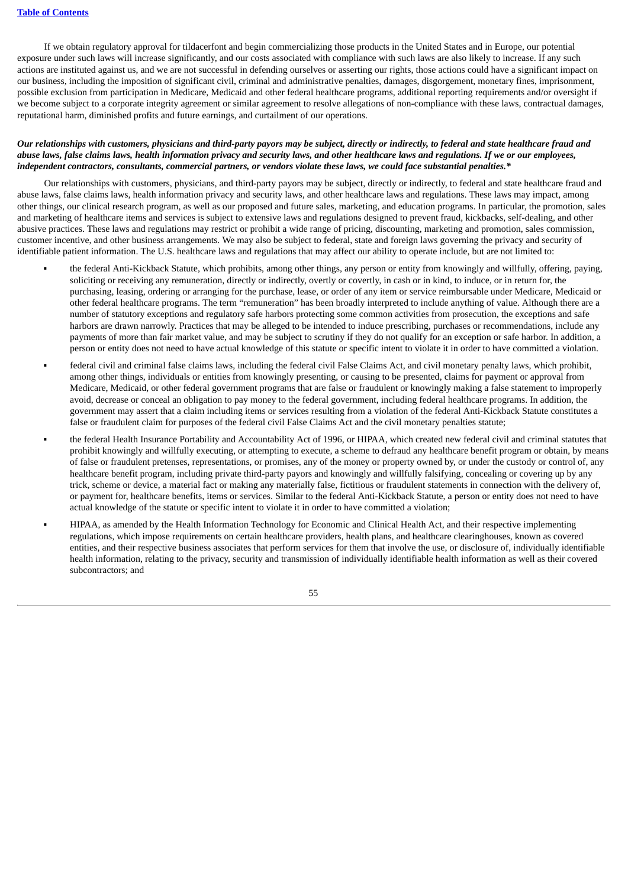If we obtain regulatory approval for tildacerfont and begin commercializing those products in the United States and in Europe, our potential exposure under such laws will increase significantly, and our costs associated with compliance with such laws are also likely to increase. If any such actions are instituted against us, and we are not successful in defending ourselves or asserting our rights, those actions could have a significant impact on our business, including the imposition of significant civil, criminal and administrative penalties, damages, disgorgement, monetary fines, imprisonment, possible exclusion from participation in Medicare, Medicaid and other federal healthcare programs, additional reporting requirements and/or oversight if we become subject to a corporate integrity agreement or similar agreement to resolve allegations of non-compliance with these laws, contractual damages, reputational harm, diminished profits and future earnings, and curtailment of our operations.

# Our relationships with customers, physicians and third-party payors may be subject, directly or indirectly, to federal and state healthcare fraud and abuse laws, false claims laws, health information privacy and security laws, and other healthcare laws and regulations. If we or our employees, independent contractors, consultants, commercial partners, or vendors violate these laws, we could face substantial penalties.\*

Our relationships with customers, physicians, and third-party payors may be subject, directly or indirectly, to federal and state healthcare fraud and abuse laws, false claims laws, health information privacy and security laws, and other healthcare laws and regulations. These laws may impact, among other things, our clinical research program, as well as our proposed and future sales, marketing, and education programs. In particular, the promotion, sales and marketing of healthcare items and services is subject to extensive laws and regulations designed to prevent fraud, kickbacks, self-dealing, and other abusive practices. These laws and regulations may restrict or prohibit a wide range of pricing, discounting, marketing and promotion, sales commission, customer incentive, and other business arrangements. We may also be subject to federal, state and foreign laws governing the privacy and security of identifiable patient information. The U.S. healthcare laws and regulations that may affect our ability to operate include, but are not limited to:

- the federal Anti-Kickback Statute, which prohibits, among other things, any person or entity from knowingly and willfully, offering, paying, soliciting or receiving any remuneration, directly or indirectly, overtly or covertly, in cash or in kind, to induce, or in return for, the purchasing, leasing, ordering or arranging for the purchase, lease, or order of any item or service reimbursable under Medicare, Medicaid or other federal healthcare programs. The term "remuneration" has been broadly interpreted to include anything of value. Although there are a number of statutory exceptions and regulatory safe harbors protecting some common activities from prosecution, the exceptions and safe harbors are drawn narrowly. Practices that may be alleged to be intended to induce prescribing, purchases or recommendations, include any payments of more than fair market value, and may be subject to scrutiny if they do not qualify for an exception or safe harbor. In addition, a person or entity does not need to have actual knowledge of this statute or specific intent to violate it in order to have committed a violation.
- federal civil and criminal false claims laws, including the federal civil False Claims Act, and civil monetary penalty laws, which prohibit, among other things, individuals or entities from knowingly presenting, or causing to be presented, claims for payment or approval from Medicare, Medicaid, or other federal government programs that are false or fraudulent or knowingly making a false statement to improperly avoid, decrease or conceal an obligation to pay money to the federal government, including federal healthcare programs. In addition, the government may assert that a claim including items or services resulting from a violation of the federal Anti-Kickback Statute constitutes a false or fraudulent claim for purposes of the federal civil False Claims Act and the civil monetary penalties statute;
- the federal Health Insurance Portability and Accountability Act of 1996, or HIPAA, which created new federal civil and criminal statutes that prohibit knowingly and willfully executing, or attempting to execute, a scheme to defraud any healthcare benefit program or obtain, by means of false or fraudulent pretenses, representations, or promises, any of the money or property owned by, or under the custody or control of, any healthcare benefit program, including private third-party payors and knowingly and willfully falsifying, concealing or covering up by any trick, scheme or device, a material fact or making any materially false, fictitious or fraudulent statements in connection with the delivery of, or payment for, healthcare benefits, items or services. Similar to the federal Anti-Kickback Statute, a person or entity does not need to have actual knowledge of the statute or specific intent to violate it in order to have committed a violation;
- HIPAA, as amended by the Health Information Technology for Economic and Clinical Health Act, and their respective implementing regulations, which impose requirements on certain healthcare providers, health plans, and healthcare clearinghouses, known as covered entities, and their respective business associates that perform services for them that involve the use, or disclosure of, individually identifiable health information, relating to the privacy, security and transmission of individually identifiable health information as well as their covered subcontractors; and

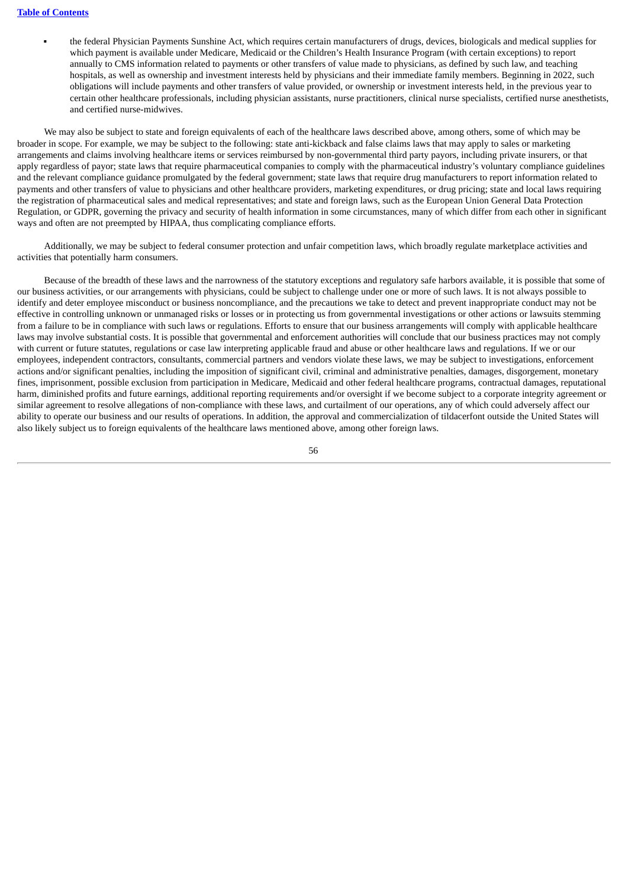the federal Physician Payments Sunshine Act, which requires certain manufacturers of drugs, devices, biologicals and medical supplies for which payment is available under Medicare, Medicaid or the Children's Health Insurance Program (with certain exceptions) to report annually to CMS information related to payments or other transfers of value made to physicians, as defined by such law, and teaching hospitals, as well as ownership and investment interests held by physicians and their immediate family members. Beginning in 2022, such obligations will include payments and other transfers of value provided, or ownership or investment interests held, in the previous year to certain other healthcare professionals, including physician assistants, nurse practitioners, clinical nurse specialists, certified nurse anesthetists, and certified nurse-midwives.

We may also be subject to state and foreign equivalents of each of the healthcare laws described above, among others, some of which may be broader in scope. For example, we may be subject to the following: state anti-kickback and false claims laws that may apply to sales or marketing arrangements and claims involving healthcare items or services reimbursed by non-governmental third party payors, including private insurers, or that apply regardless of payor; state laws that require pharmaceutical companies to comply with the pharmaceutical industry's voluntary compliance guidelines and the relevant compliance guidance promulgated by the federal government; state laws that require drug manufacturers to report information related to payments and other transfers of value to physicians and other healthcare providers, marketing expenditures, or drug pricing; state and local laws requiring the registration of pharmaceutical sales and medical representatives; and state and foreign laws, such as the European Union General Data Protection Regulation, or GDPR, governing the privacy and security of health information in some circumstances, many of which differ from each other in significant ways and often are not preempted by HIPAA, thus complicating compliance efforts.

Additionally, we may be subject to federal consumer protection and unfair competition laws, which broadly regulate marketplace activities and activities that potentially harm consumers.

Because of the breadth of these laws and the narrowness of the statutory exceptions and regulatory safe harbors available, it is possible that some of our business activities, or our arrangements with physicians, could be subject to challenge under one or more of such laws. It is not always possible to identify and deter employee misconduct or business noncompliance, and the precautions we take to detect and prevent inappropriate conduct may not be effective in controlling unknown or unmanaged risks or losses or in protecting us from governmental investigations or other actions or lawsuits stemming from a failure to be in compliance with such laws or regulations. Efforts to ensure that our business arrangements will comply with applicable healthcare laws may involve substantial costs. It is possible that governmental and enforcement authorities will conclude that our business practices may not comply with current or future statutes, regulations or case law interpreting applicable fraud and abuse or other healthcare laws and regulations. If we or our employees, independent contractors, consultants, commercial partners and vendors violate these laws, we may be subject to investigations, enforcement actions and/or significant penalties, including the imposition of significant civil, criminal and administrative penalties, damages, disgorgement, monetary fines, imprisonment, possible exclusion from participation in Medicare, Medicaid and other federal healthcare programs, contractual damages, reputational harm, diminished profits and future earnings, additional reporting requirements and/or oversight if we become subject to a corporate integrity agreement or similar agreement to resolve allegations of non-compliance with these laws, and curtailment of our operations, any of which could adversely affect our ability to operate our business and our results of operations. In addition, the approval and commercialization of tildacerfont outside the United States will also likely subject us to foreign equivalents of the healthcare laws mentioned above, among other foreign laws.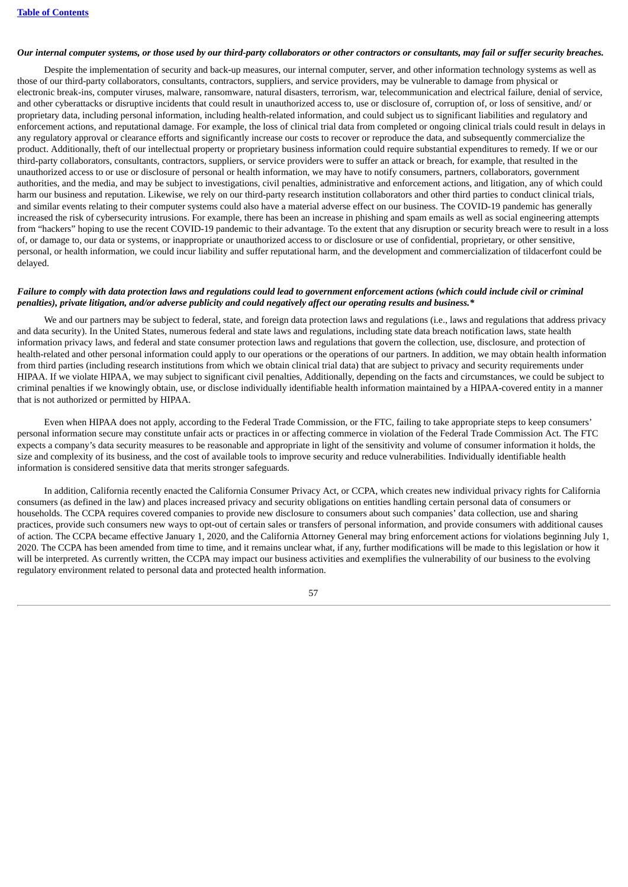#### Our internal computer systems, or those used by our third-party collaborators or other contractors or consultants, may fail or suffer security breaches.

Despite the implementation of security and back-up measures, our internal computer, server, and other information technology systems as well as those of our third-party collaborators, consultants, contractors, suppliers, and service providers, may be vulnerable to damage from physical or electronic break-ins, computer viruses, malware, ransomware, natural disasters, terrorism, war, telecommunication and electrical failure, denial of service, and other cyberattacks or disruptive incidents that could result in unauthorized access to, use or disclosure of, corruption of, or loss of sensitive, and/ or proprietary data, including personal information, including health-related information, and could subject us to significant liabilities and regulatory and enforcement actions, and reputational damage. For example, the loss of clinical trial data from completed or ongoing clinical trials could result in delays in any regulatory approval or clearance efforts and significantly increase our costs to recover or reproduce the data, and subsequently commercialize the product. Additionally, theft of our intellectual property or proprietary business information could require substantial expenditures to remedy. If we or our third-party collaborators, consultants, contractors, suppliers, or service providers were to suffer an attack or breach, for example, that resulted in the unauthorized access to or use or disclosure of personal or health information, we may have to notify consumers, partners, collaborators, government authorities, and the media, and may be subject to investigations, civil penalties, administrative and enforcement actions, and litigation, any of which could harm our business and reputation. Likewise, we rely on our third-party research institution collaborators and other third parties to conduct clinical trials, and similar events relating to their computer systems could also have a material adverse effect on our business. The COVID-19 pandemic has generally increased the risk of cybersecurity intrusions. For example, there has been an increase in phishing and spam emails as well as social engineering attempts from "hackers" hoping to use the recent COVID-19 pandemic to their advantage. To the extent that any disruption or security breach were to result in a loss of, or damage to, our data or systems, or inappropriate or unauthorized access to or disclosure or use of confidential, proprietary, or other sensitive, personal, or health information, we could incur liability and suffer reputational harm, and the development and commercialization of tildacerfont could be delayed.

#### Failure to comply with data protection laws and regulations could lead to government enforcement actions (which could include civil or criminal penalties), private litigation, and/or adverse publicity and could negatively affect our operating results and business.\*

We and our partners may be subject to federal, state, and foreign data protection laws and regulations (i.e., laws and regulations that address privacy and data security). In the United States, numerous federal and state laws and regulations, including state data breach notification laws, state health information privacy laws, and federal and state consumer protection laws and regulations that govern the collection, use, disclosure, and protection of health-related and other personal information could apply to our operations or the operations of our partners. In addition, we may obtain health information from third parties (including research institutions from which we obtain clinical trial data) that are subject to privacy and security requirements under HIPAA. If we violate HIPAA, we may subject to significant civil penalties, Additionally, depending on the facts and circumstances, we could be subject to criminal penalties if we knowingly obtain, use, or disclose individually identifiable health information maintained by a HIPAA-covered entity in a manner that is not authorized or permitted by HIPAA.

Even when HIPAA does not apply, according to the Federal Trade Commission, or the FTC, failing to take appropriate steps to keep consumers' personal information secure may constitute unfair acts or practices in or affecting commerce in violation of the Federal Trade Commission Act. The FTC expects a company's data security measures to be reasonable and appropriate in light of the sensitivity and volume of consumer information it holds, the size and complexity of its business, and the cost of available tools to improve security and reduce vulnerabilities. Individually identifiable health information is considered sensitive data that merits stronger safeguards.

In addition, California recently enacted the California Consumer Privacy Act, or CCPA, which creates new individual privacy rights for California consumers (as defined in the law) and places increased privacy and security obligations on entities handling certain personal data of consumers or households. The CCPA requires covered companies to provide new disclosure to consumers about such companies' data collection, use and sharing practices, provide such consumers new ways to opt-out of certain sales or transfers of personal information, and provide consumers with additional causes of action. The CCPA became effective January 1, 2020, and the California Attorney General may bring enforcement actions for violations beginning July 1, 2020. The CCPA has been amended from time to time, and it remains unclear what, if any, further modifications will be made to this legislation or how it will be interpreted. As currently written, the CCPA may impact our business activities and exemplifies the vulnerability of our business to the evolving regulatory environment related to personal data and protected health information.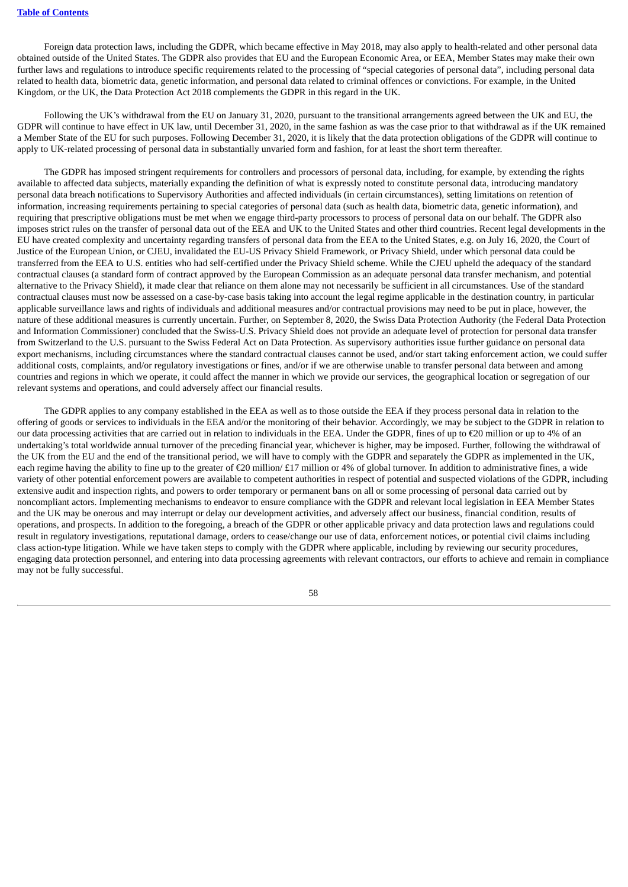Foreign data protection laws, including the GDPR, which became effective in May 2018, may also apply to health-related and other personal data obtained outside of the United States. The GDPR also provides that EU and the European Economic Area, or EEA, Member States may make their own further laws and regulations to introduce specific requirements related to the processing of "special categories of personal data", including personal data related to health data, biometric data, genetic information, and personal data related to criminal offences or convictions. For example, in the United Kingdom, or the UK, the Data Protection Act 2018 complements the GDPR in this regard in the UK.

Following the UK's withdrawal from the EU on January 31, 2020, pursuant to the transitional arrangements agreed between the UK and EU, the GDPR will continue to have effect in UK law, until December 31, 2020, in the same fashion as was the case prior to that withdrawal as if the UK remained a Member State of the EU for such purposes. Following December 31, 2020, it is likely that the data protection obligations of the GDPR will continue to apply to UK-related processing of personal data in substantially unvaried form and fashion, for at least the short term thereafter.

The GDPR has imposed stringent requirements for controllers and processors of personal data, including, for example, by extending the rights available to affected data subjects, materially expanding the definition of what is expressly noted to constitute personal data, introducing mandatory personal data breach notifications to Supervisory Authorities and affected individuals (in certain circumstances), setting limitations on retention of information, increasing requirements pertaining to special categories of personal data (such as health data, biometric data, genetic information), and requiring that prescriptive obligations must be met when we engage third-party processors to process of personal data on our behalf. The GDPR also imposes strict rules on the transfer of personal data out of the EEA and UK to the United States and other third countries. Recent legal developments in the EU have created complexity and uncertainty regarding transfers of personal data from the EEA to the United States, e.g. on July 16, 2020, the Court of Justice of the European Union, or CJEU, invalidated the EU-US Privacy Shield Framework, or Privacy Shield, under which personal data could be transferred from the EEA to U.S. entities who had self-certified under the Privacy Shield scheme. While the CJEU upheld the adequacy of the standard contractual clauses (a standard form of contract approved by the European Commission as an adequate personal data transfer mechanism, and potential alternative to the Privacy Shield), it made clear that reliance on them alone may not necessarily be sufficient in all circumstances. Use of the standard contractual clauses must now be assessed on a case-by-case basis taking into account the legal regime applicable in the destination country, in particular applicable surveillance laws and rights of individuals and additional measures and/or contractual provisions may need to be put in place, however, the nature of these additional measures is currently uncertain. Further, on September 8, 2020, the Swiss Data Protection Authority (the Federal Data Protection and Information Commissioner) concluded that the Swiss-U.S. Privacy Shield does not provide an adequate level of protection for personal data transfer from Switzerland to the U.S. pursuant to the Swiss Federal Act on Data Protection. As supervisory authorities issue further guidance on personal data export mechanisms, including circumstances where the standard contractual clauses cannot be used, and/or start taking enforcement action, we could suffer additional costs, complaints, and/or regulatory investigations or fines, and/or if we are otherwise unable to transfer personal data between and among countries and regions in which we operate, it could affect the manner in which we provide our services, the geographical location or segregation of our relevant systems and operations, and could adversely affect our financial results.

The GDPR applies to any company established in the EEA as well as to those outside the EEA if they process personal data in relation to the offering of goods or services to individuals in the EEA and/or the monitoring of their behavior. Accordingly, we may be subject to the GDPR in relation to our data processing activities that are carried out in relation to individuals in the EEA. Under the GDPR, fines of up to €20 million or up to 4% of an undertaking's total worldwide annual turnover of the preceding financial year, whichever is higher, may be imposed. Further, following the withdrawal of the UK from the EU and the end of the transitional period, we will have to comply with the GDPR and separately the GDPR as implemented in the UK, each regime having the ability to fine up to the greater of €20 million/ £17 million or 4% of global turnover. In addition to administrative fines, a wide variety of other potential enforcement powers are available to competent authorities in respect of potential and suspected violations of the GDPR, including extensive audit and inspection rights, and powers to order temporary or permanent bans on all or some processing of personal data carried out by noncompliant actors. Implementing mechanisms to endeavor to ensure compliance with the GDPR and relevant local legislation in EEA Member States and the UK may be onerous and may interrupt or delay our development activities, and adversely affect our business, financial condition, results of operations, and prospects. In addition to the foregoing, a breach of the GDPR or other applicable privacy and data protection laws and regulations could result in regulatory investigations, reputational damage, orders to cease/change our use of data, enforcement notices, or potential civil claims including class action-type litigation. While we have taken steps to comply with the GDPR where applicable, including by reviewing our security procedures, engaging data protection personnel, and entering into data processing agreements with relevant contractors, our efforts to achieve and remain in compliance may not be fully successful.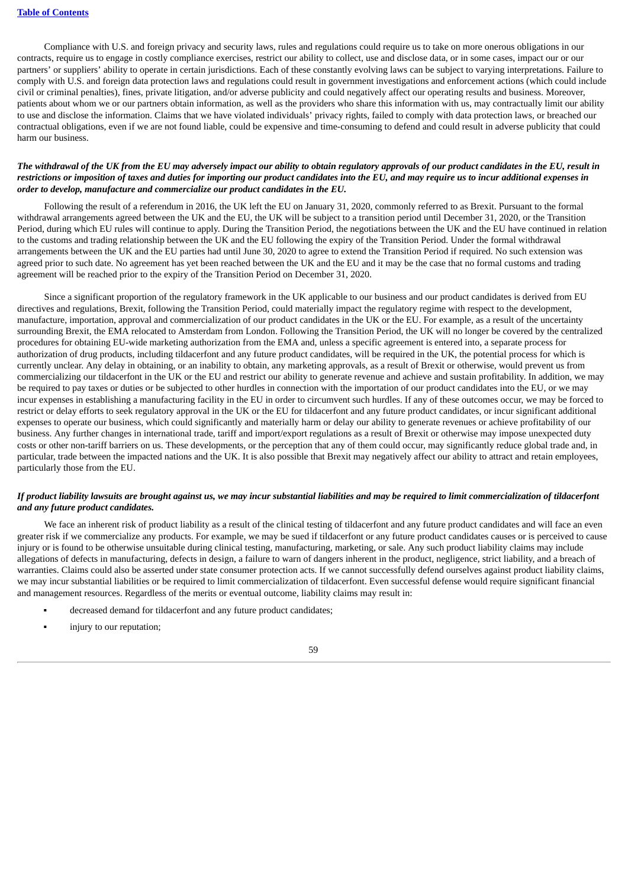Compliance with U.S. and foreign privacy and security laws, rules and regulations could require us to take on more onerous obligations in our contracts, require us to engage in costly compliance exercises, restrict our ability to collect, use and disclose data, or in some cases, impact our or our partners' or suppliers' ability to operate in certain jurisdictions. Each of these constantly evolving laws can be subject to varying interpretations. Failure to comply with U.S. and foreign data protection laws and regulations could result in government investigations and enforcement actions (which could include civil or criminal penalties), fines, private litigation, and/or adverse publicity and could negatively affect our operating results and business. Moreover, patients about whom we or our partners obtain information, as well as the providers who share this information with us, may contractually limit our ability to use and disclose the information. Claims that we have violated individuals' privacy rights, failed to comply with data protection laws, or breached our contractual obligations, even if we are not found liable, could be expensive and time-consuming to defend and could result in adverse publicity that could harm our business.

## The withdrawal of the UK from the EU may adversely impact our ability to obtain regulatory approvals of our product candidates in the EU, result in restrictions or imposition of taxes and duties for importing our product candidates into the EU, and may require us to incur additional expenses in *order to develop, manufacture and commercialize our product candidates in the EU.*

Following the result of a referendum in 2016, the UK left the EU on January 31, 2020, commonly referred to as Brexit. Pursuant to the formal withdrawal arrangements agreed between the UK and the EU, the UK will be subject to a transition period until December 31, 2020, or the Transition Period, during which EU rules will continue to apply. During the Transition Period, the negotiations between the UK and the EU have continued in relation to the customs and trading relationship between the UK and the EU following the expiry of the Transition Period. Under the formal withdrawal arrangements between the UK and the EU parties had until June 30, 2020 to agree to extend the Transition Period if required. No such extension was agreed prior to such date. No agreement has yet been reached between the UK and the EU and it may be the case that no formal customs and trading agreement will be reached prior to the expiry of the Transition Period on December 31, 2020.

Since a significant proportion of the regulatory framework in the UK applicable to our business and our product candidates is derived from EU directives and regulations, Brexit, following the Transition Period, could materially impact the regulatory regime with respect to the development, manufacture, importation, approval and commercialization of our product candidates in the UK or the EU. For example, as a result of the uncertainty surrounding Brexit, the EMA relocated to Amsterdam from London. Following the Transition Period, the UK will no longer be covered by the centralized procedures for obtaining EU-wide marketing authorization from the EMA and, unless a specific agreement is entered into, a separate process for authorization of drug products, including tildacerfont and any future product candidates, will be required in the UK, the potential process for which is currently unclear. Any delay in obtaining, or an inability to obtain, any marketing approvals, as a result of Brexit or otherwise, would prevent us from commercializing our tildacerfont in the UK or the EU and restrict our ability to generate revenue and achieve and sustain profitability. In addition, we may be required to pay taxes or duties or be subjected to other hurdles in connection with the importation of our product candidates into the EU, or we may incur expenses in establishing a manufacturing facility in the EU in order to circumvent such hurdles. If any of these outcomes occur, we may be forced to restrict or delay efforts to seek regulatory approval in the UK or the EU for tildacerfont and any future product candidates, or incur significant additional expenses to operate our business, which could significantly and materially harm or delay our ability to generate revenues or achieve profitability of our business. Any further changes in international trade, tariff and import/export regulations as a result of Brexit or otherwise may impose unexpected duty costs or other non-tariff barriers on us. These developments, or the perception that any of them could occur, may significantly reduce global trade and, in particular, trade between the impacted nations and the UK. It is also possible that Brexit may negatively affect our ability to attract and retain employees, particularly those from the EU.

# If product liability lawsuits are brought against us, we may incur substantial liabilities and may be required to limit commercialization of tildacerfont *and any future product candidates.*

We face an inherent risk of product liability as a result of the clinical testing of tildacerfont and any future product candidates and will face an even greater risk if we commercialize any products. For example, we may be sued if tildacerfont or any future product candidates causes or is perceived to cause injury or is found to be otherwise unsuitable during clinical testing, manufacturing, marketing, or sale. Any such product liability claims may include allegations of defects in manufacturing, defects in design, a failure to warn of dangers inherent in the product, negligence, strict liability, and a breach of warranties. Claims could also be asserted under state consumer protection acts. If we cannot successfully defend ourselves against product liability claims, we may incur substantial liabilities or be required to limit commercialization of tildacerfont. Even successful defense would require significant financial and management resources. Regardless of the merits or eventual outcome, liability claims may result in:

- decreased demand for tildacerfont and any future product candidates:
- injury to our reputation;

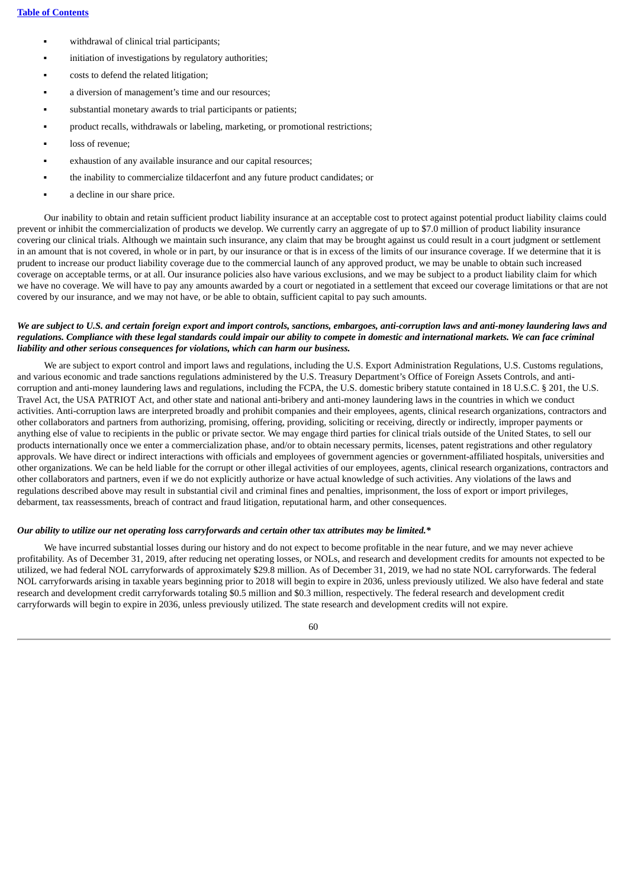- withdrawal of clinical trial participants;
- initiation of investigations by regulatory authorities;
- costs to defend the related litigation;
- a diversion of management's time and our resources;
- substantial monetary awards to trial participants or patients;
- product recalls, withdrawals or labeling, marketing, or promotional restrictions;
- loss of revenue:
- exhaustion of any available insurance and our capital resources:
- the inability to commercialize tildacerfont and any future product candidates; or
- a decline in our share price.

Our inability to obtain and retain sufficient product liability insurance at an acceptable cost to protect against potential product liability claims could prevent or inhibit the commercialization of products we develop. We currently carry an aggregate of up to \$7.0 million of product liability insurance covering our clinical trials. Although we maintain such insurance, any claim that may be brought against us could result in a court judgment or settlement in an amount that is not covered, in whole or in part, by our insurance or that is in excess of the limits of our insurance coverage. If we determine that it is prudent to increase our product liability coverage due to the commercial launch of any approved product, we may be unable to obtain such increased coverage on acceptable terms, or at all. Our insurance policies also have various exclusions, and we may be subject to a product liability claim for which we have no coverage. We will have to pay any amounts awarded by a court or negotiated in a settlement that exceed our coverage limitations or that are not covered by our insurance, and we may not have, or be able to obtain, sufficient capital to pay such amounts.

## We are subject to U.S. and certain foreign export and import controls, sanctions, embargoes, anti-corruption laws and anti-money laundering laws and regulations. Compliance with these legal standards could impair our ability to compete in domestic and international markets. We can face criminal *liability and other serious consequences for violations, which can harm our business.*

We are subject to export control and import laws and regulations, including the U.S. Export Administration Regulations, U.S. Customs regulations, and various economic and trade sanctions regulations administered by the U.S. Treasury Department's Office of Foreign Assets Controls, and anticorruption and anti-money laundering laws and regulations, including the FCPA, the U.S. domestic bribery statute contained in 18 U.S.C. § 201, the U.S. Travel Act, the USA PATRIOT Act, and other state and national anti-bribery and anti-money laundering laws in the countries in which we conduct activities. Anti-corruption laws are interpreted broadly and prohibit companies and their employees, agents, clinical research organizations, contractors and other collaborators and partners from authorizing, promising, offering, providing, soliciting or receiving, directly or indirectly, improper payments or anything else of value to recipients in the public or private sector. We may engage third parties for clinical trials outside of the United States, to sell our products internationally once we enter a commercialization phase, and/or to obtain necessary permits, licenses, patent registrations and other regulatory approvals. We have direct or indirect interactions with officials and employees of government agencies or government-affiliated hospitals, universities and other organizations. We can be held liable for the corrupt or other illegal activities of our employees, agents, clinical research organizations, contractors and other collaborators and partners, even if we do not explicitly authorize or have actual knowledge of such activities. Any violations of the laws and regulations described above may result in substantial civil and criminal fines and penalties, imprisonment, the loss of export or import privileges, debarment, tax reassessments, breach of contract and fraud litigation, reputational harm, and other consequences.

#### Our ability to utilize our net operating loss carryforwards and certain other tax attributes may be limited.\*

We have incurred substantial losses during our history and do not expect to become profitable in the near future, and we may never achieve profitability. As of December 31, 2019, after reducing net operating losses, or NOLs, and research and development credits for amounts not expected to be utilized, we had federal NOL carryforwards of approximately \$29.8 million. As of December 31, 2019, we had no state NOL carryforwards. The federal NOL carryforwards arising in taxable years beginning prior to 2018 will begin to expire in 2036, unless previously utilized. We also have federal and state research and development credit carryforwards totaling \$0.5 million and \$0.3 million, respectively. The federal research and development credit carryforwards will begin to expire in 2036, unless previously utilized. The state research and development credits will not expire.

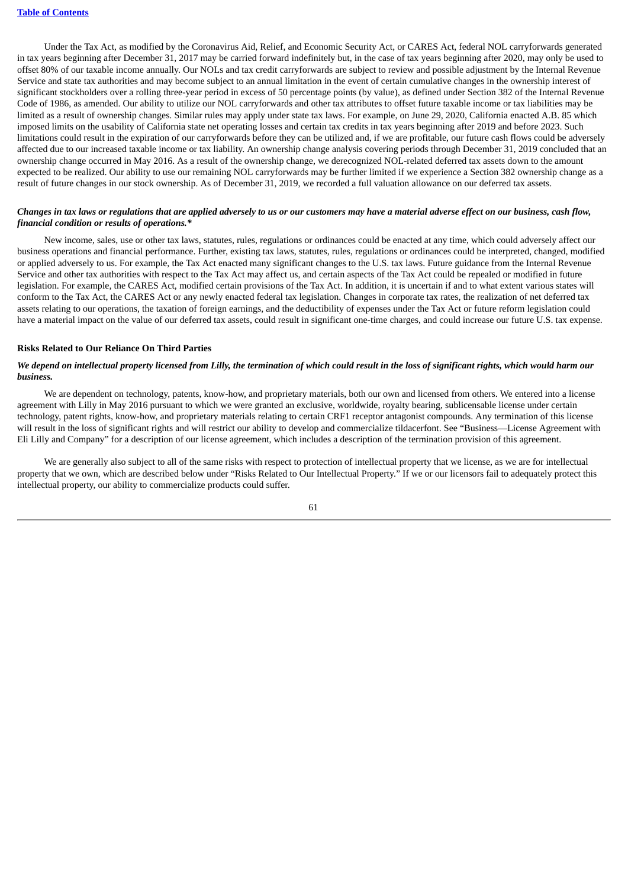Under the Tax Act, as modified by the Coronavirus Aid, Relief, and Economic Security Act, or CARES Act, federal NOL carryforwards generated in tax years beginning after December 31, 2017 may be carried forward indefinitely but, in the case of tax years beginning after 2020, may only be used to offset 80% of our taxable income annually. Our NOLs and tax credit carryforwards are subject to review and possible adjustment by the Internal Revenue Service and state tax authorities and may become subject to an annual limitation in the event of certain cumulative changes in the ownership interest of significant stockholders over a rolling three-year period in excess of 50 percentage points (by value), as defined under Section 382 of the Internal Revenue Code of 1986, as amended. Our ability to utilize our NOL carryforwards and other tax attributes to offset future taxable income or tax liabilities may be limited as a result of ownership changes. Similar rules may apply under state tax laws. For example, on June 29, 2020, California enacted A.B. 85 which imposed limits on the usability of California state net operating losses and certain tax credits in tax years beginning after 2019 and before 2023. Such limitations could result in the expiration of our carryforwards before they can be utilized and, if we are profitable, our future cash flows could be adversely affected due to our increased taxable income or tax liability. An ownership change analysis covering periods through December 31, 2019 concluded that an ownership change occurred in May 2016. As a result of the ownership change, we derecognized NOL-related deferred tax assets down to the amount expected to be realized. Our ability to use our remaining NOL carryforwards may be further limited if we experience a Section 382 ownership change as a result of future changes in our stock ownership. As of December 31, 2019, we recorded a full valuation allowance on our deferred tax assets.

## Changes in tax laws or regulations that are applied adversely to us or our customers may have a material adverse effect on our business, cash flow, *financial condition or results of operations.\**

New income, sales, use or other tax laws, statutes, rules, regulations or ordinances could be enacted at any time, which could adversely affect our business operations and financial performance. Further, existing tax laws, statutes, rules, regulations or ordinances could be interpreted, changed, modified or applied adversely to us. For example, the Tax Act enacted many significant changes to the U.S. tax laws. Future guidance from the Internal Revenue Service and other tax authorities with respect to the Tax Act may affect us, and certain aspects of the Tax Act could be repealed or modified in future legislation. For example, the CARES Act, modified certain provisions of the Tax Act. In addition, it is uncertain if and to what extent various states will conform to the Tax Act, the CARES Act or any newly enacted federal tax legislation. Changes in corporate tax rates, the realization of net deferred tax assets relating to our operations, the taxation of foreign earnings, and the deductibility of expenses under the Tax Act or future reform legislation could have a material impact on the value of our deferred tax assets, could result in significant one-time charges, and could increase our future U.S. tax expense.

#### **Risks Related to Our Reliance On Third Parties**

## We depend on intellectual property licensed from Lilly, the termination of which could result in the loss of significant rights, which would harm our *business.*

We are dependent on technology, patents, know-how, and proprietary materials, both our own and licensed from others. We entered into a license agreement with Lilly in May 2016 pursuant to which we were granted an exclusive, worldwide, royalty bearing, sublicensable license under certain technology, patent rights, know-how, and proprietary materials relating to certain CRF1 receptor antagonist compounds. Any termination of this license will result in the loss of significant rights and will restrict our ability to develop and commercialize tildacerfont. See "Business—License Agreement with Eli Lilly and Company" for a description of our license agreement, which includes a description of the termination provision of this agreement.

We are generally also subject to all of the same risks with respect to protection of intellectual property that we license, as we are for intellectual property that we own, which are described below under "Risks Related to Our Intellectual Property." If we or our licensors fail to adequately protect this intellectual property, our ability to commercialize products could suffer.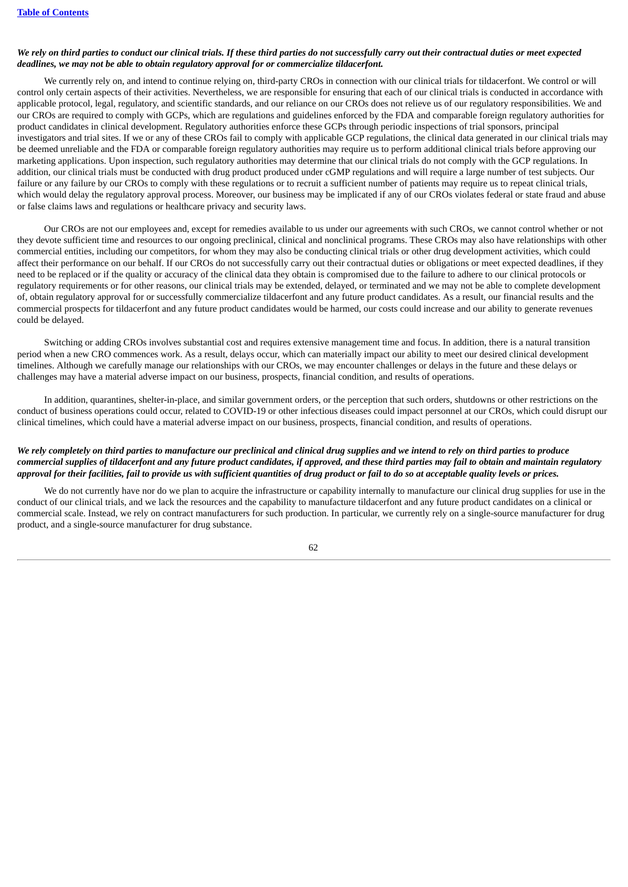## We rely on third parties to conduct our clinical trials. If these third parties do not successfully carry out their contractual duties or meet expected *deadlines, we may not be able to obtain regulatory approval for or commercialize tildacerfont.*

We currently rely on, and intend to continue relying on, third-party CROs in connection with our clinical trials for tildacerfont. We control or will control only certain aspects of their activities. Nevertheless, we are responsible for ensuring that each of our clinical trials is conducted in accordance with applicable protocol, legal, regulatory, and scientific standards, and our reliance on our CROs does not relieve us of our regulatory responsibilities. We and our CROs are required to comply with GCPs, which are regulations and guidelines enforced by the FDA and comparable foreign regulatory authorities for product candidates in clinical development. Regulatory authorities enforce these GCPs through periodic inspections of trial sponsors, principal investigators and trial sites. If we or any of these CROs fail to comply with applicable GCP regulations, the clinical data generated in our clinical trials may be deemed unreliable and the FDA or comparable foreign regulatory authorities may require us to perform additional clinical trials before approving our marketing applications. Upon inspection, such regulatory authorities may determine that our clinical trials do not comply with the GCP regulations. In addition, our clinical trials must be conducted with drug product produced under cGMP regulations and will require a large number of test subjects. Our failure or any failure by our CROs to comply with these regulations or to recruit a sufficient number of patients may require us to repeat clinical trials, which would delay the regulatory approval process. Moreover, our business may be implicated if any of our CROs violates federal or state fraud and abuse or false claims laws and regulations or healthcare privacy and security laws.

Our CROs are not our employees and, except for remedies available to us under our agreements with such CROs, we cannot control whether or not they devote sufficient time and resources to our ongoing preclinical, clinical and nonclinical programs. These CROs may also have relationships with other commercial entities, including our competitors, for whom they may also be conducting clinical trials or other drug development activities, which could affect their performance on our behalf. If our CROs do not successfully carry out their contractual duties or obligations or meet expected deadlines, if they need to be replaced or if the quality or accuracy of the clinical data they obtain is compromised due to the failure to adhere to our clinical protocols or regulatory requirements or for other reasons, our clinical trials may be extended, delayed, or terminated and we may not be able to complete development of, obtain regulatory approval for or successfully commercialize tildacerfont and any future product candidates. As a result, our financial results and the commercial prospects for tildacerfont and any future product candidates would be harmed, our costs could increase and our ability to generate revenues could be delayed.

Switching or adding CROs involves substantial cost and requires extensive management time and focus. In addition, there is a natural transition period when a new CRO commences work. As a result, delays occur, which can materially impact our ability to meet our desired clinical development timelines. Although we carefully manage our relationships with our CROs, we may encounter challenges or delays in the future and these delays or challenges may have a material adverse impact on our business, prospects, financial condition, and results of operations.

In addition, quarantines, shelter-in-place, and similar government orders, or the perception that such orders, shutdowns or other restrictions on the conduct of business operations could occur, related to COVID-19 or other infectious diseases could impact personnel at our CROs, which could disrupt our clinical timelines, which could have a material adverse impact on our business, prospects, financial condition, and results of operations.

# We rely completely on third parties to manufacture our preclinical and clinical drug supplies and we intend to rely on third parties to produce commercial supplies of tildacerfont and any future product candidates, if approved, and these third parties may fail to obtain and maintain regulatory approval for their facilities, fail to provide us with sufficient quantities of drug product or fail to do so at acceptable quality levels or prices.

We do not currently have nor do we plan to acquire the infrastructure or capability internally to manufacture our clinical drug supplies for use in the conduct of our clinical trials, and we lack the resources and the capability to manufacture tildacerfont and any future product candidates on a clinical or commercial scale. Instead, we rely on contract manufacturers for such production. In particular, we currently rely on a single-source manufacturer for drug product, and a single-source manufacturer for drug substance.

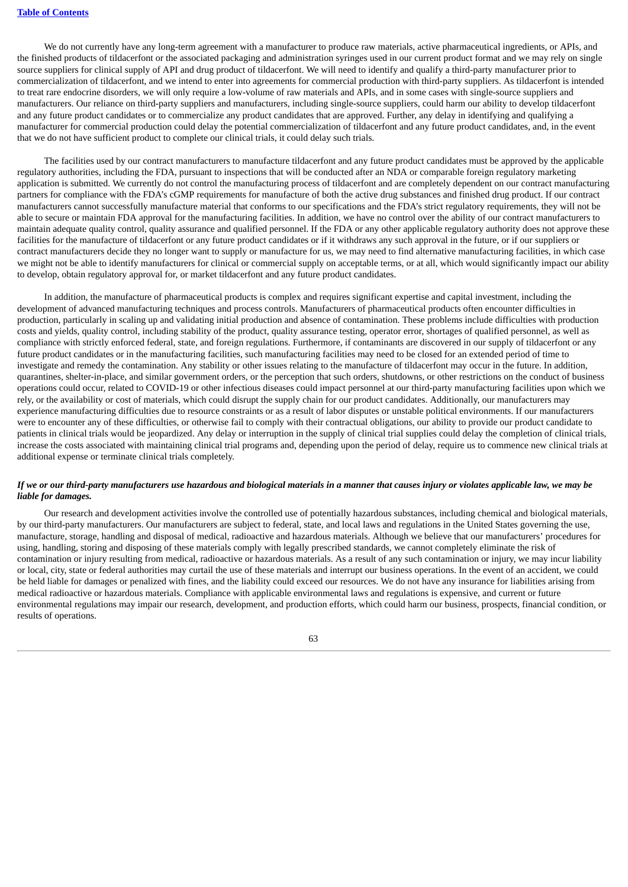We do not currently have any long-term agreement with a manufacturer to produce raw materials, active pharmaceutical ingredients, or APIs, and the finished products of tildacerfont or the associated packaging and administration syringes used in our current product format and we may rely on single source suppliers for clinical supply of API and drug product of tildacerfont. We will need to identify and qualify a third-party manufacturer prior to commercialization of tildacerfont, and we intend to enter into agreements for commercial production with third-party suppliers. As tildacerfont is intended to treat rare endocrine disorders, we will only require a low-volume of raw materials and APIs, and in some cases with single-source suppliers and manufacturers. Our reliance on third-party suppliers and manufacturers, including single-source suppliers, could harm our ability to develop tildacerfont and any future product candidates or to commercialize any product candidates that are approved. Further, any delay in identifying and qualifying a manufacturer for commercial production could delay the potential commercialization of tildacerfont and any future product candidates, and, in the event that we do not have sufficient product to complete our clinical trials, it could delay such trials.

The facilities used by our contract manufacturers to manufacture tildacerfont and any future product candidates must be approved by the applicable regulatory authorities, including the FDA, pursuant to inspections that will be conducted after an NDA or comparable foreign regulatory marketing application is submitted. We currently do not control the manufacturing process of tildacerfont and are completely dependent on our contract manufacturing partners for compliance with the FDA's cGMP requirements for manufacture of both the active drug substances and finished drug product. If our contract manufacturers cannot successfully manufacture material that conforms to our specifications and the FDA's strict regulatory requirements, they will not be able to secure or maintain FDA approval for the manufacturing facilities. In addition, we have no control over the ability of our contract manufacturers to maintain adequate quality control, quality assurance and qualified personnel. If the FDA or any other applicable regulatory authority does not approve these facilities for the manufacture of tildacerfont or any future product candidates or if it withdraws any such approval in the future, or if our suppliers or contract manufacturers decide they no longer want to supply or manufacture for us, we may need to find alternative manufacturing facilities, in which case we might not be able to identify manufacturers for clinical or commercial supply on acceptable terms, or at all, which would significantly impact our ability to develop, obtain regulatory approval for, or market tildacerfont and any future product candidates.

In addition, the manufacture of pharmaceutical products is complex and requires significant expertise and capital investment, including the development of advanced manufacturing techniques and process controls. Manufacturers of pharmaceutical products often encounter difficulties in production, particularly in scaling up and validating initial production and absence of contamination. These problems include difficulties with production costs and yields, quality control, including stability of the product, quality assurance testing, operator error, shortages of qualified personnel, as well as compliance with strictly enforced federal, state, and foreign regulations. Furthermore, if contaminants are discovered in our supply of tildacerfont or any future product candidates or in the manufacturing facilities, such manufacturing facilities may need to be closed for an extended period of time to investigate and remedy the contamination. Any stability or other issues relating to the manufacture of tildacerfont may occur in the future. In addition, quarantines, shelter-in-place, and similar government orders, or the perception that such orders, shutdowns, or other restrictions on the conduct of business operations could occur, related to COVID-19 or other infectious diseases could impact personnel at our third-party manufacturing facilities upon which we rely, or the availability or cost of materials, which could disrupt the supply chain for our product candidates. Additionally, our manufacturers may experience manufacturing difficulties due to resource constraints or as a result of labor disputes or unstable political environments. If our manufacturers were to encounter any of these difficulties, or otherwise fail to comply with their contractual obligations, our ability to provide our product candidate to patients in clinical trials would be jeopardized. Any delay or interruption in the supply of clinical trial supplies could delay the completion of clinical trials, increase the costs associated with maintaining clinical trial programs and, depending upon the period of delay, require us to commence new clinical trials at additional expense or terminate clinical trials completely.

# If we or our third-party manufacturers use hazardous and biological materials in a manner that causes injury or violates applicable law, we may be *liable for damages.*

Our research and development activities involve the controlled use of potentially hazardous substances, including chemical and biological materials, by our third-party manufacturers. Our manufacturers are subject to federal, state, and local laws and regulations in the United States governing the use, manufacture, storage, handling and disposal of medical, radioactive and hazardous materials. Although we believe that our manufacturers' procedures for using, handling, storing and disposing of these materials comply with legally prescribed standards, we cannot completely eliminate the risk of contamination or injury resulting from medical, radioactive or hazardous materials. As a result of any such contamination or injury, we may incur liability or local, city, state or federal authorities may curtail the use of these materials and interrupt our business operations. In the event of an accident, we could be held liable for damages or penalized with fines, and the liability could exceed our resources. We do not have any insurance for liabilities arising from medical radioactive or hazardous materials. Compliance with applicable environmental laws and regulations is expensive, and current or future environmental regulations may impair our research, development, and production efforts, which could harm our business, prospects, financial condition, or results of operations.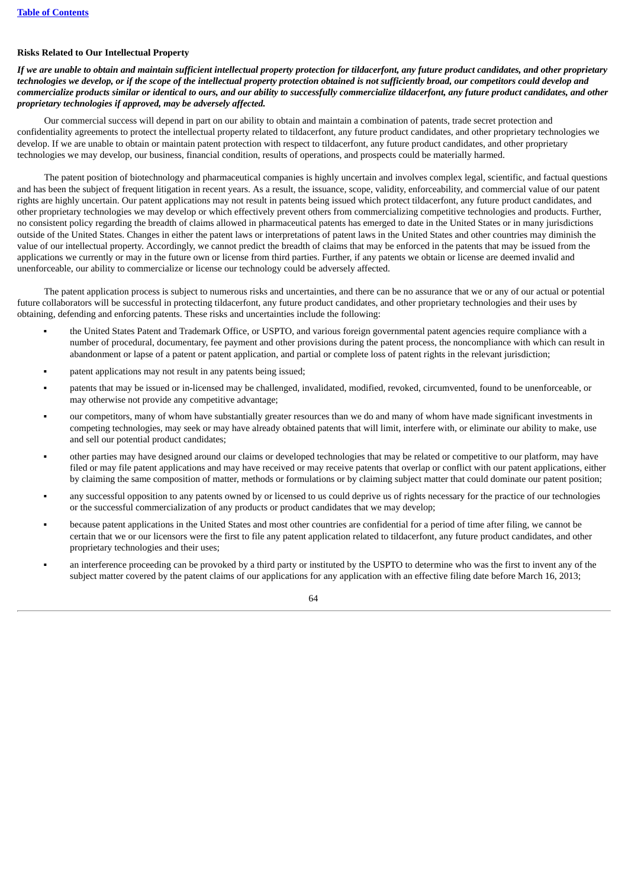# **Risks Related to Our Intellectual Property**

If we are unable to obtain and maintain sufficient intellectual property protection for tildacerfont, any future product candidates, and other proprietary technologies we develop, or if the scope of the intellectual property protection obtained is not sufficiently broad, our competitors could develop and commercialize products similar or identical to ours, and our ability to successfully commercialize tildacerfont, any future product candidates, and other *proprietary technologies if approved, may be adversely affected.*

Our commercial success will depend in part on our ability to obtain and maintain a combination of patents, trade secret protection and confidentiality agreements to protect the intellectual property related to tildacerfont, any future product candidates, and other proprietary technologies we develop. If we are unable to obtain or maintain patent protection with respect to tildacerfont, any future product candidates, and other proprietary technologies we may develop, our business, financial condition, results of operations, and prospects could be materially harmed.

The patent position of biotechnology and pharmaceutical companies is highly uncertain and involves complex legal, scientific, and factual questions and has been the subject of frequent litigation in recent years. As a result, the issuance, scope, validity, enforceability, and commercial value of our patent rights are highly uncertain. Our patent applications may not result in patents being issued which protect tildacerfont, any future product candidates, and other proprietary technologies we may develop or which effectively prevent others from commercializing competitive technologies and products. Further, no consistent policy regarding the breadth of claims allowed in pharmaceutical patents has emerged to date in the United States or in many jurisdictions outside of the United States. Changes in either the patent laws or interpretations of patent laws in the United States and other countries may diminish the value of our intellectual property. Accordingly, we cannot predict the breadth of claims that may be enforced in the patents that may be issued from the applications we currently or may in the future own or license from third parties. Further, if any patents we obtain or license are deemed invalid and unenforceable, our ability to commercialize or license our technology could be adversely affected.

The patent application process is subject to numerous risks and uncertainties, and there can be no assurance that we or any of our actual or potential future collaborators will be successful in protecting tildacerfont, any future product candidates, and other proprietary technologies and their uses by obtaining, defending and enforcing patents. These risks and uncertainties include the following:

- the United States Patent and Trademark Office, or USPTO, and various foreign governmental patent agencies require compliance with a number of procedural, documentary, fee payment and other provisions during the patent process, the noncompliance with which can result in abandonment or lapse of a patent or patent application, and partial or complete loss of patent rights in the relevant jurisdiction;
- patent applications may not result in any patents being issued;
- patents that may be issued or in-licensed may be challenged, invalidated, modified, revoked, circumvented, found to be unenforceable, or may otherwise not provide any competitive advantage;
- our competitors, many of whom have substantially greater resources than we do and many of whom have made significant investments in competing technologies, may seek or may have already obtained patents that will limit, interfere with, or eliminate our ability to make, use and sell our potential product candidates;
- other parties may have designed around our claims or developed technologies that may be related or competitive to our platform, may have filed or may file patent applications and may have received or may receive patents that overlap or conflict with our patent applications, either by claiming the same composition of matter, methods or formulations or by claiming subject matter that could dominate our patent position;
- any successful opposition to any patents owned by or licensed to us could deprive us of rights necessary for the practice of our technologies or the successful commercialization of any products or product candidates that we may develop;
- because patent applications in the United States and most other countries are confidential for a period of time after filing, we cannot be certain that we or our licensors were the first to file any patent application related to tildacerfont, any future product candidates, and other proprietary technologies and their uses;
- an interference proceeding can be provoked by a third party or instituted by the USPTO to determine who was the first to invent any of the subject matter covered by the patent claims of our applications for any application with an effective filing date before March 16, 2013;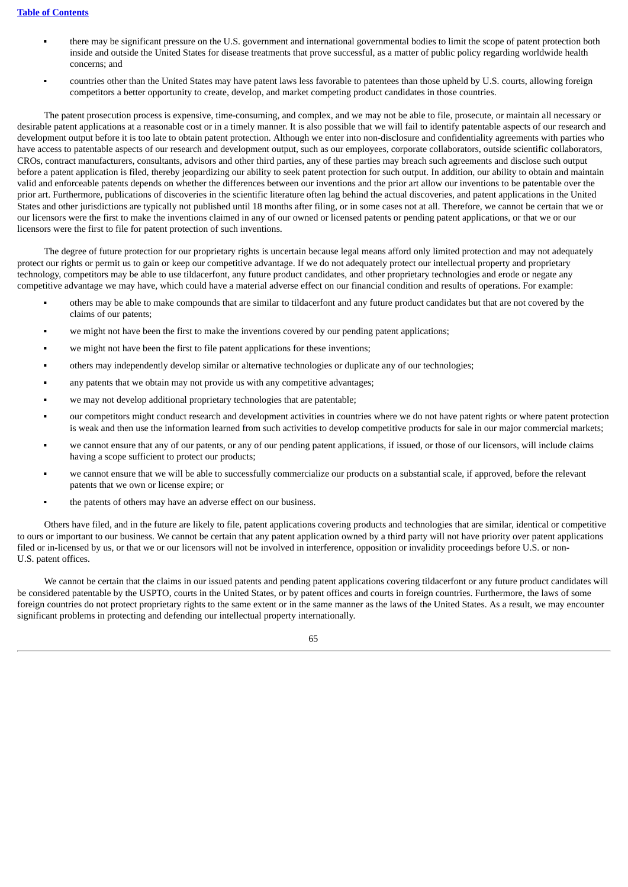- there may be significant pressure on the U.S. government and international governmental bodies to limit the scope of patent protection both inside and outside the United States for disease treatments that prove successful, as a matter of public policy regarding worldwide health concerns; and
- countries other than the United States may have patent laws less favorable to patentees than those upheld by U.S. courts, allowing foreign competitors a better opportunity to create, develop, and market competing product candidates in those countries.

The patent prosecution process is expensive, time-consuming, and complex, and we may not be able to file, prosecute, or maintain all necessary or desirable patent applications at a reasonable cost or in a timely manner. It is also possible that we will fail to identify patentable aspects of our research and development output before it is too late to obtain patent protection. Although we enter into non-disclosure and confidentiality agreements with parties who have access to patentable aspects of our research and development output, such as our employees, corporate collaborators, outside scientific collaborators, CROs, contract manufacturers, consultants, advisors and other third parties, any of these parties may breach such agreements and disclose such output before a patent application is filed, thereby jeopardizing our ability to seek patent protection for such output. In addition, our ability to obtain and maintain valid and enforceable patents depends on whether the differences between our inventions and the prior art allow our inventions to be patentable over the prior art. Furthermore, publications of discoveries in the scientific literature often lag behind the actual discoveries, and patent applications in the United States and other jurisdictions are typically not published until 18 months after filing, or in some cases not at all. Therefore, we cannot be certain that we or our licensors were the first to make the inventions claimed in any of our owned or licensed patents or pending patent applications, or that we or our licensors were the first to file for patent protection of such inventions.

The degree of future protection for our proprietary rights is uncertain because legal means afford only limited protection and may not adequately protect our rights or permit us to gain or keep our competitive advantage. If we do not adequately protect our intellectual property and proprietary technology, competitors may be able to use tildacerfont, any future product candidates, and other proprietary technologies and erode or negate any competitive advantage we may have, which could have a material adverse effect on our financial condition and results of operations. For example:

- others may be able to make compounds that are similar to tildacerfont and any future product candidates but that are not covered by the claims of our patents;
- we might not have been the first to make the inventions covered by our pending patent applications;
- we might not have been the first to file patent applications for these inventions;
- others may independently develop similar or alternative technologies or duplicate any of our technologies;
- any patents that we obtain may not provide us with any competitive advantages;
- we may not develop additional proprietary technologies that are patentable;
- our competitors might conduct research and development activities in countries where we do not have patent rights or where patent protection is weak and then use the information learned from such activities to develop competitive products for sale in our major commercial markets;
- we cannot ensure that any of our patents, or any of our pending patent applications, if issued, or those of our licensors, will include claims having a scope sufficient to protect our products;
- we cannot ensure that we will be able to successfully commercialize our products on a substantial scale, if approved, before the relevant patents that we own or license expire; or
- the patents of others may have an adverse effect on our business.

Others have filed, and in the future are likely to file, patent applications covering products and technologies that are similar, identical or competitive to ours or important to our business. We cannot be certain that any patent application owned by a third party will not have priority over patent applications filed or in-licensed by us, or that we or our licensors will not be involved in interference, opposition or invalidity proceedings before U.S. or non-U.S. patent offices.

We cannot be certain that the claims in our issued patents and pending patent applications covering tildacerfont or any future product candidates will be considered patentable by the USPTO, courts in the United States, or by patent offices and courts in foreign countries. Furthermore, the laws of some foreign countries do not protect proprietary rights to the same extent or in the same manner as the laws of the United States. As a result, we may encounter significant problems in protecting and defending our intellectual property internationally.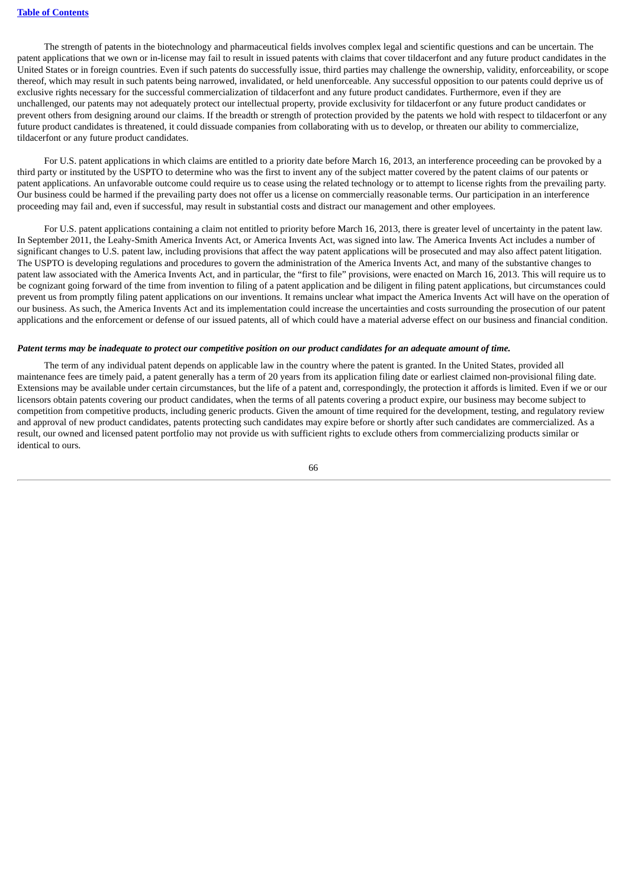The strength of patents in the biotechnology and pharmaceutical fields involves complex legal and scientific questions and can be uncertain. The patent applications that we own or in-license may fail to result in issued patents with claims that cover tildacerfont and any future product candidates in the United States or in foreign countries. Even if such patents do successfully issue, third parties may challenge the ownership, validity, enforceability, or scope thereof, which may result in such patents being narrowed, invalidated, or held unenforceable. Any successful opposition to our patents could deprive us of exclusive rights necessary for the successful commercialization of tildacerfont and any future product candidates. Furthermore, even if they are unchallenged, our patents may not adequately protect our intellectual property, provide exclusivity for tildacerfont or any future product candidates or prevent others from designing around our claims. If the breadth or strength of protection provided by the patents we hold with respect to tildacerfont or any future product candidates is threatened, it could dissuade companies from collaborating with us to develop, or threaten our ability to commercialize, tildacerfont or any future product candidates.

For U.S. patent applications in which claims are entitled to a priority date before March 16, 2013, an interference proceeding can be provoked by a third party or instituted by the USPTO to determine who was the first to invent any of the subject matter covered by the patent claims of our patents or patent applications. An unfavorable outcome could require us to cease using the related technology or to attempt to license rights from the prevailing party. Our business could be harmed if the prevailing party does not offer us a license on commercially reasonable terms. Our participation in an interference proceeding may fail and, even if successful, may result in substantial costs and distract our management and other employees.

For U.S. patent applications containing a claim not entitled to priority before March 16, 2013, there is greater level of uncertainty in the patent law. In September 2011, the Leahy-Smith America Invents Act, or America Invents Act, was signed into law. The America Invents Act includes a number of significant changes to U.S. patent law, including provisions that affect the way patent applications will be prosecuted and may also affect patent litigation. The USPTO is developing regulations and procedures to govern the administration of the America Invents Act, and many of the substantive changes to patent law associated with the America Invents Act, and in particular, the "first to file" provisions, were enacted on March 16, 2013. This will require us to be cognizant going forward of the time from invention to filing of a patent application and be diligent in filing patent applications, but circumstances could prevent us from promptly filing patent applications on our inventions. It remains unclear what impact the America Invents Act will have on the operation of our business. As such, the America Invents Act and its implementation could increase the uncertainties and costs surrounding the prosecution of our patent applications and the enforcement or defense of our issued patents, all of which could have a material adverse effect on our business and financial condition.

#### Patent terms may be inadequate to protect our competitive position on our product candidates for an adequate amount of time.

The term of any individual patent depends on applicable law in the country where the patent is granted. In the United States, provided all maintenance fees are timely paid, a patent generally has a term of 20 years from its application filing date or earliest claimed non-provisional filing date. Extensions may be available under certain circumstances, but the life of a patent and, correspondingly, the protection it affords is limited. Even if we or our licensors obtain patents covering our product candidates, when the terms of all patents covering a product expire, our business may become subject to competition from competitive products, including generic products. Given the amount of time required for the development, testing, and regulatory review and approval of new product candidates, patents protecting such candidates may expire before or shortly after such candidates are commercialized. As a result, our owned and licensed patent portfolio may not provide us with sufficient rights to exclude others from commercializing products similar or identical to ours.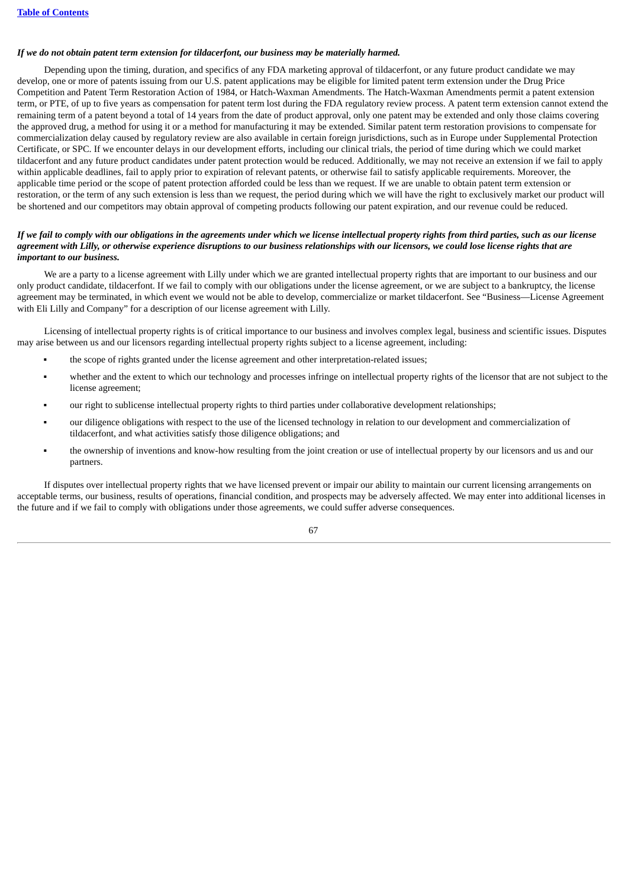#### *If we do not obtain patent term extension for tildacerfont, our business may be materially harmed.*

Depending upon the timing, duration, and specifics of any FDA marketing approval of tildacerfont, or any future product candidate we may develop, one or more of patents issuing from our U.S. patent applications may be eligible for limited patent term extension under the Drug Price Competition and Patent Term Restoration Action of 1984, or Hatch-Waxman Amendments. The Hatch-Waxman Amendments permit a patent extension term, or PTE, of up to five years as compensation for patent term lost during the FDA regulatory review process. A patent term extension cannot extend the remaining term of a patent beyond a total of 14 years from the date of product approval, only one patent may be extended and only those claims covering the approved drug, a method for using it or a method for manufacturing it may be extended. Similar patent term restoration provisions to compensate for commercialization delay caused by regulatory review are also available in certain foreign jurisdictions, such as in Europe under Supplemental Protection Certificate, or SPC. If we encounter delays in our development efforts, including our clinical trials, the period of time during which we could market tildacerfont and any future product candidates under patent protection would be reduced. Additionally, we may not receive an extension if we fail to apply within applicable deadlines, fail to apply prior to expiration of relevant patents, or otherwise fail to satisfy applicable requirements. Moreover, the applicable time period or the scope of patent protection afforded could be less than we request. If we are unable to obtain patent term extension or restoration, or the term of any such extension is less than we request, the period during which we will have the right to exclusively market our product will be shortened and our competitors may obtain approval of competing products following our patent expiration, and our revenue could be reduced.

# If we fail to comply with our obligations in the agreements under which we license intellectual property rights from third parties, such as our license agreement with Lilly, or otherwise experience disruptions to our business relationships with our licensors, we could lose license rights that are *important to our business.*

We are a party to a license agreement with Lilly under which we are granted intellectual property rights that are important to our business and our only product candidate, tildacerfont. If we fail to comply with our obligations under the license agreement, or we are subject to a bankruptcy, the license agreement may be terminated, in which event we would not be able to develop, commercialize or market tildacerfont. See "Business—License Agreement with Eli Lilly and Company" for a description of our license agreement with Lilly.

Licensing of intellectual property rights is of critical importance to our business and involves complex legal, business and scientific issues. Disputes may arise between us and our licensors regarding intellectual property rights subject to a license agreement, including:

- the scope of rights granted under the license agreement and other interpretation-related issues;
- whether and the extent to which our technology and processes infringe on intellectual property rights of the licensor that are not subject to the license agreement;
- our right to sublicense intellectual property rights to third parties under collaborative development relationships;
- our diligence obligations with respect to the use of the licensed technology in relation to our development and commercialization of tildacerfont, and what activities satisfy those diligence obligations; and
- the ownership of inventions and know-how resulting from the joint creation or use of intellectual property by our licensors and us and our partners.

If disputes over intellectual property rights that we have licensed prevent or impair our ability to maintain our current licensing arrangements on acceptable terms, our business, results of operations, financial condition, and prospects may be adversely affected. We may enter into additional licenses in the future and if we fail to comply with obligations under those agreements, we could suffer adverse consequences.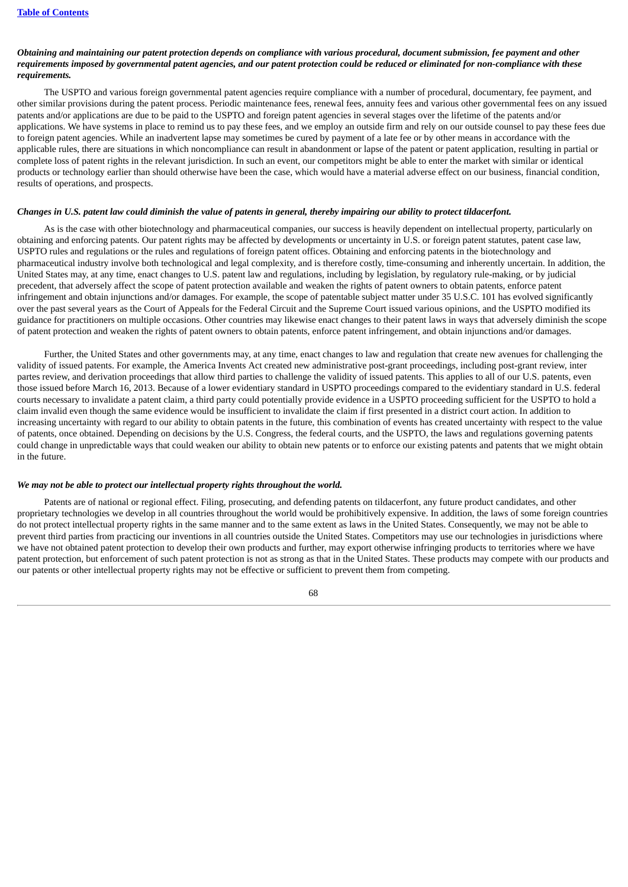## Obtaining and maintaining our patent protection depends on compliance with various procedural, document submission, fee payment and other requirements imposed by governmental patent agencies, and our patent protection could be reduced or eliminated for non-compliance with these *requirements.*

The USPTO and various foreign governmental patent agencies require compliance with a number of procedural, documentary, fee payment, and other similar provisions during the patent process. Periodic maintenance fees, renewal fees, annuity fees and various other governmental fees on any issued patents and/or applications are due to be paid to the USPTO and foreign patent agencies in several stages over the lifetime of the patents and/or applications. We have systems in place to remind us to pay these fees, and we employ an outside firm and rely on our outside counsel to pay these fees due to foreign patent agencies. While an inadvertent lapse may sometimes be cured by payment of a late fee or by other means in accordance with the applicable rules, there are situations in which noncompliance can result in abandonment or lapse of the patent or patent application, resulting in partial or complete loss of patent rights in the relevant jurisdiction. In such an event, our competitors might be able to enter the market with similar or identical products or technology earlier than should otherwise have been the case, which would have a material adverse effect on our business, financial condition, results of operations, and prospects.

#### Changes in U.S. patent law could diminish the value of patents in general, thereby impairing our ability to protect tildacerfont.

As is the case with other biotechnology and pharmaceutical companies, our success is heavily dependent on intellectual property, particularly on obtaining and enforcing patents. Our patent rights may be affected by developments or uncertainty in U.S. or foreign patent statutes, patent case law, USPTO rules and regulations or the rules and regulations of foreign patent offices. Obtaining and enforcing patents in the biotechnology and pharmaceutical industry involve both technological and legal complexity, and is therefore costly, time-consuming and inherently uncertain. In addition, the United States may, at any time, enact changes to U.S. patent law and regulations, including by legislation, by regulatory rule-making, or by judicial precedent, that adversely affect the scope of patent protection available and weaken the rights of patent owners to obtain patents, enforce patent infringement and obtain injunctions and/or damages. For example, the scope of patentable subject matter under 35 U.S.C. 101 has evolved significantly over the past several years as the Court of Appeals for the Federal Circuit and the Supreme Court issued various opinions, and the USPTO modified its guidance for practitioners on multiple occasions. Other countries may likewise enact changes to their patent laws in ways that adversely diminish the scope of patent protection and weaken the rights of patent owners to obtain patents, enforce patent infringement, and obtain injunctions and/or damages.

Further, the United States and other governments may, at any time, enact changes to law and regulation that create new avenues for challenging the validity of issued patents. For example, the America Invents Act created new administrative post-grant proceedings, including post-grant review, inter partes review, and derivation proceedings that allow third parties to challenge the validity of issued patents. This applies to all of our U.S. patents, even those issued before March 16, 2013. Because of a lower evidentiary standard in USPTO proceedings compared to the evidentiary standard in U.S. federal courts necessary to invalidate a patent claim, a third party could potentially provide evidence in a USPTO proceeding sufficient for the USPTO to hold a claim invalid even though the same evidence would be insufficient to invalidate the claim if first presented in a district court action. In addition to increasing uncertainty with regard to our ability to obtain patents in the future, this combination of events has created uncertainty with respect to the value of patents, once obtained. Depending on decisions by the U.S. Congress, the federal courts, and the USPTO, the laws and regulations governing patents could change in unpredictable ways that could weaken our ability to obtain new patents or to enforce our existing patents and patents that we might obtain in the future.

#### *We may not be able to protect our intellectual property rights throughout the world.*

Patents are of national or regional effect. Filing, prosecuting, and defending patents on tildacerfont, any future product candidates, and other proprietary technologies we develop in all countries throughout the world would be prohibitively expensive. In addition, the laws of some foreign countries do not protect intellectual property rights in the same manner and to the same extent as laws in the United States. Consequently, we may not be able to prevent third parties from practicing our inventions in all countries outside the United States. Competitors may use our technologies in jurisdictions where we have not obtained patent protection to develop their own products and further, may export otherwise infringing products to territories where we have patent protection, but enforcement of such patent protection is not as strong as that in the United States. These products may compete with our products and our patents or other intellectual property rights may not be effective or sufficient to prevent them from competing.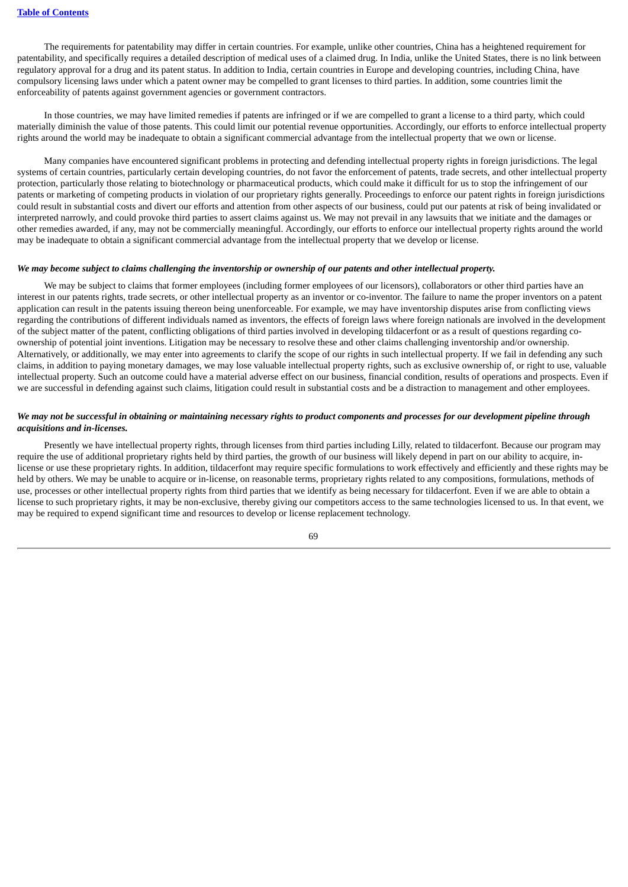The requirements for patentability may differ in certain countries. For example, unlike other countries, China has a heightened requirement for patentability, and specifically requires a detailed description of medical uses of a claimed drug. In India, unlike the United States, there is no link between regulatory approval for a drug and its patent status. In addition to India, certain countries in Europe and developing countries, including China, have compulsory licensing laws under which a patent owner may be compelled to grant licenses to third parties. In addition, some countries limit the enforceability of patents against government agencies or government contractors.

In those countries, we may have limited remedies if patents are infringed or if we are compelled to grant a license to a third party, which could materially diminish the value of those patents. This could limit our potential revenue opportunities. Accordingly, our efforts to enforce intellectual property rights around the world may be inadequate to obtain a significant commercial advantage from the intellectual property that we own or license.

Many companies have encountered significant problems in protecting and defending intellectual property rights in foreign jurisdictions. The legal systems of certain countries, particularly certain developing countries, do not favor the enforcement of patents, trade secrets, and other intellectual property protection, particularly those relating to biotechnology or pharmaceutical products, which could make it difficult for us to stop the infringement of our patents or marketing of competing products in violation of our proprietary rights generally. Proceedings to enforce our patent rights in foreign jurisdictions could result in substantial costs and divert our efforts and attention from other aspects of our business, could put our patents at risk of being invalidated or interpreted narrowly, and could provoke third parties to assert claims against us. We may not prevail in any lawsuits that we initiate and the damages or other remedies awarded, if any, may not be commercially meaningful. Accordingly, our efforts to enforce our intellectual property rights around the world may be inadequate to obtain a significant commercial advantage from the intellectual property that we develop or license.

# We may become subject to claims challenging the inventorship or ownership of our patents and other intellectual property.

We may be subject to claims that former employees (including former employees of our licensors), collaborators or other third parties have an interest in our patents rights, trade secrets, or other intellectual property as an inventor or co-inventor. The failure to name the proper inventors on a patent application can result in the patents issuing thereon being unenforceable. For example, we may have inventorship disputes arise from conflicting views regarding the contributions of different individuals named as inventors, the effects of foreign laws where foreign nationals are involved in the development of the subject matter of the patent, conflicting obligations of third parties involved in developing tildacerfont or as a result of questions regarding coownership of potential joint inventions. Litigation may be necessary to resolve these and other claims challenging inventorship and/or ownership. Alternatively, or additionally, we may enter into agreements to clarify the scope of our rights in such intellectual property. If we fail in defending any such claims, in addition to paying monetary damages, we may lose valuable intellectual property rights, such as exclusive ownership of, or right to use, valuable intellectual property. Such an outcome could have a material adverse effect on our business, financial condition, results of operations and prospects. Even if we are successful in defending against such claims, litigation could result in substantial costs and be a distraction to management and other employees.

## We may not be successful in obtaining or maintaining necessary rights to product components and processes for our development pipeline through *acquisitions and in-licenses.*

Presently we have intellectual property rights, through licenses from third parties including Lilly, related to tildacerfont. Because our program may require the use of additional proprietary rights held by third parties, the growth of our business will likely depend in part on our ability to acquire, inlicense or use these proprietary rights. In addition, tildacerfont may require specific formulations to work effectively and efficiently and these rights may be held by others. We may be unable to acquire or in-license, on reasonable terms, proprietary rights related to any compositions, formulations, methods of use, processes or other intellectual property rights from third parties that we identify as being necessary for tildacerfont. Even if we are able to obtain a license to such proprietary rights, it may be non-exclusive, thereby giving our competitors access to the same technologies licensed to us. In that event, we may be required to expend significant time and resources to develop or license replacement technology.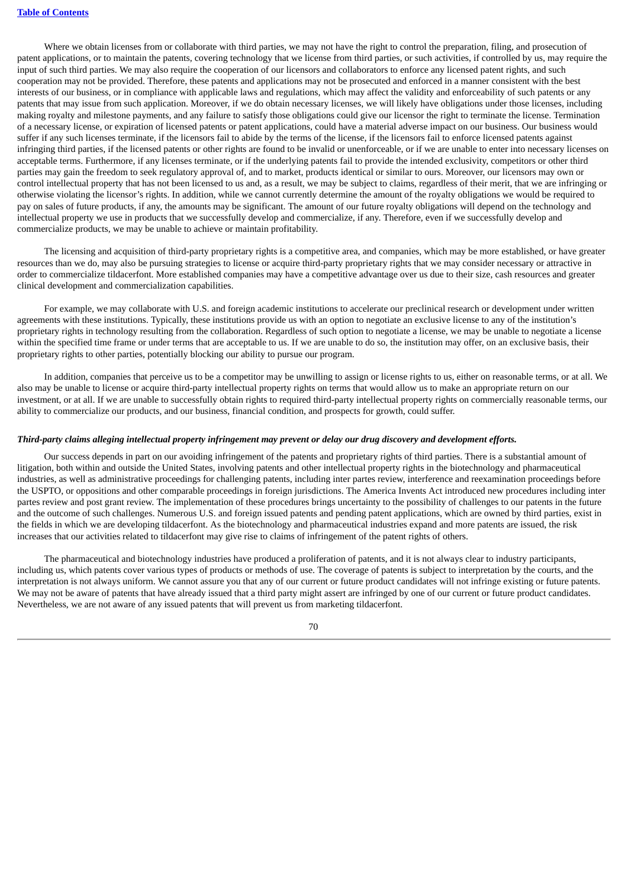Where we obtain licenses from or collaborate with third parties, we may not have the right to control the preparation, filing, and prosecution of patent applications, or to maintain the patents, covering technology that we license from third parties, or such activities, if controlled by us, may require the input of such third parties. We may also require the cooperation of our licensors and collaborators to enforce any licensed patent rights, and such cooperation may not be provided. Therefore, these patents and applications may not be prosecuted and enforced in a manner consistent with the best interests of our business, or in compliance with applicable laws and regulations, which may affect the validity and enforceability of such patents or any patents that may issue from such application. Moreover, if we do obtain necessary licenses, we will likely have obligations under those licenses, including making royalty and milestone payments, and any failure to satisfy those obligations could give our licensor the right to terminate the license. Termination of a necessary license, or expiration of licensed patents or patent applications, could have a material adverse impact on our business. Our business would suffer if any such licenses terminate, if the licensors fail to abide by the terms of the license, if the licensors fail to enforce licensed patents against infringing third parties, if the licensed patents or other rights are found to be invalid or unenforceable, or if we are unable to enter into necessary licenses on acceptable terms. Furthermore, if any licenses terminate, or if the underlying patents fail to provide the intended exclusivity, competitors or other third parties may gain the freedom to seek regulatory approval of, and to market, products identical or similar to ours. Moreover, our licensors may own or control intellectual property that has not been licensed to us and, as a result, we may be subject to claims, regardless of their merit, that we are infringing or otherwise violating the licensor's rights. In addition, while we cannot currently determine the amount of the royalty obligations we would be required to pay on sales of future products, if any, the amounts may be significant. The amount of our future royalty obligations will depend on the technology and intellectual property we use in products that we successfully develop and commercialize, if any. Therefore, even if we successfully develop and commercialize products, we may be unable to achieve or maintain profitability.

The licensing and acquisition of third-party proprietary rights is a competitive area, and companies, which may be more established, or have greater resources than we do, may also be pursuing strategies to license or acquire third-party proprietary rights that we may consider necessary or attractive in order to commercialize tildacerfont. More established companies may have a competitive advantage over us due to their size, cash resources and greater clinical development and commercialization capabilities.

For example, we may collaborate with U.S. and foreign academic institutions to accelerate our preclinical research or development under written agreements with these institutions. Typically, these institutions provide us with an option to negotiate an exclusive license to any of the institution's proprietary rights in technology resulting from the collaboration. Regardless of such option to negotiate a license, we may be unable to negotiate a license within the specified time frame or under terms that are acceptable to us. If we are unable to do so, the institution may offer, on an exclusive basis, their proprietary rights to other parties, potentially blocking our ability to pursue our program.

In addition, companies that perceive us to be a competitor may be unwilling to assign or license rights to us, either on reasonable terms, or at all. We also may be unable to license or acquire third-party intellectual property rights on terms that would allow us to make an appropriate return on our investment, or at all. If we are unable to successfully obtain rights to required third-party intellectual property rights on commercially reasonable terms, our ability to commercialize our products, and our business, financial condition, and prospects for growth, could suffer.

#### Third-party claims alleging intellectual property infringement may prevent or delay our drug discovery and development efforts.

Our success depends in part on our avoiding infringement of the patents and proprietary rights of third parties. There is a substantial amount of litigation, both within and outside the United States, involving patents and other intellectual property rights in the biotechnology and pharmaceutical industries, as well as administrative proceedings for challenging patents, including inter partes review, interference and reexamination proceedings before the USPTO, or oppositions and other comparable proceedings in foreign jurisdictions. The America Invents Act introduced new procedures including inter partes review and post grant review. The implementation of these procedures brings uncertainty to the possibility of challenges to our patents in the future and the outcome of such challenges. Numerous U.S. and foreign issued patents and pending patent applications, which are owned by third parties, exist in the fields in which we are developing tildacerfont. As the biotechnology and pharmaceutical industries expand and more patents are issued, the risk increases that our activities related to tildacerfont may give rise to claims of infringement of the patent rights of others.

The pharmaceutical and biotechnology industries have produced a proliferation of patents, and it is not always clear to industry participants, including us, which patents cover various types of products or methods of use. The coverage of patents is subject to interpretation by the courts, and the interpretation is not always uniform. We cannot assure you that any of our current or future product candidates will not infringe existing or future patents. We may not be aware of patents that have already issued that a third party might assert are infringed by one of our current or future product candidates. Nevertheless, we are not aware of any issued patents that will prevent us from marketing tildacerfont.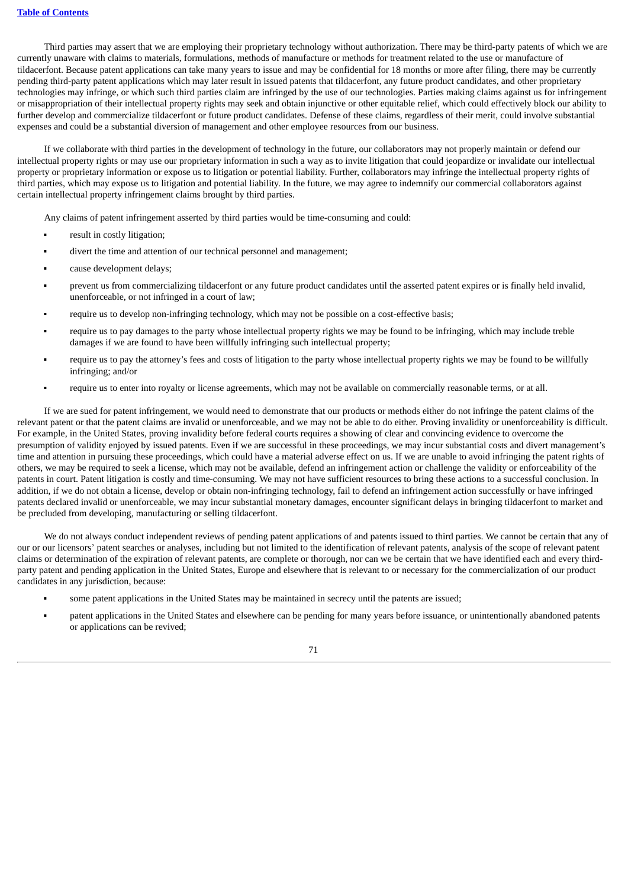Third parties may assert that we are employing their proprietary technology without authorization. There may be third-party patents of which we are currently unaware with claims to materials, formulations, methods of manufacture or methods for treatment related to the use or manufacture of tildacerfont. Because patent applications can take many years to issue and may be confidential for 18 months or more after filing, there may be currently pending third-party patent applications which may later result in issued patents that tildacerfont, any future product candidates, and other proprietary technologies may infringe, or which such third parties claim are infringed by the use of our technologies. Parties making claims against us for infringement or misappropriation of their intellectual property rights may seek and obtain injunctive or other equitable relief, which could effectively block our ability to further develop and commercialize tildacerfont or future product candidates. Defense of these claims, regardless of their merit, could involve substantial expenses and could be a substantial diversion of management and other employee resources from our business.

If we collaborate with third parties in the development of technology in the future, our collaborators may not properly maintain or defend our intellectual property rights or may use our proprietary information in such a way as to invite litigation that could jeopardize or invalidate our intellectual property or proprietary information or expose us to litigation or potential liability. Further, collaborators may infringe the intellectual property rights of third parties, which may expose us to litigation and potential liability. In the future, we may agree to indemnify our commercial collaborators against certain intellectual property infringement claims brought by third parties.

Any claims of patent infringement asserted by third parties would be time-consuming and could:

- result in costly litigation;
- divert the time and attention of our technical personnel and management;
- cause development delays;
- prevent us from commercializing tildacerfont or any future product candidates until the asserted patent expires or is finally held invalid, unenforceable, or not infringed in a court of law;
- require us to develop non-infringing technology, which may not be possible on a cost-effective basis;
- require us to pay damages to the party whose intellectual property rights we may be found to be infringing, which may include treble damages if we are found to have been willfully infringing such intellectual property;
- require us to pay the attorney's fees and costs of litigation to the party whose intellectual property rights we may be found to be willfully infringing; and/or
- require us to enter into royalty or license agreements, which may not be available on commercially reasonable terms, or at all.

If we are sued for patent infringement, we would need to demonstrate that our products or methods either do not infringe the patent claims of the relevant patent or that the patent claims are invalid or unenforceable, and we may not be able to do either. Proving invalidity or unenforceability is difficult. For example, in the United States, proving invalidity before federal courts requires a showing of clear and convincing evidence to overcome the presumption of validity enjoyed by issued patents. Even if we are successful in these proceedings, we may incur substantial costs and divert management's time and attention in pursuing these proceedings, which could have a material adverse effect on us. If we are unable to avoid infringing the patent rights of others, we may be required to seek a license, which may not be available, defend an infringement action or challenge the validity or enforceability of the patents in court. Patent litigation is costly and time-consuming. We may not have sufficient resources to bring these actions to a successful conclusion. In addition, if we do not obtain a license, develop or obtain non-infringing technology, fail to defend an infringement action successfully or have infringed patents declared invalid or unenforceable, we may incur substantial monetary damages, encounter significant delays in bringing tildacerfont to market and be precluded from developing, manufacturing or selling tildacerfont.

We do not always conduct independent reviews of pending patent applications of and patents issued to third parties. We cannot be certain that any of our or our licensors' patent searches or analyses, including but not limited to the identification of relevant patents, analysis of the scope of relevant patent claims or determination of the expiration of relevant patents, are complete or thorough, nor can we be certain that we have identified each and every thirdparty patent and pending application in the United States, Europe and elsewhere that is relevant to or necessary for the commercialization of our product candidates in any jurisdiction, because:

- some patent applications in the United States may be maintained in secrecy until the patents are issued;
- patent applications in the United States and elsewhere can be pending for many years before issuance, or unintentionally abandoned patents or applications can be revived;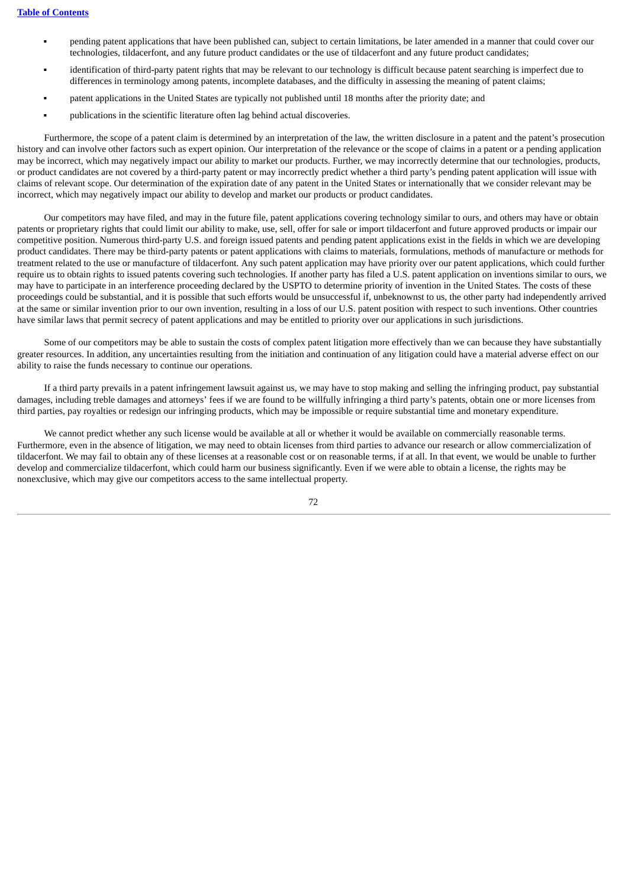- pending patent applications that have been published can, subject to certain limitations, be later amended in a manner that could cover our technologies, tildacerfont, and any future product candidates or the use of tildacerfont and any future product candidates;
- identification of third-party patent rights that may be relevant to our technology is difficult because patent searching is imperfect due to differences in terminology among patents, incomplete databases, and the difficulty in assessing the meaning of patent claims;
- patent applications in the United States are typically not published until 18 months after the priority date; and
- publications in the scientific literature often lag behind actual discoveries.

Furthermore, the scope of a patent claim is determined by an interpretation of the law, the written disclosure in a patent and the patent's prosecution history and can involve other factors such as expert opinion. Our interpretation of the relevance or the scope of claims in a patent or a pending application may be incorrect, which may negatively impact our ability to market our products. Further, we may incorrectly determine that our technologies, products, or product candidates are not covered by a third-party patent or may incorrectly predict whether a third party's pending patent application will issue with claims of relevant scope. Our determination of the expiration date of any patent in the United States or internationally that we consider relevant may be incorrect, which may negatively impact our ability to develop and market our products or product candidates.

Our competitors may have filed, and may in the future file, patent applications covering technology similar to ours, and others may have or obtain patents or proprietary rights that could limit our ability to make, use, sell, offer for sale or import tildacerfont and future approved products or impair our competitive position. Numerous third-party U.S. and foreign issued patents and pending patent applications exist in the fields in which we are developing product candidates. There may be third-party patents or patent applications with claims to materials, formulations, methods of manufacture or methods for treatment related to the use or manufacture of tildacerfont. Any such patent application may have priority over our patent applications, which could further require us to obtain rights to issued patents covering such technologies. If another party has filed a U.S. patent application on inventions similar to ours, we may have to participate in an interference proceeding declared by the USPTO to determine priority of invention in the United States. The costs of these proceedings could be substantial, and it is possible that such efforts would be unsuccessful if, unbeknownst to us, the other party had independently arrived at the same or similar invention prior to our own invention, resulting in a loss of our U.S. patent position with respect to such inventions. Other countries have similar laws that permit secrecy of patent applications and may be entitled to priority over our applications in such jurisdictions.

Some of our competitors may be able to sustain the costs of complex patent litigation more effectively than we can because they have substantially greater resources. In addition, any uncertainties resulting from the initiation and continuation of any litigation could have a material adverse effect on our ability to raise the funds necessary to continue our operations.

If a third party prevails in a patent infringement lawsuit against us, we may have to stop making and selling the infringing product, pay substantial damages, including treble damages and attorneys' fees if we are found to be willfully infringing a third party's patents, obtain one or more licenses from third parties, pay royalties or redesign our infringing products, which may be impossible or require substantial time and monetary expenditure.

We cannot predict whether any such license would be available at all or whether it would be available on commercially reasonable terms. Furthermore, even in the absence of litigation, we may need to obtain licenses from third parties to advance our research or allow commercialization of tildacerfont. We may fail to obtain any of these licenses at a reasonable cost or on reasonable terms, if at all. In that event, we would be unable to further develop and commercialize tildacerfont, which could harm our business significantly. Even if we were able to obtain a license, the rights may be nonexclusive, which may give our competitors access to the same intellectual property.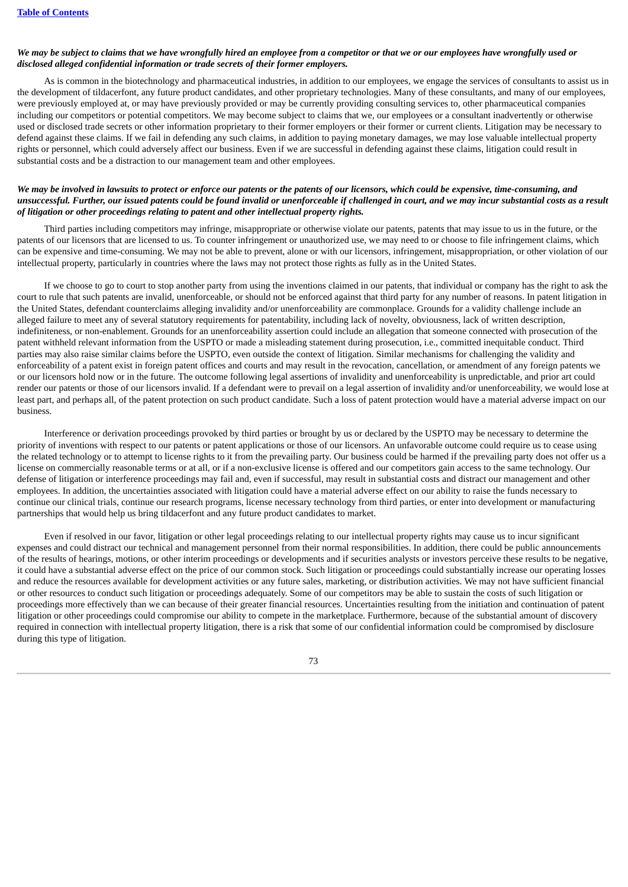### We may be subject to claims that we have wrongfully hired an employee from a competitor or that we or our employees have wrongfully used or *disclosed alleged confidential information or trade secrets of their former employers.*

As is common in the biotechnology and pharmaceutical industries, in addition to our employees, we engage the services of consultants to assist us in the development of tildacerfont, any future product candidates, and other proprietary technologies. Many of these consultants, and many of our employees, were previously employed at, or may have previously provided or may be currently providing consulting services to, other pharmaceutical companies including our competitors or potential competitors. We may become subject to claims that we, our employees or a consultant inadvertently or otherwise used or disclosed trade secrets or other information proprietary to their former employers or their former or current clients. Litigation may be necessary to defend against these claims. If we fail in defending any such claims, in addition to paying monetary damages, we may lose valuable intellectual property rights or personnel, which could adversely affect our business. Even if we are successful in defending against these claims, litigation could result in substantial costs and be a distraction to our management team and other employees.

### We may be involved in lawsuits to protect or enforce our patents or the patents of our licensors, which could be expensive, time-consuming, and unsuccessful. Further, our issued patents could be found invalid or unenforceable if challenged in court, and we may incur substantial costs as a result *of litigation or other proceedings relating to patent and other intellectual property rights.*

Third parties including competitors may infringe, misappropriate or otherwise violate our patents, patents that may issue to us in the future, or the patents of our licensors that are licensed to us. To counter infringement or unauthorized use, we may need to or choose to file infringement claims, which can be expensive and time-consuming. We may not be able to prevent, alone or with our licensors, infringement, misappropriation, or other violation of our intellectual property, particularly in countries where the laws may not protect those rights as fully as in the United States.

If we choose to go to court to stop another party from using the inventions claimed in our patents, that individual or company has the right to ask the court to rule that such patents are invalid, unenforceable, or should not be enforced against that third party for any number of reasons. In patent litigation in the United States, defendant counterclaims alleging invalidity and/or unenforceability are commonplace. Grounds for a validity challenge include an alleged failure to meet any of several statutory requirements for patentability, including lack of novelty, obviousness, lack of written description, indefiniteness, or non-enablement. Grounds for an unenforceability assertion could include an allegation that someone connected with prosecution of the patent withheld relevant information from the USPTO or made a misleading statement during prosecution, i.e., committed inequitable conduct. Third parties may also raise similar claims before the USPTO, even outside the context of litigation. Similar mechanisms for challenging the validity and enforceability of a patent exist in foreign patent offices and courts and may result in the revocation, cancellation, or amendment of any foreign patents we or our licensors hold now or in the future. The outcome following legal assertions of invalidity and unenforceability is unpredictable, and prior art could render our patents or those of our licensors invalid. If a defendant were to prevail on a legal assertion of invalidity and/or unenforceability, we would lose at least part, and perhaps all, of the patent protection on such product candidate. Such a loss of patent protection would have a material adverse impact on our business.

Interference or derivation proceedings provoked by third parties or brought by us or declared by the USPTO may be necessary to determine the priority of inventions with respect to our patents or patent applications or those of our licensors. An unfavorable outcome could require us to cease using the related technology or to attempt to license rights to it from the prevailing party. Our business could be harmed if the prevailing party does not offer us a license on commercially reasonable terms or at all, or if a non-exclusive license is offered and our competitors gain access to the same technology. Our defense of litigation or interference proceedings may fail and, even if successful, may result in substantial costs and distract our management and other employees. In addition, the uncertainties associated with litigation could have a material adverse effect on our ability to raise the funds necessary to continue our clinical trials, continue our research programs, license necessary technology from third parties, or enter into development or manufacturing partnerships that would help us bring tildacerfont and any future product candidates to market.

Even if resolved in our favor, litigation or other legal proceedings relating to our intellectual property rights may cause us to incur significant expenses and could distract our technical and management personnel from their normal responsibilities. In addition, there could be public announcements of the results of hearings, motions, or other interim proceedings or developments and if securities analysts or investors perceive these results to be negative, it could have a substantial adverse effect on the price of our common stock. Such litigation or proceedings could substantially increase our operating losses and reduce the resources available for development activities or any future sales, marketing, or distribution activities. We may not have sufficient financial or other resources to conduct such litigation or proceedings adequately. Some of our competitors may be able to sustain the costs of such litigation or proceedings more effectively than we can because of their greater financial resources. Uncertainties resulting from the initiation and continuation of patent litigation or other proceedings could compromise our ability to compete in the marketplace. Furthermore, because of the substantial amount of discovery required in connection with intellectual property litigation, there is a risk that some of our confidential information could be compromised by disclosure during this type of litigation.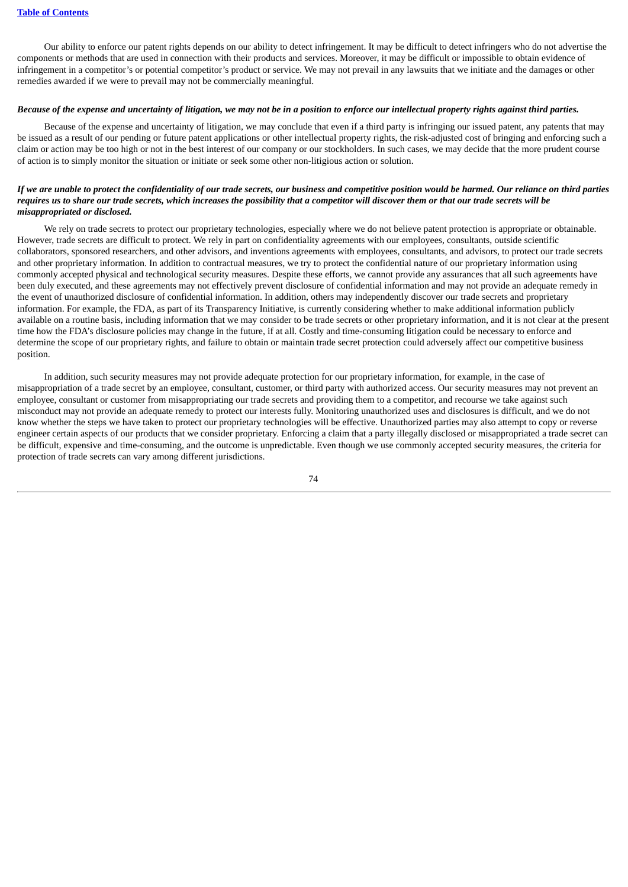Our ability to enforce our patent rights depends on our ability to detect infringement. It may be difficult to detect infringers who do not advertise the components or methods that are used in connection with their products and services. Moreover, it may be difficult or impossible to obtain evidence of infringement in a competitor's or potential competitor's product or service. We may not prevail in any lawsuits that we initiate and the damages or other remedies awarded if we were to prevail may not be commercially meaningful.

# Because of the expense and uncertainty of litigation, we may not be in a position to enforce our intellectual property rights against third parties.

Because of the expense and uncertainty of litigation, we may conclude that even if a third party is infringing our issued patent, any patents that may be issued as a result of our pending or future patent applications or other intellectual property rights, the risk-adjusted cost of bringing and enforcing such a claim or action may be too high or not in the best interest of our company or our stockholders. In such cases, we may decide that the more prudent course of action is to simply monitor the situation or initiate or seek some other non-litigious action or solution.

### If we are unable to protect the confidentiality of our trade secrets, our business and competitive position would be harmed. Our reliance on third parties requires us to share our trade secrets, which increases the possibility that a competitor will discover them or that our trade secrets will be *misappropriated or disclosed.*

We rely on trade secrets to protect our proprietary technologies, especially where we do not believe patent protection is appropriate or obtainable. However, trade secrets are difficult to protect. We rely in part on confidentiality agreements with our employees, consultants, outside scientific collaborators, sponsored researchers, and other advisors, and inventions agreements with employees, consultants, and advisors, to protect our trade secrets and other proprietary information. In addition to contractual measures, we try to protect the confidential nature of our proprietary information using commonly accepted physical and technological security measures. Despite these efforts, we cannot provide any assurances that all such agreements have been duly executed, and these agreements may not effectively prevent disclosure of confidential information and may not provide an adequate remedy in the event of unauthorized disclosure of confidential information. In addition, others may independently discover our trade secrets and proprietary information. For example, the FDA, as part of its Transparency Initiative, is currently considering whether to make additional information publicly available on a routine basis, including information that we may consider to be trade secrets or other proprietary information, and it is not clear at the present time how the FDA's disclosure policies may change in the future, if at all. Costly and time-consuming litigation could be necessary to enforce and determine the scope of our proprietary rights, and failure to obtain or maintain trade secret protection could adversely affect our competitive business position.

In addition, such security measures may not provide adequate protection for our proprietary information, for example, in the case of misappropriation of a trade secret by an employee, consultant, customer, or third party with authorized access. Our security measures may not prevent an employee, consultant or customer from misappropriating our trade secrets and providing them to a competitor, and recourse we take against such misconduct may not provide an adequate remedy to protect our interests fully. Monitoring unauthorized uses and disclosures is difficult, and we do not know whether the steps we have taken to protect our proprietary technologies will be effective. Unauthorized parties may also attempt to copy or reverse engineer certain aspects of our products that we consider proprietary. Enforcing a claim that a party illegally disclosed or misappropriated a trade secret can be difficult, expensive and time-consuming, and the outcome is unpredictable. Even though we use commonly accepted security measures, the criteria for protection of trade secrets can vary among different jurisdictions.

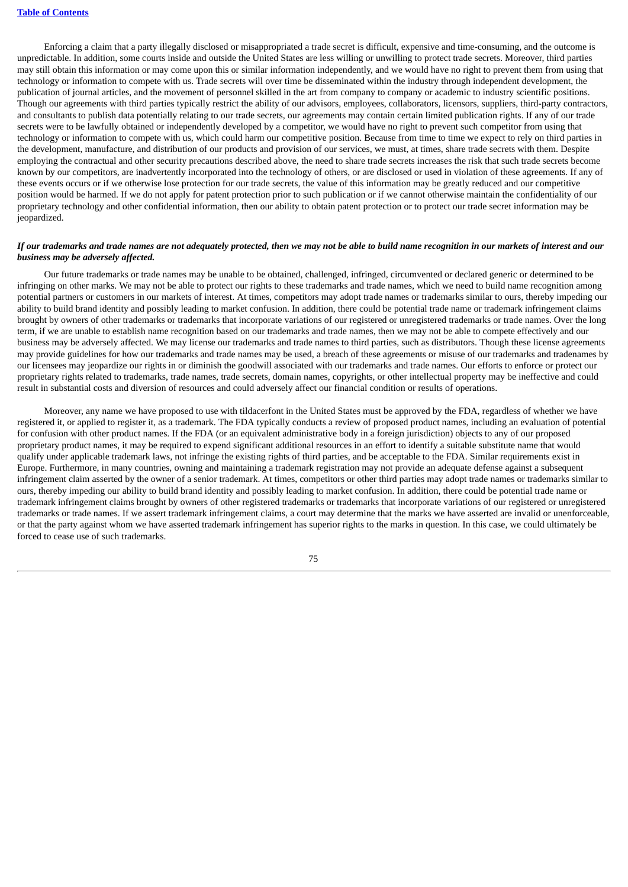Enforcing a claim that a party illegally disclosed or misappropriated a trade secret is difficult, expensive and time-consuming, and the outcome is unpredictable. In addition, some courts inside and outside the United States are less willing or unwilling to protect trade secrets. Moreover, third parties may still obtain this information or may come upon this or similar information independently, and we would have no right to prevent them from using that technology or information to compete with us. Trade secrets will over time be disseminated within the industry through independent development, the publication of journal articles, and the movement of personnel skilled in the art from company to company or academic to industry scientific positions. Though our agreements with third parties typically restrict the ability of our advisors, employees, collaborators, licensors, suppliers, third-party contractors, and consultants to publish data potentially relating to our trade secrets, our agreements may contain certain limited publication rights. If any of our trade secrets were to be lawfully obtained or independently developed by a competitor, we would have no right to prevent such competitor from using that technology or information to compete with us, which could harm our competitive position. Because from time to time we expect to rely on third parties in the development, manufacture, and distribution of our products and provision of our services, we must, at times, share trade secrets with them. Despite employing the contractual and other security precautions described above, the need to share trade secrets increases the risk that such trade secrets become known by our competitors, are inadvertently incorporated into the technology of others, or are disclosed or used in violation of these agreements. If any of these events occurs or if we otherwise lose protection for our trade secrets, the value of this information may be greatly reduced and our competitive position would be harmed. If we do not apply for patent protection prior to such publication or if we cannot otherwise maintain the confidentiality of our proprietary technology and other confidential information, then our ability to obtain patent protection or to protect our trade secret information may be jeopardized.

### If our trademarks and trade names are not adequately protected, then we may not be able to build name recognition in our markets of interest and our *business may be adversely affected.*

Our future trademarks or trade names may be unable to be obtained, challenged, infringed, circumvented or declared generic or determined to be infringing on other marks. We may not be able to protect our rights to these trademarks and trade names, which we need to build name recognition among potential partners or customers in our markets of interest. At times, competitors may adopt trade names or trademarks similar to ours, thereby impeding our ability to build brand identity and possibly leading to market confusion. In addition, there could be potential trade name or trademark infringement claims brought by owners of other trademarks or trademarks that incorporate variations of our registered or unregistered trademarks or trade names. Over the long term, if we are unable to establish name recognition based on our trademarks and trade names, then we may not be able to compete effectively and our business may be adversely affected. We may license our trademarks and trade names to third parties, such as distributors. Though these license agreements may provide guidelines for how our trademarks and trade names may be used, a breach of these agreements or misuse of our trademarks and tradenames by our licensees may jeopardize our rights in or diminish the goodwill associated with our trademarks and trade names. Our efforts to enforce or protect our proprietary rights related to trademarks, trade names, trade secrets, domain names, copyrights, or other intellectual property may be ineffective and could result in substantial costs and diversion of resources and could adversely affect our financial condition or results of operations.

Moreover, any name we have proposed to use with tildacerfont in the United States must be approved by the FDA, regardless of whether we have registered it, or applied to register it, as a trademark. The FDA typically conducts a review of proposed product names, including an evaluation of potential for confusion with other product names. If the FDA (or an equivalent administrative body in a foreign jurisdiction) objects to any of our proposed proprietary product names, it may be required to expend significant additional resources in an effort to identify a suitable substitute name that would qualify under applicable trademark laws, not infringe the existing rights of third parties, and be acceptable to the FDA. Similar requirements exist in Europe. Furthermore, in many countries, owning and maintaining a trademark registration may not provide an adequate defense against a subsequent infringement claim asserted by the owner of a senior trademark. At times, competitors or other third parties may adopt trade names or trademarks similar to ours, thereby impeding our ability to build brand identity and possibly leading to market confusion. In addition, there could be potential trade name or trademark infringement claims brought by owners of other registered trademarks or trademarks that incorporate variations of our registered or unregistered trademarks or trade names. If we assert trademark infringement claims, a court may determine that the marks we have asserted are invalid or unenforceable, or that the party against whom we have asserted trademark infringement has superior rights to the marks in question. In this case, we could ultimately be forced to cease use of such trademarks.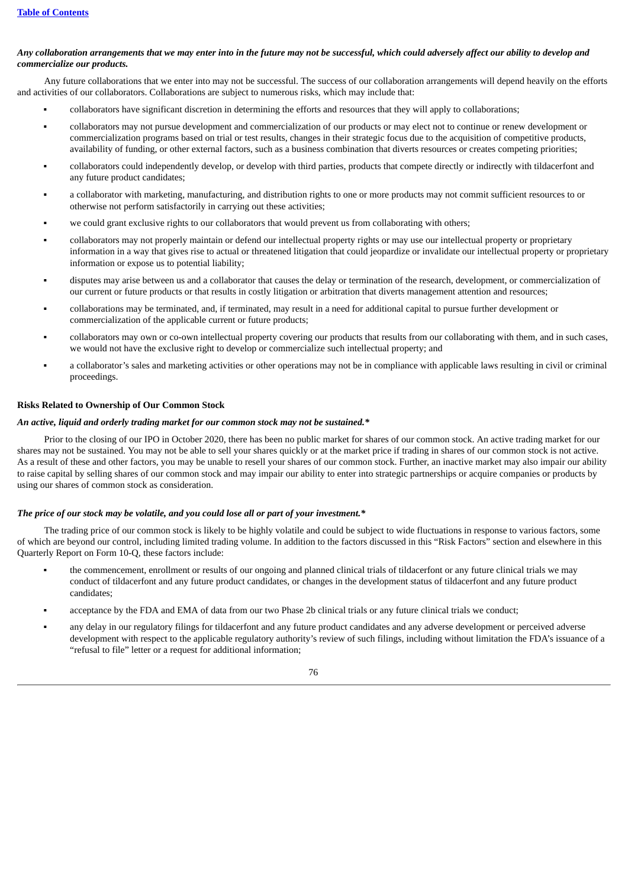# Any collaboration arrangements that we may enter into in the future may not be successful, which could adversely affect our ability to develop and *commercialize our products.*

Any future collaborations that we enter into may not be successful. The success of our collaboration arrangements will depend heavily on the efforts and activities of our collaborators. Collaborations are subject to numerous risks, which may include that:

- collaborators have significant discretion in determining the efforts and resources that they will apply to collaborations;
- collaborators may not pursue development and commercialization of our products or may elect not to continue or renew development or commercialization programs based on trial or test results, changes in their strategic focus due to the acquisition of competitive products, availability of funding, or other external factors, such as a business combination that diverts resources or creates competing priorities;
- collaborators could independently develop, or develop with third parties, products that compete directly or indirectly with tildacerfont and any future product candidates;
- a collaborator with marketing, manufacturing, and distribution rights to one or more products may not commit sufficient resources to or otherwise not perform satisfactorily in carrying out these activities;
- we could grant exclusive rights to our collaborators that would prevent us from collaborating with others;
- collaborators may not properly maintain or defend our intellectual property rights or may use our intellectual property or proprietary information in a way that gives rise to actual or threatened litigation that could jeopardize or invalidate our intellectual property or proprietary information or expose us to potential liability;
- disputes may arise between us and a collaborator that causes the delay or termination of the research, development, or commercialization of our current or future products or that results in costly litigation or arbitration that diverts management attention and resources;
- collaborations may be terminated, and, if terminated, may result in a need for additional capital to pursue further development or commercialization of the applicable current or future products;
- collaborators may own or co-own intellectual property covering our products that results from our collaborating with them, and in such cases, we would not have the exclusive right to develop or commercialize such intellectual property; and
- a collaborator's sales and marketing activities or other operations may not be in compliance with applicable laws resulting in civil or criminal proceedings.

### **Risks Related to Ownership of Our Common Stock**

#### *An active, liquid and orderly trading market for our common stock may not be sustained.\**

Prior to the closing of our IPO in October 2020, there has been no public market for shares of our common stock. An active trading market for our shares may not be sustained. You may not be able to sell your shares quickly or at the market price if trading in shares of our common stock is not active. As a result of these and other factors, you may be unable to resell your shares of our common stock. Further, an inactive market may also impair our ability to raise capital by selling shares of our common stock and may impair our ability to enter into strategic partnerships or acquire companies or products by using our shares of common stock as consideration.

#### *The price of our stock may be volatile, and you could lose all or part of your investment.\**

The trading price of our common stock is likely to be highly volatile and could be subject to wide fluctuations in response to various factors, some of which are beyond our control, including limited trading volume. In addition to the factors discussed in this "Risk Factors" section and elsewhere in this Quarterly Report on Form 10-Q, these factors include:

- the commencement, enrollment or results of our ongoing and planned clinical trials of tildacerfont or any future clinical trials we may conduct of tildacerfont and any future product candidates, or changes in the development status of tildacerfont and any future product candidates;
- acceptance by the FDA and EMA of data from our two Phase 2b clinical trials or any future clinical trials we conduct:
- any delay in our regulatory filings for tildacerfont and any future product candidates and any adverse development or perceived adverse development with respect to the applicable regulatory authority's review of such filings, including without limitation the FDA's issuance of a "refusal to file" letter or a request for additional information;

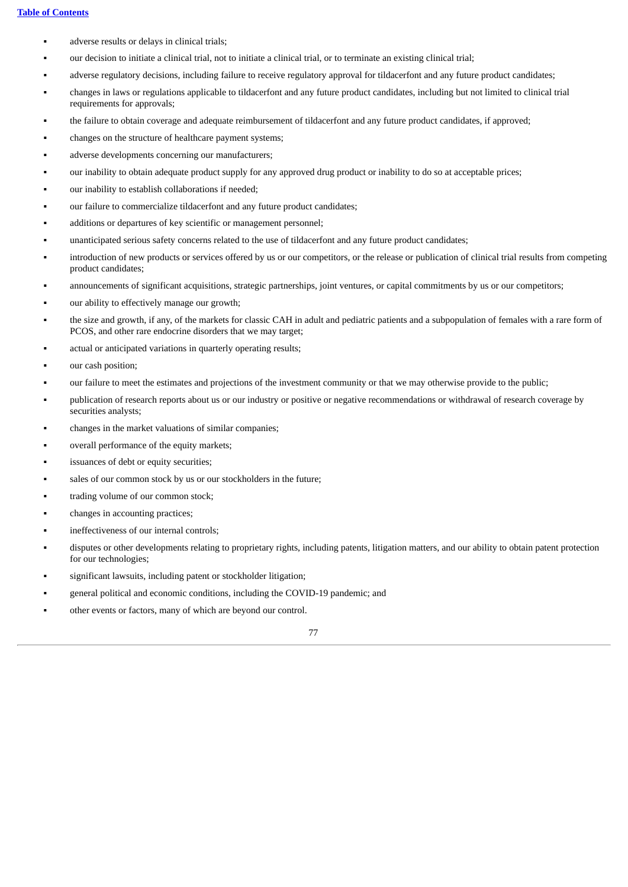- adverse results or delays in clinical trials;
- our decision to initiate a clinical trial, not to initiate a clinical trial, or to terminate an existing clinical trial;
- adverse regulatory decisions, including failure to receive regulatory approval for tildacerfont and any future product candidates;
- changes in laws or regulations applicable to tildacerfont and any future product candidates, including but not limited to clinical trial requirements for approvals;
- the failure to obtain coverage and adequate reimbursement of tildacerfont and any future product candidates, if approved;
- changes on the structure of healthcare payment systems;
- adverse developments concerning our manufacturers;
- our inability to obtain adequate product supply for any approved drug product or inability to do so at acceptable prices;
- our inability to establish collaborations if needed;
- our failure to commercialize tildacerfont and any future product candidates;
- additions or departures of key scientific or management personnel;
- unanticipated serious safety concerns related to the use of tildacerfont and any future product candidates;
- introduction of new products or services offered by us or our competitors, or the release or publication of clinical trial results from competing product candidates;
- announcements of significant acquisitions, strategic partnerships, joint ventures, or capital commitments by us or our competitors;
- our ability to effectively manage our growth;
- the size and growth, if any, of the markets for classic CAH in adult and pediatric patients and a subpopulation of females with a rare form of PCOS, and other rare endocrine disorders that we may target;
- actual or anticipated variations in quarterly operating results;
- our cash position;
- our failure to meet the estimates and projections of the investment community or that we may otherwise provide to the public;
- publication of research reports about us or our industry or positive or negative recommendations or withdrawal of research coverage by securities analysts:
- changes in the market valuations of similar companies;
- overall performance of the equity markets;
- issuances of debt or equity securities;
- sales of our common stock by us or our stockholders in the future;
- trading volume of our common stock;
- changes in accounting practices;
- ineffectiveness of our internal controls;
- disputes or other developments relating to proprietary rights, including patents, litigation matters, and our ability to obtain patent protection for our technologies;
- significant lawsuits, including patent or stockholder litigation;
- general political and economic conditions, including the COVID-19 pandemic; and
- other events or factors, many of which are beyond our control.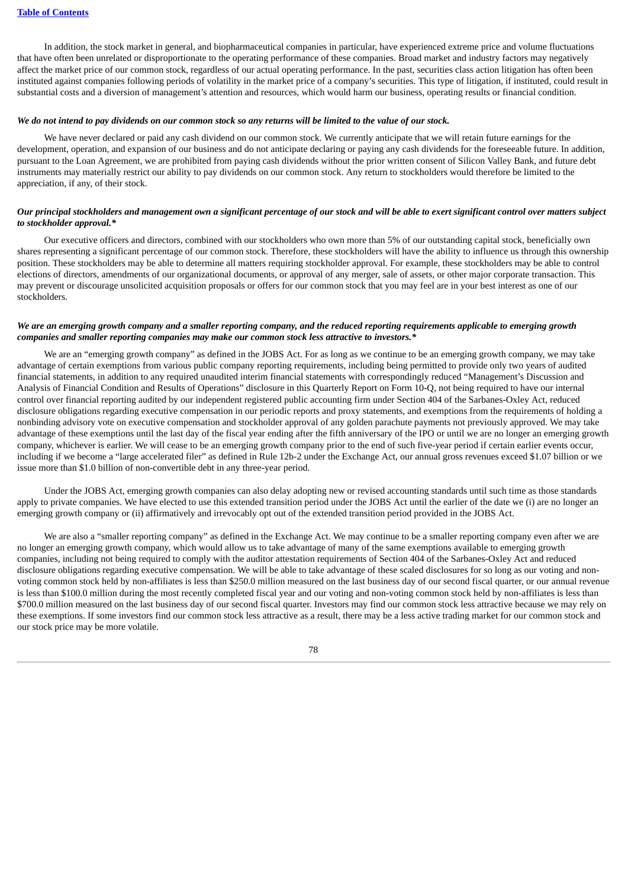In addition, the stock market in general, and biopharmaceutical companies in particular, have experienced extreme price and volume fluctuations that have often been unrelated or disproportionate to the operating performance of these companies. Broad market and industry factors may negatively affect the market price of our common stock, regardless of our actual operating performance. In the past, securities class action litigation has often been instituted against companies following periods of volatility in the market price of a company's securities. This type of litigation, if instituted, could result in substantial costs and a diversion of management's attention and resources, which would harm our business, operating results or financial condition.

#### We do not intend to pay dividends on our common stock so any returns will be limited to the value of our stock.

We have never declared or paid any cash dividend on our common stock. We currently anticipate that we will retain future earnings for the development, operation, and expansion of our business and do not anticipate declaring or paying any cash dividends for the foreseeable future. In addition, pursuant to the Loan Agreement, we are prohibited from paying cash dividends without the prior written consent of Silicon Valley Bank, and future debt instruments may materially restrict our ability to pay dividends on our common stock. Any return to stockholders would therefore be limited to the appreciation, if any, of their stock.

### Our principal stockholders and management own a significant percentage of our stock and will be able to exert significant control over matters subject *to stockholder approval.\**

Our executive officers and directors, combined with our stockholders who own more than 5% of our outstanding capital stock, beneficially own shares representing a significant percentage of our common stock. Therefore, these stockholders will have the ability to influence us through this ownership position. These stockholders may be able to determine all matters requiring stockholder approval. For example, these stockholders may be able to control elections of directors, amendments of our organizational documents, or approval of any merger, sale of assets, or other major corporate transaction. This may prevent or discourage unsolicited acquisition proposals or offers for our common stock that you may feel are in your best interest as one of our stockholders.

### We are an emerging growth company and a smaller reporting company, and the reduced reporting requirements applicable to emerging growth *companies and smaller reporting companies may make our common stock less attractive to investors.\**

We are an "emerging growth company" as defined in the JOBS Act. For as long as we continue to be an emerging growth company, we may take advantage of certain exemptions from various public company reporting requirements, including being permitted to provide only two years of audited financial statements, in addition to any required unaudited interim financial statements with correspondingly reduced "Management's Discussion and Analysis of Financial Condition and Results of Operations" disclosure in this Quarterly Report on Form 10-Q, not being required to have our internal control over financial reporting audited by our independent registered public accounting firm under Section 404 of the Sarbanes-Oxley Act, reduced disclosure obligations regarding executive compensation in our periodic reports and proxy statements, and exemptions from the requirements of holding a nonbinding advisory vote on executive compensation and stockholder approval of any golden parachute payments not previously approved. We may take advantage of these exemptions until the last day of the fiscal year ending after the fifth anniversary of the IPO or until we are no longer an emerging growth company, whichever is earlier. We will cease to be an emerging growth company prior to the end of such five-year period if certain earlier events occur, including if we become a "large accelerated filer" as defined in Rule 12b-2 under the Exchange Act, our annual gross revenues exceed \$1.07 billion or we issue more than \$1.0 billion of non-convertible debt in any three-year period.

Under the JOBS Act, emerging growth companies can also delay adopting new or revised accounting standards until such time as those standards apply to private companies. We have elected to use this extended transition period under the JOBS Act until the earlier of the date we (i) are no longer an emerging growth company or (ii) affirmatively and irrevocably opt out of the extended transition period provided in the JOBS Act.

We are also a "smaller reporting company" as defined in the Exchange Act. We may continue to be a smaller reporting company even after we are no longer an emerging growth company, which would allow us to take advantage of many of the same exemptions available to emerging growth companies, including not being required to comply with the auditor attestation requirements of Section 404 of the Sarbanes-Oxley Act and reduced disclosure obligations regarding executive compensation. We will be able to take advantage of these scaled disclosures for so long as our voting and nonvoting common stock held by non-affiliates is less than \$250.0 million measured on the last business day of our second fiscal quarter, or our annual revenue is less than \$100.0 million during the most recently completed fiscal year and our voting and non-voting common stock held by non-affiliates is less than \$700.0 million measured on the last business day of our second fiscal quarter. Investors may find our common stock less attractive because we may rely on these exemptions. If some investors find our common stock less attractive as a result, there may be a less active trading market for our common stock and our stock price may be more volatile.

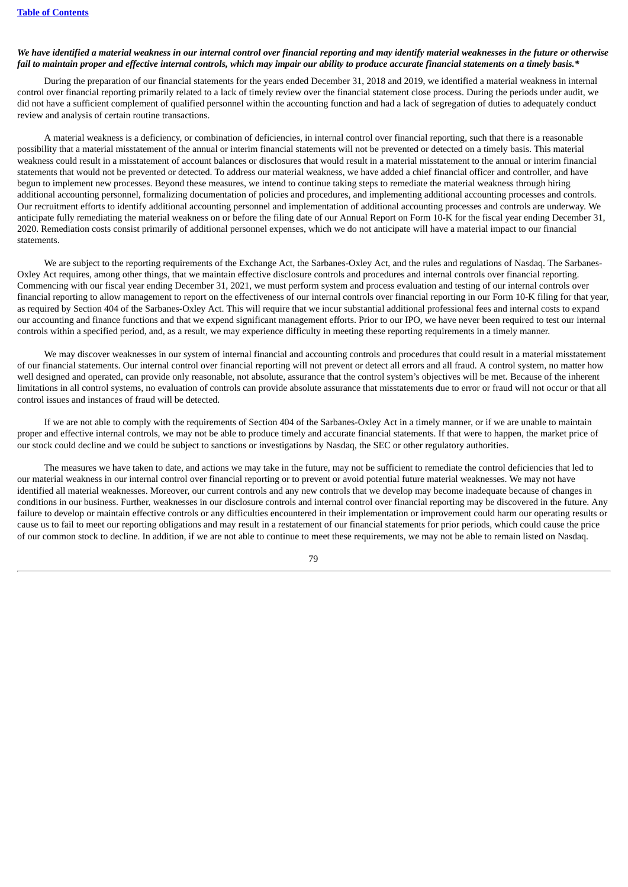#### We have identified a material weakness in our internal control over financial reporting and may identify material weaknesses in the future or otherwise fail to maintain proper and effective internal controls, which may impair our ability to produce accurate financial statements on a timely basis.\*

During the preparation of our financial statements for the years ended December 31, 2018 and 2019, we identified a material weakness in internal control over financial reporting primarily related to a lack of timely review over the financial statement close process. During the periods under audit, we did not have a sufficient complement of qualified personnel within the accounting function and had a lack of segregation of duties to adequately conduct review and analysis of certain routine transactions.

A material weakness is a deficiency, or combination of deficiencies, in internal control over financial reporting, such that there is a reasonable possibility that a material misstatement of the annual or interim financial statements will not be prevented or detected on a timely basis. This material weakness could result in a misstatement of account balances or disclosures that would result in a material misstatement to the annual or interim financial statements that would not be prevented or detected. To address our material weakness, we have added a chief financial officer and controller, and have begun to implement new processes. Beyond these measures, we intend to continue taking steps to remediate the material weakness through hiring additional accounting personnel, formalizing documentation of policies and procedures, and implementing additional accounting processes and controls. Our recruitment efforts to identify additional accounting personnel and implementation of additional accounting processes and controls are underway. We anticipate fully remediating the material weakness on or before the filing date of our Annual Report on Form 10-K for the fiscal year ending December 31, 2020. Remediation costs consist primarily of additional personnel expenses, which we do not anticipate will have a material impact to our financial statements.

We are subject to the reporting requirements of the Exchange Act, the Sarbanes-Oxley Act, and the rules and regulations of Nasdaq. The Sarbanes-Oxley Act requires, among other things, that we maintain effective disclosure controls and procedures and internal controls over financial reporting. Commencing with our fiscal year ending December 31, 2021, we must perform system and process evaluation and testing of our internal controls over financial reporting to allow management to report on the effectiveness of our internal controls over financial reporting in our Form 10-K filing for that year, as required by Section 404 of the Sarbanes-Oxley Act. This will require that we incur substantial additional professional fees and internal costs to expand our accounting and finance functions and that we expend significant management efforts. Prior to our IPO, we have never been required to test our internal controls within a specified period, and, as a result, we may experience difficulty in meeting these reporting requirements in a timely manner.

We may discover weaknesses in our system of internal financial and accounting controls and procedures that could result in a material misstatement of our financial statements. Our internal control over financial reporting will not prevent or detect all errors and all fraud. A control system, no matter how well designed and operated, can provide only reasonable, not absolute, assurance that the control system's objectives will be met. Because of the inherent limitations in all control systems, no evaluation of controls can provide absolute assurance that misstatements due to error or fraud will not occur or that all control issues and instances of fraud will be detected.

If we are not able to comply with the requirements of Section 404 of the Sarbanes-Oxley Act in a timely manner, or if we are unable to maintain proper and effective internal controls, we may not be able to produce timely and accurate financial statements. If that were to happen, the market price of our stock could decline and we could be subject to sanctions or investigations by Nasdaq, the SEC or other regulatory authorities.

The measures we have taken to date, and actions we may take in the future, may not be sufficient to remediate the control deficiencies that led to our material weakness in our internal control over financial reporting or to prevent or avoid potential future material weaknesses. We may not have identified all material weaknesses. Moreover, our current controls and any new controls that we develop may become inadequate because of changes in conditions in our business. Further, weaknesses in our disclosure controls and internal control over financial reporting may be discovered in the future. Any failure to develop or maintain effective controls or any difficulties encountered in their implementation or improvement could harm our operating results or cause us to fail to meet our reporting obligations and may result in a restatement of our financial statements for prior periods, which could cause the price of our common stock to decline. In addition, if we are not able to continue to meet these requirements, we may not be able to remain listed on Nasdaq.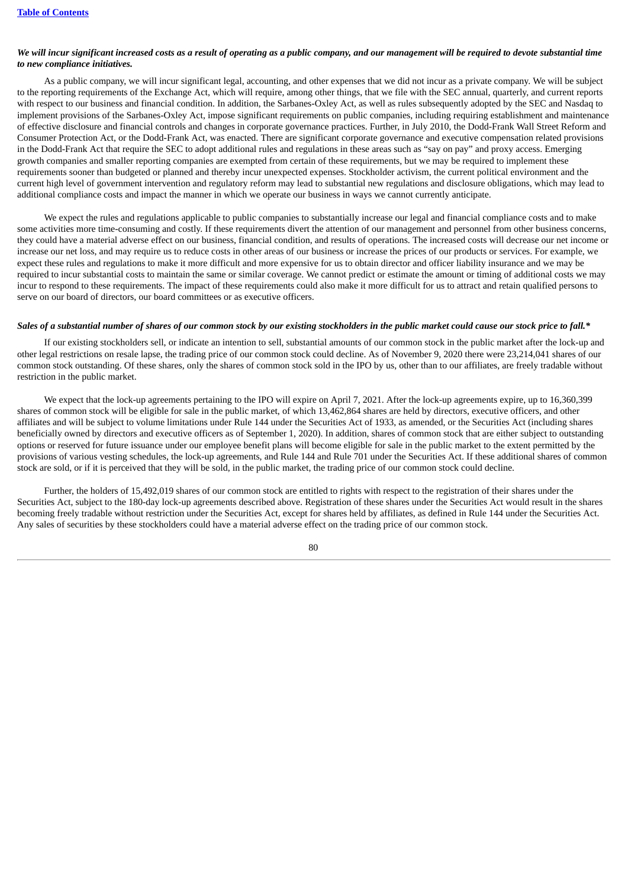### We will incur significant increased costs as a result of operating as a public company, and our management will be required to devote substantial time *to new compliance initiatives.*

As a public company, we will incur significant legal, accounting, and other expenses that we did not incur as a private company. We will be subject to the reporting requirements of the Exchange Act, which will require, among other things, that we file with the SEC annual, quarterly, and current reports with respect to our business and financial condition. In addition, the Sarbanes-Oxley Act, as well as rules subsequently adopted by the SEC and Nasdaq to implement provisions of the Sarbanes-Oxley Act, impose significant requirements on public companies, including requiring establishment and maintenance of effective disclosure and financial controls and changes in corporate governance practices. Further, in July 2010, the Dodd-Frank Wall Street Reform and Consumer Protection Act, or the Dodd-Frank Act, was enacted. There are significant corporate governance and executive compensation related provisions in the Dodd-Frank Act that require the SEC to adopt additional rules and regulations in these areas such as "say on pay" and proxy access. Emerging growth companies and smaller reporting companies are exempted from certain of these requirements, but we may be required to implement these requirements sooner than budgeted or planned and thereby incur unexpected expenses. Stockholder activism, the current political environment and the current high level of government intervention and regulatory reform may lead to substantial new regulations and disclosure obligations, which may lead to additional compliance costs and impact the manner in which we operate our business in ways we cannot currently anticipate.

We expect the rules and regulations applicable to public companies to substantially increase our legal and financial compliance costs and to make some activities more time-consuming and costly. If these requirements divert the attention of our management and personnel from other business concerns, they could have a material adverse effect on our business, financial condition, and results of operations. The increased costs will decrease our net income or increase our net loss, and may require us to reduce costs in other areas of our business or increase the prices of our products or services. For example, we expect these rules and regulations to make it more difficult and more expensive for us to obtain director and officer liability insurance and we may be required to incur substantial costs to maintain the same or similar coverage. We cannot predict or estimate the amount or timing of additional costs we may incur to respond to these requirements. The impact of these requirements could also make it more difficult for us to attract and retain qualified persons to serve on our board of directors, our board committees or as executive officers.

#### Sales of a substantial number of shares of our common stock by our existing stockholders in the public market could cause our stock price to fall.\*

If our existing stockholders sell, or indicate an intention to sell, substantial amounts of our common stock in the public market after the lock-up and other legal restrictions on resale lapse, the trading price of our common stock could decline. As of November 9, 2020 there were 23,214,041 shares of our common stock outstanding. Of these shares, only the shares of common stock sold in the IPO by us, other than to our affiliates, are freely tradable without restriction in the public market.

We expect that the lock-up agreements pertaining to the IPO will expire on April 7, 2021. After the lock-up agreements expire, up to 16,360,399 shares of common stock will be eligible for sale in the public market, of which 13,462,864 shares are held by directors, executive officers, and other affiliates and will be subject to volume limitations under Rule 144 under the Securities Act of 1933, as amended, or the Securities Act (including shares beneficially owned by directors and executive officers as of September 1, 2020). In addition, shares of common stock that are either subject to outstanding options or reserved for future issuance under our employee benefit plans will become eligible for sale in the public market to the extent permitted by the provisions of various vesting schedules, the lock-up agreements, and Rule 144 and Rule 701 under the Securities Act. If these additional shares of common stock are sold, or if it is perceived that they will be sold, in the public market, the trading price of our common stock could decline.

Further, the holders of 15,492,019 shares of our common stock are entitled to rights with respect to the registration of their shares under the Securities Act, subject to the 180-day lock-up agreements described above. Registration of these shares under the Securities Act would result in the shares becoming freely tradable without restriction under the Securities Act, except for shares held by affiliates, as defined in Rule 144 under the Securities Act. Any sales of securities by these stockholders could have a material adverse effect on the trading price of our common stock.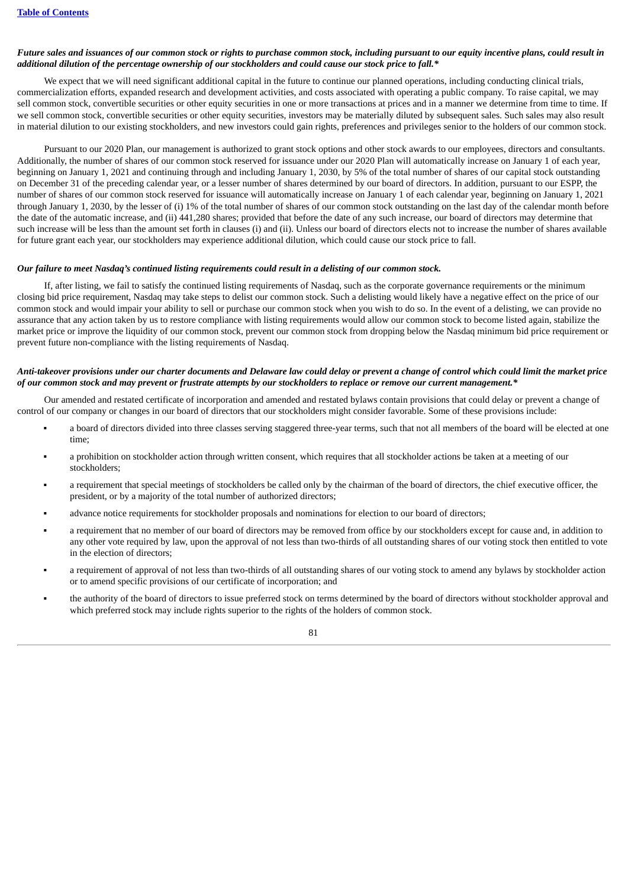#### Future sales and issuances of our common stock or rights to purchase common stock, including pursuant to our equity incentive plans, could result in additional dilution of the percentage ownership of our stockholders and could cause our stock price to fall.\*

We expect that we will need significant additional capital in the future to continue our planned operations, including conducting clinical trials, commercialization efforts, expanded research and development activities, and costs associated with operating a public company. To raise capital, we may sell common stock, convertible securities or other equity securities in one or more transactions at prices and in a manner we determine from time to time. If we sell common stock, convertible securities or other equity securities, investors may be materially diluted by subsequent sales. Such sales may also result in material dilution to our existing stockholders, and new investors could gain rights, preferences and privileges senior to the holders of our common stock.

Pursuant to our 2020 Plan, our management is authorized to grant stock options and other stock awards to our employees, directors and consultants. Additionally, the number of shares of our common stock reserved for issuance under our 2020 Plan will automatically increase on January 1 of each year, beginning on January 1, 2021 and continuing through and including January 1, 2030, by 5% of the total number of shares of our capital stock outstanding on December 31 of the preceding calendar year, or a lesser number of shares determined by our board of directors. In addition, pursuant to our ESPP, the number of shares of our common stock reserved for issuance will automatically increase on January 1 of each calendar year, beginning on January 1, 2021 through January 1, 2030, by the lesser of (i) 1% of the total number of shares of our common stock outstanding on the last day of the calendar month before the date of the automatic increase, and (ii) 441,280 shares; provided that before the date of any such increase, our board of directors may determine that such increase will be less than the amount set forth in clauses (i) and (ii). Unless our board of directors elects not to increase the number of shares available for future grant each year, our stockholders may experience additional dilution, which could cause our stock price to fall.

#### Our failure to meet Nasdaq's continued listing requirements could result in a delisting of our common stock.

If, after listing, we fail to satisfy the continued listing requirements of Nasdaq, such as the corporate governance requirements or the minimum closing bid price requirement, Nasdaq may take steps to delist our common stock. Such a delisting would likely have a negative effect on the price of our common stock and would impair your ability to sell or purchase our common stock when you wish to do so. In the event of a delisting, we can provide no assurance that any action taken by us to restore compliance with listing requirements would allow our common stock to become listed again, stabilize the market price or improve the liquidity of our common stock, prevent our common stock from dropping below the Nasdaq minimum bid price requirement or prevent future non-compliance with the listing requirements of Nasdaq.

#### Anti-takeover provisions under our charter documents and Delaware law could delay or prevent a change of control which could limit the market price of our common stock and may prevent or frustrate attempts by our stockholders to replace or remove our current management.\*

Our amended and restated certificate of incorporation and amended and restated bylaws contain provisions that could delay or prevent a change of control of our company or changes in our board of directors that our stockholders might consider favorable. Some of these provisions include:

- a board of directors divided into three classes serving staggered three-year terms, such that not all members of the board will be elected at one time;
- a prohibition on stockholder action through written consent, which requires that all stockholder actions be taken at a meeting of our stockholders;
- a requirement that special meetings of stockholders be called only by the chairman of the board of directors, the chief executive officer, the president, or by a majority of the total number of authorized directors;
- advance notice requirements for stockholder proposals and nominations for election to our board of directors;
- a requirement that no member of our board of directors may be removed from office by our stockholders except for cause and, in addition to any other vote required by law, upon the approval of not less than two-thirds of all outstanding shares of our voting stock then entitled to vote in the election of directors;
- a requirement of approval of not less than two-thirds of all outstanding shares of our voting stock to amend any bylaws by stockholder action or to amend specific provisions of our certificate of incorporation; and
- the authority of the board of directors to issue preferred stock on terms determined by the board of directors without stockholder approval and which preferred stock may include rights superior to the rights of the holders of common stock.

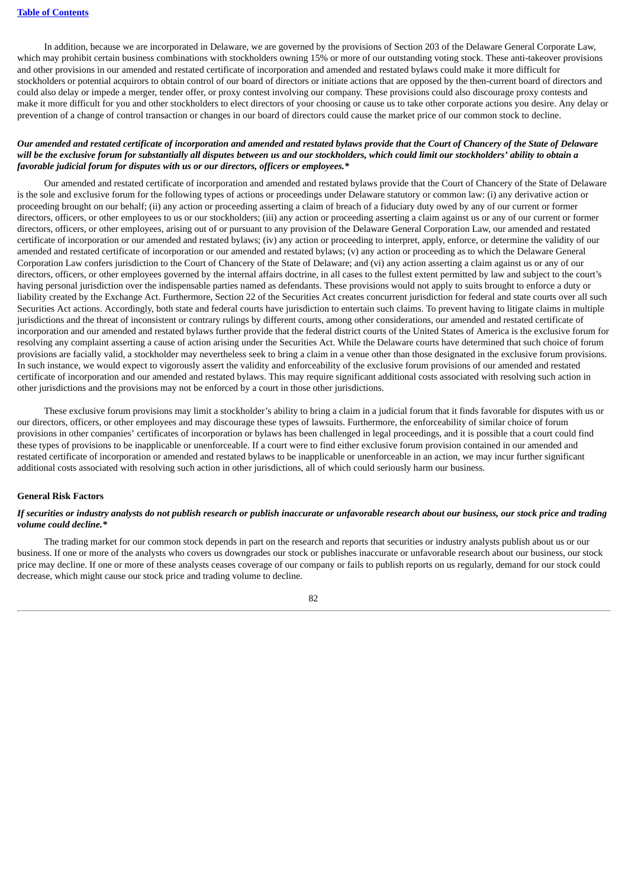In addition, because we are incorporated in Delaware, we are governed by the provisions of Section 203 of the Delaware General Corporate Law, which may prohibit certain business combinations with stockholders owning 15% or more of our outstanding voting stock. These anti-takeover provisions and other provisions in our amended and restated certificate of incorporation and amended and restated bylaws could make it more difficult for stockholders or potential acquirors to obtain control of our board of directors or initiate actions that are opposed by the then-current board of directors and could also delay or impede a merger, tender offer, or proxy contest involving our company. These provisions could also discourage proxy contests and make it more difficult for you and other stockholders to elect directors of your choosing or cause us to take other corporate actions you desire. Any delay or prevention of a change of control transaction or changes in our board of directors could cause the market price of our common stock to decline.

### Our amended and restated certificate of incorporation and amended and restated bylaws provide that the Court of Chancery of the State of Delaware will be the exclusive forum for substantially all disputes between us and our stockholders, which could limit our stockholders' ability to obtain a *favorable judicial forum for disputes with us or our directors, officers or employees.\**

Our amended and restated certificate of incorporation and amended and restated bylaws provide that the Court of Chancery of the State of Delaware is the sole and exclusive forum for the following types of actions or proceedings under Delaware statutory or common law: (i) any derivative action or proceeding brought on our behalf; (ii) any action or proceeding asserting a claim of breach of a fiduciary duty owed by any of our current or former directors, officers, or other employees to us or our stockholders; (iii) any action or proceeding asserting a claim against us or any of our current or former directors, officers, or other employees, arising out of or pursuant to any provision of the Delaware General Corporation Law, our amended and restated certificate of incorporation or our amended and restated bylaws; (iv) any action or proceeding to interpret, apply, enforce, or determine the validity of our amended and restated certificate of incorporation or our amended and restated bylaws; (v) any action or proceeding as to which the Delaware General Corporation Law confers jurisdiction to the Court of Chancery of the State of Delaware; and (vi) any action asserting a claim against us or any of our directors, officers, or other employees governed by the internal affairs doctrine, in all cases to the fullest extent permitted by law and subject to the court's having personal jurisdiction over the indispensable parties named as defendants. These provisions would not apply to suits brought to enforce a duty or liability created by the Exchange Act. Furthermore, Section 22 of the Securities Act creates concurrent jurisdiction for federal and state courts over all such Securities Act actions. Accordingly, both state and federal courts have jurisdiction to entertain such claims. To prevent having to litigate claims in multiple jurisdictions and the threat of inconsistent or contrary rulings by different courts, among other considerations, our amended and restated certificate of incorporation and our amended and restated bylaws further provide that the federal district courts of the United States of America is the exclusive forum for resolving any complaint asserting a cause of action arising under the Securities Act. While the Delaware courts have determined that such choice of forum provisions are facially valid, a stockholder may nevertheless seek to bring a claim in a venue other than those designated in the exclusive forum provisions. In such instance, we would expect to vigorously assert the validity and enforceability of the exclusive forum provisions of our amended and restated certificate of incorporation and our amended and restated bylaws. This may require significant additional costs associated with resolving such action in other jurisdictions and the provisions may not be enforced by a court in those other jurisdictions.

These exclusive forum provisions may limit a stockholder's ability to bring a claim in a judicial forum that it finds favorable for disputes with us or our directors, officers, or other employees and may discourage these types of lawsuits. Furthermore, the enforceability of similar choice of forum provisions in other companies' certificates of incorporation or bylaws has been challenged in legal proceedings, and it is possible that a court could find these types of provisions to be inapplicable or unenforceable. If a court were to find either exclusive forum provision contained in our amended and restated certificate of incorporation or amended and restated bylaws to be inapplicable or unenforceable in an action, we may incur further significant additional costs associated with resolving such action in other jurisdictions, all of which could seriously harm our business.

#### **General Risk Factors**

### If securities or industry analysts do not publish research or publish inaccurate or unfavorable research about our business, our stock price and trading *volume could decline.\**

The trading market for our common stock depends in part on the research and reports that securities or industry analysts publish about us or our business. If one or more of the analysts who covers us downgrades our stock or publishes inaccurate or unfavorable research about our business, our stock price may decline. If one or more of these analysts ceases coverage of our company or fails to publish reports on us regularly, demand for our stock could decrease, which might cause our stock price and trading volume to decline.

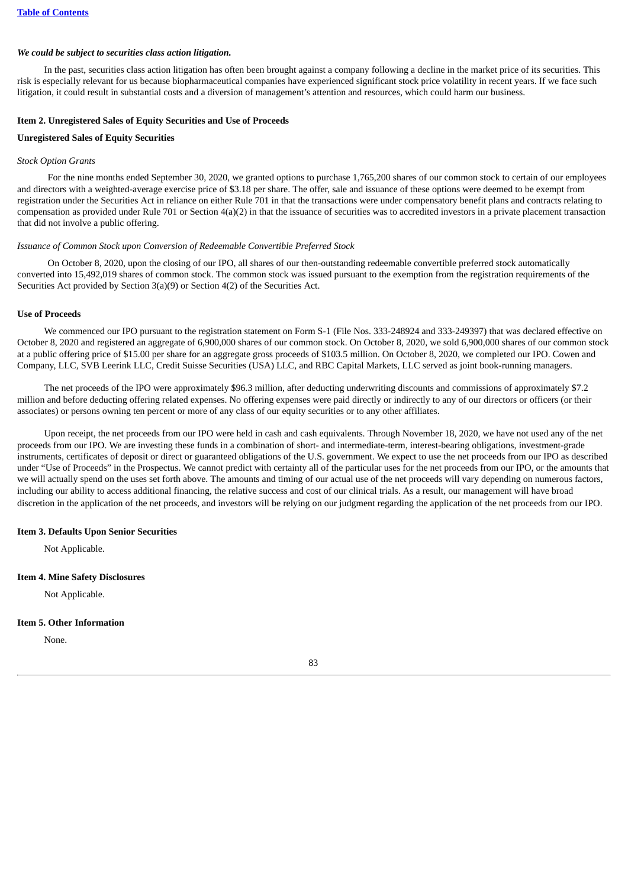#### *We could be subject to securities class action litigation.*

In the past, securities class action litigation has often been brought against a company following a decline in the market price of its securities. This risk is especially relevant for us because biopharmaceutical companies have experienced significant stock price volatility in recent years. If we face such litigation, it could result in substantial costs and a diversion of management's attention and resources, which could harm our business.

#### **Item 2. Unregistered Sales of Equity Securities and Use of Proceeds**

#### **Unregistered Sales of Equity Securities**

#### *Stock Option Grants*

For the nine months ended September 30, 2020, we granted options to purchase 1,765,200 shares of our common stock to certain of our employees and directors with a weighted-average exercise price of \$3.18 per share. The offer, sale and issuance of these options were deemed to be exempt from registration under the Securities Act in reliance on either Rule 701 in that the transactions were under compensatory benefit plans and contracts relating to compensation as provided under Rule 701 or Section  $4(a)(2)$  in that the issuance of securities was to accredited investors in a private placement transaction that did not involve a public offering.

#### *Issuance of Common Stock upon Conversion of Redeemable Convertible Preferred Stock*

On October 8, 2020, upon the closing of our IPO, all shares of our then-outstanding redeemable convertible preferred stock automatically converted into 15,492,019 shares of common stock. The common stock was issued pursuant to the exemption from the registration requirements of the Securities Act provided by Section 3(a)(9) or Section 4(2) of the Securities Act.

#### **Use of Proceeds**

We commenced our IPO pursuant to the registration statement on Form S-1 (File Nos. 333-248924 and 333-249397) that was declared effective on October 8, 2020 and registered an aggregate of 6,900,000 shares of our common stock. On October 8, 2020, we sold 6,900,000 shares of our common stock at a public offering price of \$15.00 per share for an aggregate gross proceeds of \$103.5 million. On October 8, 2020, we completed our IPO. Cowen and Company, LLC, SVB Leerink LLC, Credit Suisse Securities (USA) LLC, and RBC Capital Markets, LLC served as joint book-running managers.

The net proceeds of the IPO were approximately \$96.3 million, after deducting underwriting discounts and commissions of approximately \$7.2 million and before deducting offering related expenses. No offering expenses were paid directly or indirectly to any of our directors or officers (or their associates) or persons owning ten percent or more of any class of our equity securities or to any other affiliates.

Upon receipt, the net proceeds from our IPO were held in cash and cash equivalents. Through November 18, 2020, we have not used any of the net proceeds from our IPO. We are investing these funds in a combination of short- and intermediate-term, interest-bearing obligations, investment-grade instruments, certificates of deposit or direct or guaranteed obligations of the U.S. government. We expect to use the net proceeds from our IPO as described under "Use of Proceeds" in the Prospectus. We cannot predict with certainty all of the particular uses for the net proceeds from our IPO, or the amounts that we will actually spend on the uses set forth above. The amounts and timing of our actual use of the net proceeds will vary depending on numerous factors, including our ability to access additional financing, the relative success and cost of our clinical trials. As a result, our management will have broad discretion in the application of the net proceeds, and investors will be relying on our judgment regarding the application of the net proceeds from our IPO.

#### **Item 3. Defaults Upon Senior Securities**

Not Applicable.

#### **Item 4. Mine Safety Disclosures**

Not Applicable.

#### **Item 5. Other Information**

None.

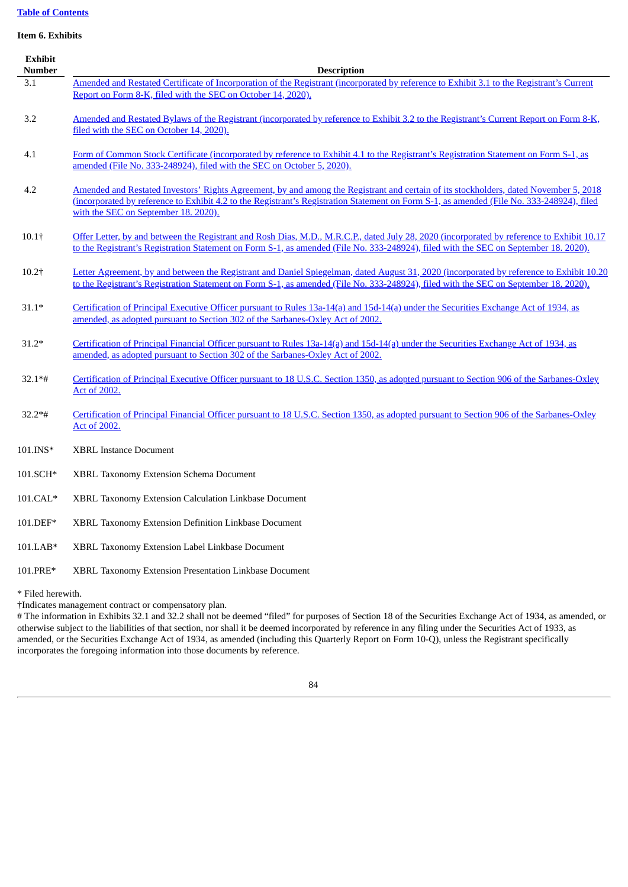# **Table of [Contents](#page-1-0)**

### **Item 6. Exhibits**

| <b>Exhibit</b><br><b>Number</b> | <b>Description</b>                                                                                                                                                                                                                                                                                                         |
|---------------------------------|----------------------------------------------------------------------------------------------------------------------------------------------------------------------------------------------------------------------------------------------------------------------------------------------------------------------------|
| 3.1                             | Amended and Restated Certificate of Incorporation of the Registrant (incorporated by reference to Exhibit 3.1 to the Registrant's Current<br>Report on Form 8-K, filed with the SEC on October 14, 2020).                                                                                                                  |
| 3.2                             | Amended and Restated Bylaws of the Registrant (incorporated by reference to Exhibit 3.2 to the Registrant's Current Report on Form 8-K,<br>filed with the SEC on October 14, 2020).                                                                                                                                        |
| 4.1                             | Form of Common Stock Certificate (incorporated by reference to Exhibit 4.1 to the Registrant's Registration Statement on Form S-1, as<br>amended (File No. 333-248924), filed with the SEC on October 5, 2020).                                                                                                            |
| 4.2                             | Amended and Restated Investors' Rights Agreement, by and among the Registrant and certain of its stockholders, dated November 5, 2018<br>(incorporated by reference to Exhibit 4.2 to the Registrant's Registration Statement on Form S-1, as amended (File No. 333-248924), filed<br>with the SEC on September 18, 2020). |
| $10.1+$                         | Offer Letter, by and between the Registrant and Rosh Dias, M.D., M.R.C.P., dated July 28, 2020 (incorporated by reference to Exhibit 10.17<br>to the Registrant's Registration Statement on Form S-1, as amended (File No. 333-248924), filed with the SEC on September 18, 2020).                                         |
| $10.2+$                         | Letter Agreement, by and between the Registrant and Daniel Spiegelman, dated August 31, 2020 (incorporated by reference to Exhibit 10.20<br>to the Registrant's Registration Statement on Form S-1, as amended (File No. 333-248924), filed with the SEC on September 18, 2020).                                           |
| $31.1*$                         | Certification of Principal Executive Officer pursuant to Rules 13a-14(a) and 15d-14(a) under the Securities Exchange Act of 1934, as<br>amended, as adopted pursuant to Section 302 of the Sarbanes-Oxley Act of 2002.                                                                                                     |
| $31.2*$                         | Certification of Principal Financial Officer pursuant to Rules 13a-14(a) and 15d-14(a) under the Securities Exchange Act of 1934, as<br>amended, as adopted pursuant to Section 302 of the Sarbanes-Oxley Act of 2002.                                                                                                     |
| $32.1*$ #                       | Certification of Principal Executive Officer pursuant to 18 U.S.C. Section 1350, as adopted pursuant to Section 906 of the Sarbanes-Oxley<br>Act of 2002.                                                                                                                                                                  |
| $32.2**$ #                      | Certification of Principal Financial Officer pursuant to 18 U.S.C. Section 1350, as adopted pursuant to Section 906 of the Sarbanes-Oxley<br><b>Act of 2002.</b>                                                                                                                                                           |
| 101.INS*                        | <b>XBRL Instance Document</b>                                                                                                                                                                                                                                                                                              |
| 101.SCH*                        | XBRL Taxonomy Extension Schema Document                                                                                                                                                                                                                                                                                    |
| $101.CAL*$                      | XBRL Taxonomy Extension Calculation Linkbase Document                                                                                                                                                                                                                                                                      |
| 101.DEF*                        | XBRL Taxonomy Extension Definition Linkbase Document                                                                                                                                                                                                                                                                       |
| 101.LAB*                        | XBRL Taxonomy Extension Label Linkbase Document                                                                                                                                                                                                                                                                            |

101.PRE\* XBRL Taxonomy Extension Presentation Linkbase Document

\* Filed herewith.

†Indicates management contract or compensatory plan.

# The information in Exhibits 32.1 and 32.2 shall not be deemed "filed" for purposes of Section 18 of the Securities Exchange Act of 1934, as amended, or otherwise subject to the liabilities of that section, nor shall it be deemed incorporated by reference in any filing under the Securities Act of 1933, as amended, or the Securities Exchange Act of 1934, as amended (including this Quarterly Report on Form 10-Q), unless the Registrant specifically incorporates the foregoing information into those documents by reference.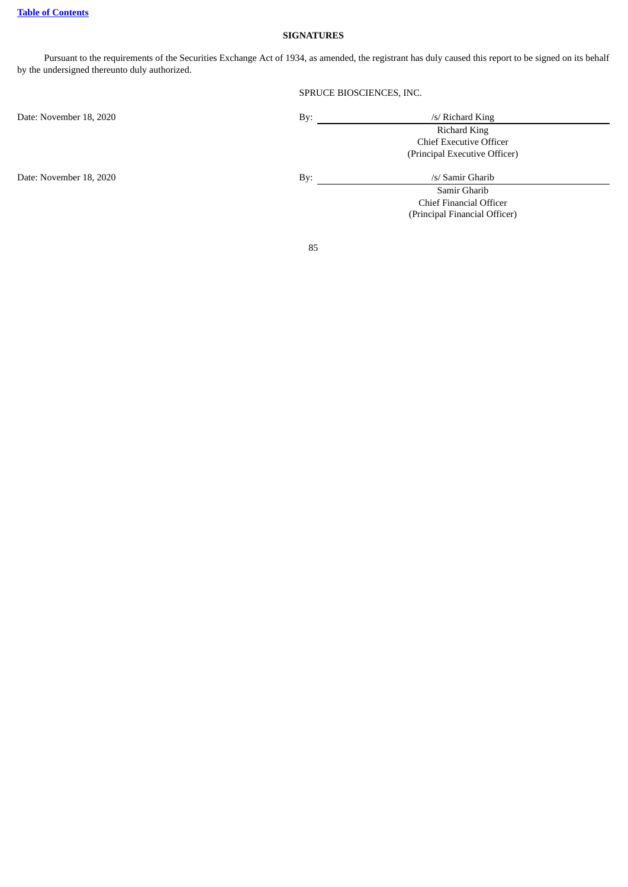### **SIGNATURES**

Pursuant to the requirements of the Securities Exchange Act of 1934, as amended, the registrant has duly caused this report to be signed on its behalf by the undersigned thereunto duly authorized.

# SPRUCE BIOSCIENCES, INC.

Date: November 18, 2020 By: /s/ Richard King

Richard King Chief Executive Officer (Principal Executive Officer)

Date: November 18, 2020 By: By: /s/ Samir Gharib

Samir Gharib Chief Financial Officer (Principal Financial Officer)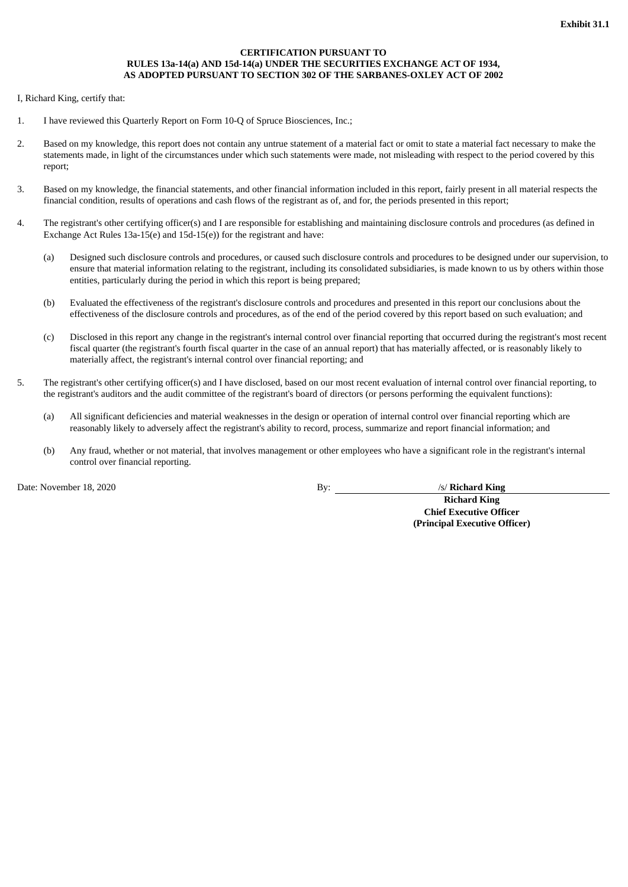### **CERTIFICATION PURSUANT TO RULES 13a-14(a) AND 15d-14(a) UNDER THE SECURITIES EXCHANGE ACT OF 1934, AS ADOPTED PURSUANT TO SECTION 302 OF THE SARBANES-OXLEY ACT OF 2002**

<span id="page-87-0"></span>I, Richard King, certify that:

- 1. I have reviewed this Quarterly Report on Form 10-Q of Spruce Biosciences, Inc.;
- 2. Based on my knowledge, this report does not contain any untrue statement of a material fact or omit to state a material fact necessary to make the statements made, in light of the circumstances under which such statements were made, not misleading with respect to the period covered by this report;
- 3. Based on my knowledge, the financial statements, and other financial information included in this report, fairly present in all material respects the financial condition, results of operations and cash flows of the registrant as of, and for, the periods presented in this report;
- 4. The registrant's other certifying officer(s) and I are responsible for establishing and maintaining disclosure controls and procedures (as defined in Exchange Act Rules 13a-15(e) and 15d-15(e)) for the registrant and have:
	- (a) Designed such disclosure controls and procedures, or caused such disclosure controls and procedures to be designed under our supervision, to ensure that material information relating to the registrant, including its consolidated subsidiaries, is made known to us by others within those entities, particularly during the period in which this report is being prepared;
	- (b) Evaluated the effectiveness of the registrant's disclosure controls and procedures and presented in this report our conclusions about the effectiveness of the disclosure controls and procedures, as of the end of the period covered by this report based on such evaluation; and
	- (c) Disclosed in this report any change in the registrant's internal control over financial reporting that occurred during the registrant's most recent fiscal quarter (the registrant's fourth fiscal quarter in the case of an annual report) that has materially affected, or is reasonably likely to materially affect, the registrant's internal control over financial reporting; and
- 5. The registrant's other certifying officer(s) and I have disclosed, based on our most recent evaluation of internal control over financial reporting, to the registrant's auditors and the audit committee of the registrant's board of directors (or persons performing the equivalent functions):
	- (a) All significant deficiencies and material weaknesses in the design or operation of internal control over financial reporting which are reasonably likely to adversely affect the registrant's ability to record, process, summarize and report financial information; and
	- (b) Any fraud, whether or not material, that involves management or other employees who have a significant role in the registrant's internal control over financial reporting.

Date: November 18, 2020 By: /s/ **Richard King** 

**Richard King Chief Executive Officer (Principal Executive Officer)**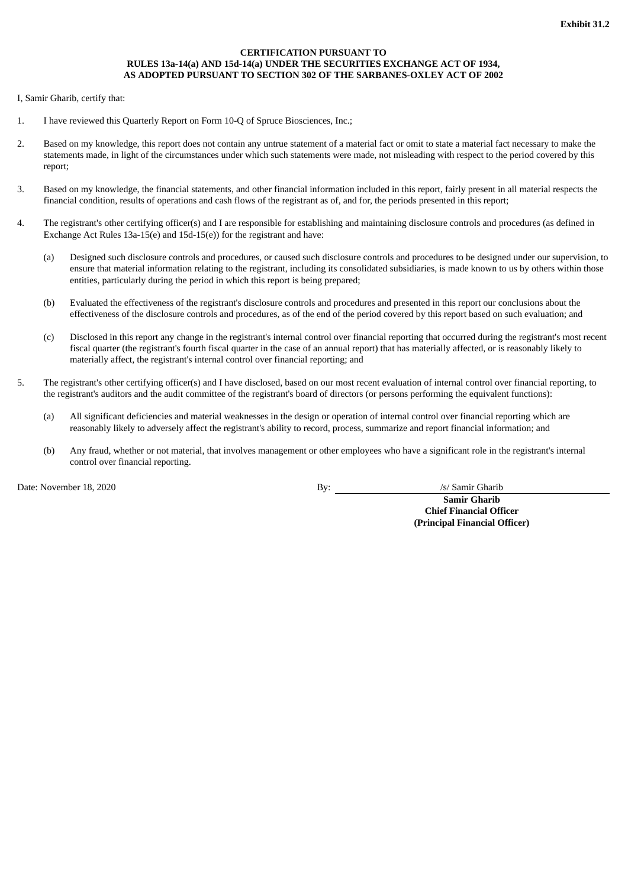### **CERTIFICATION PURSUANT TO RULES 13a-14(a) AND 15d-14(a) UNDER THE SECURITIES EXCHANGE ACT OF 1934, AS ADOPTED PURSUANT TO SECTION 302 OF THE SARBANES-OXLEY ACT OF 2002**

<span id="page-88-0"></span>I, Samir Gharib, certify that:

- 1. I have reviewed this Quarterly Report on Form 10-Q of Spruce Biosciences, Inc.;
- 2. Based on my knowledge, this report does not contain any untrue statement of a material fact or omit to state a material fact necessary to make the statements made, in light of the circumstances under which such statements were made, not misleading with respect to the period covered by this report;
- 3. Based on my knowledge, the financial statements, and other financial information included in this report, fairly present in all material respects the financial condition, results of operations and cash flows of the registrant as of, and for, the periods presented in this report;
- 4. The registrant's other certifying officer(s) and I are responsible for establishing and maintaining disclosure controls and procedures (as defined in Exchange Act Rules 13a-15(e) and 15d-15(e)) for the registrant and have:
	- (a) Designed such disclosure controls and procedures, or caused such disclosure controls and procedures to be designed under our supervision, to ensure that material information relating to the registrant, including its consolidated subsidiaries, is made known to us by others within those entities, particularly during the period in which this report is being prepared;
	- (b) Evaluated the effectiveness of the registrant's disclosure controls and procedures and presented in this report our conclusions about the effectiveness of the disclosure controls and procedures, as of the end of the period covered by this report based on such evaluation; and
	- (c) Disclosed in this report any change in the registrant's internal control over financial reporting that occurred during the registrant's most recent fiscal quarter (the registrant's fourth fiscal quarter in the case of an annual report) that has materially affected, or is reasonably likely to materially affect, the registrant's internal control over financial reporting; and
- 5. The registrant's other certifying officer(s) and I have disclosed, based on our most recent evaluation of internal control over financial reporting, to the registrant's auditors and the audit committee of the registrant's board of directors (or persons performing the equivalent functions):
	- (a) All significant deficiencies and material weaknesses in the design or operation of internal control over financial reporting which are reasonably likely to adversely affect the registrant's ability to record, process, summarize and report financial information; and
	- (b) Any fraud, whether or not material, that involves management or other employees who have a significant role in the registrant's internal control over financial reporting.

Date: November 18, 2020 By: /s/ Samir Gharib

**Samir Gharib Chief Financial Officer (Principal Financial Officer)**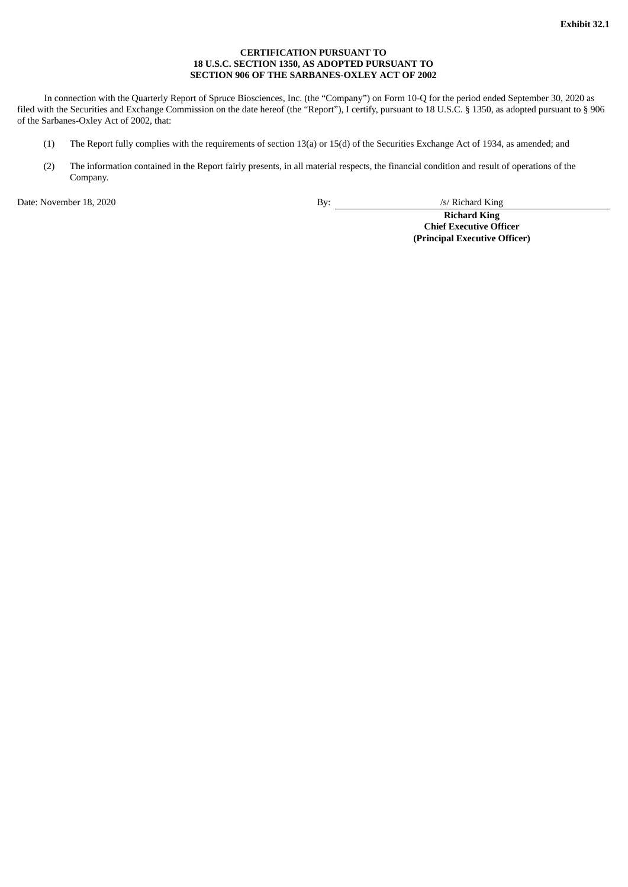### **CERTIFICATION PURSUANT TO 18 U.S.C. SECTION 1350, AS ADOPTED PURSUANT TO SECTION 906 OF THE SARBANES-OXLEY ACT OF 2002**

<span id="page-89-0"></span>In connection with the Quarterly Report of Spruce Biosciences, Inc. (the "Company") on Form 10-Q for the period ended September 30, 2020 as filed with the Securities and Exchange Commission on the date hereof (the "Report"), I certify, pursuant to 18 U.S.C. § 1350, as adopted pursuant to § 906 of the Sarbanes-Oxley Act of 2002, that:

- (1) The Report fully complies with the requirements of section 13(a) or 15(d) of the Securities Exchange Act of 1934, as amended; and
- (2) The information contained in the Report fairly presents, in all material respects, the financial condition and result of operations of the Company.

Date: November 18, 2020 By: /s/ Richard King

**Richard King Chief Executive Officer (Principal Executive Officer)**